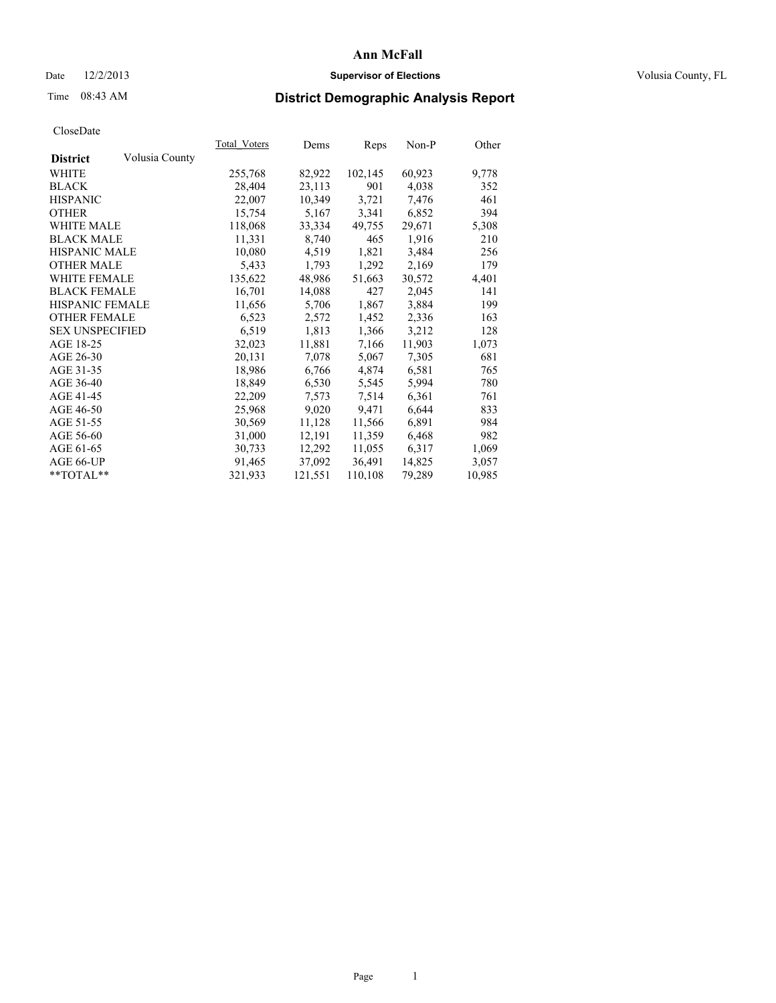## Date  $12/2/2013$  **Supervisor of Elections Supervisor of Elections** Volusia County, FL

# Time 08:43 AM **District Demographic Analysis Report**

|                        |                | Total Voters | Dems    | <b>Reps</b> | Non-P  | Other  |
|------------------------|----------------|--------------|---------|-------------|--------|--------|
| <b>District</b>        | Volusia County |              |         |             |        |        |
| WHITE                  |                | 255,768      | 82,922  | 102,145     | 60,923 | 9,778  |
| <b>BLACK</b>           |                | 28,404       | 23,113  | 901         | 4,038  | 352    |
| <b>HISPANIC</b>        |                | 22,007       | 10,349  | 3,721       | 7,476  | 461    |
| <b>OTHER</b>           |                | 15,754       | 5,167   | 3,341       | 6,852  | 394    |
| <b>WHITE MALE</b>      |                | 118,068      | 33,334  | 49,755      | 29,671 | 5,308  |
| <b>BLACK MALE</b>      |                | 11,331       | 8,740   | 465         | 1,916  | 210    |
| <b>HISPANIC MALE</b>   |                | 10,080       | 4,519   | 1,821       | 3,484  | 256    |
| <b>OTHER MALE</b>      |                | 5,433        | 1,793   | 1,292       | 2,169  | 179    |
| <b>WHITE FEMALE</b>    |                | 135,622      | 48,986  | 51,663      | 30,572 | 4,401  |
| <b>BLACK FEMALE</b>    |                | 16,701       | 14,088  | 427         | 2,045  | 141    |
| <b>HISPANIC FEMALE</b> |                | 11,656       | 5,706   | 1,867       | 3,884  | 199    |
| <b>OTHER FEMALE</b>    |                | 6,523        | 2,572   | 1,452       | 2,336  | 163    |
| <b>SEX UNSPECIFIED</b> |                | 6,519        | 1,813   | 1,366       | 3,212  | 128    |
| AGE 18-25              |                | 32,023       | 11,881  | 7,166       | 11,903 | 1,073  |
| AGE 26-30              |                | 20,131       | 7,078   | 5,067       | 7,305  | 681    |
| AGE 31-35              |                | 18,986       | 6,766   | 4,874       | 6,581  | 765    |
| AGE 36-40              |                | 18,849       | 6,530   | 5,545       | 5,994  | 780    |
| AGE 41-45              |                | 22,209       | 7,573   | 7,514       | 6,361  | 761    |
| AGE 46-50              |                | 25,968       | 9,020   | 9,471       | 6,644  | 833    |
| AGE 51-55              |                | 30,569       | 11,128  | 11,566      | 6,891  | 984    |
| AGE 56-60              |                | 31,000       | 12,191  | 11,359      | 6,468  | 982    |
| AGE 61-65              |                | 30,733       | 12,292  | 11,055      | 6,317  | 1,069  |
| AGE 66-UP              |                | 91,465       | 37,092  | 36,491      | 14,825 | 3,057  |
| $*$ TOTAL $*$          |                | 321,933      | 121,551 | 110,108     | 79,289 | 10,985 |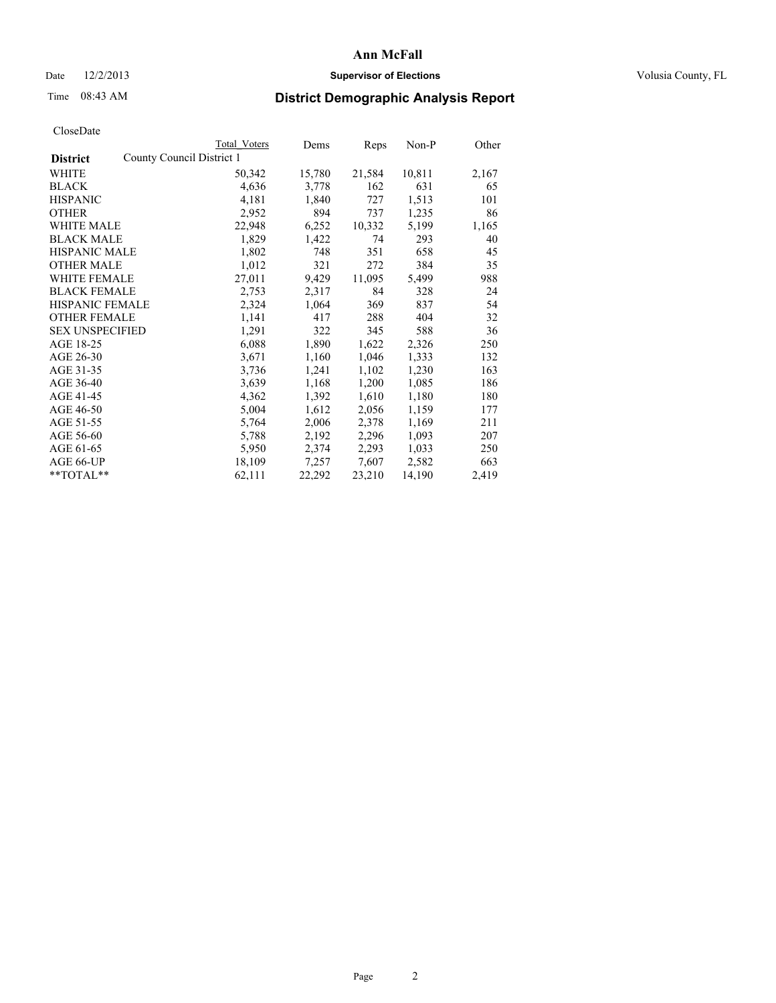## Date  $12/2/2013$  **Supervisor of Elections Supervisor of Elections** Volusia County, FL

## Time 08:43 AM **District Demographic Analysis Report**

|                        |                           | <b>Total Voters</b> | Dems   | Reps   | $Non-P$ | Other |
|------------------------|---------------------------|---------------------|--------|--------|---------|-------|
| <b>District</b>        | County Council District 1 |                     |        |        |         |       |
| WHITE                  |                           | 50,342              | 15,780 | 21,584 | 10,811  | 2,167 |
| <b>BLACK</b>           |                           | 4,636               | 3,778  | 162    | 631     | 65    |
| <b>HISPANIC</b>        |                           | 4,181               | 1,840  | 727    | 1,513   | 101   |
| <b>OTHER</b>           |                           | 2,952               | 894    | 737    | 1,235   | 86    |
| WHITE MALE             |                           | 22,948              | 6,252  | 10,332 | 5,199   | 1,165 |
| <b>BLACK MALE</b>      |                           | 1,829               | 1,422  | 74     | 293     | 40    |
| <b>HISPANIC MALE</b>   |                           | 1,802               | 748    | 351    | 658     | 45    |
| <b>OTHER MALE</b>      |                           | 1,012               | 321    | 272    | 384     | 35    |
| <b>WHITE FEMALE</b>    |                           | 27,011              | 9,429  | 11,095 | 5,499   | 988   |
| <b>BLACK FEMALE</b>    |                           | 2,753               | 2,317  | 84     | 328     | 24    |
| <b>HISPANIC FEMALE</b> |                           | 2,324               | 1,064  | 369    | 837     | 54    |
| <b>OTHER FEMALE</b>    |                           | 1,141               | 417    | 288    | 404     | 32    |
| <b>SEX UNSPECIFIED</b> |                           | 1,291               | 322    | 345    | 588     | 36    |
| AGE 18-25              |                           | 6,088               | 1,890  | 1,622  | 2,326   | 250   |
| AGE 26-30              |                           | 3,671               | 1,160  | 1,046  | 1,333   | 132   |
| AGE 31-35              |                           | 3,736               | 1,241  | 1,102  | 1,230   | 163   |
| AGE 36-40              |                           | 3,639               | 1,168  | 1,200  | 1,085   | 186   |
| AGE 41-45              |                           | 4,362               | 1,392  | 1,610  | 1,180   | 180   |
| AGE 46-50              |                           | 5,004               | 1,612  | 2,056  | 1,159   | 177   |
| AGE 51-55              |                           | 5,764               | 2,006  | 2,378  | 1,169   | 211   |
| AGE 56-60              |                           | 5,788               | 2,192  | 2,296  | 1,093   | 207   |
| AGE 61-65              |                           | 5,950               | 2,374  | 2,293  | 1,033   | 250   |
| AGE 66-UP              |                           | 18,109              | 7,257  | 7,607  | 2,582   | 663   |
| **TOTAL**              |                           | 62,111              | 22,292 | 23,210 | 14,190  | 2,419 |
|                        |                           |                     |        |        |         |       |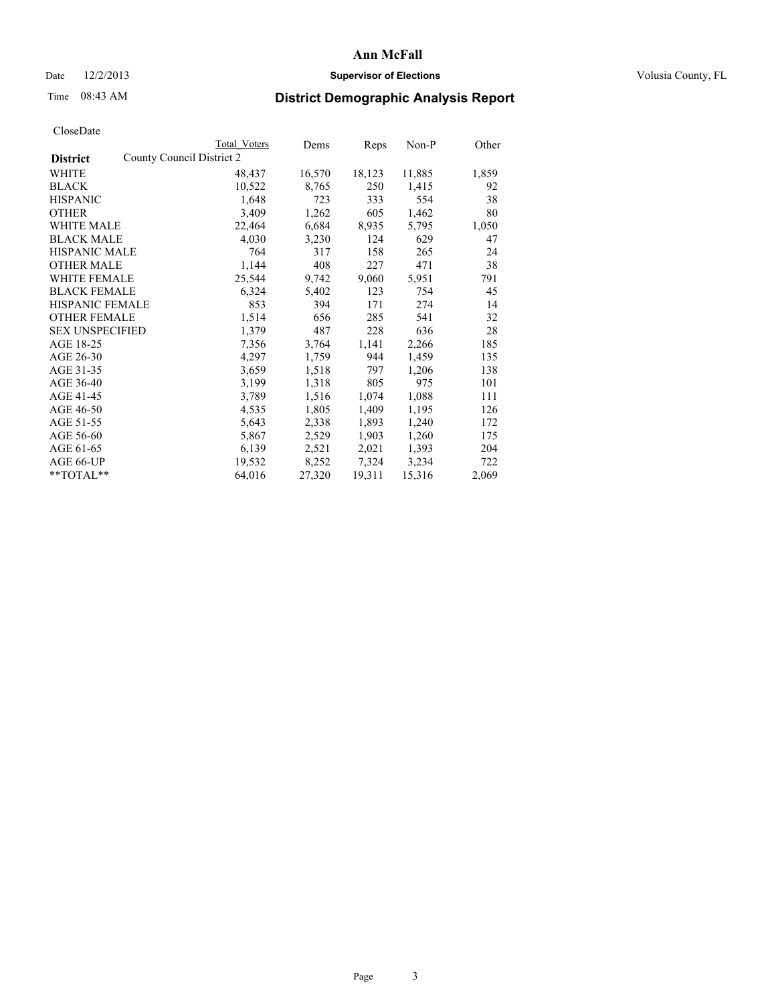## Date  $12/2/2013$  **Supervisor of Elections Supervisor of Elections** Volusia County, FL

## Time 08:43 AM **District Demographic Analysis Report**

|                                              | Total Voters | Dems   | <b>Reps</b> | Non-P  | Other |
|----------------------------------------------|--------------|--------|-------------|--------|-------|
| County Council District 2<br><b>District</b> |              |        |             |        |       |
| <b>WHITE</b>                                 | 48,437       | 16,570 | 18,123      | 11,885 | 1,859 |
| <b>BLACK</b>                                 | 10,522       | 8,765  | 250         | 1,415  | 92    |
| <b>HISPANIC</b>                              | 1,648        | 723    | 333         | 554    | 38    |
| <b>OTHER</b>                                 | 3,409        | 1,262  | 605         | 1,462  | 80    |
| <b>WHITE MALE</b>                            | 22,464       | 6,684  | 8,935       | 5,795  | 1,050 |
| <b>BLACK MALE</b>                            | 4,030        | 3,230  | 124         | 629    | 47    |
| <b>HISPANIC MALE</b>                         | 764          | 317    | 158         | 265    | 24    |
| <b>OTHER MALE</b>                            | 1,144        | 408    | 227         | 471    | 38    |
| WHITE FEMALE                                 | 25,544       | 9,742  | 9,060       | 5,951  | 791   |
| <b>BLACK FEMALE</b>                          | 6,324        | 5,402  | 123         | 754    | 45    |
| HISPANIC FEMALE                              | 853          | 394    | 171         | 274    | 14    |
| <b>OTHER FEMALE</b>                          | 1,514        | 656    | 285         | 541    | 32    |
| <b>SEX UNSPECIFIED</b>                       | 1,379        | 487    | 228         | 636    | 28    |
| AGE 18-25                                    | 7,356        | 3,764  | 1,141       | 2,266  | 185   |
| AGE 26-30                                    | 4,297        | 1,759  | 944         | 1,459  | 135   |
| AGE 31-35                                    | 3,659        | 1,518  | 797         | 1,206  | 138   |
| AGE 36-40                                    | 3,199        | 1,318  | 805         | 975    | 101   |
| AGE 41-45                                    | 3,789        | 1,516  | 1,074       | 1,088  | 111   |
| AGE 46-50                                    | 4,535        | 1,805  | 1,409       | 1,195  | 126   |
| AGE 51-55                                    | 5,643        | 2,338  | 1,893       | 1,240  | 172   |
| AGE 56-60                                    | 5,867        | 2,529  | 1,903       | 1,260  | 175   |
| AGE 61-65                                    | 6,139        | 2,521  | 2,021       | 1,393  | 204   |
| AGE 66-UP                                    | 19,532       | 8,252  | 7,324       | 3,234  | 722   |
| $*$ TOTAL $*$                                | 64,016       | 27,320 | 19,311      | 15,316 | 2,069 |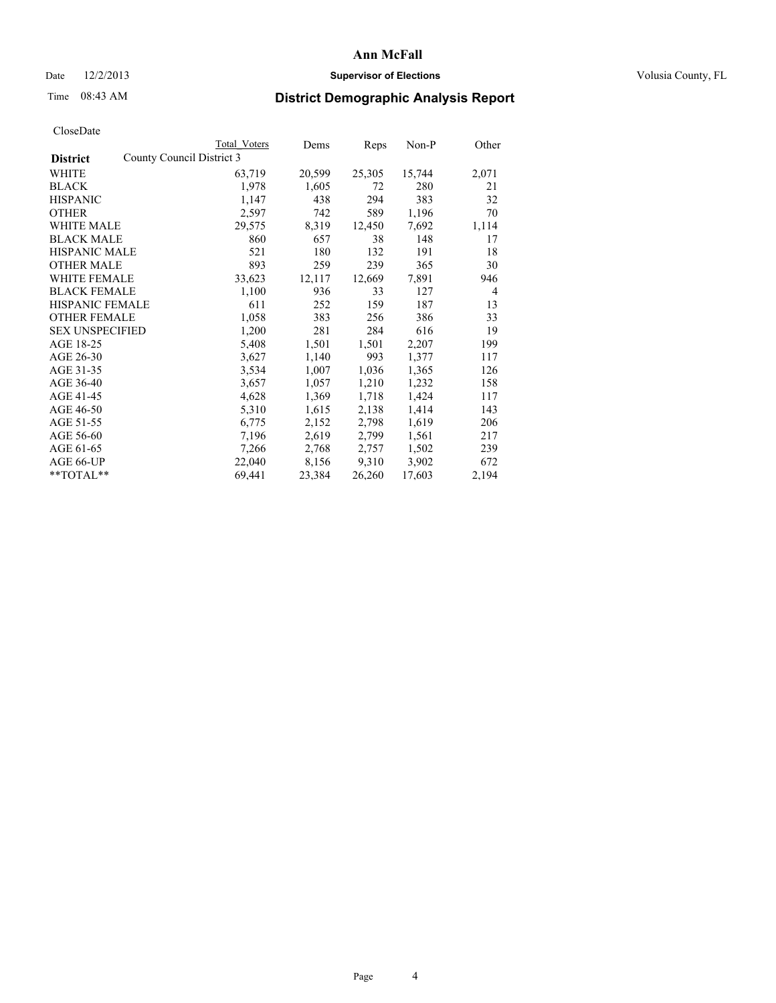## Date  $12/2/2013$  **Supervisor of Elections Supervisor of Elections** Volusia County, FL

## Time 08:43 AM **District Demographic Analysis Report**

|                                              | Total Voters | Dems   | <b>Reps</b> | Non-P  | Other          |
|----------------------------------------------|--------------|--------|-------------|--------|----------------|
| County Council District 3<br><b>District</b> |              |        |             |        |                |
| WHITE                                        | 63,719       | 20,599 | 25,305      | 15,744 | 2,071          |
| <b>BLACK</b>                                 | 1,978        | 1,605  | 72          | 280    | 21             |
| <b>HISPANIC</b>                              | 1,147        | 438    | 294         | 383    | 32             |
| <b>OTHER</b>                                 | 2,597        | 742    | 589         | 1,196  | 70             |
| <b>WHITE MALE</b>                            | 29,575       | 8,319  | 12,450      | 7,692  | 1,114          |
| <b>BLACK MALE</b>                            | 860          | 657    | 38          | 148    | 17             |
| <b>HISPANIC MALE</b>                         | 521          | 180    | 132         | 191    | 18             |
| <b>OTHER MALE</b>                            | 893          | 259    | 239         | 365    | 30             |
| <b>WHITE FEMALE</b>                          | 33,623       | 12,117 | 12,669      | 7,891  | 946            |
| <b>BLACK FEMALE</b>                          | 1,100        | 936    | 33          | 127    | $\overline{4}$ |
| <b>HISPANIC FEMALE</b>                       | 611          | 252    | 159         | 187    | 13             |
| <b>OTHER FEMALE</b>                          | 1,058        | 383    | 256         | 386    | 33             |
| <b>SEX UNSPECIFIED</b>                       | 1,200        | 281    | 284         | 616    | 19             |
| AGE 18-25                                    | 5,408        | 1,501  | 1,501       | 2,207  | 199            |
| AGE 26-30                                    | 3,627        | 1,140  | 993         | 1,377  | 117            |
| AGE 31-35                                    | 3,534        | 1,007  | 1,036       | 1,365  | 126            |
| AGE 36-40                                    | 3,657        | 1,057  | 1,210       | 1,232  | 158            |
| AGE 41-45                                    | 4,628        | 1,369  | 1,718       | 1,424  | 117            |
| AGE 46-50                                    | 5,310        | 1,615  | 2,138       | 1,414  | 143            |
| AGE 51-55                                    | 6,775        | 2,152  | 2,798       | 1,619  | 206            |
| AGE 56-60                                    | 7,196        | 2,619  | 2,799       | 1,561  | 217            |
| AGE 61-65                                    | 7,266        | 2,768  | 2,757       | 1,502  | 239            |
| AGE 66-UP                                    | 22,040       | 8,156  | 9,310       | 3,902  | 672            |
| $*$ $TOTAL**$                                | 69,441       | 23,384 | 26,260      | 17,603 | 2,194          |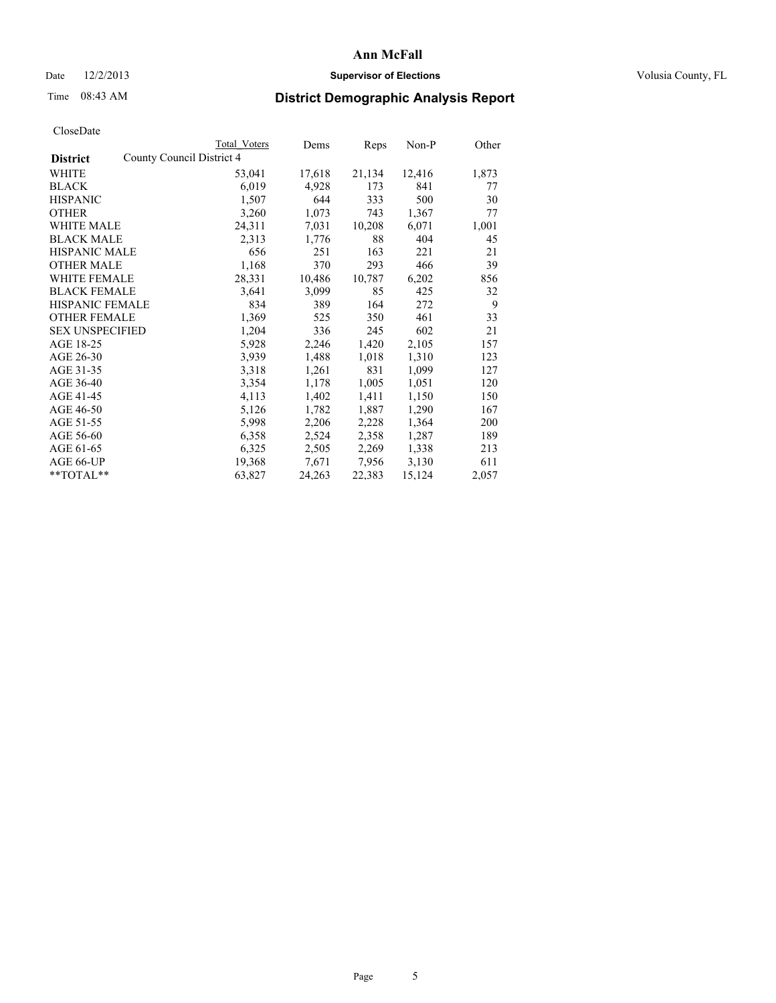## Date  $12/2/2013$  **Supervisor of Elections Supervisor of Elections** Volusia County, FL

## Time 08:43 AM **District Demographic Analysis Report**

|                           | Dems   | Reps                | Non-P  | Other |
|---------------------------|--------|---------------------|--------|-------|
| County Council District 4 |        |                     |        |       |
| 53,041                    | 17,618 | 21,134              | 12,416 | 1,873 |
| 6,019                     | 4,928  | 173                 | 841    | 77    |
| 1,507                     | 644    | 333                 | 500    | 30    |
| 3,260                     | 1,073  | 743                 | 1,367  | 77    |
| 24,311                    | 7,031  | 10,208              | 6,071  | 1,001 |
| 2,313                     | 1,776  | 88                  | 404    | 45    |
| 656                       | 251    | 163                 | 221    | 21    |
| 1,168                     | 370    | 293                 | 466    | 39    |
| 28,331                    | 10,486 | 10,787              | 6,202  | 856   |
| 3,641                     | 3,099  | 85                  | 425    | 32    |
| 834                       | 389    | 164                 | 272    | 9     |
| 1,369                     | 525    | 350                 | 461    | 33    |
| 1,204                     | 336    | 245                 | 602    | 21    |
| 5,928                     | 2,246  | 1,420               | 2,105  | 157   |
| 3,939                     | 1,488  | 1,018               | 1,310  | 123   |
| 3,318                     | 1,261  | 831                 | 1,099  | 127   |
| 3,354                     | 1,178  | 1,005               | 1,051  | 120   |
| 4,113                     | 1,402  | 1,411               | 1,150  | 150   |
| 5,126                     | 1,782  | 1,887               | 1,290  | 167   |
| 5,998                     | 2,206  | 2,228               | 1,364  | 200   |
| 6,358                     | 2,524  | 2,358               | 1,287  | 189   |
| 6,325                     | 2,505  | 2,269               | 1,338  | 213   |
| 19,368                    | 7,671  | 7,956               | 3,130  | 611   |
| 63,827                    | 24,263 | 22,383              | 15,124 | 2,057 |
|                           |        | <b>Total Voters</b> |        |       |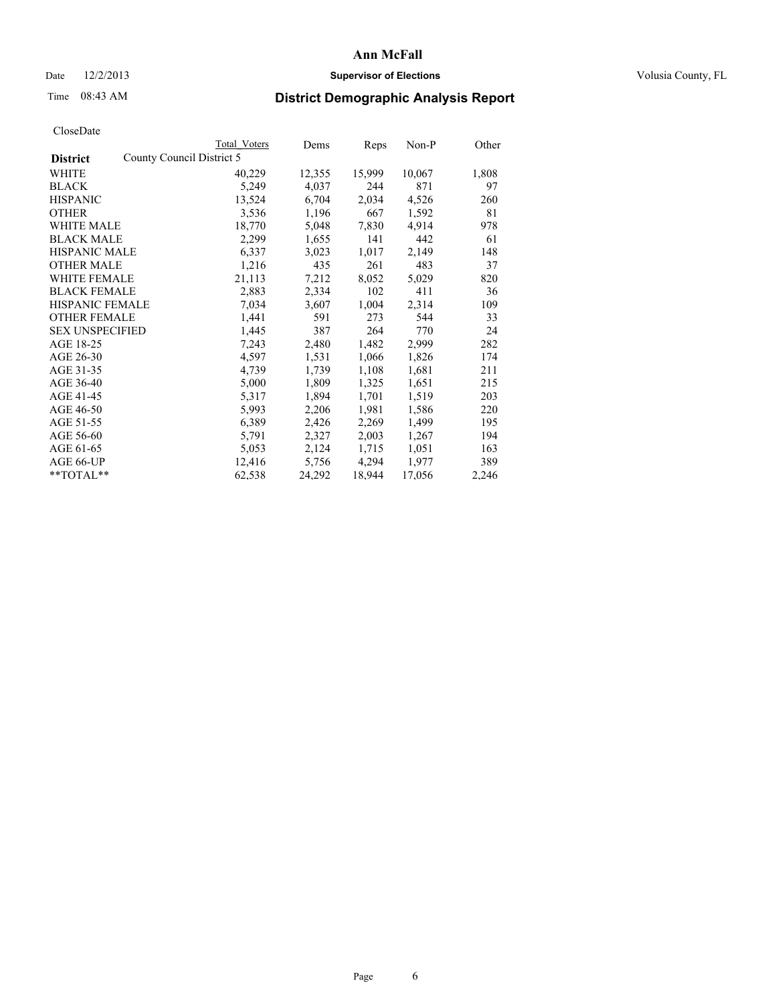## Date  $12/2/2013$  **Supervisor of Elections Supervisor of Elections** Volusia County, FL

# Time 08:43 AM **District Demographic Analysis Report**

|                                              | Total Voters | Dems   | Reps   | Non-P  | Other |
|----------------------------------------------|--------------|--------|--------|--------|-------|
| County Council District 5<br><b>District</b> |              |        |        |        |       |
| <b>WHITE</b>                                 | 40,229       | 12,355 | 15,999 | 10,067 | 1,808 |
| <b>BLACK</b>                                 | 5,249        | 4,037  | 244    | 871    | 97    |
| <b>HISPANIC</b>                              | 13,524       | 6,704  | 2,034  | 4,526  | 260   |
| <b>OTHER</b>                                 | 3,536        | 1,196  | 667    | 1,592  | 81    |
| WHITE MALE                                   | 18,770       | 5,048  | 7,830  | 4,914  | 978   |
| <b>BLACK MALE</b>                            | 2,299        | 1,655  | 141    | 442    | 61    |
| <b>HISPANIC MALE</b>                         | 6,337        | 3,023  | 1,017  | 2,149  | 148   |
| <b>OTHER MALE</b>                            | 1,216        | 435    | 261    | 483    | 37    |
| WHITE FEMALE                                 | 21,113       | 7,212  | 8,052  | 5,029  | 820   |
| <b>BLACK FEMALE</b>                          | 2,883        | 2,334  | 102    | 411    | 36    |
| HISPANIC FEMALE                              | 7,034        | 3,607  | 1,004  | 2,314  | 109   |
| <b>OTHER FEMALE</b>                          | 1,441        | 591    | 273    | 544    | 33    |
| <b>SEX UNSPECIFIED</b>                       | 1,445        | 387    | 264    | 770    | 24    |
| AGE 18-25                                    | 7,243        | 2,480  | 1,482  | 2,999  | 282   |
| AGE 26-30                                    | 4,597        | 1,531  | 1,066  | 1,826  | 174   |
| AGE 31-35                                    | 4,739        | 1,739  | 1,108  | 1,681  | 211   |
| AGE 36-40                                    | 5,000        | 1,809  | 1,325  | 1,651  | 215   |
| AGE 41-45                                    | 5,317        | 1,894  | 1,701  | 1,519  | 203   |
| AGE 46-50                                    | 5,993        | 2,206  | 1,981  | 1,586  | 220   |
| AGE 51-55                                    | 6,389        | 2,426  | 2,269  | 1,499  | 195   |
| AGE 56-60                                    | 5,791        | 2,327  | 2,003  | 1,267  | 194   |
| AGE 61-65                                    | 5,053        | 2,124  | 1,715  | 1,051  | 163   |
| AGE 66-UP                                    | 12,416       | 5,756  | 4,294  | 1,977  | 389   |
| $*$ TOTAL $*$                                | 62,538       | 24,292 | 18,944 | 17,056 | 2,246 |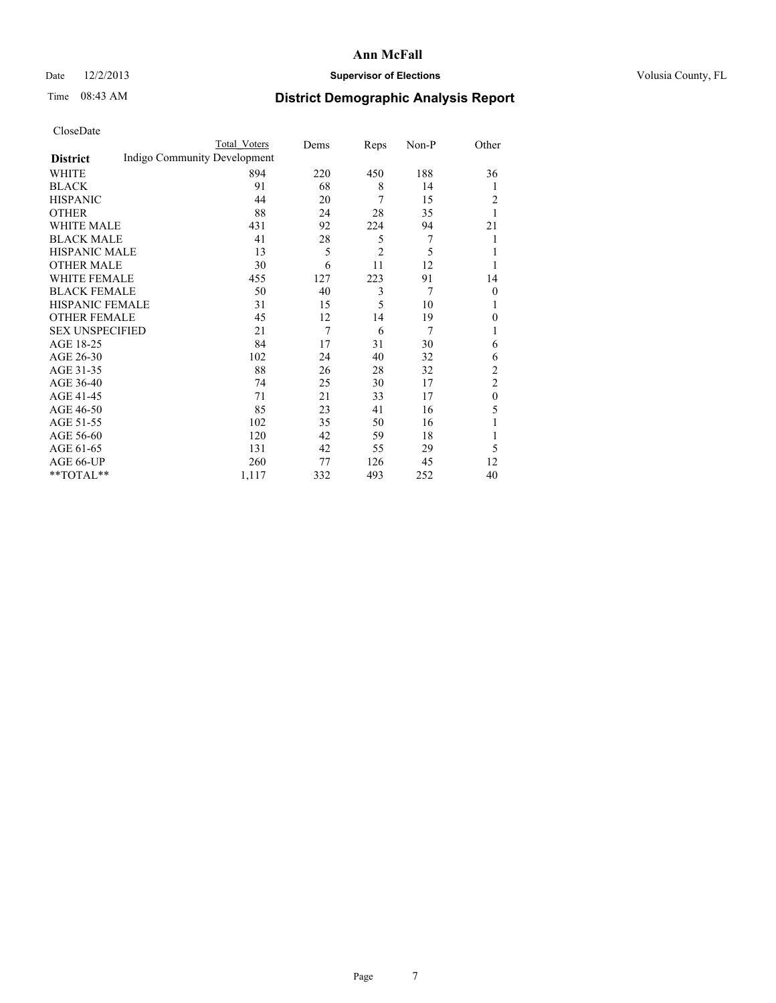## Date  $12/2/2013$  **Supervisor of Elections Supervisor of Elections** Volusia County, FL

# Time 08:43 AM **District Demographic Analysis Report**

|                        |                              | <b>Total Voters</b> | Dems | Reps           | Non-P | Other          |
|------------------------|------------------------------|---------------------|------|----------------|-------|----------------|
| <b>District</b>        | Indigo Community Development |                     |      |                |       |                |
| WHITE                  |                              | 894                 | 220  | 450            | 188   | 36             |
| <b>BLACK</b>           |                              | 91                  | 68   | 8              | 14    | 1              |
| <b>HISPANIC</b>        |                              | 44                  | 20   | 7              | 15    | 2              |
| <b>OTHER</b>           |                              | 88                  | 24   | 28             | 35    |                |
| WHITE MALE             |                              | 431                 | 92   | 224            | 94    | 21             |
| <b>BLACK MALE</b>      |                              | 41                  | 28   | 5              | 7     | 1              |
| <b>HISPANIC MALE</b>   |                              | 13                  | 5    | $\overline{c}$ | 5     |                |
| <b>OTHER MALE</b>      |                              | 30                  | 6    | 11             | 12    |                |
| WHITE FEMALE           |                              | 455                 | 127  | 223            | 91    | 14             |
| <b>BLACK FEMALE</b>    |                              | 50                  | 40   | 3              | 7     | $\theta$       |
| <b>HISPANIC FEMALE</b> |                              | 31                  | 15   | 5              | 10    |                |
| <b>OTHER FEMALE</b>    |                              | 45                  | 12   | 14             | 19    | 0              |
| <b>SEX UNSPECIFIED</b> |                              | 21                  | 7    | 6              | 7     | 1              |
| AGE 18-25              |                              | 84                  | 17   | 31             | 30    | 6              |
| AGE 26-30              |                              | 102                 | 24   | 40             | 32    | 6              |
| AGE 31-35              |                              | 88                  | 26   | 28             | 32    | $\overline{c}$ |
| AGE 36-40              |                              | 74                  | 25   | 30             | 17    | $\overline{c}$ |
| AGE 41-45              |                              | 71                  | 21   | 33             | 17    | $\theta$       |
| AGE 46-50              |                              | 85                  | 23   | 41             | 16    | 5              |
| AGE 51-55              |                              | 102                 | 35   | 50             | 16    |                |
| AGE 56-60              |                              | 120                 | 42   | 59             | 18    |                |
| AGE 61-65              |                              | 131                 | 42   | 55             | 29    | 5              |
| AGE 66-UP              |                              | 260                 | 77   | 126            | 45    | 12             |
| **TOTAL**              |                              | 1,117               | 332  | 493            | 252   | 40             |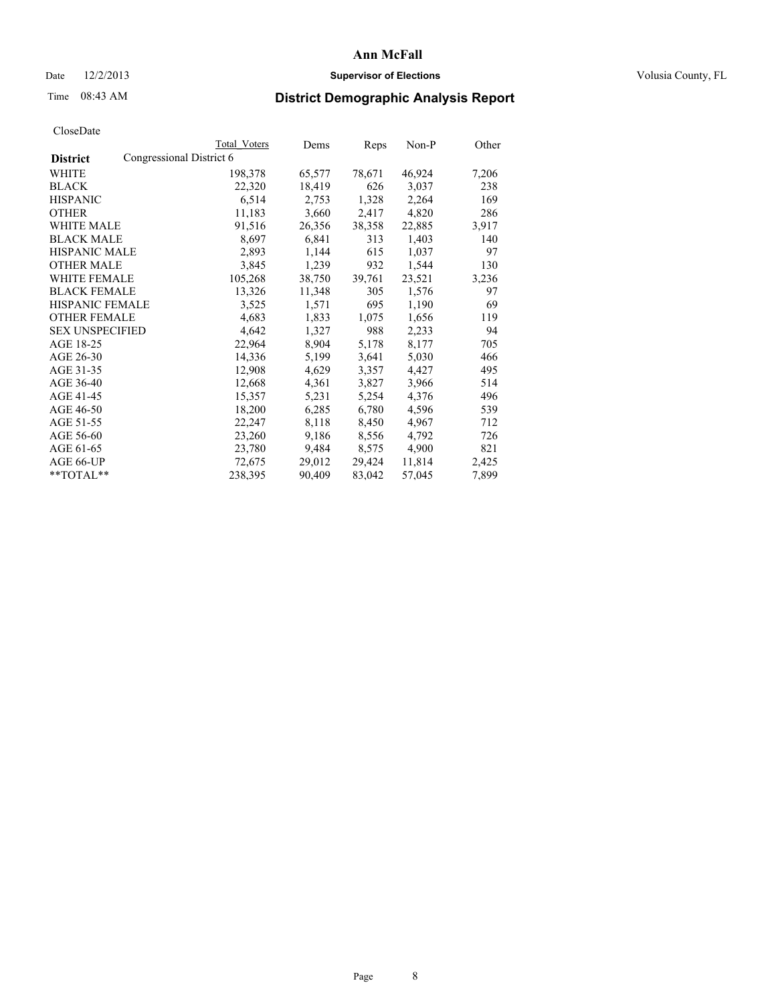## Date  $12/2/2013$  **Supervisor of Elections Supervisor of Elections** Volusia County, FL

## Time 08:43 AM **District Demographic Analysis Report**

|                                             | Total Voters | Dems   | Reps   | Non-P  | Other |
|---------------------------------------------|--------------|--------|--------|--------|-------|
| Congressional District 6<br><b>District</b> |              |        |        |        |       |
| WHITE                                       | 198,378      | 65,577 | 78,671 | 46,924 | 7,206 |
| <b>BLACK</b>                                | 22,320       | 18,419 | 626    | 3,037  | 238   |
| <b>HISPANIC</b>                             | 6,514        | 2,753  | 1,328  | 2,264  | 169   |
| <b>OTHER</b>                                | 11,183       | 3,660  | 2,417  | 4,820  | 286   |
| <b>WHITE MALE</b>                           | 91,516       | 26,356 | 38,358 | 22,885 | 3,917 |
| <b>BLACK MALE</b>                           | 8,697        | 6,841  | 313    | 1,403  | 140   |
| <b>HISPANIC MALE</b>                        | 2,893        | 1,144  | 615    | 1,037  | 97    |
| <b>OTHER MALE</b>                           | 3,845        | 1,239  | 932    | 1,544  | 130   |
| <b>WHITE FEMALE</b>                         | 105,268      | 38,750 | 39,761 | 23,521 | 3,236 |
| <b>BLACK FEMALE</b>                         | 13,326       | 11,348 | 305    | 1,576  | 97    |
| HISPANIC FEMALE                             | 3,525        | 1,571  | 695    | 1,190  | 69    |
| <b>OTHER FEMALE</b>                         | 4,683        | 1,833  | 1,075  | 1,656  | 119   |
| <b>SEX UNSPECIFIED</b>                      | 4,642        | 1,327  | 988    | 2,233  | 94    |
| AGE 18-25                                   | 22,964       | 8,904  | 5,178  | 8,177  | 705   |
| AGE 26-30                                   | 14,336       | 5,199  | 3,641  | 5,030  | 466   |
| AGE 31-35                                   | 12,908       | 4,629  | 3,357  | 4,427  | 495   |
| AGE 36-40                                   | 12,668       | 4,361  | 3,827  | 3,966  | 514   |
| AGE 41-45                                   | 15,357       | 5,231  | 5,254  | 4,376  | 496   |
| AGE 46-50                                   | 18,200       | 6,285  | 6,780  | 4,596  | 539   |
| AGE 51-55                                   | 22,247       | 8,118  | 8,450  | 4,967  | 712   |
| AGE 56-60                                   | 23,260       | 9,186  | 8,556  | 4,792  | 726   |
| AGE 61-65                                   | 23,780       | 9,484  | 8,575  | 4,900  | 821   |
| AGE 66-UP                                   | 72,675       | 29,012 | 29,424 | 11,814 | 2,425 |
| $*$ TOTAL $*$                               | 238,395      | 90,409 | 83,042 | 57,045 | 7,899 |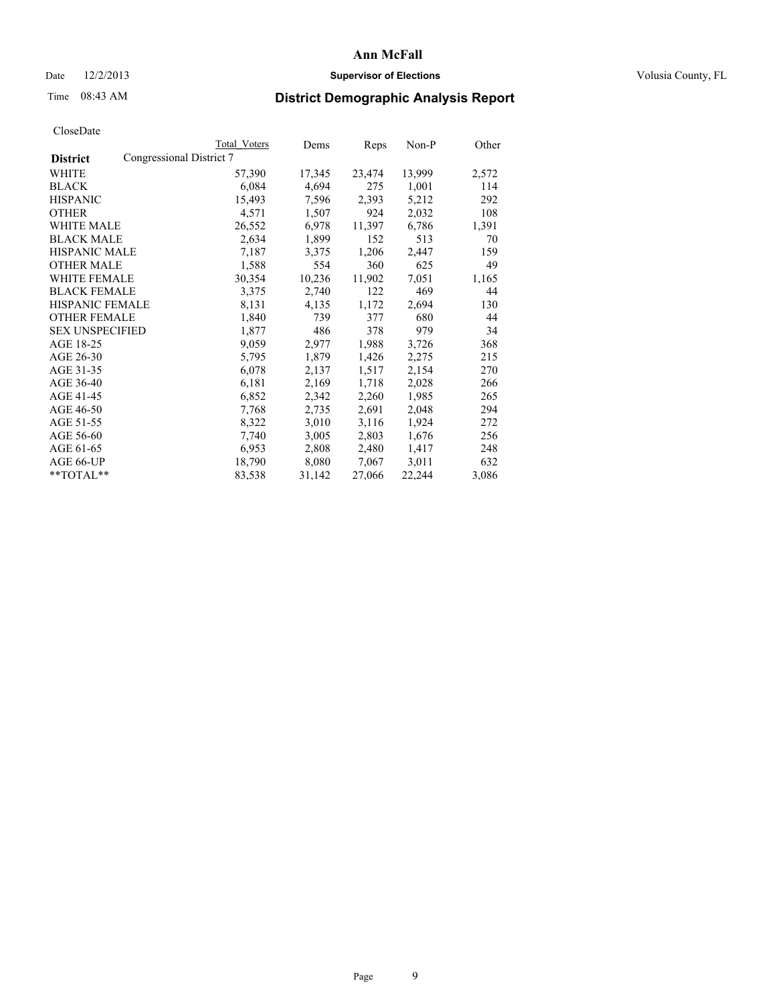## Date  $12/2/2013$  **Supervisor of Elections Supervisor of Elections** Volusia County, FL

# Time 08:43 AM **District Demographic Analysis Report**

|                                             | Total Voters | Dems   | <b>Reps</b> | Non-P  | Other |
|---------------------------------------------|--------------|--------|-------------|--------|-------|
| Congressional District 7<br><b>District</b> |              |        |             |        |       |
| WHITE                                       | 57,390       | 17,345 | 23,474      | 13,999 | 2,572 |
| <b>BLACK</b>                                | 6,084        | 4,694  | 275         | 1,001  | 114   |
| <b>HISPANIC</b>                             | 15,493       | 7,596  | 2,393       | 5,212  | 292   |
| <b>OTHER</b>                                | 4,571        | 1,507  | 924         | 2,032  | 108   |
| WHITE MALE                                  | 26,552       | 6,978  | 11,397      | 6,786  | 1,391 |
| <b>BLACK MALE</b>                           | 2,634        | 1,899  | 152         | 513    | 70    |
| <b>HISPANIC MALE</b>                        | 7,187        | 3,375  | 1,206       | 2,447  | 159   |
| <b>OTHER MALE</b>                           | 1,588        | 554    | 360         | 625    | 49    |
| WHITE FEMALE                                | 30,354       | 10,236 | 11,902      | 7,051  | 1,165 |
| <b>BLACK FEMALE</b>                         | 3,375        | 2,740  | 122         | 469    | 44    |
| <b>HISPANIC FEMALE</b>                      | 8,131        | 4,135  | 1,172       | 2,694  | 130   |
| <b>OTHER FEMALE</b>                         | 1,840        | 739    | 377         | 680    | 44    |
| <b>SEX UNSPECIFIED</b>                      | 1,877        | 486    | 378         | 979    | 34    |
| AGE 18-25                                   | 9,059        | 2,977  | 1,988       | 3,726  | 368   |
| AGE 26-30                                   | 5,795        | 1,879  | 1,426       | 2,275  | 215   |
| AGE 31-35                                   | 6,078        | 2,137  | 1,517       | 2,154  | 270   |
| AGE 36-40                                   | 6,181        | 2,169  | 1,718       | 2,028  | 266   |
| AGE 41-45                                   | 6,852        | 2,342  | 2,260       | 1,985  | 265   |
| AGE 46-50                                   | 7,768        | 2,735  | 2,691       | 2,048  | 294   |
| AGE 51-55                                   | 8,322        | 3,010  | 3,116       | 1,924  | 272   |
| AGE 56-60                                   | 7,740        | 3,005  | 2,803       | 1,676  | 256   |
| AGE 61-65                                   | 6,953        | 2,808  | 2,480       | 1,417  | 248   |
| AGE 66-UP                                   | 18,790       | 8,080  | 7,067       | 3,011  | 632   |
| $*$ TOTAL $*$                               | 83,538       | 31,142 | 27,066      | 22,244 | 3,086 |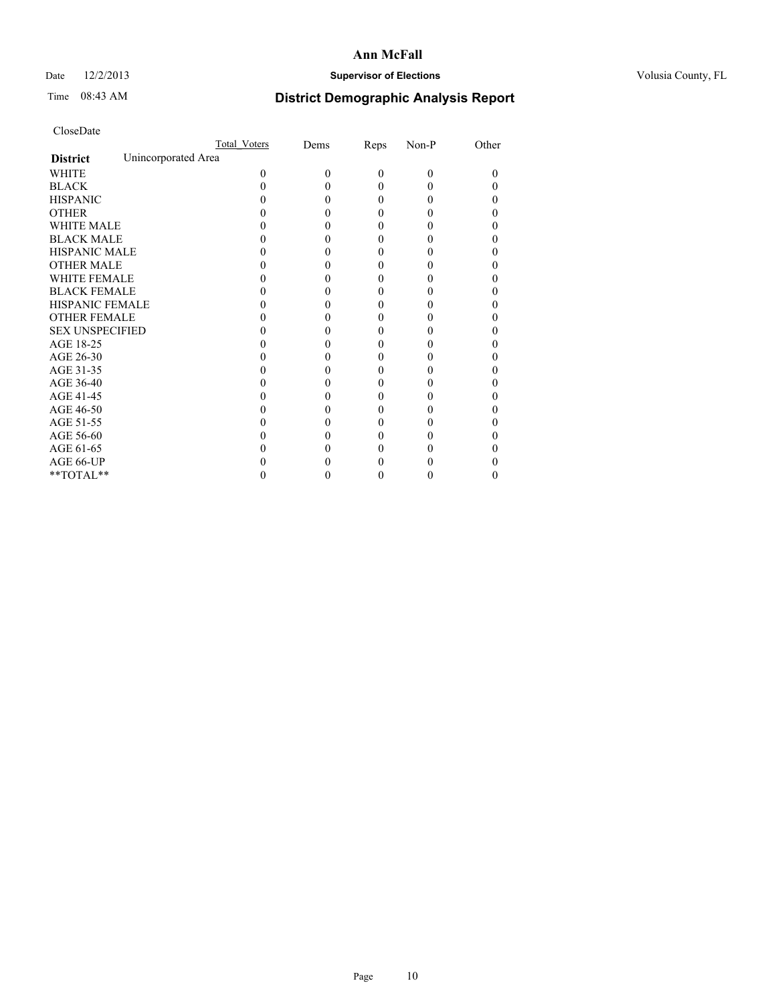## Date  $12/2/2013$  **Supervisor of Elections Supervisor of Elections** Volusia County, FL

# Time 08:43 AM **District Demographic Analysis Report**

|                        |                     | <b>Total Voters</b> | Dems     | Reps     | Non-P    | Other |
|------------------------|---------------------|---------------------|----------|----------|----------|-------|
| <b>District</b>        | Unincorporated Area |                     |          |          |          |       |
| <b>WHITE</b>           |                     | $\Omega$            | $\theta$ | $\theta$ | $\Omega$ | 0     |
| <b>BLACK</b>           |                     |                     |          | 0        | 0        |       |
| <b>HISPANIC</b>        |                     |                     |          | 0        | 0        |       |
| <b>OTHER</b>           |                     |                     |          |          |          |       |
| <b>WHITE MALE</b>      |                     |                     |          |          |          |       |
| <b>BLACK MALE</b>      |                     |                     |          |          |          |       |
| <b>HISPANIC MALE</b>   |                     |                     |          |          |          |       |
| <b>OTHER MALE</b>      |                     |                     |          |          |          |       |
| <b>WHITE FEMALE</b>    |                     |                     |          |          |          |       |
| <b>BLACK FEMALE</b>    |                     |                     |          | 0        |          | 0     |
| HISPANIC FEMALE        |                     |                     |          |          |          |       |
| <b>OTHER FEMALE</b>    |                     |                     |          |          |          |       |
| <b>SEX UNSPECIFIED</b> |                     |                     |          |          |          |       |
| AGE 18-25              |                     |                     |          |          |          |       |
| AGE 26-30              |                     |                     |          |          |          |       |
| AGE 31-35              |                     |                     |          |          |          |       |
| AGE 36-40              |                     |                     |          | 0        |          |       |
| AGE 41-45              |                     |                     |          |          |          |       |
| AGE 46-50              |                     |                     |          |          |          |       |
| AGE 51-55              |                     |                     |          |          |          |       |
| AGE 56-60              |                     |                     |          |          |          |       |
| AGE 61-65              |                     |                     |          |          |          |       |
| AGE 66-UP              |                     |                     |          |          |          |       |
| **TOTAL**              |                     |                     |          | 0        | 0        | 0     |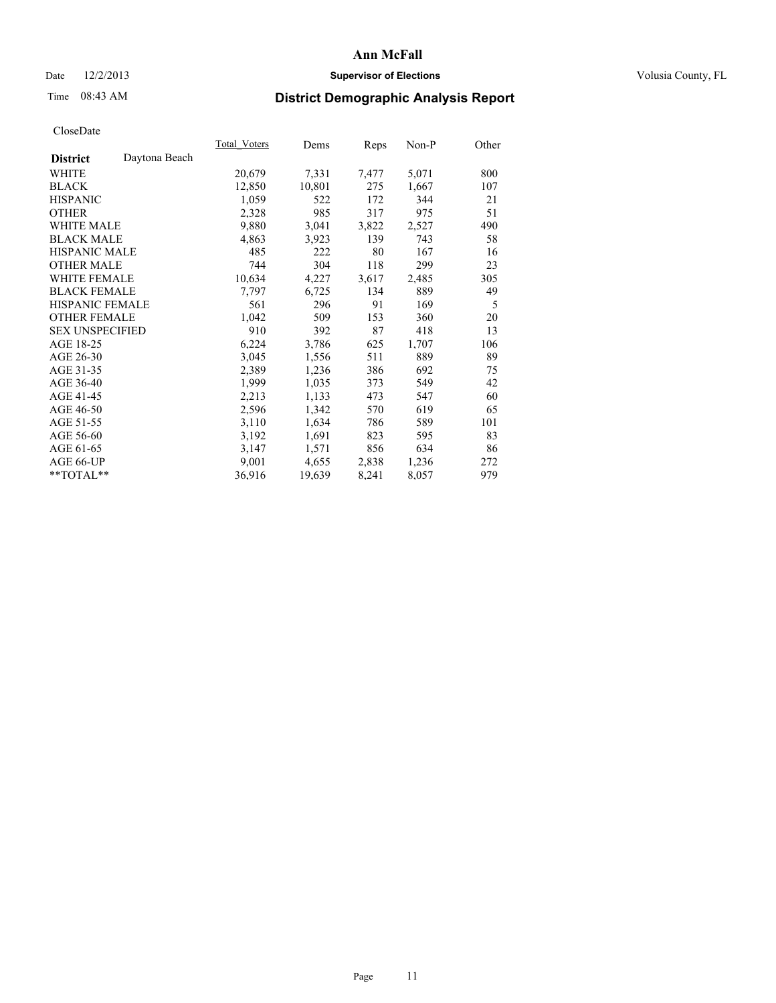## Date  $12/2/2013$  **Supervisor of Elections Supervisor of Elections** Volusia County, FL

# Time 08:43 AM **District Demographic Analysis Report**

| Total Voters | Dems   | Reps  | Non-P | Other |
|--------------|--------|-------|-------|-------|
|              |        |       |       |       |
| 20,679       | 7,331  | 7,477 | 5,071 | 800   |
| 12,850       | 10,801 | 275   | 1,667 | 107   |
| 1,059        | 522    | 172   | 344   | 21    |
| 2,328        | 985    | 317   | 975   | 51    |
| 9,880        | 3,041  | 3,822 | 2,527 | 490   |
| 4,863        | 3,923  | 139   | 743   | 58    |
| 485          | 222    | 80    | 167   | 16    |
| 744          | 304    | 118   | 299   | 23    |
| 10,634       | 4,227  | 3,617 | 2,485 | 305   |
| 7.797        | 6,725  | 134   | 889   | 49    |
| 561          | 296    | 91    | 169   | 5     |
| 1,042        | 509    | 153   | 360   | 20    |
| 910          | 392    | 87    | 418   | 13    |
| 6,224        | 3,786  | 625   | 1,707 | 106   |
| 3,045        | 1,556  | 511   | 889   | 89    |
| 2,389        | 1,236  | 386   | 692   | 75    |
| 1,999        | 1,035  | 373   | 549   | 42    |
| 2,213        | 1,133  | 473   | 547   | 60    |
| 2,596        | 1,342  | 570   | 619   | 65    |
| 3,110        | 1,634  | 786   | 589   | 101   |
| 3,192        | 1,691  | 823   | 595   | 83    |
| 3,147        | 1,571  | 856   | 634   | 86    |
| 9,001        | 4,655  | 2,838 | 1,236 | 272   |
| 36,916       | 19,639 | 8,241 | 8,057 | 979   |
|              |        |       |       |       |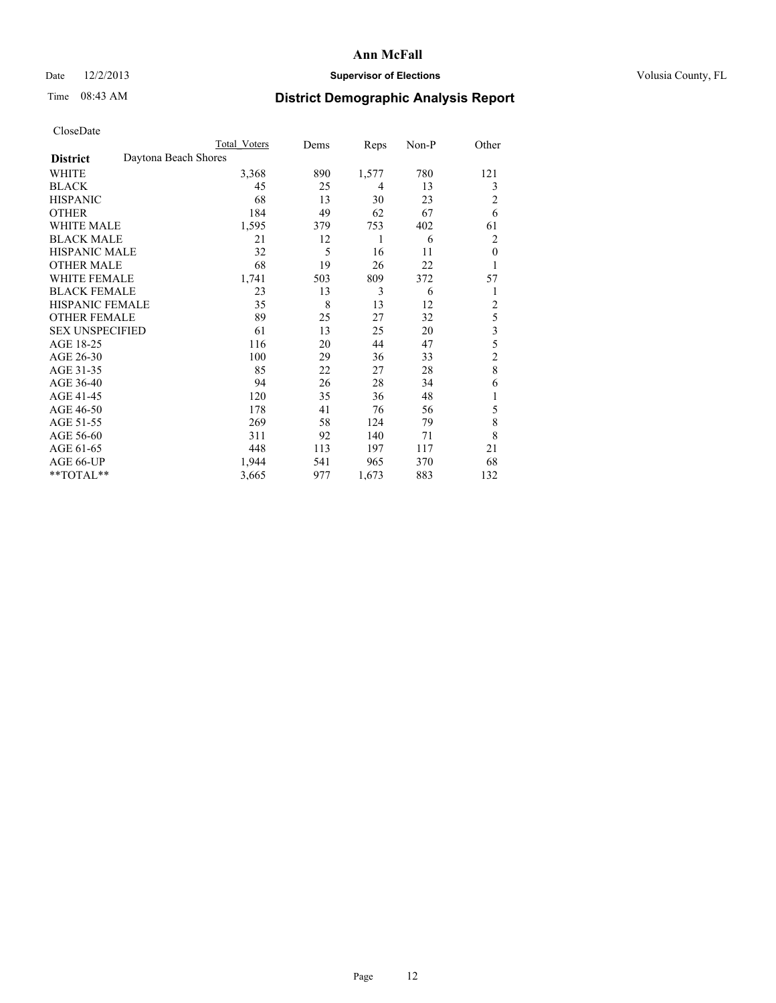## Date  $12/2/2013$  **Supervisor of Elections** Volusia County, FL

# Time 08:43 AM **District Demographic Analysis Report**

|                        | <b>Total Voters</b>  | Dems | Reps  | Non-P | Other          |
|------------------------|----------------------|------|-------|-------|----------------|
| <b>District</b>        | Daytona Beach Shores |      |       |       |                |
| WHITE                  | 3,368                | 890  | 1,577 | 780   | 121            |
| <b>BLACK</b>           | 45                   | 25   | 4     | 13    | 3              |
| <b>HISPANIC</b>        | 68                   | 13   | 30    | 23    | 2              |
| <b>OTHER</b>           | 184                  | 49   | 62    | 67    | 6              |
| <b>WHITE MALE</b>      | 1,595                | 379  | 753   | 402   | 61             |
| <b>BLACK MALE</b>      | 21                   | 12   | 1     | 6     | 2              |
| <b>HISPANIC MALE</b>   | 32                   | 5    | 16    | 11    | $\theta$       |
| <b>OTHER MALE</b>      | 68                   | 19   | 26    | 22    | 1              |
| <b>WHITE FEMALE</b>    | 1,741                | 503  | 809   | 372   | 57             |
| <b>BLACK FEMALE</b>    | 23                   | 13   | 3     | 6     | 1              |
| <b>HISPANIC FEMALE</b> | 35                   | 8    | 13    | 12    | $\overline{c}$ |
| <b>OTHER FEMALE</b>    | 89                   | 25   | 27    | 32    | 5              |
| <b>SEX UNSPECIFIED</b> | 61                   | 13   | 25    | 20    | 3              |
| AGE 18-25              | 116                  | 20   | 44    | 47    | 5              |
| AGE 26-30              | 100                  | 29   | 36    | 33    | $\overline{c}$ |
| AGE 31-35              | 85                   | 22   | 27    | 28    | 8              |
| AGE 36-40              | 94                   | 26   | 28    | 34    | 6              |
| AGE 41-45              | 120                  | 35   | 36    | 48    |                |
| AGE 46-50              | 178                  | 41   | 76    | 56    | 5              |
| AGE 51-55              | 269                  | 58   | 124   | 79    | 8              |
| AGE 56-60              | 311                  | 92   | 140   | 71    | 8              |
| AGE 61-65              | 448                  | 113  | 197   | 117   | 21             |
| AGE 66-UP              | 1,944                | 541  | 965   | 370   | 68             |
| **TOTAL**              | 3,665                | 977  | 1,673 | 883   | 132            |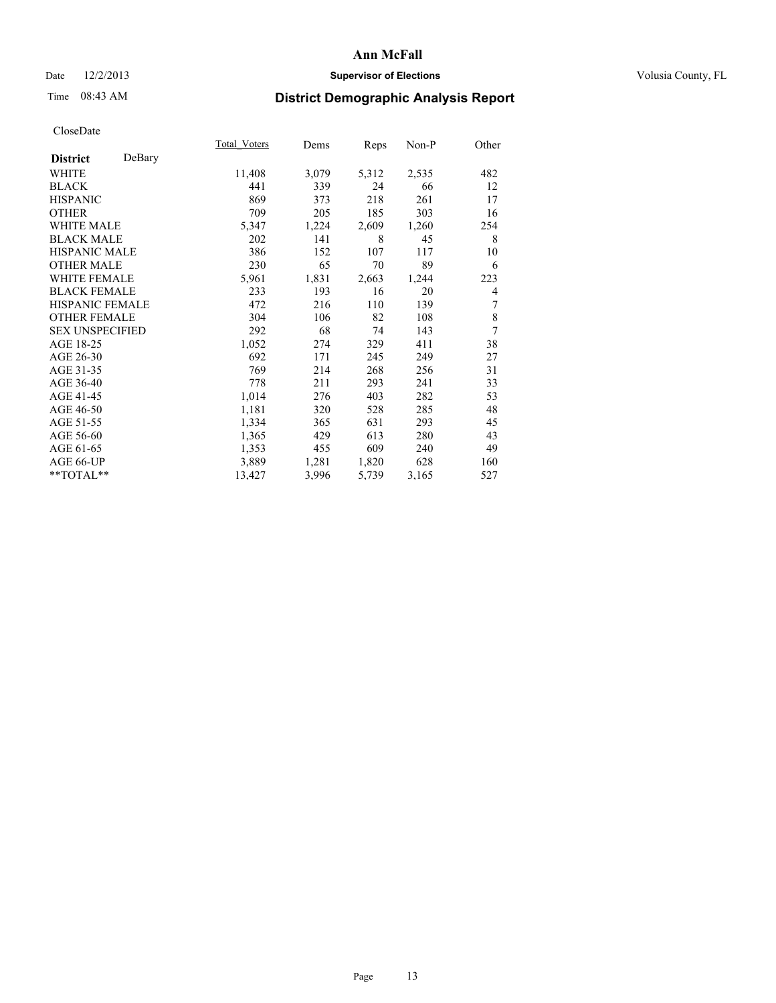## Date  $12/2/2013$  **Supervisor of Elections Supervisor of Elections** Volusia County, FL

# Time 08:43 AM **District Demographic Analysis Report**

|                           | <b>Total Voters</b> | Dems  | <b>Reps</b> | Non-P | Other |
|---------------------------|---------------------|-------|-------------|-------|-------|
| DeBary<br><b>District</b> |                     |       |             |       |       |
| WHITE                     | 11,408              | 3,079 | 5,312       | 2,535 | 482   |
| <b>BLACK</b>              | 441                 | 339   | 24          | 66    | 12    |
| <b>HISPANIC</b>           | 869                 | 373   | 218         | 261   | 17    |
| <b>OTHER</b>              | 709                 | 205   | 185         | 303   | 16    |
| <b>WHITE MALE</b>         | 5,347               | 1,224 | 2,609       | 1,260 | 254   |
| <b>BLACK MALE</b>         | 202                 | 141   | 8           | 45    | 8     |
| HISPANIC MALE             | 386                 | 152   | 107         | 117   | 10    |
| <b>OTHER MALE</b>         | 230                 | 65    | 70          | 89    | 6     |
| <b>WHITE FEMALE</b>       | 5,961               | 1,831 | 2,663       | 1,244 | 223   |
| <b>BLACK FEMALE</b>       | 233                 | 193   | 16          | 20    | 4     |
| <b>HISPANIC FEMALE</b>    | 472                 | 216   | 110         | 139   | 7     |
| <b>OTHER FEMALE</b>       | 304                 | 106   | 82          | 108   | 8     |
| <b>SEX UNSPECIFIED</b>    | 292                 | 68    | 74          | 143   | 7     |
| AGE 18-25                 | 1,052               | 274   | 329         | 411   | 38    |
| AGE 26-30                 | 692                 | 171   | 245         | 249   | 27    |
| AGE 31-35                 | 769                 | 214   | 268         | 256   | 31    |
| AGE 36-40                 | 778                 | 211   | 293         | 241   | 33    |
| AGE 41-45                 | 1,014               | 276   | 403         | 282   | 53    |
| AGE 46-50                 | 1,181               | 320   | 528         | 285   | 48    |
| AGE 51-55                 | 1,334               | 365   | 631         | 293   | 45    |
| AGE 56-60                 | 1,365               | 429   | 613         | 280   | 43    |
| AGE 61-65                 | 1,353               | 455   | 609         | 240   | 49    |
| AGE 66-UP                 | 3,889               | 1,281 | 1,820       | 628   | 160   |
| **TOTAL**                 | 13,427              | 3,996 | 5,739       | 3,165 | 527   |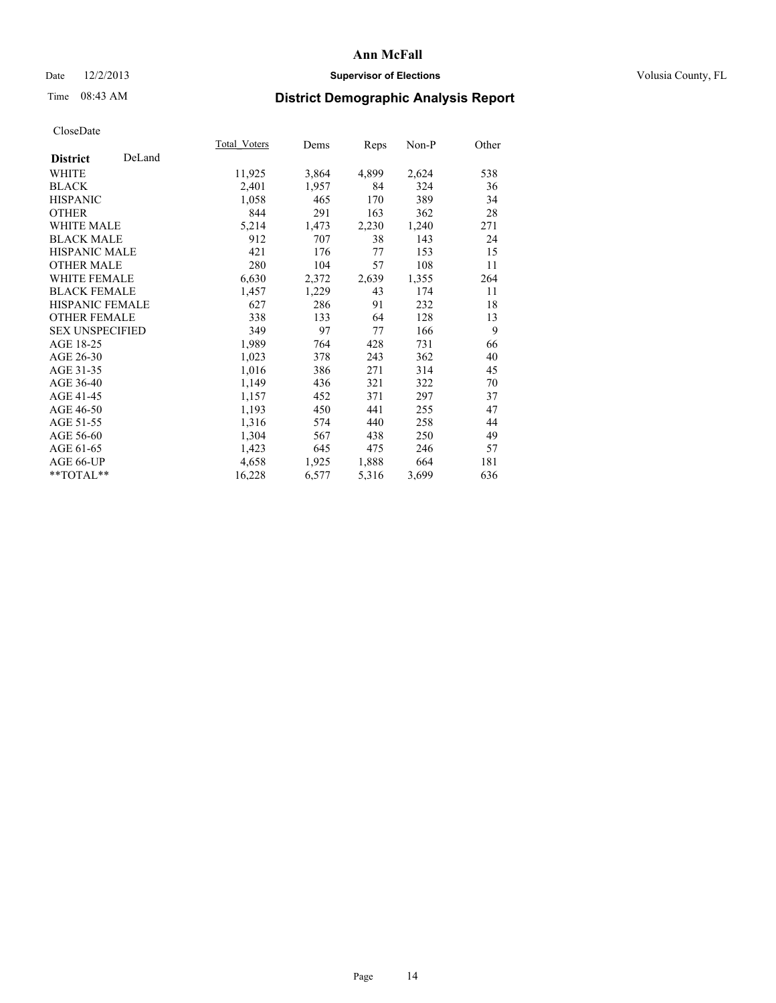## Date  $12/2/2013$  **Supervisor of Elections** Volusia County, FL

# Time 08:43 AM **District Demographic Analysis Report**

|                        |        | Total Voters | Dems  | <b>Reps</b> | Non-P | Other |
|------------------------|--------|--------------|-------|-------------|-------|-------|
| <b>District</b>        | DeLand |              |       |             |       |       |
| <b>WHITE</b>           |        | 11,925       | 3,864 | 4,899       | 2,624 | 538   |
| <b>BLACK</b>           |        | 2,401        | 1,957 | 84          | 324   | 36    |
| <b>HISPANIC</b>        |        | 1,058        | 465   | 170         | 389   | 34    |
| <b>OTHER</b>           |        | 844          | 291   | 163         | 362   | 28    |
| <b>WHITE MALE</b>      |        | 5,214        | 1,473 | 2,230       | 1,240 | 271   |
| <b>BLACK MALE</b>      |        | 912          | 707   | 38          | 143   | 24    |
| HISPANIC MALE          |        | 421          | 176   | 77          | 153   | 15    |
| <b>OTHER MALE</b>      |        | 280          | 104   | 57          | 108   | 11    |
| <b>WHITE FEMALE</b>    |        | 6,630        | 2,372 | 2,639       | 1,355 | 264   |
| <b>BLACK FEMALE</b>    |        | 1,457        | 1,229 | 43          | 174   | 11    |
| <b>HISPANIC FEMALE</b> |        | 627          | 286   | 91          | 232   | 18    |
| <b>OTHER FEMALE</b>    |        | 338          | 133   | 64          | 128   | 13    |
| <b>SEX UNSPECIFIED</b> |        | 349          | 97    | 77          | 166   | 9     |
| AGE 18-25              |        | 1,989        | 764   | 428         | 731   | 66    |
| AGE 26-30              |        | 1,023        | 378   | 243         | 362   | 40    |
| AGE 31-35              |        | 1,016        | 386   | 271         | 314   | 45    |
| AGE 36-40              |        | 1,149        | 436   | 321         | 322   | 70    |
| AGE 41-45              |        | 1,157        | 452   | 371         | 297   | 37    |
| AGE 46-50              |        | 1,193        | 450   | 441         | 255   | 47    |
| AGE 51-55              |        | 1,316        | 574   | 440         | 258   | 44    |
| AGE 56-60              |        | 1,304        | 567   | 438         | 250   | 49    |
| AGE 61-65              |        | 1,423        | 645   | 475         | 246   | 57    |
| AGE 66-UP              |        | 4,658        | 1,925 | 1,888       | 664   | 181   |
| **TOTAL**              |        | 16,228       | 6,577 | 5,316       | 3,699 | 636   |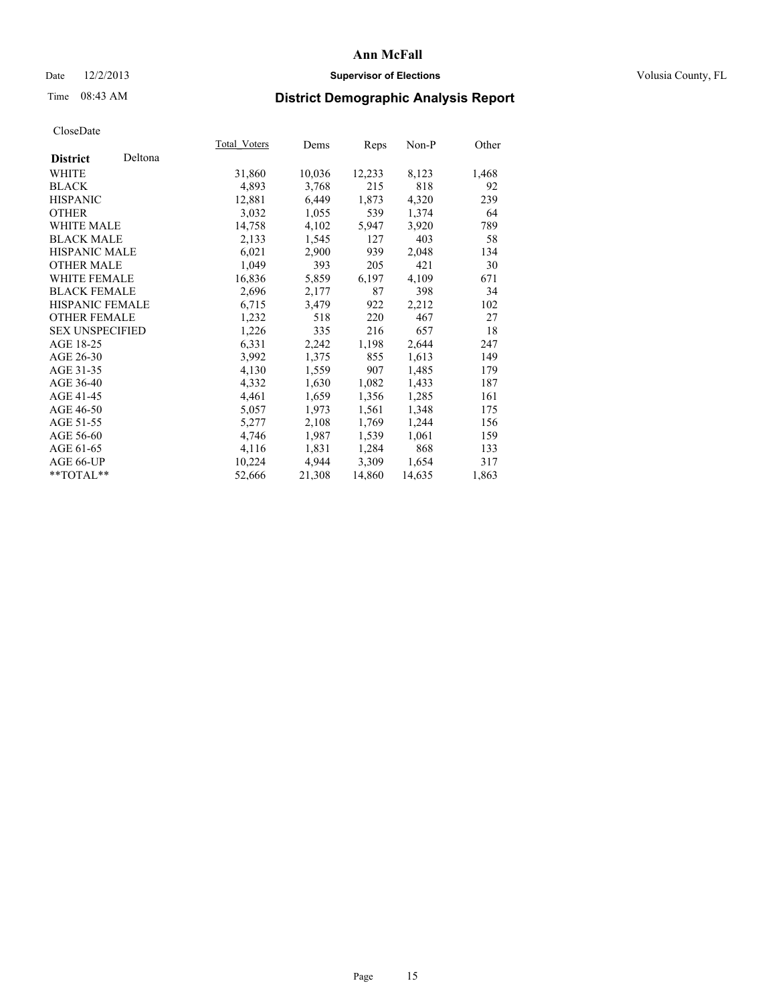## Date  $12/2/2013$  **Supervisor of Elections Supervisor of Elections** Volusia County, FL

# Time 08:43 AM **District Demographic Analysis Report**

|                        |         | Total Voters | Dems   | Reps   | Non-P  | Other |
|------------------------|---------|--------------|--------|--------|--------|-------|
| <b>District</b>        | Deltona |              |        |        |        |       |
| <b>WHITE</b>           |         | 31,860       | 10,036 | 12,233 | 8,123  | 1,468 |
| <b>BLACK</b>           |         | 4,893        | 3,768  | 215    | 818    | 92    |
| <b>HISPANIC</b>        |         | 12,881       | 6,449  | 1,873  | 4,320  | 239   |
| <b>OTHER</b>           |         | 3,032        | 1,055  | 539    | 1,374  | 64    |
| <b>WHITE MALE</b>      |         | 14,758       | 4,102  | 5,947  | 3,920  | 789   |
| <b>BLACK MALE</b>      |         | 2,133        | 1,545  | 127    | 403    | 58    |
| <b>HISPANIC MALE</b>   |         | 6,021        | 2,900  | 939    | 2,048  | 134   |
| <b>OTHER MALE</b>      |         | 1,049        | 393    | 205    | 421    | 30    |
| <b>WHITE FEMALE</b>    |         | 16,836       | 5,859  | 6,197  | 4,109  | 671   |
| <b>BLACK FEMALE</b>    |         | 2,696        | 2,177  | 87     | 398    | 34    |
| HISPANIC FEMALE        |         | 6,715        | 3,479  | 922    | 2,212  | 102   |
| <b>OTHER FEMALE</b>    |         | 1,232        | 518    | 220    | 467    | 27    |
| <b>SEX UNSPECIFIED</b> |         | 1,226        | 335    | 216    | 657    | 18    |
| AGE 18-25              |         | 6,331        | 2,242  | 1,198  | 2,644  | 247   |
| AGE 26-30              |         | 3,992        | 1,375  | 855    | 1,613  | 149   |
| AGE 31-35              |         | 4,130        | 1,559  | 907    | 1,485  | 179   |
| AGE 36-40              |         | 4,332        | 1,630  | 1,082  | 1,433  | 187   |
| AGE 41-45              |         | 4,461        | 1,659  | 1,356  | 1,285  | 161   |
| AGE 46-50              |         | 5,057        | 1,973  | 1,561  | 1,348  | 175   |
| AGE 51-55              |         | 5,277        | 2,108  | 1,769  | 1,244  | 156   |
| AGE 56-60              |         | 4,746        | 1,987  | 1,539  | 1,061  | 159   |
| AGE 61-65              |         | 4,116        | 1,831  | 1,284  | 868    | 133   |
| AGE 66-UP              |         | 10,224       | 4,944  | 3,309  | 1,654  | 317   |
| **TOTAL**              |         | 52,666       | 21,308 | 14,860 | 14,635 | 1,863 |
|                        |         |              |        |        |        |       |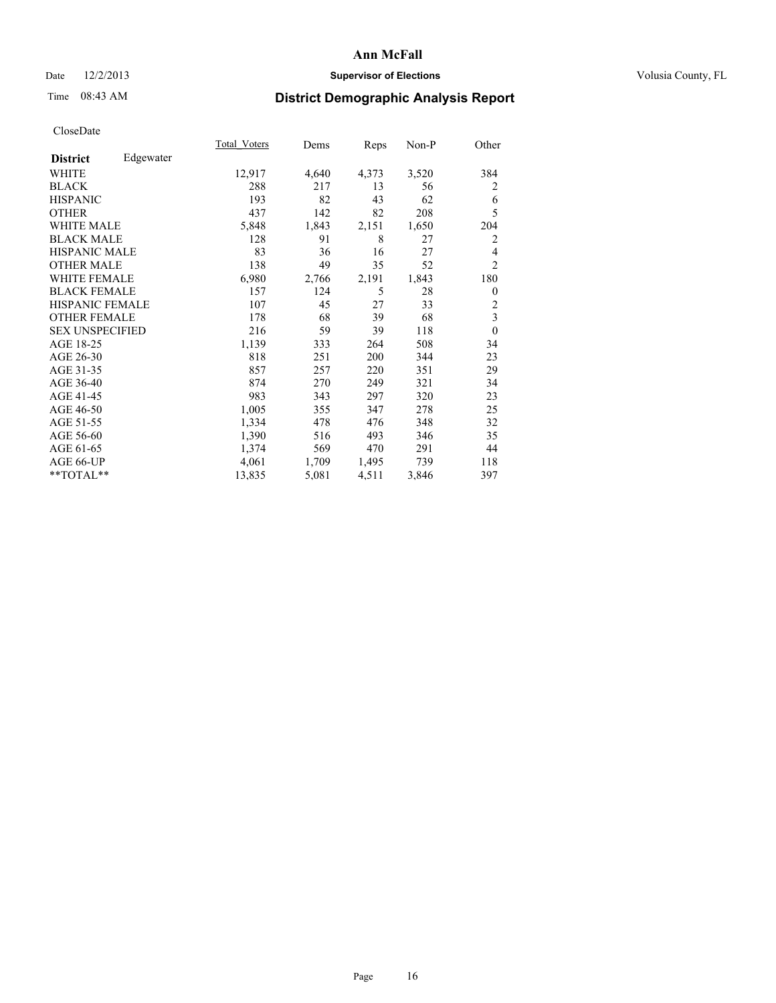## Date  $12/2/2013$  **Supervisor of Elections** Volusia County, FL

# Time 08:43 AM **District Demographic Analysis Report**

|                        |           | Total Voters | Dems  | Reps  | Non-P | Other          |
|------------------------|-----------|--------------|-------|-------|-------|----------------|
| <b>District</b>        | Edgewater |              |       |       |       |                |
| WHITE                  |           | 12,917       | 4,640 | 4,373 | 3,520 | 384            |
| <b>BLACK</b>           |           | 288          | 217   | 13    | 56    | 2              |
| <b>HISPANIC</b>        |           | 193          | 82    | 43    | 62    | 6              |
| <b>OTHER</b>           |           | 437          | 142   | 82    | 208   | 5              |
| WHITE MALE             |           | 5,848        | 1,843 | 2,151 | 1,650 | 204            |
| <b>BLACK MALE</b>      |           | 128          | 91    | 8     | 27    | $\overline{2}$ |
| <b>HISPANIC MALE</b>   |           | 83           | 36    | 16    | 27    | 4              |
| <b>OTHER MALE</b>      |           | 138          | 49    | 35    | 52    | $\overline{2}$ |
| <b>WHITE FEMALE</b>    |           | 6,980        | 2,766 | 2,191 | 1,843 | 180            |
| <b>BLACK FEMALE</b>    |           | 157          | 124   | 5     | 28    | $\overline{0}$ |
| <b>HISPANIC FEMALE</b> |           | 107          | 45    | 27    | 33    | $\overline{c}$ |
| <b>OTHER FEMALE</b>    |           | 178          | 68    | 39    | 68    | 3              |
| <b>SEX UNSPECIFIED</b> |           | 216          | 59    | 39    | 118   | $\theta$       |
| AGE 18-25              |           | 1,139        | 333   | 264   | 508   | 34             |
| AGE 26-30              |           | 818          | 251   | 200   | 344   | 23             |
| AGE 31-35              |           | 857          | 257   | 220   | 351   | 29             |
| AGE 36-40              |           | 874          | 270   | 249   | 321   | 34             |
| AGE 41-45              |           | 983          | 343   | 297   | 320   | 23             |
| AGE 46-50              |           | 1,005        | 355   | 347   | 278   | 25             |
| AGE 51-55              |           | 1,334        | 478   | 476   | 348   | 32             |
| AGE 56-60              |           | 1,390        | 516   | 493   | 346   | 35             |
| AGE 61-65              |           | 1,374        | 569   | 470   | 291   | 44             |
| AGE 66-UP              |           | 4,061        | 1,709 | 1,495 | 739   | 118            |
| **TOTAL**              |           | 13,835       | 5,081 | 4,511 | 3,846 | 397            |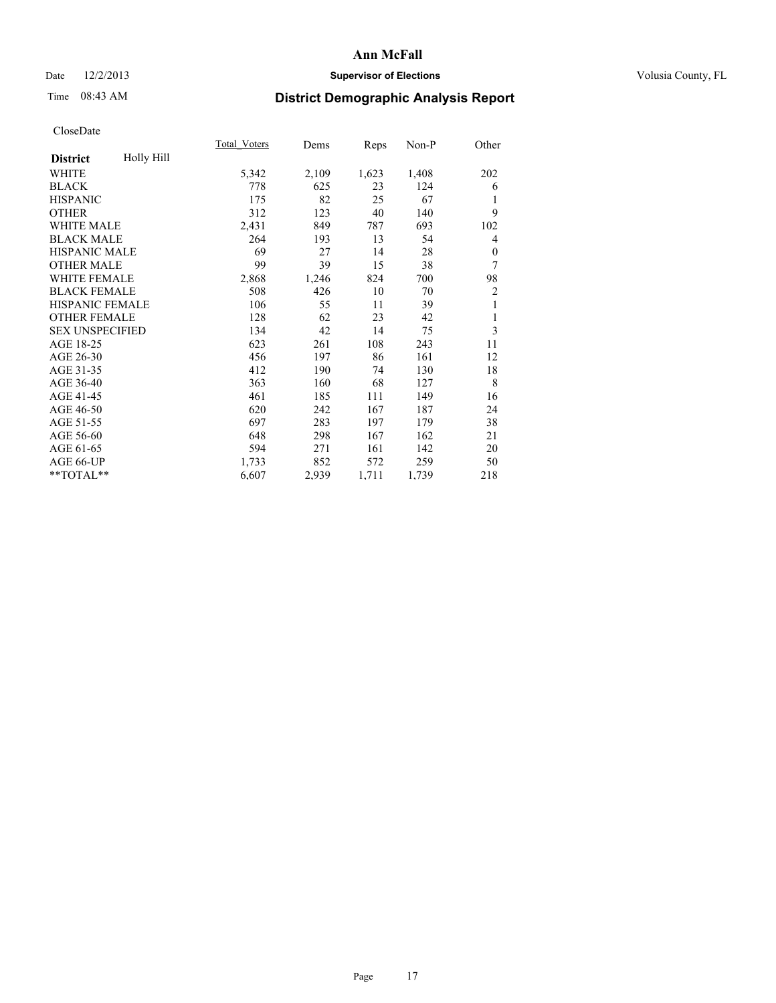## Date  $12/2/2013$  **Supervisor of Elections Supervisor of Elections** Volusia County, FL

# Time 08:43 AM **District Demographic Analysis Report**

|                        |            | Total Voters | Dems  | Reps  | Non-P | Other          |
|------------------------|------------|--------------|-------|-------|-------|----------------|
| <b>District</b>        | Holly Hill |              |       |       |       |                |
| WHITE                  |            | 5,342        | 2,109 | 1,623 | 1,408 | 202            |
| <b>BLACK</b>           |            | 778          | 625   | 23    | 124   | 6              |
| <b>HISPANIC</b>        |            | 175          | 82    | 25    | 67    | 1              |
| <b>OTHER</b>           |            | 312          | 123   | 40    | 140   | 9              |
| <b>WHITE MALE</b>      |            | 2,431        | 849   | 787   | 693   | 102            |
| <b>BLACK MALE</b>      |            | 264          | 193   | 13    | 54    | 4              |
| <b>HISPANIC MALE</b>   |            | 69           | 27    | 14    | 28    | $\mathbf{0}$   |
| <b>OTHER MALE</b>      |            | 99           | 39    | 15    | 38    | 7              |
| <b>WHITE FEMALE</b>    |            | 2,868        | 1,246 | 824   | 700   | 98             |
| <b>BLACK FEMALE</b>    |            | 508          | 426   | 10    | 70    | $\overline{c}$ |
| <b>HISPANIC FEMALE</b> |            | 106          | 55    | 11    | 39    | 1              |
| <b>OTHER FEMALE</b>    |            | 128          | 62    | 23    | 42    | 1              |
| <b>SEX UNSPECIFIED</b> |            | 134          | 42    | 14    | 75    | 3              |
| AGE 18-25              |            | 623          | 261   | 108   | 243   | 11             |
| AGE 26-30              |            | 456          | 197   | 86    | 161   | 12             |
| AGE 31-35              |            | 412          | 190   | 74    | 130   | 18             |
| AGE 36-40              |            | 363          | 160   | 68    | 127   | 8              |
| AGE 41-45              |            | 461          | 185   | 111   | 149   | 16             |
| AGE 46-50              |            | 620          | 242   | 167   | 187   | 24             |
| AGE 51-55              |            | 697          | 283   | 197   | 179   | 38             |
| AGE 56-60              |            | 648          | 298   | 167   | 162   | 21             |
| AGE 61-65              |            | 594          | 271   | 161   | 142   | 20             |
| AGE 66-UP              |            | 1,733        | 852   | 572   | 259   | 50             |
| **TOTAL**              |            | 6,607        | 2,939 | 1,711 | 1,739 | 218            |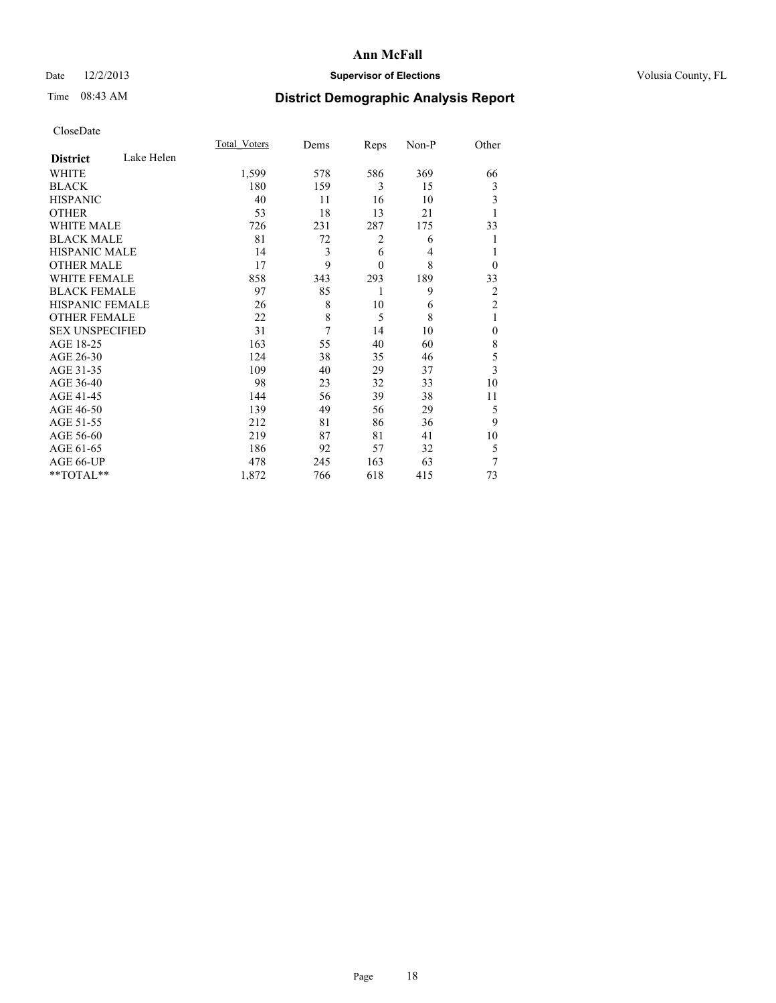## Date  $12/2/2013$  **Supervisor of Elections** Volusia County, FL

# Time 08:43 AM **District Demographic Analysis Report**

|                        |            | Total Voters | Dems | Reps         | Non-P          | Other          |
|------------------------|------------|--------------|------|--------------|----------------|----------------|
| <b>District</b>        | Lake Helen |              |      |              |                |                |
| <b>WHITE</b>           |            | 1,599        | 578  | 586          | 369            | 66             |
| <b>BLACK</b>           |            | 180          | 159  | 3            | 15             | 3              |
| <b>HISPANIC</b>        |            | 40           | 11   | 16           | 10             | 3              |
| <b>OTHER</b>           |            | 53           | 18   | 13           | 21             |                |
| WHITE MALE             |            | 726          | 231  | 287          | 175            | 33             |
| <b>BLACK MALE</b>      |            | 81           | 72   | 2            | 6              |                |
| <b>HISPANIC MALE</b>   |            | 14           | 3    | 6            | $\overline{4}$ |                |
| <b>OTHER MALE</b>      |            | 17           | 9    | $\mathbf{0}$ | 8              | $\overline{0}$ |
| <b>WHITE FEMALE</b>    |            | 858          | 343  | 293          | 189            | 33             |
| <b>BLACK FEMALE</b>    |            | 97           | 85   | 1            | 9              | $\overline{2}$ |
| HISPANIC FEMALE        |            | 26           | 8    | 10           | 6              | $\overline{2}$ |
| <b>OTHER FEMALE</b>    |            | 22           | 8    | 5            | 8              | 1              |
| <b>SEX UNSPECIFIED</b> |            | 31           | 7    | 14           | 10             | $\mathbf{0}$   |
| AGE 18-25              |            | 163          | 55   | 40           | 60             | 8              |
| AGE 26-30              |            | 124          | 38   | 35           | 46             | 5              |
| AGE 31-35              |            | 109          | 40   | 29           | 37             | 3              |
| AGE 36-40              |            | 98           | 23   | 32           | 33             | 10             |
| AGE 41-45              |            | 144          | 56   | 39           | 38             | 11             |
| AGE 46-50              |            | 139          | 49   | 56           | 29             | 5              |
| AGE 51-55              |            | 212          | 81   | 86           | 36             | 9              |
| AGE 56-60              |            | 219          | 87   | 81           | 41             | 10             |
| AGE 61-65              |            | 186          | 92   | 57           | 32             | 5              |
| AGE 66-UP              |            | 478          | 245  | 163          | 63             | 7              |
| **TOTAL**              |            | 1,872        | 766  | 618          | 415            | 73             |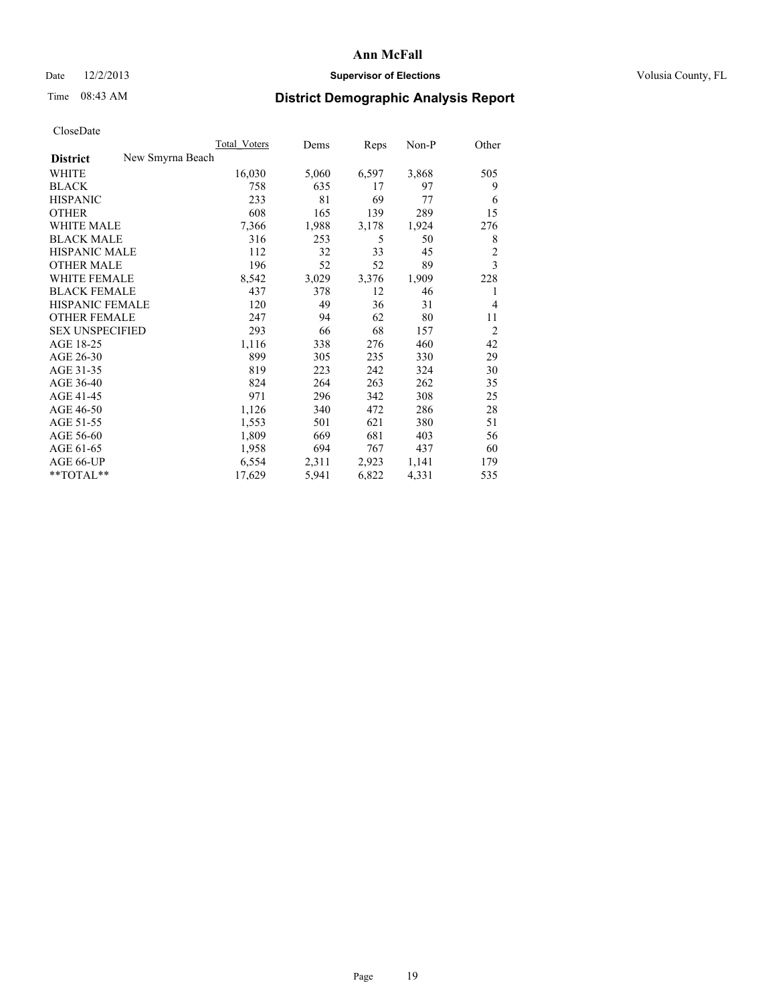## Date  $12/2/2013$  **Supervisor of Elections Supervisor of Elections** Volusia County, FL

# Time 08:43 AM **District Demographic Analysis Report**

|                                     | <b>Total Voters</b> | Dems  | Reps  | Non-P | Other          |
|-------------------------------------|---------------------|-------|-------|-------|----------------|
| New Smyrna Beach<br><b>District</b> |                     |       |       |       |                |
| WHITE                               | 16,030              | 5,060 | 6,597 | 3,868 | 505            |
| <b>BLACK</b>                        | 758                 | 635   | 17    | 97    | 9              |
| <b>HISPANIC</b>                     | 233                 | 81    | 69    | 77    | 6              |
| <b>OTHER</b>                        | 608                 | 165   | 139   | 289   | 15             |
| <b>WHITE MALE</b>                   | 7,366               | 1,988 | 3,178 | 1,924 | 276            |
| <b>BLACK MALE</b>                   | 316                 | 253   | 5     | 50    | 8              |
| <b>HISPANIC MALE</b>                | 112                 | 32    | 33    | 45    | $\overline{c}$ |
| <b>OTHER MALE</b>                   | 196                 | 52    | 52    | 89    | 3              |
| <b>WHITE FEMALE</b>                 | 8,542               | 3,029 | 3,376 | 1,909 | 228            |
| <b>BLACK FEMALE</b>                 | 437                 | 378   | 12    | 46    | 1              |
| <b>HISPANIC FEMALE</b>              | 120                 | 49    | 36    | 31    | $\overline{4}$ |
| <b>OTHER FEMALE</b>                 | 247                 | 94    | 62    | 80    | 11             |
| <b>SEX UNSPECIFIED</b>              | 293                 | 66    | 68    | 157   | $\overline{2}$ |
| AGE 18-25                           | 1,116               | 338   | 276   | 460   | 42             |
| AGE 26-30                           | 899                 | 305   | 235   | 330   | 29             |
| AGE 31-35                           | 819                 | 223   | 242   | 324   | 30             |
| AGE 36-40                           | 824                 | 264   | 263   | 262   | 35             |
| AGE 41-45                           | 971                 | 296   | 342   | 308   | 25             |
| AGE 46-50                           | 1,126               | 340   | 472   | 286   | 28             |
| AGE 51-55                           | 1,553               | 501   | 621   | 380   | 51             |
| AGE 56-60                           | 1,809               | 669   | 681   | 403   | 56             |
| AGE 61-65                           | 1,958               | 694   | 767   | 437   | 60             |
| AGE 66-UP                           | 6,554               | 2,311 | 2,923 | 1,141 | 179            |
| **TOTAL**                           | 17,629              | 5,941 | 6,822 | 4,331 | 535            |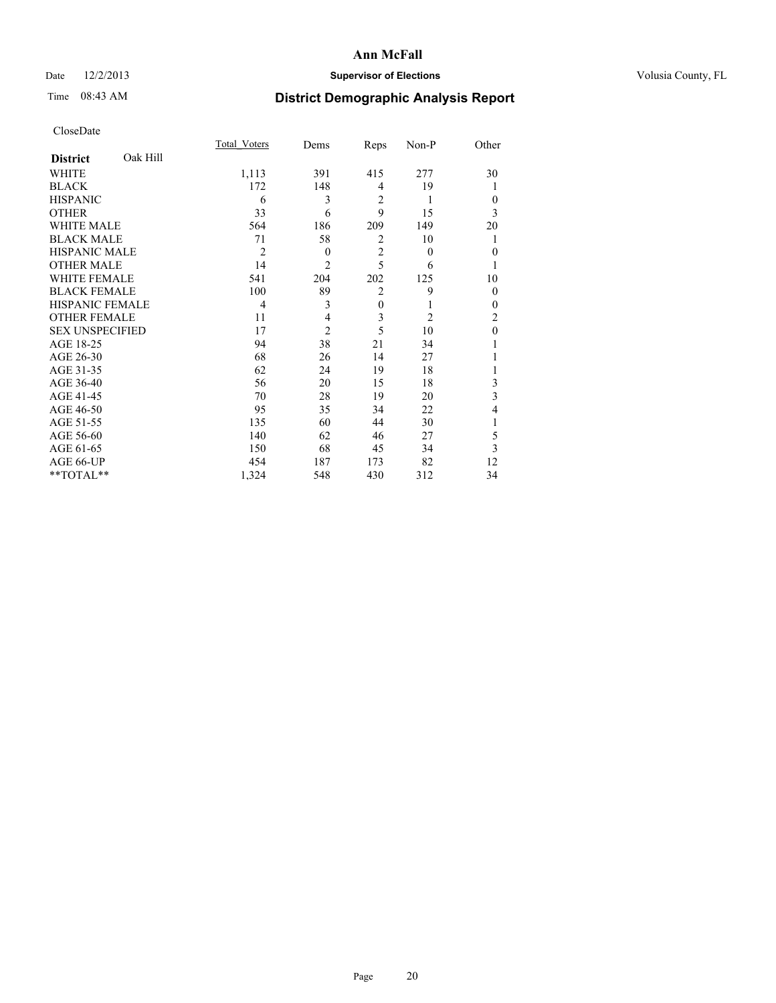## Date  $12/2/2013$  **Supervisor of Elections** Volusia County, FL

# Time 08:43 AM **District Demographic Analysis Report**

|                        |          | <b>Total Voters</b> | Dems           | Reps           | Non-P          | Other          |
|------------------------|----------|---------------------|----------------|----------------|----------------|----------------|
| <b>District</b>        | Oak Hill |                     |                |                |                |                |
| WHITE                  |          | 1,113               | 391            | 415            | 277            | 30             |
| <b>BLACK</b>           |          | 172                 | 148            | $\overline{4}$ | 19             |                |
| <b>HISPANIC</b>        |          | 6                   | 3              | $\overline{2}$ | 1              | $\theta$       |
| <b>OTHER</b>           |          | 33                  | 6              | 9              | 15             | 3              |
| WHITE MALE             |          | 564                 | 186            | 209            | 149            | 20             |
| <b>BLACK MALE</b>      |          | 71                  | 58             | $\overline{2}$ | 10             | 1              |
| <b>HISPANIC MALE</b>   |          | $\overline{2}$      | $\theta$       | $\overline{2}$ | $\theta$       | $\mathbf{0}$   |
| <b>OTHER MALE</b>      |          | 14                  | $\overline{c}$ | 5              | 6              | 1              |
| WHITE FEMALE           |          | 541                 | 204            | 202            | 125            | 10             |
| <b>BLACK FEMALE</b>    |          | 100                 | 89             | $\overline{2}$ | 9              | $\theta$       |
| <b>HISPANIC FEMALE</b> |          | 4                   | 3              | $\mathbf{0}$   | 1              | $\theta$       |
| <b>OTHER FEMALE</b>    |          | 11                  | 4              | 3              | $\overline{c}$ | $\overline{c}$ |
| <b>SEX UNSPECIFIED</b> |          | 17                  | $\overline{2}$ | 5              | 10             | $\mathbf{0}$   |
| AGE 18-25              |          | 94                  | 38             | 21             | 34             |                |
| AGE 26-30              |          | 68                  | 26             | 14             | 27             |                |
| AGE 31-35              |          | 62                  | 24             | 19             | 18             |                |
| AGE 36-40              |          | 56                  | 20             | 15             | 18             | 3              |
| AGE 41-45              |          | 70                  | 28             | 19             | 20             | 3              |
| AGE 46-50              |          | 95                  | 35             | 34             | 22             | 4              |
| AGE 51-55              |          | 135                 | 60             | 44             | 30             | 1              |
| AGE 56-60              |          | 140                 | 62             | 46             | 27             | 5              |
| AGE 61-65              |          | 150                 | 68             | 45             | 34             | 3              |
| AGE 66-UP              |          | 454                 | 187            | 173            | 82             | 12             |
| **TOTAL**              |          | 1,324               | 548            | 430            | 312            | 34             |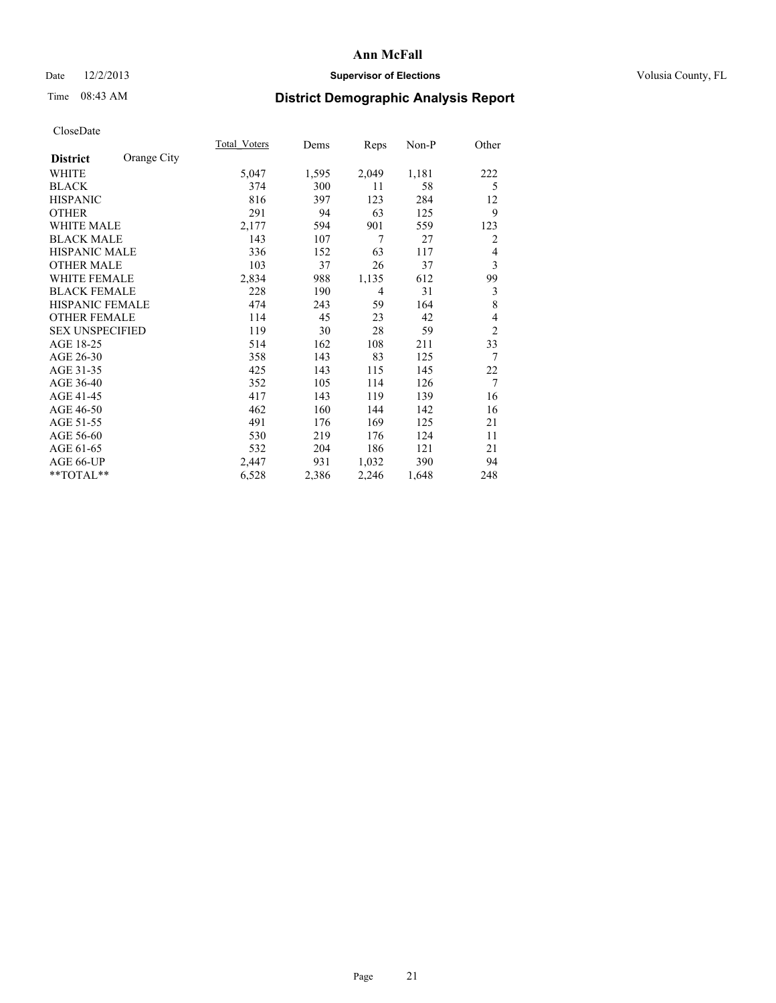## Date  $12/2/2013$  **Supervisor of Elections Supervisor of Elections** Volusia County, FL

# Time 08:43 AM **District Demographic Analysis Report**

|                        |             | Total Voters | Dems  | Reps  | $Non-P$ | Other          |
|------------------------|-------------|--------------|-------|-------|---------|----------------|
| <b>District</b>        | Orange City |              |       |       |         |                |
| <b>WHITE</b>           |             | 5,047        | 1,595 | 2,049 | 1,181   | 222            |
| <b>BLACK</b>           |             | 374          | 300   | 11    | 58      | 5              |
| <b>HISPANIC</b>        |             | 816          | 397   | 123   | 284     | 12             |
| <b>OTHER</b>           |             | 291          | 94    | 63    | 125     | 9              |
| <b>WHITE MALE</b>      |             | 2,177        | 594   | 901   | 559     | 123            |
| <b>BLACK MALE</b>      |             | 143          | 107   | 7     | 27      | $\overline{2}$ |
| HISPANIC MALE          |             | 336          | 152   | 63    | 117     | 4              |
| <b>OTHER MALE</b>      |             | 103          | 37    | 26    | 37      | 3              |
| <b>WHITE FEMALE</b>    |             | 2,834        | 988   | 1,135 | 612     | 99             |
| <b>BLACK FEMALE</b>    |             | 228          | 190   | 4     | 31      | 3              |
| <b>HISPANIC FEMALE</b> |             | 474          | 243   | 59    | 164     | 8              |
| <b>OTHER FEMALE</b>    |             | 114          | 45    | 23    | 42      | $\overline{4}$ |
| <b>SEX UNSPECIFIED</b> |             | 119          | 30    | 28    | 59      | $\overline{2}$ |
| AGE 18-25              |             | 514          | 162   | 108   | 211     | 33             |
| AGE 26-30              |             | 358          | 143   | 83    | 125     | $\tau$         |
| AGE 31-35              |             | 425          | 143   | 115   | 145     | 22             |
| AGE 36-40              |             | 352          | 105   | 114   | 126     | $\tau$         |
| AGE 41-45              |             | 417          | 143   | 119   | 139     | 16             |
| AGE 46-50              |             | 462          | 160   | 144   | 142     | 16             |
| AGE 51-55              |             | 491          | 176   | 169   | 125     | 21             |
| AGE 56-60              |             | 530          | 219   | 176   | 124     | 11             |
| AGE 61-65              |             | 532          | 204   | 186   | 121     | 21             |
| AGE 66-UP              |             | 2,447        | 931   | 1,032 | 390     | 94             |
| **TOTAL**              |             | 6,528        | 2,386 | 2,246 | 1,648   | 248            |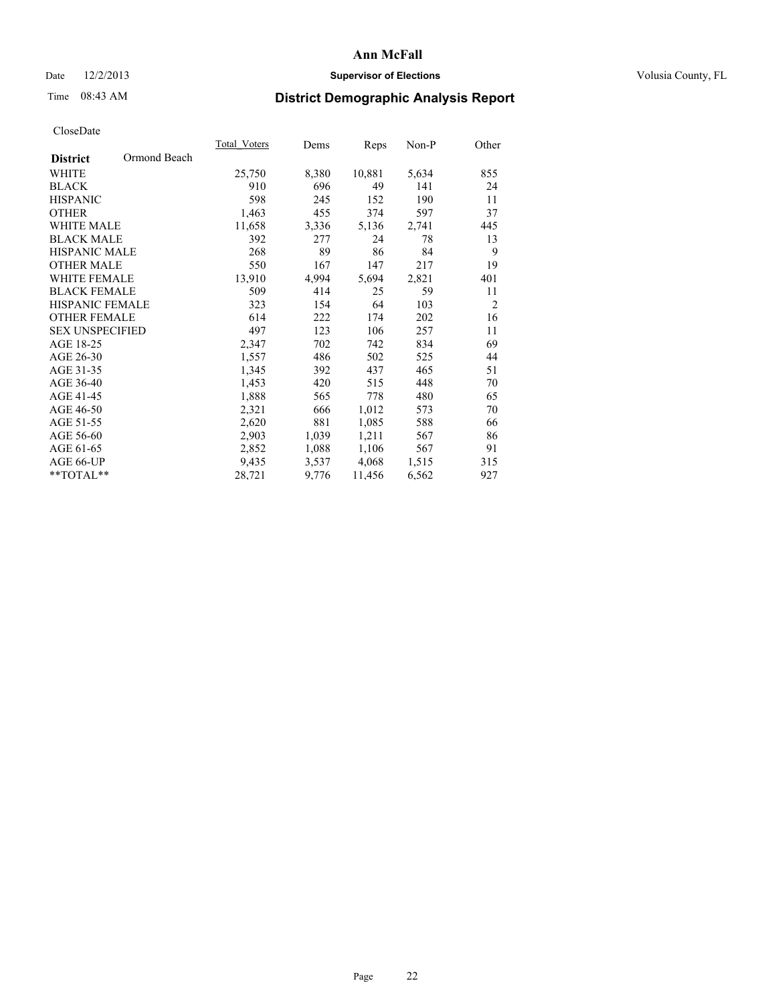## Date  $12/2/2013$  **Supervisor of Elections Supervisor of Elections** Volusia County, FL

## Time 08:43 AM **District Demographic Analysis Report**

| Total Voters | Dems  | <b>Reps</b> | Non-P | Other          |
|--------------|-------|-------------|-------|----------------|
|              |       |             |       |                |
| 25,750       | 8,380 | 10,881      | 5,634 | 855            |
| 910          | 696   | 49          | 141   | 24             |
| 598          | 245   | 152         | 190   | 11             |
| 1,463        | 455   | 374         | 597   | 37             |
| 11,658       | 3,336 | 5,136       | 2,741 | 445            |
| 392          | 277   | 24          | 78    | 13             |
| 268          | 89    | 86          | 84    | 9              |
| 550          | 167   | 147         | 217   | 19             |
| 13,910       | 4,994 | 5,694       | 2,821 | 401            |
| 509          | 414   | 25          | 59    | 11             |
| 323          | 154   | 64          | 103   | $\overline{2}$ |
| 614          | 222   | 174         | 202   | 16             |
| 497          | 123   | 106         | 257   | 11             |
| 2,347        | 702   | 742         | 834   | 69             |
| 1,557        | 486   | 502         | 525   | 44             |
| 1,345        | 392   | 437         | 465   | 51             |
| 1,453        | 420   | 515         | 448   | 70             |
| 1,888        | 565   | 778         | 480   | 65             |
| 2,321        | 666   | 1,012       | 573   | 70             |
| 2,620        | 881   | 1,085       | 588   | 66             |
| 2,903        | 1,039 | 1,211       | 567   | 86             |
| 2,852        | 1,088 | 1,106       | 567   | 91             |
| 9.435        | 3,537 | 4,068       | 1,515 | 315            |
| 28,721       | 9,776 | 11,456      | 6,562 | 927            |
|              |       |             |       |                |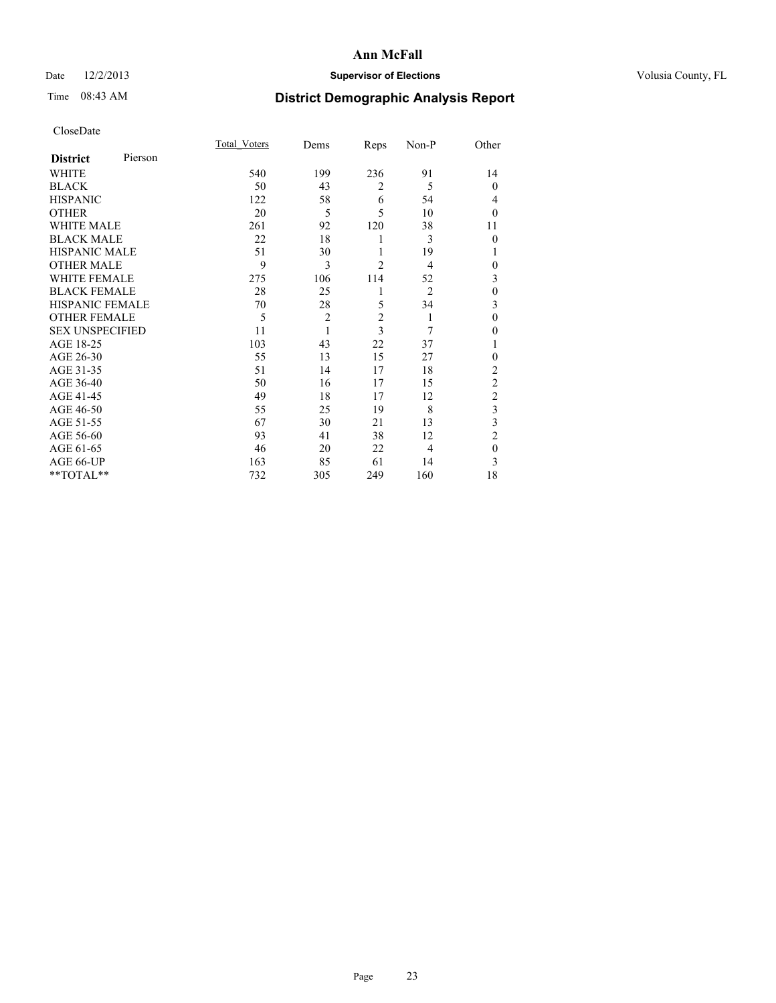## Date  $12/2/2013$  **Supervisor of Elections** Volusia County, FL

# Time 08:43 AM **District Demographic Analysis Report**

|                        |         | <b>Total Voters</b> | Dems           | Reps           | Non-P          | Other          |
|------------------------|---------|---------------------|----------------|----------------|----------------|----------------|
| <b>District</b>        | Pierson |                     |                |                |                |                |
| WHITE                  |         | 540                 | 199            | 236            | 91             | 14             |
| <b>BLACK</b>           |         | 50                  | 43             | $\overline{2}$ | 5              | $\mathbf{0}$   |
| <b>HISPANIC</b>        |         | 122                 | 58             | 6              | 54             | 4              |
| <b>OTHER</b>           |         | 20                  | 5              | 5              | 10             | $\theta$       |
| WHITE MALE             |         | 261                 | 92             | 120            | 38             | 11             |
| <b>BLACK MALE</b>      |         | 22                  | 18             | 1              | 3              | $\mathbf{0}$   |
| <b>HISPANIC MALE</b>   |         | 51                  | 30             | 1              | 19             | 1              |
| <b>OTHER MALE</b>      |         | 9                   | 3              | $\overline{c}$ | $\overline{4}$ | 0              |
| <b>WHITE FEMALE</b>    |         | 275                 | 106            | 114            | 52             | 3              |
| <b>BLACK FEMALE</b>    |         | 28                  | 25             | 1              | $\overline{2}$ | $\mathbf{0}$   |
| <b>HISPANIC FEMALE</b> |         | 70                  | 28             | 5              | 34             | 3              |
| <b>OTHER FEMALE</b>    |         | 5                   | $\overline{c}$ | $\overline{c}$ | 1              | $\theta$       |
| <b>SEX UNSPECIFIED</b> |         | 11                  | 1              | $\overline{3}$ | 7              | $\theta$       |
| AGE 18-25              |         | 103                 | 43             | 22             | 37             |                |
| AGE 26-30              |         | 55                  | 13             | 15             | 27             | $\mathbf{0}$   |
| AGE 31-35              |         | 51                  | 14             | 17             | 18             | $\overline{c}$ |
| AGE 36-40              |         | 50                  | 16             | 17             | 15             | $\overline{c}$ |
| AGE 41-45              |         | 49                  | 18             | 17             | 12             | $\overline{c}$ |
| AGE 46-50              |         | 55                  | 25             | 19             | 8              | 3              |
| AGE 51-55              |         | 67                  | 30             | 21             | 13             | 3              |
| AGE 56-60              |         | 93                  | 41             | 38             | 12             | $\overline{c}$ |
| AGE 61-65              |         | 46                  | 20             | 22             | 4              | $\mathbf{0}$   |
| AGE 66-UP              |         | 163                 | 85             | 61             | 14             | 3              |
| **TOTAL**              |         | 732                 | 305            | 249            | 160            | 18             |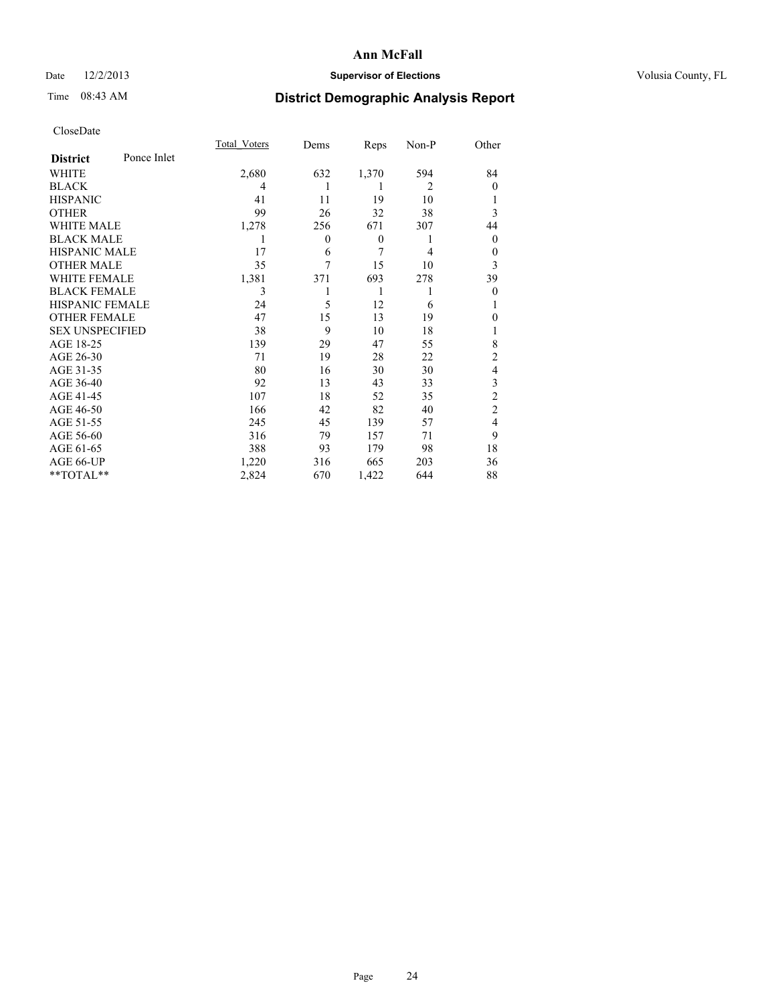## Date  $12/2/2013$  **Supervisor of Elections** Volusia County, FL

# Time 08:43 AM **District Demographic Analysis Report**

|                        |             | <b>Total Voters</b> | Dems           | Reps             | Non-P          | Other          |
|------------------------|-------------|---------------------|----------------|------------------|----------------|----------------|
| <b>District</b>        | Ponce Inlet |                     |                |                  |                |                |
| WHITE                  |             | 2,680               | 632            | 1,370            | 594            | 84             |
| <b>BLACK</b>           |             | 4                   | 1              | 1                | $\overline{2}$ | $\Omega$       |
| <b>HISPANIC</b>        |             | 41                  | 11             | 19               | 10             |                |
| <b>OTHER</b>           |             | 99                  | 26             | 32               | 38             | 3              |
| WHITE MALE             |             | 1,278               | 256            | 671              | 307            | 44             |
| <b>BLACK MALE</b>      |             | 1                   | $\overline{0}$ | $\boldsymbol{0}$ | 1              | $\overline{0}$ |
| <b>HISPANIC MALE</b>   |             | 17                  | 6              | 7                | $\overline{4}$ | $\overline{0}$ |
| <b>OTHER MALE</b>      |             | 35                  | 7              | 15               | 10             | 3              |
| <b>WHITE FEMALE</b>    |             | 1,381               | 371            | 693              | 278            | 39             |
| <b>BLACK FEMALE</b>    |             | 3                   |                | 1                | 1              | $\overline{0}$ |
| <b>HISPANIC FEMALE</b> |             | 24                  | 5              | 12               | 6              |                |
| <b>OTHER FEMALE</b>    |             | 47                  | 15             | 13               | 19             | $\theta$       |
| <b>SEX UNSPECIFIED</b> |             | 38                  | 9              | 10               | 18             |                |
| AGE 18-25              |             | 139                 | 29             | 47               | 55             | 8              |
| AGE 26-30              |             | 71                  | 19             | 28               | 22             | $\overline{2}$ |
| AGE 31-35              |             | 80                  | 16             | 30               | 30             | 4              |
| AGE 36-40              |             | 92                  | 13             | 43               | 33             | 3              |
| AGE 41-45              |             | 107                 | 18             | 52               | 35             | $\overline{c}$ |
| AGE 46-50              |             | 166                 | 42             | 82               | 40             | $\overline{2}$ |
| AGE 51-55              |             | 245                 | 45             | 139              | 57             | $\overline{4}$ |
| AGE 56-60              |             | 316                 | 79             | 157              | 71             | 9              |
| AGE 61-65              |             | 388                 | 93             | 179              | 98             | 18             |
| AGE 66-UP              |             | 1,220               | 316            | 665              | 203            | 36             |
| **TOTAL**              |             | 2,824               | 670            | 1,422            | 644            | 88             |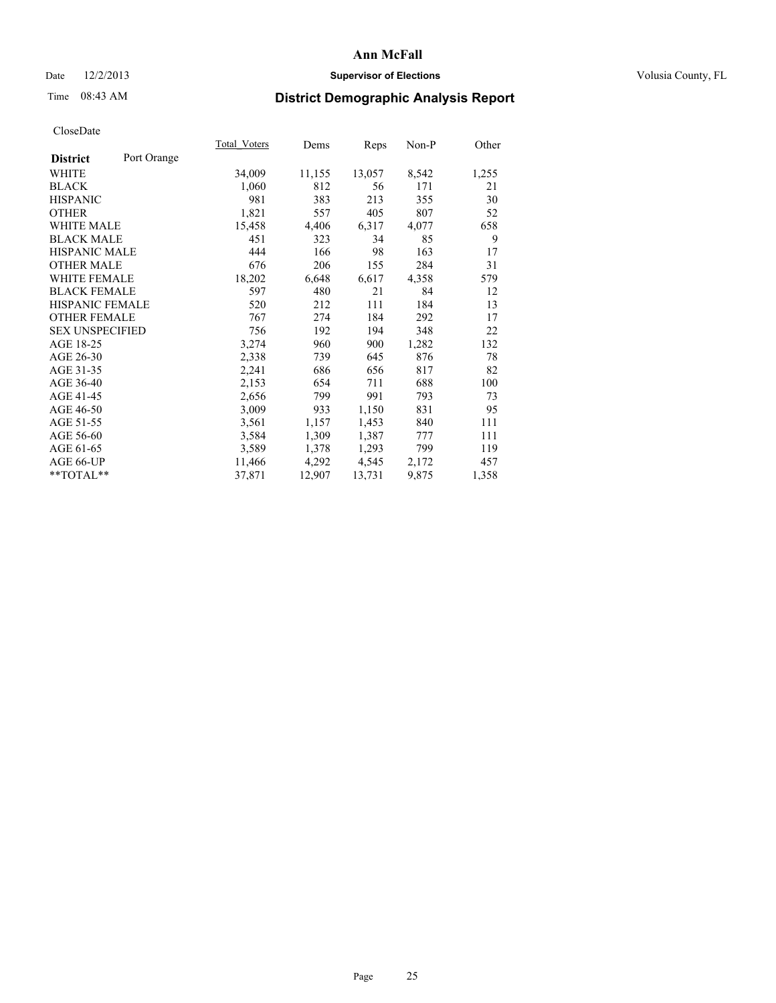## Date  $12/2/2013$  **Supervisor of Elections Supervisor of Elections** Volusia County, FL

# Time 08:43 AM **District Demographic Analysis Report**

| Total Voters | Dems   | Reps   | Non-P | Other |
|--------------|--------|--------|-------|-------|
|              |        |        |       |       |
| 34,009       | 11,155 | 13,057 | 8,542 | 1,255 |
| 1,060        | 812    | 56     | 171   | 21    |
| 981          | 383    | 213    | 355   | 30    |
| 1,821        | 557    | 405    | 807   | 52    |
| 15,458       | 4,406  | 6,317  | 4,077 | 658   |
| 451          | 323    | 34     | 85    | 9     |
| 444          | 166    | 98     | 163   | 17    |
| 676          | 206    | 155    | 284   | 31    |
| 18,202       | 6,648  | 6,617  | 4,358 | 579   |
| 597          | 480    | 21     | 84    | 12    |
| 520          | 212    | 111    | 184   | 13    |
| 767          | 274    | 184    | 292   | 17    |
| 756          | 192    | 194    | 348   | 22    |
| 3,274        | 960    | 900    | 1,282 | 132   |
| 2,338        | 739    | 645    | 876   | 78    |
| 2,241        | 686    | 656    | 817   | 82    |
| 2,153        | 654    | 711    | 688   | 100   |
| 2,656        | 799    | 991    | 793   | 73    |
| 3,009        | 933    | 1,150  | 831   | 95    |
| 3,561        | 1,157  | 1,453  | 840   | 111   |
| 3,584        | 1,309  | 1,387  | 777   | 111   |
| 3,589        | 1,378  | 1,293  | 799   | 119   |
| 11,466       | 4,292  | 4,545  | 2,172 | 457   |
| 37,871       | 12,907 | 13,731 | 9,875 | 1,358 |
|              |        |        |       |       |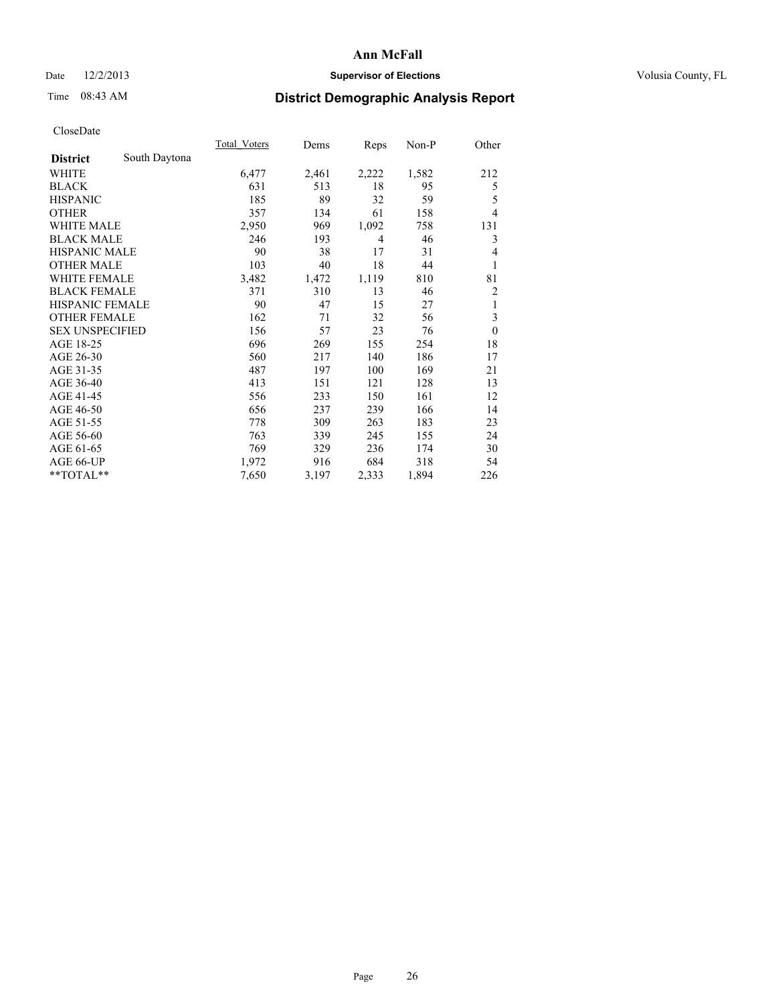## Date  $12/2/2013$  **Supervisor of Elections** Volusia County, FL

# Time 08:43 AM **District Demographic Analysis Report**

|                        |               | Total Voters | Dems  | Reps  | $Non-P$ | Other        |
|------------------------|---------------|--------------|-------|-------|---------|--------------|
| <b>District</b>        | South Daytona |              |       |       |         |              |
| WHITE                  |               | 6,477        | 2,461 | 2,222 | 1,582   | 212          |
| <b>BLACK</b>           |               | 631          | 513   | 18    | 95      | 5            |
| <b>HISPANIC</b>        |               | 185          | 89    | 32    | 59      | 5            |
| <b>OTHER</b>           |               | 357          | 134   | 61    | 158     | 4            |
| WHITE MALE             |               | 2,950        | 969   | 1,092 | 758     | 131          |
| <b>BLACK MALE</b>      |               | 246          | 193   | 4     | 46      | 3            |
| <b>HISPANIC MALE</b>   |               | 90           | 38    | 17    | 31      | 4            |
| <b>OTHER MALE</b>      |               | 103          | 40    | 18    | 44      | 1            |
| <b>WHITE FEMALE</b>    |               | 3,482        | 1,472 | 1,119 | 810     | 81           |
| <b>BLACK FEMALE</b>    |               | 371          | 310   | 13    | 46      | 2            |
| <b>HISPANIC FEMALE</b> |               | 90           | 47    | 15    | 27      | 1            |
| <b>OTHER FEMALE</b>    |               | 162          | 71    | 32    | 56      | 3            |
| <b>SEX UNSPECIFIED</b> |               | 156          | 57    | 23    | 76      | $\mathbf{0}$ |
| AGE 18-25              |               | 696          | 269   | 155   | 254     | 18           |
| AGE 26-30              |               | 560          | 217   | 140   | 186     | 17           |
| AGE 31-35              |               | 487          | 197   | 100   | 169     | 21           |
| AGE 36-40              |               | 413          | 151   | 121   | 128     | 13           |
| AGE 41-45              |               | 556          | 233   | 150   | 161     | 12           |
| AGE 46-50              |               | 656          | 237   | 239   | 166     | 14           |
| AGE 51-55              |               | 778          | 309   | 263   | 183     | 23           |
| AGE 56-60              |               | 763          | 339   | 245   | 155     | 24           |
| AGE 61-65              |               | 769          | 329   | 236   | 174     | 30           |
| AGE 66-UP              |               | 1,972        | 916   | 684   | 318     | 54           |
| **TOTAL**              |               | 7,650        | 3,197 | 2,333 | 1,894   | 226          |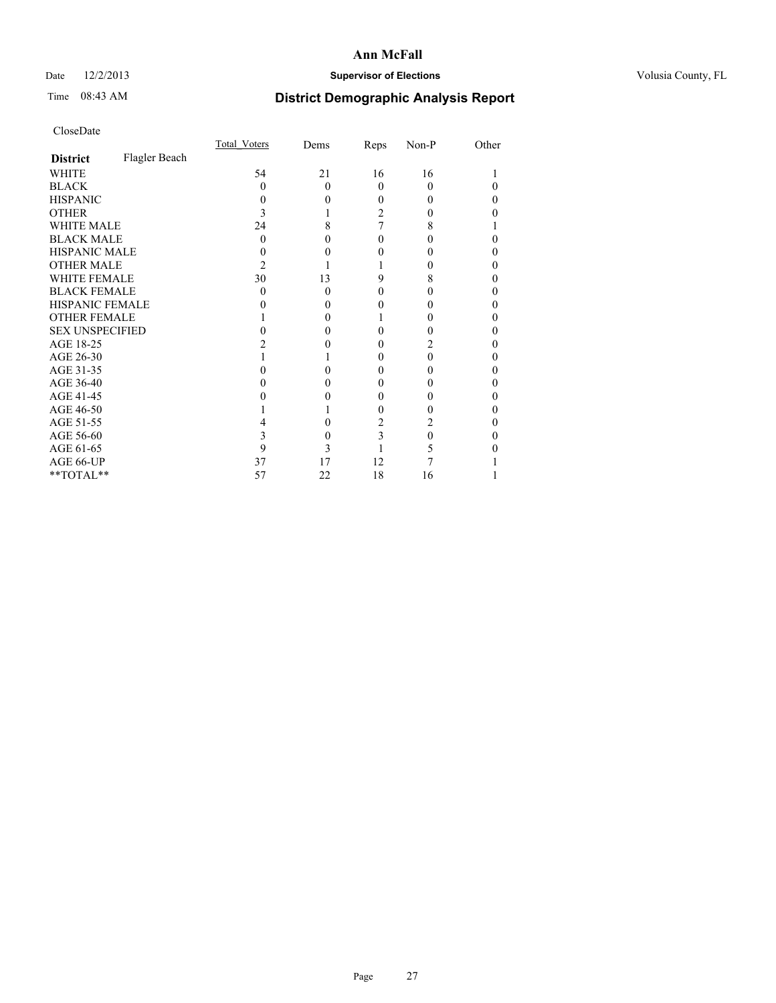## Date  $12/2/2013$  **Supervisor of Elections** Volusia County, FL

# Time 08:43 AM **District Demographic Analysis Report**

|                        |               | Total Voters | Dems     | Reps     | Non-P    | Other |
|------------------------|---------------|--------------|----------|----------|----------|-------|
| <b>District</b>        | Flagler Beach |              |          |          |          |       |
| <b>WHITE</b>           |               | 54           | 21       | 16       | 16       |       |
| <b>BLACK</b>           |               | 0            | $\Omega$ | $\Omega$ | $\theta$ |       |
| <b>HISPANIC</b>        |               |              | 0        | 0        |          | 0     |
| <b>OTHER</b>           |               |              |          | 2        |          |       |
| WHITE MALE             |               | 24           | 8        | 7        | 8        |       |
| <b>BLACK MALE</b>      |               | 0            | 0        | 0        |          | 0     |
| <b>HISPANIC MALE</b>   |               |              |          | 0        |          | 0     |
| <b>OTHER MALE</b>      |               | 2            |          |          |          | 0     |
| <b>WHITE FEMALE</b>    |               | 30           | 13       | 9        | 8        |       |
| <b>BLACK FEMALE</b>    |               | 0            | $\Omega$ | 0        | 0        | 0     |
| <b>HISPANIC FEMALE</b> |               |              | $\theta$ |          |          |       |
| <b>OTHER FEMALE</b>    |               |              | 0        |          |          | 0     |
| <b>SEX UNSPECIFIED</b> |               |              |          | 0        |          | 0     |
| AGE 18-25              |               |              |          | 0        |          | 0     |
| AGE 26-30              |               |              |          | 0        | 0        | 0     |
| AGE 31-35              |               |              |          | 0        |          |       |
| AGE 36-40              |               |              | $\theta$ | 0        |          | 0     |
| AGE 41-45              |               |              |          | 0        |          | 0     |
| AGE 46-50              |               |              |          | 0        |          | 0     |
| AGE 51-55              |               |              |          | 2        |          |       |
| AGE 56-60              |               |              | 0        | 3        | 0        | 0     |
| AGE 61-65              |               | 9            | 3        |          |          |       |
| AGE 66-UP              |               | 37           | 17       | 12       |          |       |
| **TOTAL**              |               | 57           | 22       | 18       | 16       |       |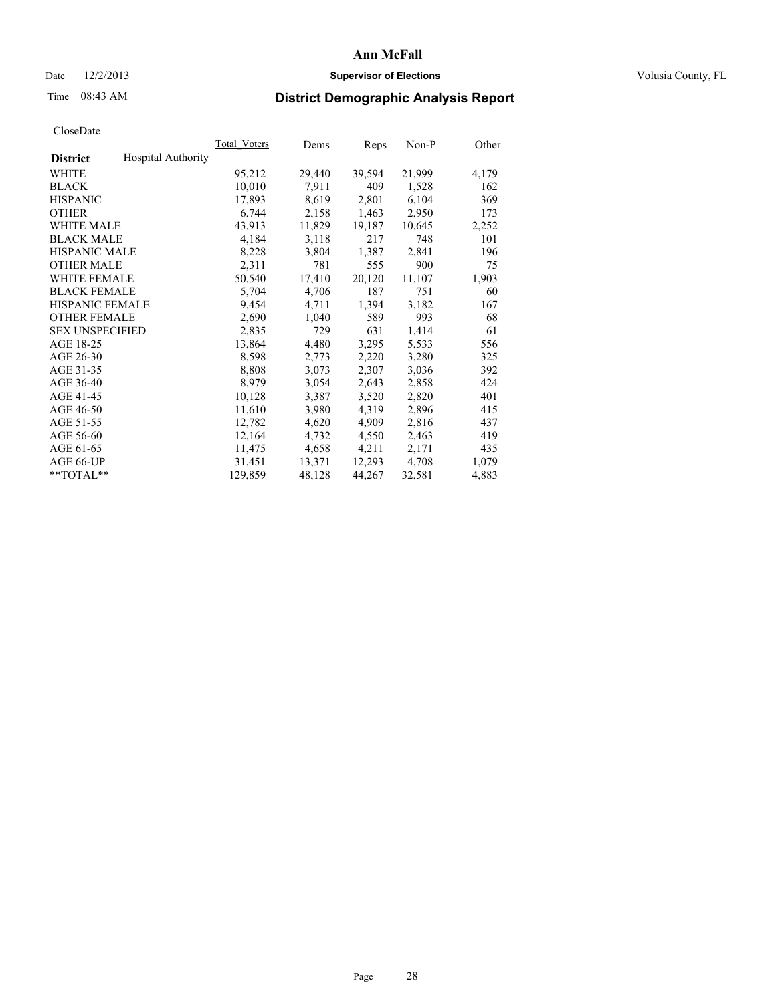## Date  $12/2/2013$  **Supervisor of Elections Supervisor of Elections** Volusia County, FL

# Time 08:43 AM **District Demographic Analysis Report**

|                        |                           | Total Voters | Dems   | Reps   | Non-P  | Other |
|------------------------|---------------------------|--------------|--------|--------|--------|-------|
| <b>District</b>        | <b>Hospital Authority</b> |              |        |        |        |       |
| <b>WHITE</b>           |                           | 95,212       | 29,440 | 39,594 | 21,999 | 4,179 |
| <b>BLACK</b>           |                           | 10,010       | 7.911  | 409    | 1,528  | 162   |
| <b>HISPANIC</b>        |                           | 17,893       | 8,619  | 2,801  | 6,104  | 369   |
| <b>OTHER</b>           |                           | 6,744        | 2,158  | 1,463  | 2,950  | 173   |
| <b>WHITE MALE</b>      |                           | 43,913       | 11,829 | 19,187 | 10,645 | 2,252 |
| <b>BLACK MALE</b>      |                           | 4,184        | 3,118  | 217    | 748    | 101   |
| <b>HISPANIC MALE</b>   |                           | 8,228        | 3,804  | 1,387  | 2,841  | 196   |
| <b>OTHER MALE</b>      |                           | 2,311        | 781    | 555    | 900    | 75    |
| <b>WHITE FEMALE</b>    |                           | 50,540       | 17,410 | 20,120 | 11,107 | 1,903 |
| <b>BLACK FEMALE</b>    |                           | 5,704        | 4,706  | 187    | 751    | 60    |
| <b>HISPANIC FEMALE</b> |                           | 9,454        | 4,711  | 1,394  | 3,182  | 167   |
| <b>OTHER FEMALE</b>    |                           | 2,690        | 1,040  | 589    | 993    | 68    |
| <b>SEX UNSPECIFIED</b> |                           | 2,835        | 729    | 631    | 1,414  | 61    |
| AGE 18-25              |                           | 13,864       | 4,480  | 3,295  | 5,533  | 556   |
| AGE 26-30              |                           | 8,598        | 2,773  | 2,220  | 3,280  | 325   |
| AGE 31-35              |                           | 8,808        | 3,073  | 2,307  | 3,036  | 392   |
| AGE 36-40              |                           | 8,979        | 3,054  | 2,643  | 2,858  | 424   |
| AGE 41-45              |                           | 10,128       | 3,387  | 3,520  | 2,820  | 401   |
| AGE 46-50              |                           | 11,610       | 3,980  | 4,319  | 2,896  | 415   |
| AGE 51-55              |                           | 12,782       | 4,620  | 4,909  | 2,816  | 437   |
| AGE 56-60              |                           | 12,164       | 4,732  | 4,550  | 2,463  | 419   |
| AGE 61-65              |                           | 11,475       | 4,658  | 4,211  | 2,171  | 435   |
| AGE 66-UP              |                           | 31,451       | 13,371 | 12,293 | 4,708  | 1,079 |
| $*$ $TOTAL**$          |                           | 129,859      | 48,128 | 44,267 | 32,581 | 4,883 |
|                        |                           |              |        |        |        |       |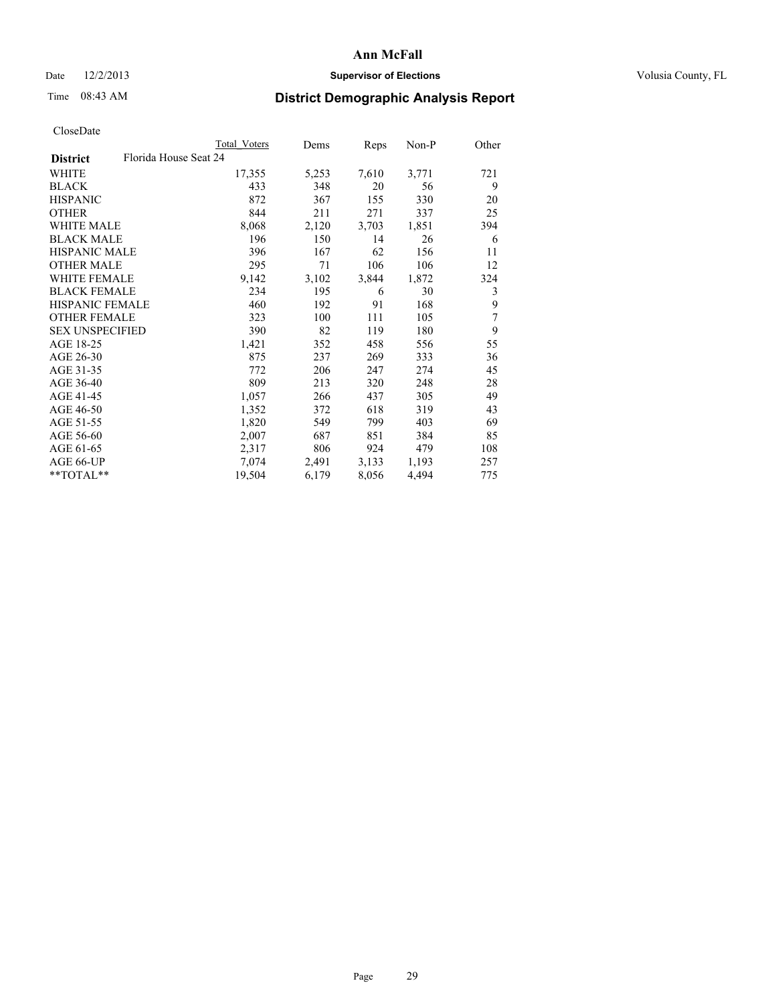## Date  $12/2/2013$  **Supervisor of Elections** Volusia County, FL

# Time 08:43 AM **District Demographic Analysis Report**

|                                          | <b>Total Voters</b> | Dems  | Reps  | Non-P | Other          |
|------------------------------------------|---------------------|-------|-------|-------|----------------|
| Florida House Seat 24<br><b>District</b> |                     |       |       |       |                |
| WHITE                                    | 17,355              | 5,253 | 7,610 | 3,771 | 721            |
| <b>BLACK</b>                             | 433                 | 348   | 20    | 56    | 9              |
| <b>HISPANIC</b>                          | 872                 | 367   | 155   | 330   | 20             |
| <b>OTHER</b>                             | 844                 | 211   | 271   | 337   | 25             |
| WHITE MALE                               | 8,068               | 2,120 | 3,703 | 1,851 | 394            |
| <b>BLACK MALE</b>                        | 196                 | 150   | 14    | 26    | 6              |
| <b>HISPANIC MALE</b>                     | 396                 | 167   | 62    | 156   | 11             |
| <b>OTHER MALE</b>                        | 295                 | 71    | 106   | 106   | 12             |
| WHITE FEMALE                             | 9,142               | 3,102 | 3,844 | 1,872 | 324            |
| <b>BLACK FEMALE</b>                      | 234                 | 195   | 6     | 30    | 3              |
| <b>HISPANIC FEMALE</b>                   | 460                 | 192   | 91    | 168   | 9              |
| <b>OTHER FEMALE</b>                      | 323                 | 100   | 111   | 105   | $\overline{7}$ |
| <b>SEX UNSPECIFIED</b>                   | 390                 | 82    | 119   | 180   | 9              |
| AGE 18-25                                | 1,421               | 352   | 458   | 556   | 55             |
| AGE 26-30                                | 875                 | 237   | 269   | 333   | 36             |
| AGE 31-35                                | 772                 | 206   | 247   | 274   | 45             |
| AGE 36-40                                | 809                 | 213   | 320   | 248   | 28             |
| AGE 41-45                                | 1,057               | 266   | 437   | 305   | 49             |
| AGE 46-50                                | 1,352               | 372   | 618   | 319   | 43             |
| AGE 51-55                                | 1,820               | 549   | 799   | 403   | 69             |
| AGE 56-60                                | 2,007               | 687   | 851   | 384   | 85             |
| AGE 61-65                                | 2,317               | 806   | 924   | 479   | 108            |
| AGE 66-UP                                | 7,074               | 2,491 | 3,133 | 1,193 | 257            |
| $*$ $TOTAL**$                            | 19,504              | 6,179 | 8,056 | 4,494 | 775            |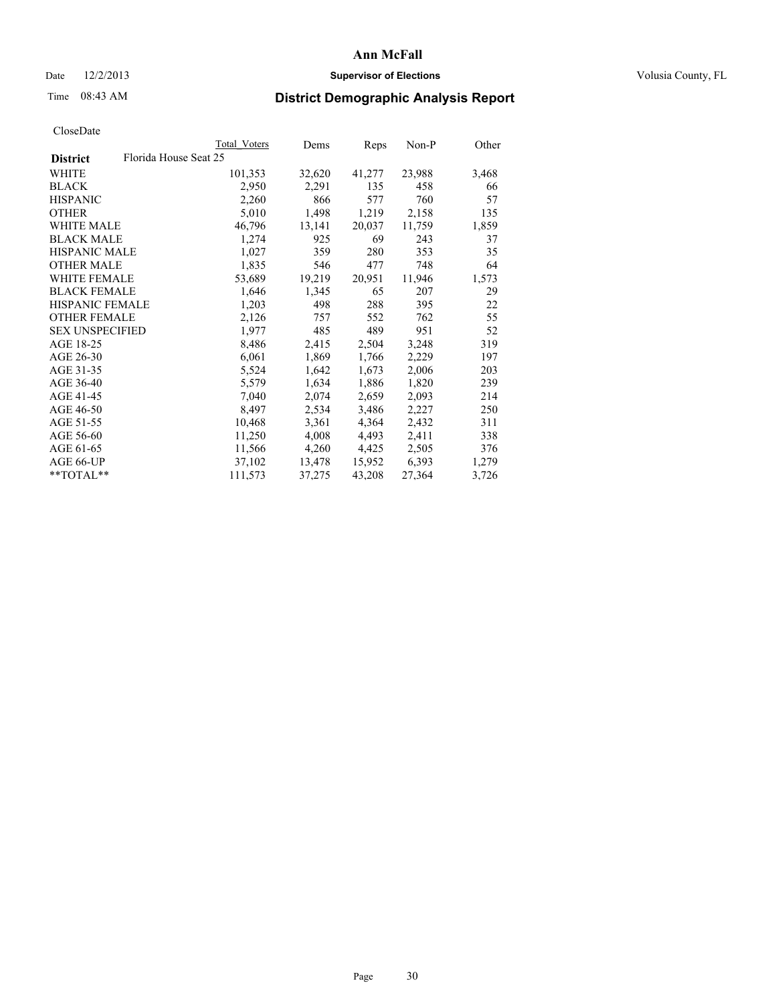## Date  $12/2/2013$  **Supervisor of Elections Supervisor of Elections** Volusia County, FL

## Time 08:43 AM **District Demographic Analysis Report**

|                                          | Total Voters | Dems   | Reps   | Non-P  | Other |
|------------------------------------------|--------------|--------|--------|--------|-------|
| Florida House Seat 25<br><b>District</b> |              |        |        |        |       |
| WHITE                                    | 101,353      | 32,620 | 41,277 | 23,988 | 3,468 |
| <b>BLACK</b>                             | 2,950        | 2,291  | 135    | 458    | 66    |
| <b>HISPANIC</b>                          | 2,260        | 866    | 577    | 760    | 57    |
| <b>OTHER</b>                             | 5,010        | 1,498  | 1,219  | 2,158  | 135   |
| <b>WHITE MALE</b>                        | 46,796       | 13,141 | 20,037 | 11,759 | 1,859 |
| <b>BLACK MALE</b>                        | 1,274        | 925    | 69     | 243    | 37    |
| <b>HISPANIC MALE</b>                     | 1,027        | 359    | 280    | 353    | 35    |
| <b>OTHER MALE</b>                        | 1,835        | 546    | 477    | 748    | 64    |
| WHITE FEMALE                             | 53,689       | 19,219 | 20,951 | 11,946 | 1,573 |
| <b>BLACK FEMALE</b>                      | 1,646        | 1,345  | 65     | 207    | 29    |
| <b>HISPANIC FEMALE</b>                   | 1,203        | 498    | 288    | 395    | 22    |
| <b>OTHER FEMALE</b>                      | 2,126        | 757    | 552    | 762    | 55    |
| <b>SEX UNSPECIFIED</b>                   | 1,977        | 485    | 489    | 951    | 52    |
| AGE 18-25                                | 8,486        | 2,415  | 2,504  | 3,248  | 319   |
| AGE 26-30                                | 6,061        | 1,869  | 1,766  | 2,229  | 197   |
| AGE 31-35                                | 5,524        | 1,642  | 1,673  | 2,006  | 203   |
| AGE 36-40                                | 5,579        | 1,634  | 1,886  | 1,820  | 239   |
| AGE 41-45                                | 7,040        | 2,074  | 2,659  | 2,093  | 214   |
| AGE 46-50                                | 8,497        | 2,534  | 3,486  | 2,227  | 250   |
| AGE 51-55                                | 10,468       | 3,361  | 4,364  | 2,432  | 311   |
| AGE 56-60                                | 11,250       | 4,008  | 4,493  | 2,411  | 338   |
| AGE 61-65                                | 11,566       | 4,260  | 4,425  | 2,505  | 376   |
| AGE 66-UP                                | 37,102       | 13,478 | 15,952 | 6,393  | 1,279 |
| $*$ TOTAL $*$                            | 111,573      | 37,275 | 43,208 | 27,364 | 3,726 |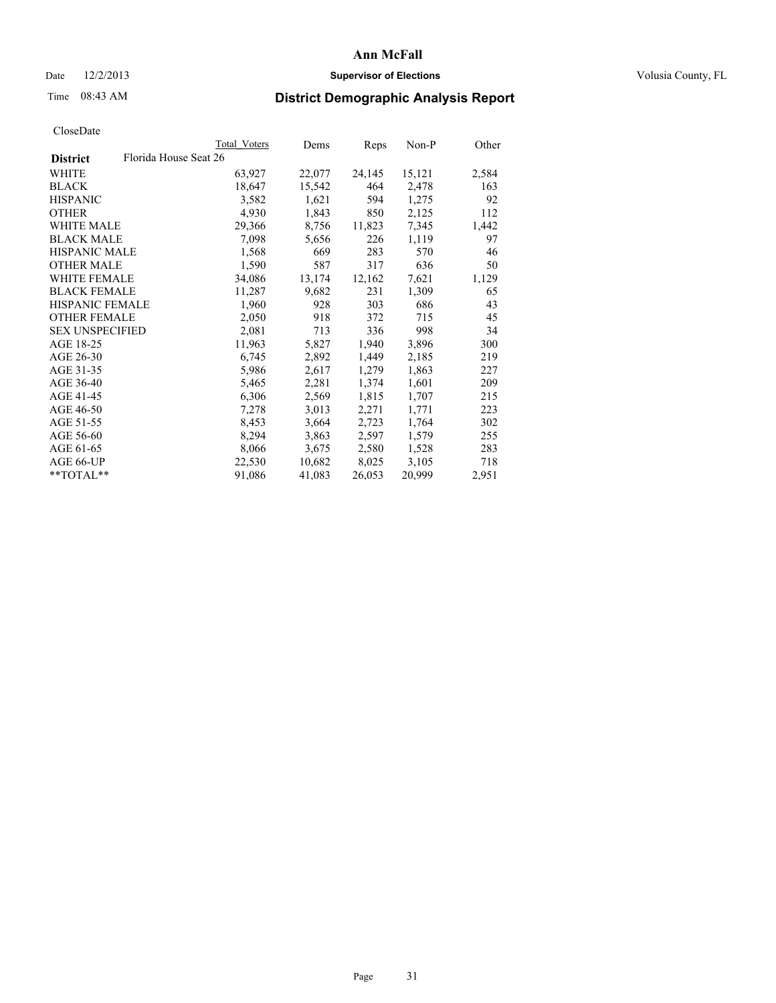## Date  $12/2/2013$  **Supervisor of Elections Supervisor of Elections** Volusia County, FL

## Time 08:43 AM **District Demographic Analysis Report**

|                        | Total Voters          | Dems   | Reps   | Non-P  | Other |
|------------------------|-----------------------|--------|--------|--------|-------|
| <b>District</b>        | Florida House Seat 26 |        |        |        |       |
| <b>WHITE</b>           | 63,927                | 22,077 | 24,145 | 15,121 | 2,584 |
| <b>BLACK</b>           | 18,647                | 15,542 | 464    | 2,478  | 163   |
| <b>HISPANIC</b>        | 3,582                 | 1,621  | 594    | 1,275  | 92    |
| <b>OTHER</b>           | 4,930                 | 1,843  | 850    | 2,125  | 112   |
| <b>WHITE MALE</b>      | 29,366                | 8,756  | 11,823 | 7,345  | 1,442 |
| <b>BLACK MALE</b>      | 7,098                 | 5,656  | 226    | 1,119  | 97    |
| <b>HISPANIC MALE</b>   | 1,568                 | 669    | 283    | 570    | 46    |
| <b>OTHER MALE</b>      | 1,590                 | 587    | 317    | 636    | 50    |
| WHITE FEMALE           | 34,086                | 13,174 | 12,162 | 7,621  | 1,129 |
| <b>BLACK FEMALE</b>    | 11,287                | 9,682  | 231    | 1,309  | 65    |
| HISPANIC FEMALE        | 1,960                 | 928    | 303    | 686    | 43    |
| <b>OTHER FEMALE</b>    | 2,050                 | 918    | 372    | 715    | 45    |
| <b>SEX UNSPECIFIED</b> | 2,081                 | 713    | 336    | 998    | 34    |
| AGE 18-25              | 11,963                | 5,827  | 1,940  | 3,896  | 300   |
| AGE 26-30              | 6,745                 | 2,892  | 1,449  | 2,185  | 219   |
| AGE 31-35              | 5,986                 | 2,617  | 1,279  | 1,863  | 227   |
| AGE 36-40              | 5,465                 | 2,281  | 1,374  | 1,601  | 209   |
| AGE 41-45              | 6,306                 | 2,569  | 1,815  | 1,707  | 215   |
| AGE 46-50              | 7,278                 | 3,013  | 2,271  | 1,771  | 223   |
| AGE 51-55              | 8,453                 | 3,664  | 2,723  | 1,764  | 302   |
| AGE 56-60              | 8,294                 | 3,863  | 2,597  | 1,579  | 255   |
| AGE 61-65              | 8,066                 | 3,675  | 2,580  | 1,528  | 283   |
| AGE 66-UP              | 22,530                | 10,682 | 8,025  | 3,105  | 718   |
| **TOTAL**              | 91,086                | 41,083 | 26,053 | 20,999 | 2,951 |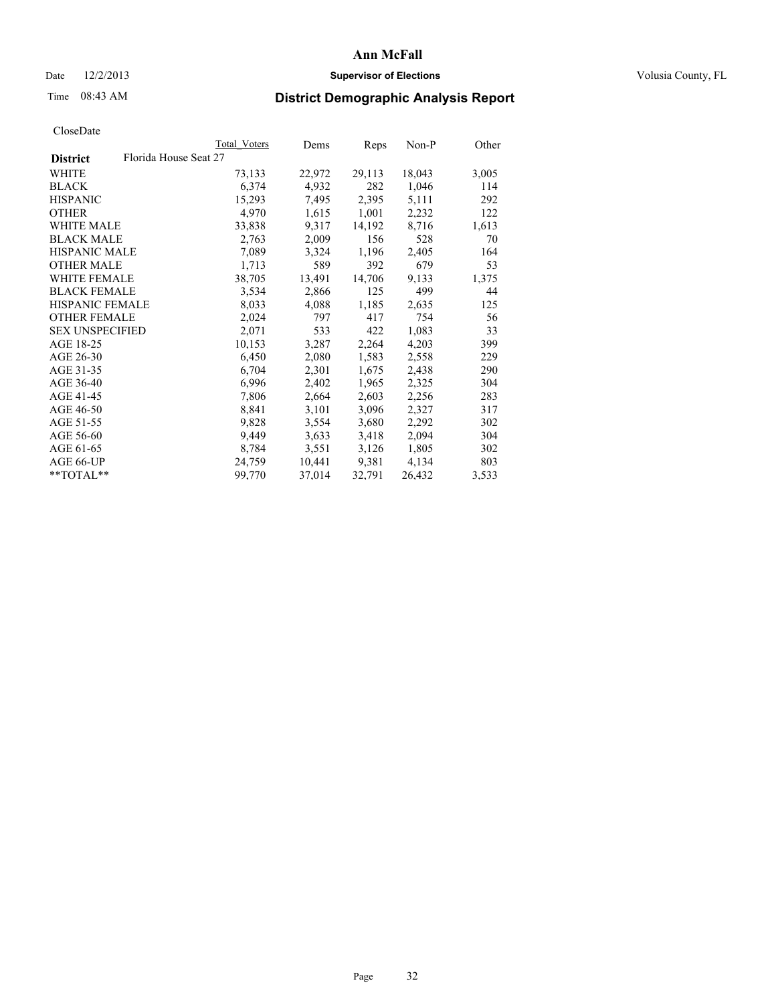## Date  $12/2/2013$  **Supervisor of Elections Supervisor of Elections** Volusia County, FL

## Time 08:43 AM **District Demographic Analysis Report**

|                        |                       | Total Voters | Dems   | <b>Reps</b> | Non-P  | Other |
|------------------------|-----------------------|--------------|--------|-------------|--------|-------|
| <b>District</b>        | Florida House Seat 27 |              |        |             |        |       |
| WHITE                  |                       | 73,133       | 22,972 | 29,113      | 18,043 | 3,005 |
| <b>BLACK</b>           |                       | 6,374        | 4,932  | 282         | 1,046  | 114   |
| <b>HISPANIC</b>        |                       | 15,293       | 7,495  | 2,395       | 5,111  | 292   |
| <b>OTHER</b>           |                       | 4,970        | 1,615  | 1,001       | 2,232  | 122   |
| WHITE MALE             |                       | 33,838       | 9,317  | 14,192      | 8,716  | 1,613 |
| <b>BLACK MALE</b>      |                       | 2,763        | 2,009  | 156         | 528    | 70    |
| <b>HISPANIC MALE</b>   |                       | 7,089        | 3,324  | 1,196       | 2,405  | 164   |
| <b>OTHER MALE</b>      |                       | 1,713        | 589    | 392         | 679    | 53    |
| <b>WHITE FEMALE</b>    |                       | 38,705       | 13,491 | 14,706      | 9,133  | 1,375 |
| <b>BLACK FEMALE</b>    |                       | 3,534        | 2,866  | 125         | 499    | 44    |
| HISPANIC FEMALE        |                       | 8,033        | 4,088  | 1,185       | 2,635  | 125   |
| <b>OTHER FEMALE</b>    |                       | 2,024        | 797    | 417         | 754    | 56    |
| <b>SEX UNSPECIFIED</b> |                       | 2,071        | 533    | 422         | 1,083  | 33    |
| AGE 18-25              |                       | 10,153       | 3,287  | 2,264       | 4,203  | 399   |
| AGE 26-30              |                       | 6,450        | 2,080  | 1,583       | 2,558  | 229   |
| AGE 31-35              |                       | 6,704        | 2,301  | 1,675       | 2,438  | 290   |
| AGE 36-40              |                       | 6,996        | 2,402  | 1,965       | 2,325  | 304   |
| AGE 41-45              |                       | 7,806        | 2,664  | 2,603       | 2,256  | 283   |
| AGE 46-50              |                       | 8,841        | 3,101  | 3,096       | 2,327  | 317   |
| AGE 51-55              |                       | 9,828        | 3,554  | 3,680       | 2,292  | 302   |
| AGE 56-60              |                       | 9,449        | 3,633  | 3,418       | 2,094  | 304   |
| AGE 61-65              |                       | 8,784        | 3,551  | 3,126       | 1,805  | 302   |
| AGE 66-UP              |                       | 24,759       | 10,441 | 9,381       | 4,134  | 803   |
| $*$ $TOTAL**$          |                       | 99,770       | 37,014 | 32,791      | 26,432 | 3,533 |
|                        |                       |              |        |             |        |       |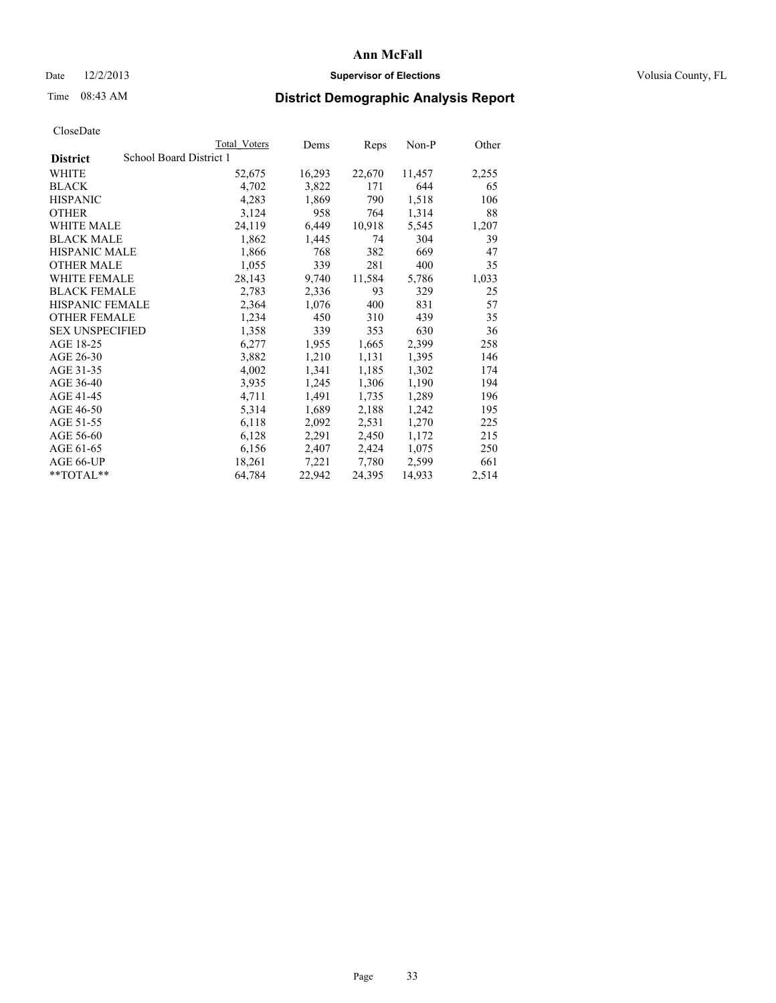## Date  $12/2/2013$  **Supervisor of Elections Supervisor of Elections** Volusia County, FL

## Time 08:43 AM **District Demographic Analysis Report**

|                        |                         | <b>Total Voters</b> | Dems   | Reps   | Non-P  | Other |
|------------------------|-------------------------|---------------------|--------|--------|--------|-------|
| <b>District</b>        | School Board District 1 |                     |        |        |        |       |
| <b>WHITE</b>           |                         | 52,675              | 16,293 | 22,670 | 11,457 | 2,255 |
| <b>BLACK</b>           |                         | 4,702               | 3,822  | 171    | 644    | 65    |
| <b>HISPANIC</b>        |                         | 4,283               | 1,869  | 790    | 1,518  | 106   |
| <b>OTHER</b>           |                         | 3,124               | 958    | 764    | 1,314  | 88    |
| <b>WHITE MALE</b>      |                         | 24,119              | 6,449  | 10,918 | 5,545  | 1,207 |
| <b>BLACK MALE</b>      |                         | 1,862               | 1,445  | 74     | 304    | 39    |
| <b>HISPANIC MALE</b>   |                         | 1,866               | 768    | 382    | 669    | 47    |
| <b>OTHER MALE</b>      |                         | 1,055               | 339    | 281    | 400    | 35    |
| <b>WHITE FEMALE</b>    |                         | 28,143              | 9,740  | 11,584 | 5,786  | 1,033 |
| <b>BLACK FEMALE</b>    |                         | 2,783               | 2,336  | 93     | 329    | 25    |
| <b>HISPANIC FEMALE</b> |                         | 2,364               | 1,076  | 400    | 831    | 57    |
| <b>OTHER FEMALE</b>    |                         | 1,234               | 450    | 310    | 439    | 35    |
| <b>SEX UNSPECIFIED</b> |                         | 1,358               | 339    | 353    | 630    | 36    |
| AGE 18-25              |                         | 6,277               | 1,955  | 1,665  | 2,399  | 258   |
| AGE 26-30              |                         | 3,882               | 1,210  | 1,131  | 1,395  | 146   |
| AGE 31-35              |                         | 4,002               | 1,341  | 1,185  | 1,302  | 174   |
| AGE 36-40              |                         | 3,935               | 1,245  | 1,306  | 1,190  | 194   |
| AGE 41-45              |                         | 4,711               | 1,491  | 1,735  | 1,289  | 196   |
| AGE 46-50              |                         | 5,314               | 1,689  | 2,188  | 1,242  | 195   |
| AGE 51-55              |                         | 6,118               | 2,092  | 2,531  | 1,270  | 225   |
| AGE 56-60              |                         | 6,128               | 2,291  | 2,450  | 1,172  | 215   |
| AGE 61-65              |                         | 6,156               | 2,407  | 2,424  | 1,075  | 250   |
| AGE 66-UP              |                         | 18,261              | 7,221  | 7,780  | 2,599  | 661   |
| $*$ $TOTAL**$          |                         | 64,784              | 22,942 | 24,395 | 14,933 | 2,514 |
|                        |                         |                     |        |        |        |       |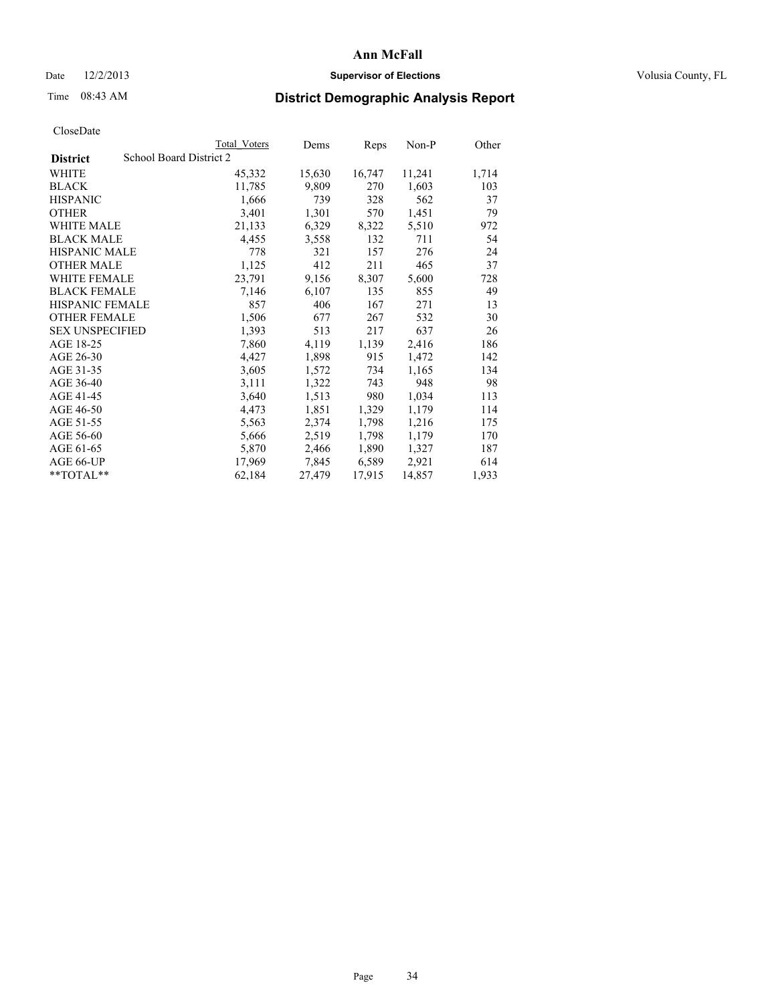## Date  $12/2/2013$  **Supervisor of Elections** Volusia County, FL

## Time 08:43 AM **District Demographic Analysis Report**

|                        |                         | <b>Total Voters</b> | Dems   | Reps   | $Non-P$ | Other |
|------------------------|-------------------------|---------------------|--------|--------|---------|-------|
| <b>District</b>        | School Board District 2 |                     |        |        |         |       |
| WHITE                  |                         | 45,332              | 15,630 | 16,747 | 11,241  | 1,714 |
| <b>BLACK</b>           |                         | 11,785              | 9,809  | 270    | 1,603   | 103   |
| <b>HISPANIC</b>        |                         | 1,666               | 739    | 328    | 562     | 37    |
| <b>OTHER</b>           |                         | 3,401               | 1,301  | 570    | 1,451   | 79    |
| WHITE MALE             |                         | 21,133              | 6,329  | 8,322  | 5,510   | 972   |
| <b>BLACK MALE</b>      |                         | 4,455               | 3,558  | 132    | 711     | 54    |
| <b>HISPANIC MALE</b>   |                         | 778                 | 321    | 157    | 276     | 24    |
| <b>OTHER MALE</b>      |                         | 1,125               | 412    | 211    | 465     | 37    |
| <b>WHITE FEMALE</b>    |                         | 23,791              | 9,156  | 8,307  | 5,600   | 728   |
| <b>BLACK FEMALE</b>    |                         | 7,146               | 6,107  | 135    | 855     | 49    |
| <b>HISPANIC FEMALE</b> |                         | 857                 | 406    | 167    | 271     | 13    |
| <b>OTHER FEMALE</b>    |                         | 1,506               | 677    | 267    | 532     | 30    |
| <b>SEX UNSPECIFIED</b> |                         | 1,393               | 513    | 217    | 637     | 26    |
| AGE 18-25              |                         | 7,860               | 4,119  | 1,139  | 2,416   | 186   |
| AGE 26-30              |                         | 4,427               | 1,898  | 915    | 1,472   | 142   |
| AGE 31-35              |                         | 3,605               | 1,572  | 734    | 1,165   | 134   |
| AGE 36-40              |                         | 3,111               | 1,322  | 743    | 948     | 98    |
| AGE 41-45              |                         | 3,640               | 1,513  | 980    | 1,034   | 113   |
| AGE 46-50              |                         | 4,473               | 1,851  | 1,329  | 1,179   | 114   |
| AGE 51-55              |                         | 5,563               | 2,374  | 1,798  | 1,216   | 175   |
| AGE 56-60              |                         | 5,666               | 2,519  | 1,798  | 1,179   | 170   |
| AGE 61-65              |                         | 5,870               | 2,466  | 1,890  | 1,327   | 187   |
| AGE 66-UP              |                         | 17,969              | 7,845  | 6,589  | 2,921   | 614   |
| $*$ $TOTAL**$          |                         | 62,184              | 27,479 | 17,915 | 14,857  | 1,933 |
|                        |                         |                     |        |        |         |       |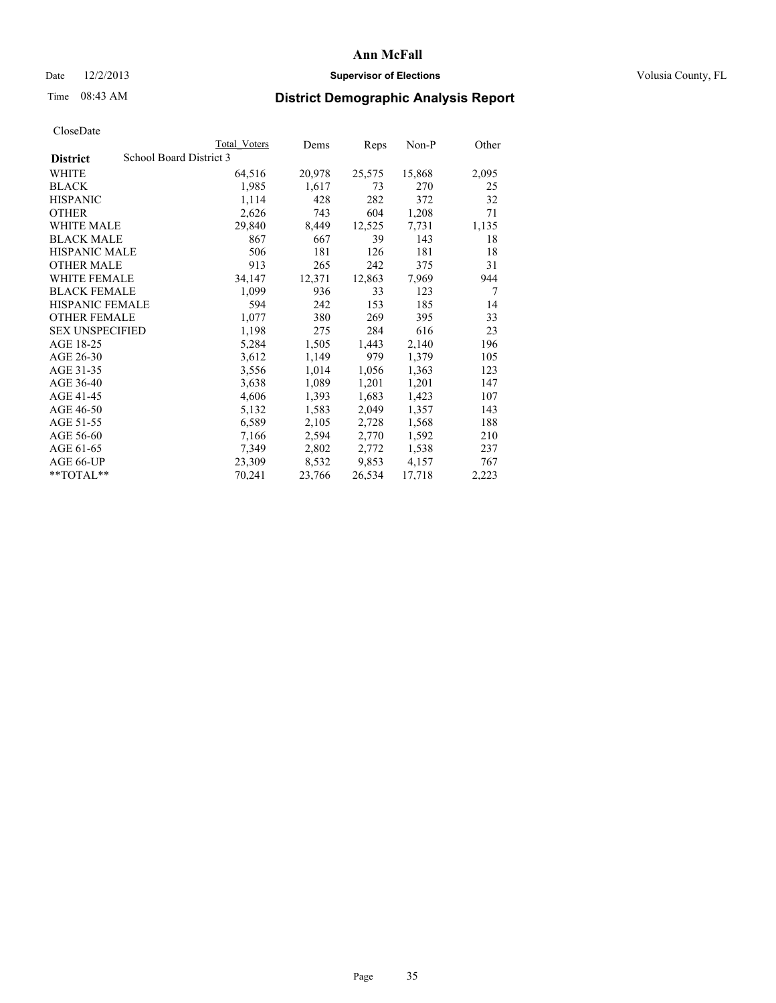## Date  $12/2/2013$  **Supervisor of Elections Supervisor of Elections** Volusia County, FL

## Time 08:43 AM **District Demographic Analysis Report**

|                        |                         | Total Voters | Dems   | <b>Reps</b> | Non-P  | Other |
|------------------------|-------------------------|--------------|--------|-------------|--------|-------|
| <b>District</b>        | School Board District 3 |              |        |             |        |       |
| WHITE                  |                         | 64,516       | 20,978 | 25,575      | 15,868 | 2,095 |
| <b>BLACK</b>           |                         | 1,985        | 1,617  | 73          | 270    | 25    |
| <b>HISPANIC</b>        |                         | 1,114        | 428    | 282         | 372    | 32    |
| <b>OTHER</b>           |                         | 2,626        | 743    | 604         | 1,208  | 71    |
| <b>WHITE MALE</b>      |                         | 29,840       | 8,449  | 12,525      | 7.731  | 1,135 |
| <b>BLACK MALE</b>      |                         | 867          | 667    | 39          | 143    | 18    |
| <b>HISPANIC MALE</b>   |                         | 506          | 181    | 126         | 181    | 18    |
| <b>OTHER MALE</b>      |                         | 913          | 265    | 242         | 375    | 31    |
| <b>WHITE FEMALE</b>    |                         | 34,147       | 12,371 | 12,863      | 7,969  | 944   |
| <b>BLACK FEMALE</b>    |                         | 1,099        | 936    | 33          | 123    | 7     |
| <b>HISPANIC FEMALE</b> |                         | 594          | 242    | 153         | 185    | 14    |
| <b>OTHER FEMALE</b>    |                         | 1,077        | 380    | 269         | 395    | 33    |
| <b>SEX UNSPECIFIED</b> |                         | 1,198        | 275    | 284         | 616    | 23    |
| AGE 18-25              |                         | 5,284        | 1,505  | 1,443       | 2,140  | 196   |
| AGE 26-30              |                         | 3,612        | 1,149  | 979         | 1,379  | 105   |
| AGE 31-35              |                         | 3,556        | 1,014  | 1,056       | 1,363  | 123   |
| AGE 36-40              |                         | 3,638        | 1,089  | 1,201       | 1,201  | 147   |
| AGE 41-45              |                         | 4,606        | 1,393  | 1,683       | 1,423  | 107   |
| AGE 46-50              |                         | 5,132        | 1,583  | 2,049       | 1,357  | 143   |
| AGE 51-55              |                         | 6,589        | 2,105  | 2,728       | 1,568  | 188   |
| AGE 56-60              |                         | 7,166        | 2,594  | 2,770       | 1,592  | 210   |
| AGE 61-65              |                         | 7,349        | 2,802  | 2,772       | 1,538  | 237   |
| AGE 66-UP              |                         | 23,309       | 8,532  | 9,853       | 4,157  | 767   |
| $*$ $TOTAL**$          |                         | 70,241       | 23,766 | 26,534      | 17,718 | 2,223 |
|                        |                         |              |        |             |        |       |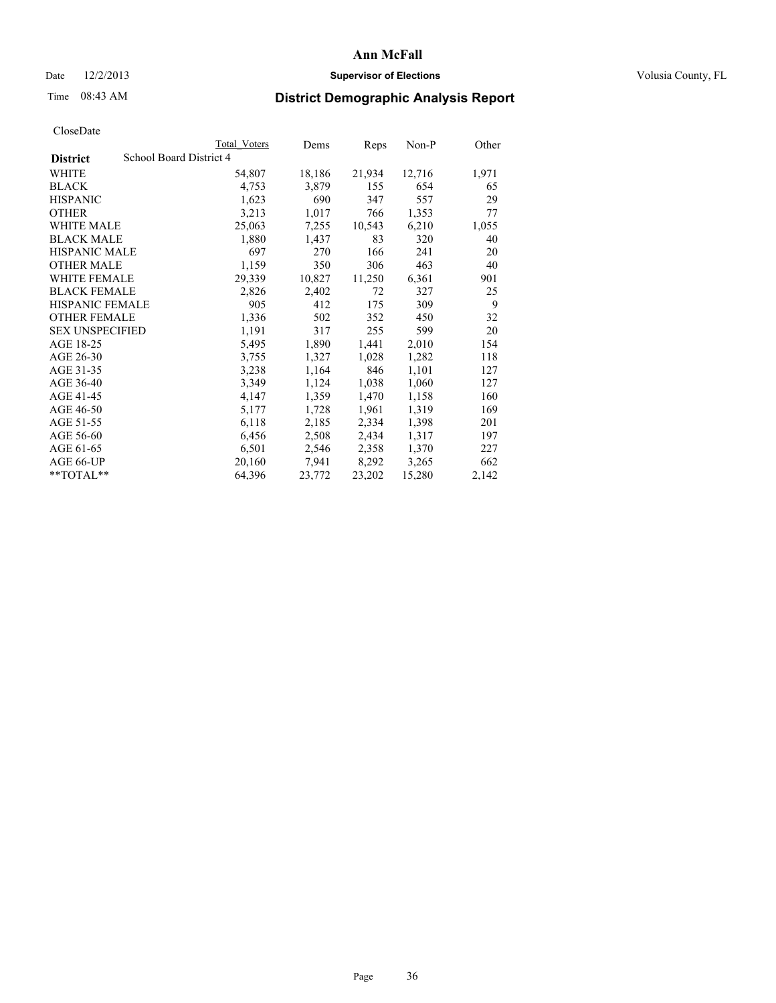## Date  $12/2/2013$  **Supervisor of Elections Supervisor of Elections** Volusia County, FL

## Time 08:43 AM **District Demographic Analysis Report**

|                        |                         | Total Voters | Dems   | Reps   | Non-P  | Other |
|------------------------|-------------------------|--------------|--------|--------|--------|-------|
| <b>District</b>        | School Board District 4 |              |        |        |        |       |
| <b>WHITE</b>           |                         | 54,807       | 18,186 | 21,934 | 12,716 | 1,971 |
| <b>BLACK</b>           |                         | 4,753        | 3,879  | 155    | 654    | 65    |
| <b>HISPANIC</b>        |                         | 1,623        | 690    | 347    | 557    | 29    |
| <b>OTHER</b>           |                         | 3,213        | 1,017  | 766    | 1,353  | 77    |
| <b>WHITE MALE</b>      |                         | 25,063       | 7,255  | 10,543 | 6,210  | 1,055 |
| <b>BLACK MALE</b>      |                         | 1,880        | 1,437  | 83     | 320    | 40    |
| <b>HISPANIC MALE</b>   |                         | 697          | 270    | 166    | 241    | 20    |
| <b>OTHER MALE</b>      |                         | 1,159        | 350    | 306    | 463    | 40    |
| <b>WHITE FEMALE</b>    |                         | 29,339       | 10,827 | 11,250 | 6,361  | 901   |
| <b>BLACK FEMALE</b>    |                         | 2,826        | 2,402  | 72     | 327    | 25    |
| <b>HISPANIC FEMALE</b> |                         | 905          | 412    | 175    | 309    | 9     |
| <b>OTHER FEMALE</b>    |                         | 1,336        | 502    | 352    | 450    | 32    |
| <b>SEX UNSPECIFIED</b> |                         | 1,191        | 317    | 255    | 599    | 20    |
| AGE 18-25              |                         | 5,495        | 1,890  | 1,441  | 2,010  | 154   |
| AGE 26-30              |                         | 3,755        | 1,327  | 1,028  | 1,282  | 118   |
| AGE 31-35              |                         | 3,238        | 1,164  | 846    | 1,101  | 127   |
| AGE 36-40              |                         | 3,349        | 1,124  | 1,038  | 1,060  | 127   |
| AGE 41-45              |                         | 4,147        | 1,359  | 1,470  | 1,158  | 160   |
| AGE 46-50              |                         | 5,177        | 1,728  | 1,961  | 1,319  | 169   |
| AGE 51-55              |                         | 6,118        | 2,185  | 2,334  | 1,398  | 201   |
| AGE 56-60              |                         | 6,456        | 2,508  | 2,434  | 1,317  | 197   |
| AGE 61-65              |                         | 6,501        | 2,546  | 2,358  | 1,370  | 227   |
| AGE 66-UP              |                         | 20,160       | 7,941  | 8,292  | 3,265  | 662   |
| $*$ $TOTAL**$          |                         | 64,396       | 23,772 | 23,202 | 15,280 | 2,142 |
|                        |                         |              |        |        |        |       |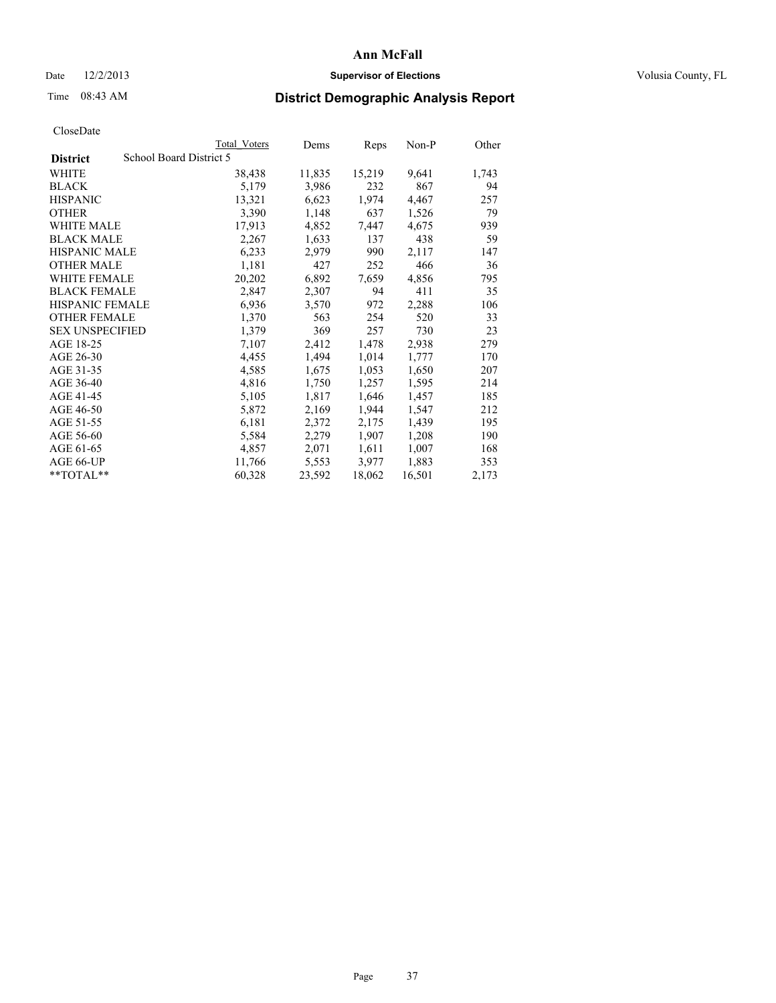## Date  $12/2/2013$  **Supervisor of Elections Supervisor of Elections** Volusia County, FL

# Time 08:43 AM **District Demographic Analysis Report**

|                        |                         | <b>Total Voters</b> | Dems   | Reps   | Non-P  | Other |
|------------------------|-------------------------|---------------------|--------|--------|--------|-------|
| <b>District</b>        | School Board District 5 |                     |        |        |        |       |
| WHITE                  |                         | 38,438              | 11,835 | 15,219 | 9,641  | 1,743 |
| <b>BLACK</b>           |                         | 5,179               | 3,986  | 232    | 867    | 94    |
| <b>HISPANIC</b>        |                         | 13,321              | 6,623  | 1,974  | 4,467  | 257   |
| <b>OTHER</b>           |                         | 3,390               | 1,148  | 637    | 1,526  | 79    |
| WHITE MALE             |                         | 17,913              | 4,852  | 7,447  | 4,675  | 939   |
| <b>BLACK MALE</b>      |                         | 2,267               | 1,633  | 137    | 438    | 59    |
| <b>HISPANIC MALE</b>   |                         | 6,233               | 2,979  | 990    | 2,117  | 147   |
| <b>OTHER MALE</b>      |                         | 1,181               | 427    | 252    | 466    | 36    |
| <b>WHITE FEMALE</b>    |                         | 20,202              | 6,892  | 7,659  | 4,856  | 795   |
| <b>BLACK FEMALE</b>    |                         | 2,847               | 2,307  | 94     | 411    | 35    |
| HISPANIC FEMALE        |                         | 6,936               | 3,570  | 972    | 2,288  | 106   |
| <b>OTHER FEMALE</b>    |                         | 1,370               | 563    | 254    | 520    | 33    |
| <b>SEX UNSPECIFIED</b> |                         | 1,379               | 369    | 257    | 730    | 23    |
| AGE 18-25              |                         | 7,107               | 2,412  | 1,478  | 2,938  | 279   |
| AGE 26-30              |                         | 4,455               | 1,494  | 1,014  | 1,777  | 170   |
| AGE 31-35              |                         | 4,585               | 1,675  | 1,053  | 1,650  | 207   |
| AGE 36-40              |                         | 4,816               | 1,750  | 1,257  | 1,595  | 214   |
| AGE 41-45              |                         | 5,105               | 1,817  | 1,646  | 1,457  | 185   |
| AGE 46-50              |                         | 5,872               | 2,169  | 1,944  | 1,547  | 212   |
| AGE 51-55              |                         | 6,181               | 2,372  | 2,175  | 1,439  | 195   |
| AGE 56-60              |                         | 5,584               | 2,279  | 1,907  | 1,208  | 190   |
| AGE 61-65              |                         | 4,857               | 2,071  | 1,611  | 1,007  | 168   |
| AGE 66-UP              |                         | 11,766              | 5,553  | 3,977  | 1,883  | 353   |
| $*$ $TOTAL**$          |                         | 60,328              | 23,592 | 18,062 | 16,501 | 2,173 |
|                        |                         |                     |        |        |        |       |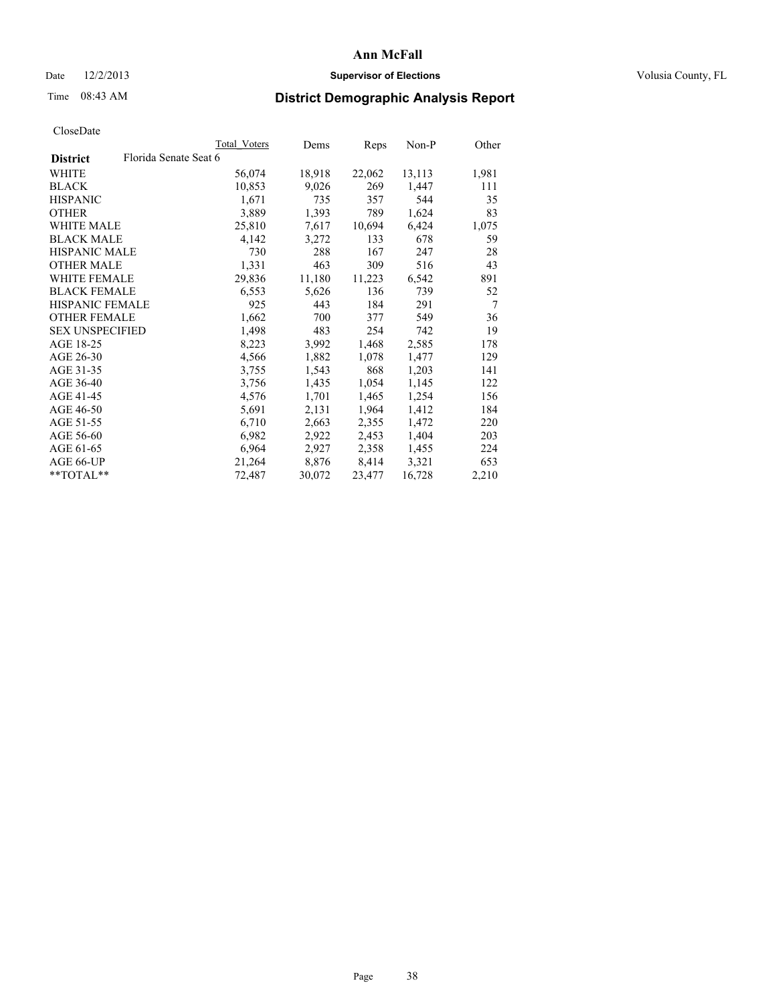## Date  $12/2/2013$  **Supervisor of Elections Supervisor of Elections** Volusia County, FL

# Time 08:43 AM **District Demographic Analysis Report**

|                        |                       | Total Voters | Dems   | Reps   | Non-P  | Other |
|------------------------|-----------------------|--------------|--------|--------|--------|-------|
| <b>District</b>        | Florida Senate Seat 6 |              |        |        |        |       |
| WHITE                  |                       | 56,074       | 18,918 | 22,062 | 13,113 | 1,981 |
| <b>BLACK</b>           |                       | 10,853       | 9,026  | 269    | 1,447  | 111   |
| <b>HISPANIC</b>        |                       | 1,671        | 735    | 357    | 544    | 35    |
| <b>OTHER</b>           |                       | 3,889        | 1,393  | 789    | 1,624  | 83    |
| WHITE MALE             |                       | 25,810       | 7,617  | 10,694 | 6,424  | 1,075 |
| <b>BLACK MALE</b>      |                       | 4,142        | 3,272  | 133    | 678    | 59    |
| <b>HISPANIC MALE</b>   |                       | 730          | 288    | 167    | 247    | 28    |
| <b>OTHER MALE</b>      |                       | 1,331        | 463    | 309    | 516    | 43    |
| <b>WHITE FEMALE</b>    |                       | 29,836       | 11,180 | 11,223 | 6,542  | 891   |
| <b>BLACK FEMALE</b>    |                       | 6,553        | 5,626  | 136    | 739    | 52    |
| <b>HISPANIC FEMALE</b> |                       | 925          | 443    | 184    | 291    | 7     |
| <b>OTHER FEMALE</b>    |                       | 1,662        | 700    | 377    | 549    | 36    |
| <b>SEX UNSPECIFIED</b> |                       | 1,498        | 483    | 254    | 742    | 19    |
| AGE 18-25              |                       | 8,223        | 3,992  | 1,468  | 2,585  | 178   |
| AGE 26-30              |                       | 4,566        | 1,882  | 1,078  | 1,477  | 129   |
| AGE 31-35              |                       | 3,755        | 1,543  | 868    | 1,203  | 141   |
| AGE 36-40              |                       | 3,756        | 1,435  | 1,054  | 1,145  | 122   |
| AGE 41-45              |                       | 4,576        | 1,701  | 1,465  | 1,254  | 156   |
| AGE 46-50              |                       | 5,691        | 2,131  | 1,964  | 1,412  | 184   |
| AGE 51-55              |                       | 6,710        | 2,663  | 2,355  | 1,472  | 220   |
| AGE 56-60              |                       | 6,982        | 2,922  | 2,453  | 1,404  | 203   |
| AGE 61-65              |                       | 6,964        | 2,927  | 2,358  | 1,455  | 224   |
| AGE 66-UP              |                       | 21,264       | 8,876  | 8,414  | 3,321  | 653   |
| $*$ TOTAL $*$          |                       | 72,487       | 30,072 | 23,477 | 16,728 | 2,210 |
|                        |                       |              |        |        |        |       |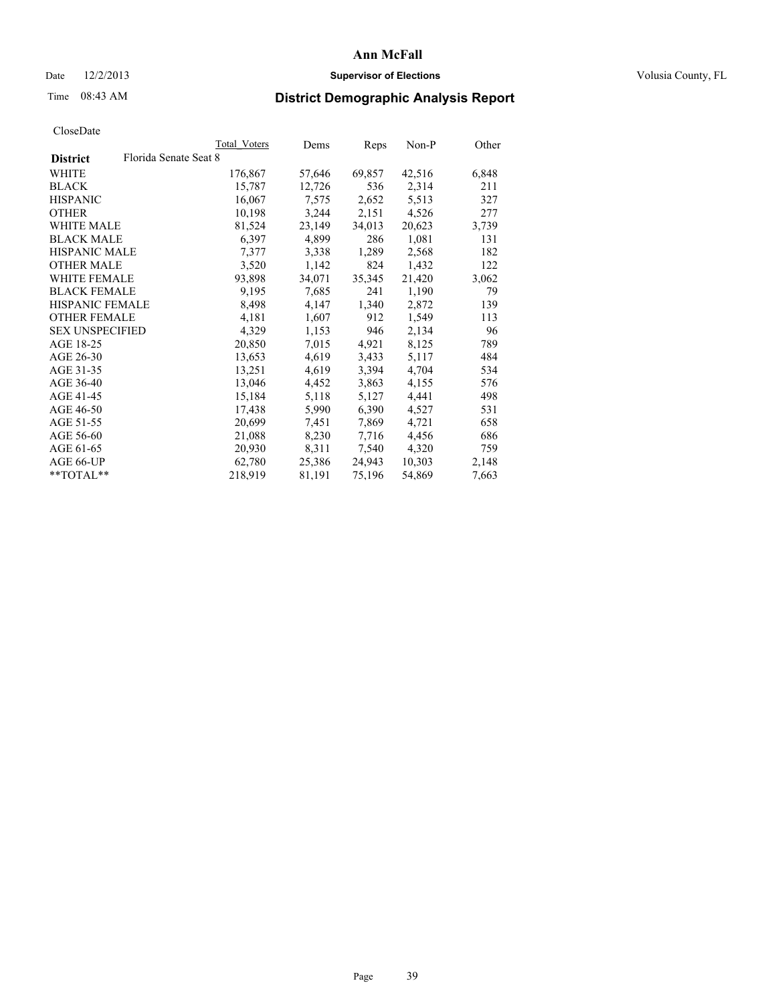## Date  $12/2/2013$  **Supervisor of Elections Supervisor of Elections** Volusia County, FL

# Time 08:43 AM **District Demographic Analysis Report**

|                                          | Total Voters | Dems   | <b>Reps</b> | Non-P  | Other |
|------------------------------------------|--------------|--------|-------------|--------|-------|
| Florida Senate Seat 8<br><b>District</b> |              |        |             |        |       |
| WHITE                                    | 176,867      | 57,646 | 69,857      | 42,516 | 6,848 |
| <b>BLACK</b>                             | 15,787       | 12,726 | 536         | 2,314  | 211   |
| <b>HISPANIC</b>                          | 16,067       | 7,575  | 2,652       | 5,513  | 327   |
| <b>OTHER</b>                             | 10,198       | 3,244  | 2,151       | 4,526  | 277   |
| <b>WHITE MALE</b>                        | 81,524       | 23,149 | 34,013      | 20,623 | 3,739 |
| <b>BLACK MALE</b>                        | 6,397        | 4,899  | 286         | 1,081  | 131   |
| <b>HISPANIC MALE</b>                     | 7,377        | 3,338  | 1,289       | 2,568  | 182   |
| <b>OTHER MALE</b>                        | 3,520        | 1,142  | 824         | 1,432  | 122   |
| <b>WHITE FEMALE</b>                      | 93,898       | 34,071 | 35,345      | 21,420 | 3,062 |
| <b>BLACK FEMALE</b>                      | 9,195        | 7,685  | 241         | 1,190  | 79    |
| HISPANIC FEMALE                          | 8,498        | 4,147  | 1,340       | 2,872  | 139   |
| <b>OTHER FEMALE</b>                      | 4,181        | 1,607  | 912         | 1,549  | 113   |
| <b>SEX UNSPECIFIED</b>                   | 4,329        | 1,153  | 946         | 2,134  | 96    |
| AGE 18-25                                | 20,850       | 7,015  | 4,921       | 8,125  | 789   |
| AGE 26-30                                | 13,653       | 4,619  | 3.433       | 5,117  | 484   |
| AGE 31-35                                | 13,251       | 4,619  | 3,394       | 4,704  | 534   |
| AGE 36-40                                | 13,046       | 4,452  | 3,863       | 4,155  | 576   |
| AGE 41-45                                | 15,184       | 5,118  | 5,127       | 4,441  | 498   |
| AGE 46-50                                | 17,438       | 5,990  | 6,390       | 4,527  | 531   |
| AGE 51-55                                | 20,699       | 7.451  | 7,869       | 4,721  | 658   |
| AGE 56-60                                | 21,088       | 8,230  | 7,716       | 4,456  | 686   |
| AGE 61-65                                | 20,930       | 8,311  | 7,540       | 4,320  | 759   |
| AGE 66-UP                                | 62,780       | 25,386 | 24,943      | 10,303 | 2,148 |
| $*$ $TOTAI.**$                           | 218,919      | 81,191 | 75,196      | 54,869 | 7,663 |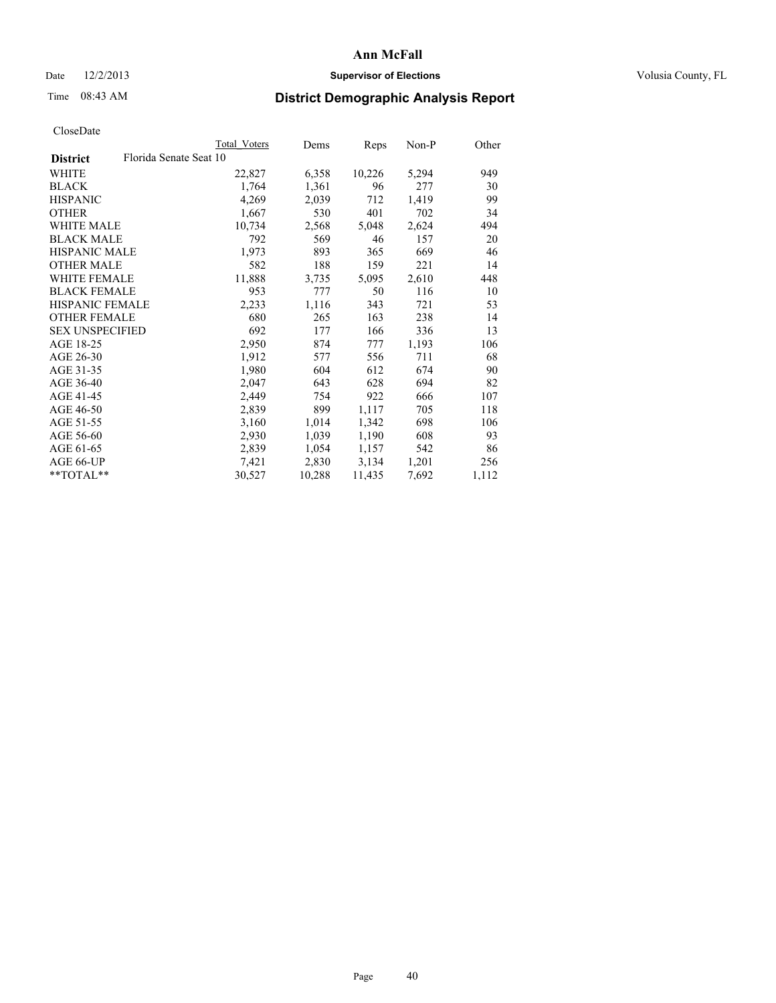## Date  $12/2/2013$  **Supervisor of Elections Supervisor of Elections** Volusia County, FL

# Time 08:43 AM **District Demographic Analysis Report**

|                                           | Total Voters | Dems   | Reps   | Non-P | Other |
|-------------------------------------------|--------------|--------|--------|-------|-------|
| Florida Senate Seat 10<br><b>District</b> |              |        |        |       |       |
| WHITE                                     | 22,827       | 6,358  | 10,226 | 5,294 | 949   |
| <b>BLACK</b>                              | 1,764        | 1,361  | 96     | 277   | 30    |
| <b>HISPANIC</b>                           | 4,269        | 2,039  | 712    | 1,419 | 99    |
| <b>OTHER</b>                              | 1,667        | 530    | 401    | 702   | 34    |
| <b>WHITE MALE</b>                         | 10,734       | 2,568  | 5,048  | 2,624 | 494   |
| <b>BLACK MALE</b>                         | 792          | 569    | 46     | 157   | 20    |
| <b>HISPANIC MALE</b>                      | 1,973        | 893    | 365    | 669   | 46    |
| <b>OTHER MALE</b>                         | 582          | 188    | 159    | 221   | 14    |
| <b>WHITE FEMALE</b>                       | 11,888       | 3,735  | 5,095  | 2,610 | 448   |
| <b>BLACK FEMALE</b>                       | 953          | 777    | 50     | 116   | 10    |
| <b>HISPANIC FEMALE</b>                    | 2,233        | 1,116  | 343    | 721   | 53    |
| <b>OTHER FEMALE</b>                       | 680          | 265    | 163    | 238   | 14    |
| <b>SEX UNSPECIFIED</b>                    | 692          | 177    | 166    | 336   | 13    |
| AGE 18-25                                 | 2,950        | 874    | 777    | 1,193 | 106   |
| AGE 26-30                                 | 1,912        | 577    | 556    | 711   | 68    |
| AGE 31-35                                 | 1,980        | 604    | 612    | 674   | 90    |
| AGE 36-40                                 | 2,047        | 643    | 628    | 694   | 82    |
| AGE 41-45                                 | 2,449        | 754    | 922    | 666   | 107   |
| AGE 46-50                                 | 2,839        | 899    | 1,117  | 705   | 118   |
| AGE 51-55                                 | 3,160        | 1,014  | 1,342  | 698   | 106   |
| AGE 56-60                                 | 2,930        | 1,039  | 1,190  | 608   | 93    |
| AGE 61-65                                 | 2,839        | 1,054  | 1,157  | 542   | 86    |
| AGE 66-UP                                 | 7,421        | 2,830  | 3,134  | 1,201 | 256   |
| **TOTAL**                                 | 30,527       | 10,288 | 11,435 | 7,692 | 1,112 |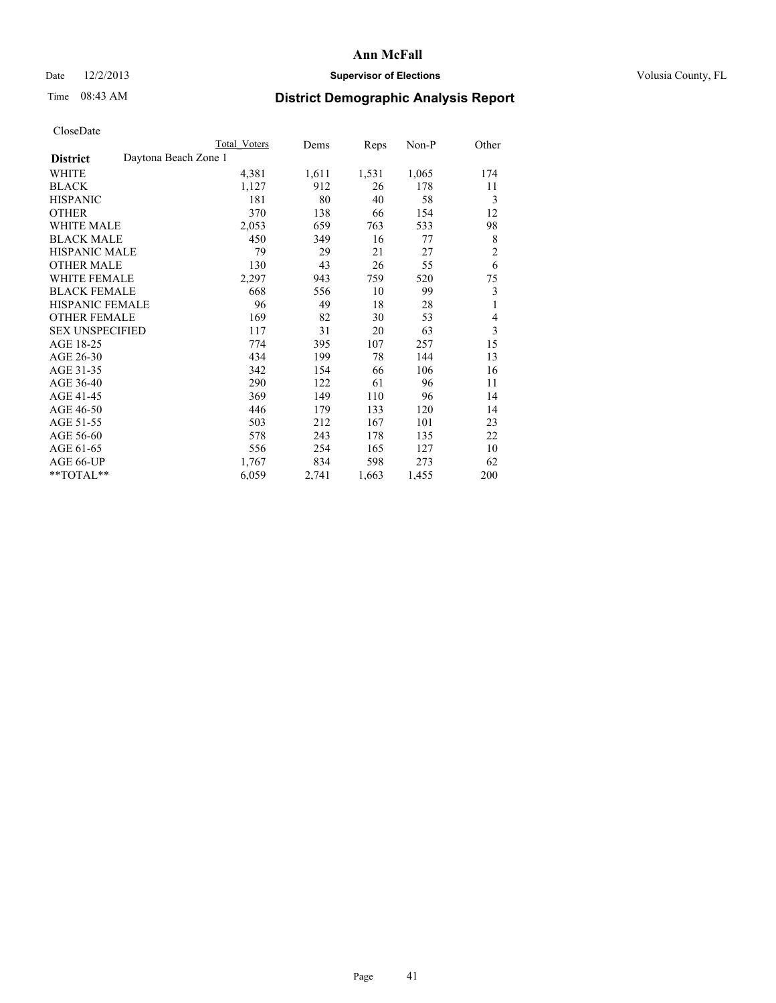# Date  $12/2/2013$  **Supervisor of Elections** Volusia County, FL

# Time 08:43 AM **District Demographic Analysis Report**

|                                         | Total Voters | Dems  | Reps  | Non-P | Other          |
|-----------------------------------------|--------------|-------|-------|-------|----------------|
| Daytona Beach Zone 1<br><b>District</b> |              |       |       |       |                |
| WHITE                                   | 4,381        | 1,611 | 1,531 | 1,065 | 174            |
| <b>BLACK</b>                            | 1,127        | 912   | 26    | 178   | 11             |
| <b>HISPANIC</b>                         | 181          | 80    | 40    | 58    | 3              |
| <b>OTHER</b>                            | 370          | 138   | 66    | 154   | 12             |
| <b>WHITE MALE</b>                       | 2,053        | 659   | 763   | 533   | 98             |
| <b>BLACK MALE</b>                       | 450          | 349   | 16    | 77    | 8              |
| HISPANIC MALE                           | 79           | 29    | 21    | 27    | $\overline{c}$ |
| <b>OTHER MALE</b>                       | 130          | 43    | 26    | 55    | 6              |
| WHITE FEMALE                            | 2,297        | 943   | 759   | 520   | 75             |
| <b>BLACK FEMALE</b>                     | 668          | 556   | 10    | 99    | 3              |
| HISPANIC FEMALE                         | 96           | 49    | 18    | 28    | 1              |
| <b>OTHER FEMALE</b>                     | 169          | 82    | 30    | 53    | 4              |
| <b>SEX UNSPECIFIED</b>                  | 117          | 31    | 20    | 63    | 3              |
| AGE 18-25                               | 774          | 395   | 107   | 257   | 15             |
| AGE 26-30                               | 434          | 199   | 78    | 144   | 13             |
| AGE 31-35                               | 342          | 154   | 66    | 106   | 16             |
| AGE 36-40                               | 290          | 122   | 61    | 96    | 11             |
| AGE 41-45                               | 369          | 149   | 110   | 96    | 14             |
| AGE 46-50                               | 446          | 179   | 133   | 120   | 14             |
| AGE 51-55                               | 503          | 212   | 167   | 101   | 23             |
| AGE 56-60                               | 578          | 243   | 178   | 135   | 22             |
| AGE 61-65                               | 556          | 254   | 165   | 127   | 10             |
| AGE 66-UP                               | 1,767        | 834   | 598   | 273   | 62             |
| **TOTAL**                               | 6,059        | 2,741 | 1,663 | 1,455 | 200            |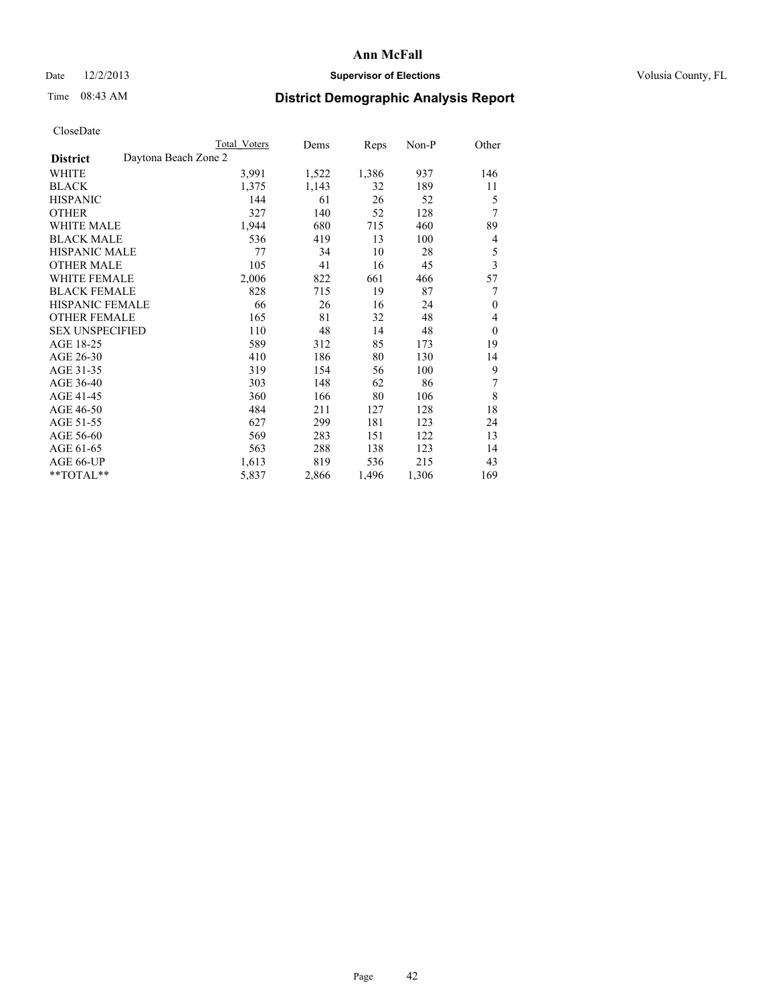# Date  $12/2/2013$  **Supervisor of Elections** Volusia County, FL

# Time 08:43 AM **District Demographic Analysis Report**

|                                         | <b>Total Voters</b> | Dems  | Reps  | Non-P | Other            |
|-----------------------------------------|---------------------|-------|-------|-------|------------------|
| Daytona Beach Zone 2<br><b>District</b> |                     |       |       |       |                  |
| WHITE                                   | 3,991               | 1,522 | 1,386 | 937   | 146              |
| <b>BLACK</b>                            | 1,375               | 1,143 | 32    | 189   | 11               |
| <b>HISPANIC</b>                         | 144                 | 61    | 26    | 52    | 5                |
| <b>OTHER</b>                            | 327                 | 140   | 52    | 128   | 7                |
| <b>WHITE MALE</b>                       | 1,944               | 680   | 715   | 460   | 89               |
| <b>BLACK MALE</b>                       | 536                 | 419   | 13    | 100   | 4                |
| <b>HISPANIC MALE</b>                    | 77                  | 34    | 10    | 28    | 5                |
| <b>OTHER MALE</b>                       | 105                 | 41    | 16    | 45    | 3                |
| <b>WHITE FEMALE</b>                     | 2,006               | 822   | 661   | 466   | 57               |
| <b>BLACK FEMALE</b>                     | 828                 | 715   | 19    | 87    | 7                |
| <b>HISPANIC FEMALE</b>                  | 66                  | 26    | 16    | 24    | $\mathbf{0}$     |
| <b>OTHER FEMALE</b>                     | 165                 | 81    | 32    | 48    | 4                |
| <b>SEX UNSPECIFIED</b>                  | 110                 | 48    | 14    | 48    | $\boldsymbol{0}$ |
| AGE 18-25                               | 589                 | 312   | 85    | 173   | 19               |
| AGE 26-30                               | 410                 | 186   | 80    | 130   | 14               |
| AGE 31-35                               | 319                 | 154   | 56    | 100   | 9                |
| AGE 36-40                               | 303                 | 148   | 62    | 86    | 7                |
| AGE 41-45                               | 360                 | 166   | 80    | 106   | 8                |
| AGE 46-50                               | 484                 | 211   | 127   | 128   | 18               |
| AGE 51-55                               | 627                 | 299   | 181   | 123   | 24               |
| AGE 56-60                               | 569                 | 283   | 151   | 122   | 13               |
| AGE 61-65                               | 563                 | 288   | 138   | 123   | 14               |
| AGE 66-UP                               | 1,613               | 819   | 536   | 215   | 43               |
| **TOTAL**                               | 5,837               | 2,866 | 1,496 | 1,306 | 169              |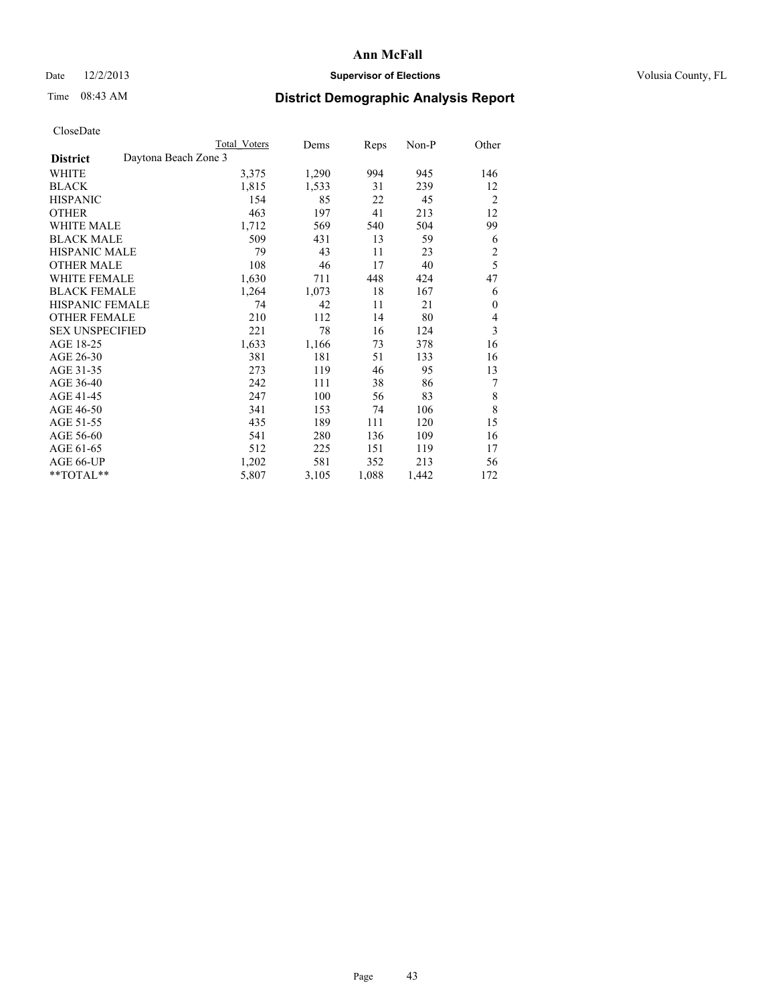# Date  $12/2/2013$  **Supervisor of Elections** Volusia County, FL

# Time 08:43 AM **District Demographic Analysis Report**

|                                         | Total Voters | Dems  | <b>Reps</b> | Non-P | Other          |
|-----------------------------------------|--------------|-------|-------------|-------|----------------|
| Daytona Beach Zone 3<br><b>District</b> |              |       |             |       |                |
| WHITE                                   | 3,375        | 1,290 | 994         | 945   | 146            |
| <b>BLACK</b>                            | 1,815        | 1,533 | 31          | 239   | 12             |
| <b>HISPANIC</b>                         | 154          | 85    | 22          | 45    | $\overline{2}$ |
| <b>OTHER</b>                            | 463          | 197   | 41          | 213   | 12             |
| <b>WHITE MALE</b>                       | 1,712        | 569   | 540         | 504   | 99             |
| <b>BLACK MALE</b>                       | 509          | 431   | 13          | 59    | 6              |
| <b>HISPANIC MALE</b>                    | 79           | 43    | 11          | 23    | $\overline{c}$ |
| <b>OTHER MALE</b>                       | 108          | 46    | 17          | 40    | 5              |
| <b>WHITE FEMALE</b>                     | 1,630        | 711   | 448         | 424   | 47             |
| <b>BLACK FEMALE</b>                     | 1,264        | 1,073 | 18          | 167   | 6              |
| <b>HISPANIC FEMALE</b>                  | 74           | 42    | 11          | 21    | $\theta$       |
| <b>OTHER FEMALE</b>                     | 210          | 112   | 14          | 80    | 4              |
| <b>SEX UNSPECIFIED</b>                  | 221          | 78    | 16          | 124   | 3              |
| AGE 18-25                               | 1,633        | 1,166 | 73          | 378   | 16             |
| AGE 26-30                               | 381          | 181   | 51          | 133   | 16             |
| AGE 31-35                               | 273          | 119   | 46          | 95    | 13             |
| AGE 36-40                               | 242          | 111   | 38          | 86    | 7              |
| AGE 41-45                               | 247          | 100   | 56          | 83    | 8              |
| AGE 46-50                               | 341          | 153   | 74          | 106   | 8              |
| AGE 51-55                               | 435          | 189   | 111         | 120   | 15             |
| AGE 56-60                               | 541          | 280   | 136         | 109   | 16             |
| AGE 61-65                               | 512          | 225   | 151         | 119   | 17             |
| AGE 66-UP                               | 1,202        | 581   | 352         | 213   | 56             |
| **TOTAL**                               | 5,807        | 3,105 | 1,088       | 1,442 | 172            |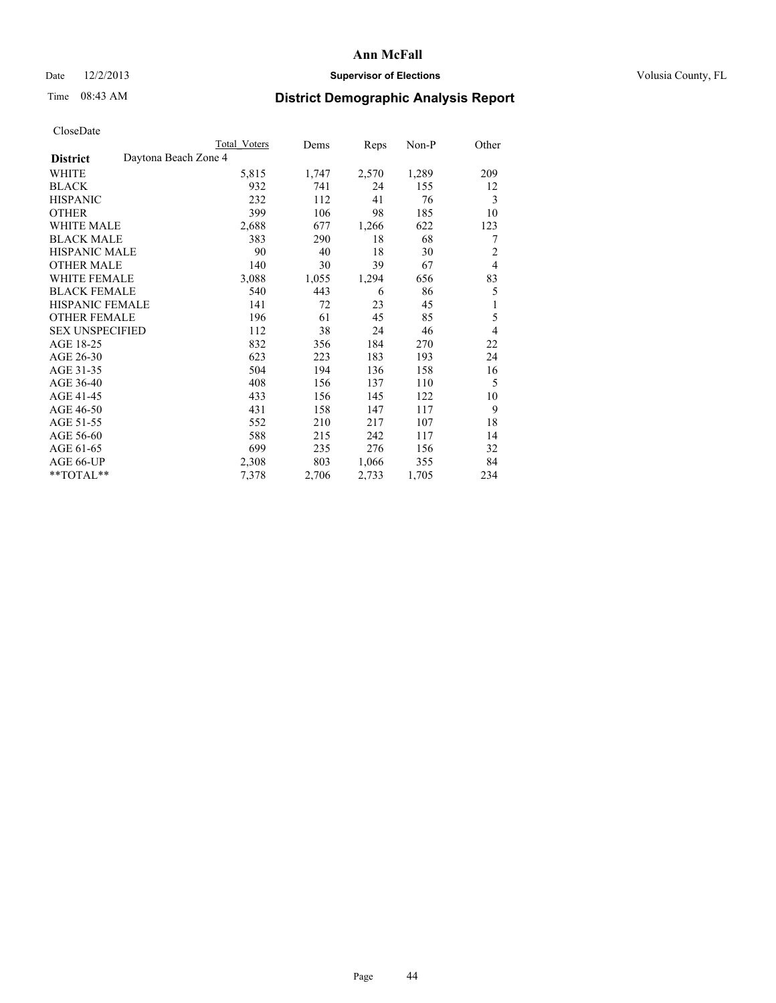# Date  $12/2/2013$  **Supervisor of Elections** Volusia County, FL

# Time 08:43 AM **District Demographic Analysis Report**

|                        | Total Voters         | Dems  | Reps  | Non-P | Other          |
|------------------------|----------------------|-------|-------|-------|----------------|
| <b>District</b>        | Daytona Beach Zone 4 |       |       |       |                |
| WHITE                  | 5,815                | 1,747 | 2,570 | 1,289 | 209            |
| <b>BLACK</b>           | 932                  | 741   | 24    | 155   | 12             |
| <b>HISPANIC</b>        | 232                  | 112   | 41    | 76    | 3              |
| <b>OTHER</b>           | 399                  | 106   | 98    | 185   | 10             |
| WHITE MALE             | 2,688                | 677   | 1,266 | 622   | 123            |
| <b>BLACK MALE</b>      | 383                  | 290   | 18    | 68    | 7              |
| <b>HISPANIC MALE</b>   | 90                   | 40    | 18    | 30    | $\overline{2}$ |
| <b>OTHER MALE</b>      | 140                  | 30    | 39    | 67    | $\overline{4}$ |
| WHITE FEMALE           | 3,088                | 1,055 | 1,294 | 656   | 83             |
| <b>BLACK FEMALE</b>    | 540                  | 443   | 6     | 86    | 5              |
| <b>HISPANIC FEMALE</b> | 141                  | 72    | 23    | 45    | 1              |
| <b>OTHER FEMALE</b>    | 196                  | 61    | 45    | 85    | 5              |
| <b>SEX UNSPECIFIED</b> | 112                  | 38    | 24    | 46    | $\overline{4}$ |
| AGE 18-25              | 832                  | 356   | 184   | 270   | 22             |
| AGE 26-30              | 623                  | 223   | 183   | 193   | 24             |
| AGE 31-35              | 504                  | 194   | 136   | 158   | 16             |
| AGE 36-40              | 408                  | 156   | 137   | 110   | 5              |
| AGE 41-45              | 433                  | 156   | 145   | 122   | 10             |
| AGE 46-50              | 431                  | 158   | 147   | 117   | 9              |
| AGE 51-55              | 552                  | 210   | 217   | 107   | 18             |
| AGE 56-60              | 588                  | 215   | 242   | 117   | 14             |
| AGE 61-65              | 699                  | 235   | 276   | 156   | 32             |
| AGE 66-UP              | 2,308                | 803   | 1,066 | 355   | 84             |
| **TOTAL**              | 7,378                | 2,706 | 2,733 | 1,705 | 234            |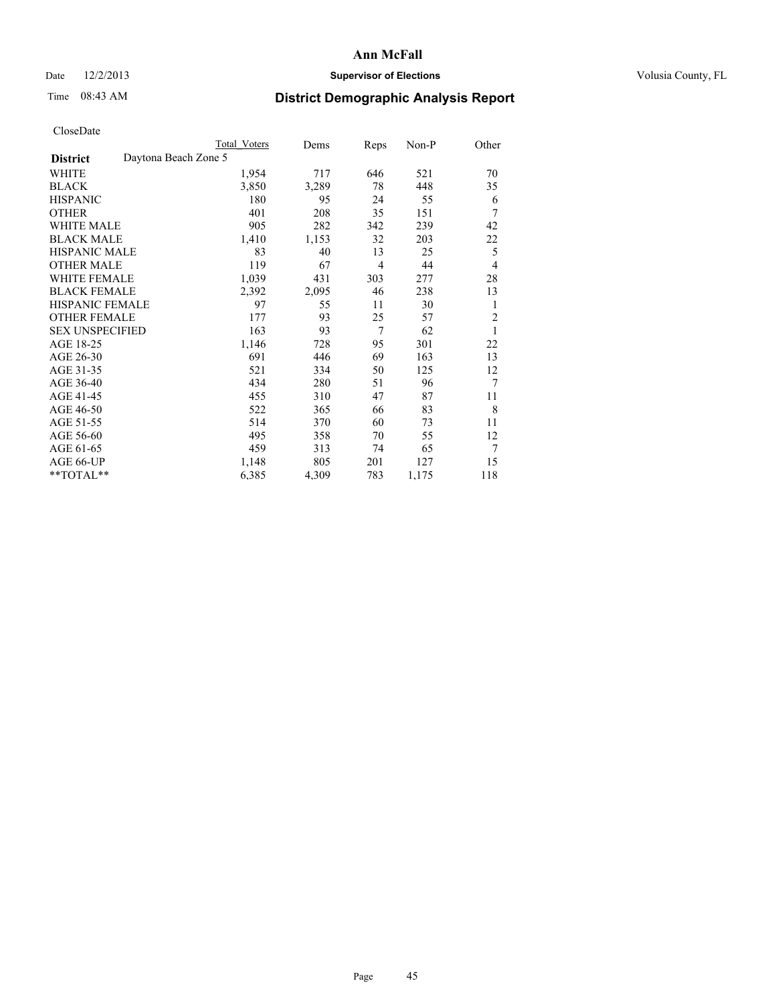# Date  $12/2/2013$  **Supervisor of Elections** Volusia County, FL

# Time 08:43 AM **District Demographic Analysis Report**

|                                         | Total Voters | Dems  | <b>Reps</b>    | Non-P | Other          |
|-----------------------------------------|--------------|-------|----------------|-------|----------------|
| Daytona Beach Zone 5<br><b>District</b> |              |       |                |       |                |
| WHITE                                   | 1,954        | 717   | 646            | 521   | 70             |
| <b>BLACK</b>                            | 3,850        | 3,289 | 78             | 448   | 35             |
| <b>HISPANIC</b>                         | 180          | 95    | 24             | 55    | 6              |
| <b>OTHER</b>                            | 401          | 208   | 35             | 151   | 7              |
| <b>WHITE MALE</b>                       | 905          | 282   | 342            | 239   | 42             |
| <b>BLACK MALE</b>                       | 1,410        | 1,153 | 32             | 203   | 22             |
| <b>HISPANIC MALE</b>                    | 83           | 40    | 13             | 25    | 5              |
| <b>OTHER MALE</b>                       | 119          | 67    | $\overline{4}$ | 44    | $\overline{4}$ |
| <b>WHITE FEMALE</b>                     | 1,039        | 431   | 303            | 277   | 28             |
| <b>BLACK FEMALE</b>                     | 2,392        | 2,095 | 46             | 238   | 13             |
| <b>HISPANIC FEMALE</b>                  | 97           | 55    | 11             | 30    | 1              |
| <b>OTHER FEMALE</b>                     | 177          | 93    | 25             | 57    | $\overline{2}$ |
| <b>SEX UNSPECIFIED</b>                  | 163          | 93    | $\overline{7}$ | 62    | 1              |
| AGE 18-25                               | 1,146        | 728   | 95             | 301   | 22             |
| AGE 26-30                               | 691          | 446   | 69             | 163   | 13             |
| AGE 31-35                               | 521          | 334   | 50             | 125   | 12             |
| AGE 36-40                               | 434          | 280   | 51             | 96    | 7              |
| AGE 41-45                               | 455          | 310   | 47             | 87    | 11             |
| AGE 46-50                               | 522          | 365   | 66             | 83    | 8              |
| AGE 51-55                               | 514          | 370   | 60             | 73    | 11             |
| AGE 56-60                               | 495          | 358   | 70             | 55    | 12             |
| AGE 61-65                               | 459          | 313   | 74             | 65    | 7              |
| AGE 66-UP                               | 1,148        | 805   | 201            | 127   | 15             |
| **TOTAL**                               | 6,385        | 4,309 | 783            | 1,175 | 118            |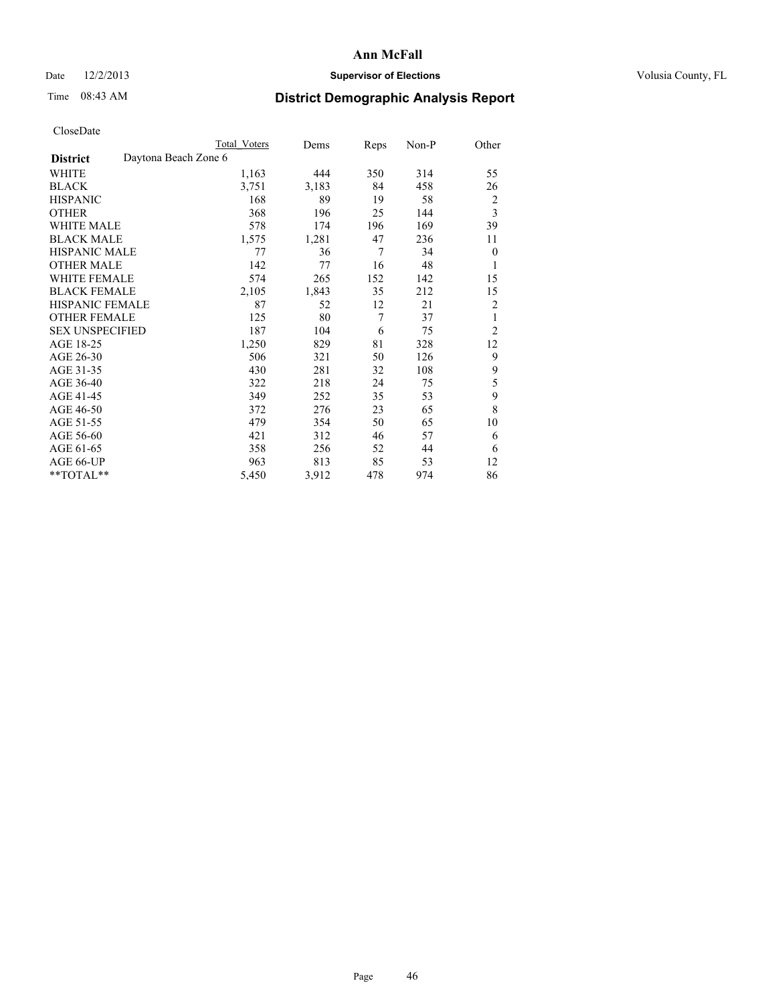# Date  $12/2/2013$  **Supervisor of Elections** Volusia County, FL

# Time 08:43 AM **District Demographic Analysis Report**

|                        |                      | <b>Total Voters</b> | Dems  | Reps           | Non-P | Other          |
|------------------------|----------------------|---------------------|-------|----------------|-------|----------------|
| <b>District</b>        | Daytona Beach Zone 6 |                     |       |                |       |                |
| WHITE                  |                      | 1,163               | 444   | 350            | 314   | 55             |
| <b>BLACK</b>           |                      | 3,751               | 3,183 | 84             | 458   | 26             |
| <b>HISPANIC</b>        |                      | 168                 | 89    | 19             | 58    | $\overline{c}$ |
| <b>OTHER</b>           |                      | 368                 | 196   | 25             | 144   | 3              |
| WHITE MALE             |                      | 578                 | 174   | 196            | 169   | 39             |
| <b>BLACK MALE</b>      |                      | 1,575               | 1,281 | 47             | 236   | 11             |
| <b>HISPANIC MALE</b>   |                      | 77                  | 36    | $\overline{7}$ | 34    | $\theta$       |
| <b>OTHER MALE</b>      |                      | 142                 | 77    | 16             | 48    | 1              |
| WHITE FEMALE           |                      | 574                 | 265   | 152            | 142   | 15             |
| <b>BLACK FEMALE</b>    |                      | 2,105               | 1,843 | 35             | 212   | 15             |
| <b>HISPANIC FEMALE</b> |                      | 87                  | 52    | 12             | 21    | $\overline{c}$ |
| <b>OTHER FEMALE</b>    |                      | 125                 | 80    | 7              | 37    | 1              |
| <b>SEX UNSPECIFIED</b> |                      | 187                 | 104   | 6              | 75    | $\overline{c}$ |
| AGE 18-25              |                      | 1,250               | 829   | 81             | 328   | 12             |
| AGE 26-30              |                      | 506                 | 321   | 50             | 126   | 9              |
| AGE 31-35              |                      | 430                 | 281   | 32             | 108   | 9              |
| AGE 36-40              |                      | 322                 | 218   | 24             | 75    | 5              |
| AGE 41-45              |                      | 349                 | 252   | 35             | 53    | 9              |
| AGE 46-50              |                      | 372                 | 276   | 23             | 65    | 8              |
| AGE 51-55              |                      | 479                 | 354   | 50             | 65    | 10             |
| AGE 56-60              |                      | 421                 | 312   | 46             | 57    | 6              |
| AGE 61-65              |                      | 358                 | 256   | 52             | 44    | 6              |
| AGE 66-UP              |                      | 963                 | 813   | 85             | 53    | 12             |
| **TOTAL**              |                      | 5,450               | 3,912 | 478            | 974   | 86             |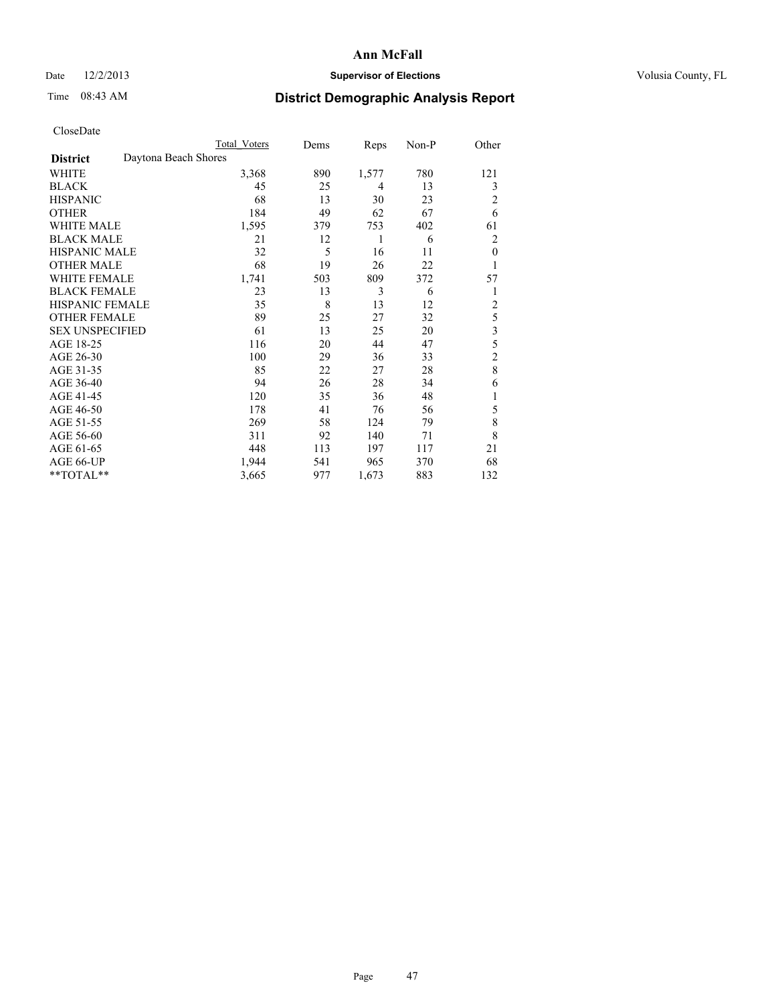# Date  $12/2/2013$  **Supervisor of Elections** Volusia County, FL

# Time 08:43 AM **District Demographic Analysis Report**

|                        | <b>Total Voters</b>  | Dems | Reps  | Non-P | Other          |
|------------------------|----------------------|------|-------|-------|----------------|
| <b>District</b>        | Daytona Beach Shores |      |       |       |                |
| WHITE                  | 3,368                | 890  | 1,577 | 780   | 121            |
| <b>BLACK</b>           | 45                   | 25   | 4     | 13    | 3              |
| <b>HISPANIC</b>        | 68                   | 13   | 30    | 23    | 2              |
| <b>OTHER</b>           | 184                  | 49   | 62    | 67    | 6              |
| <b>WHITE MALE</b>      | 1,595                | 379  | 753   | 402   | 61             |
| <b>BLACK MALE</b>      | 21                   | 12   | 1     | 6     | 2              |
| <b>HISPANIC MALE</b>   | 32                   | 5    | 16    | 11    | $\theta$       |
| <b>OTHER MALE</b>      | 68                   | 19   | 26    | 22    | 1              |
| <b>WHITE FEMALE</b>    | 1,741                | 503  | 809   | 372   | 57             |
| <b>BLACK FEMALE</b>    | 23                   | 13   | 3     | 6     | 1              |
| <b>HISPANIC FEMALE</b> | 35                   | 8    | 13    | 12    | $\overline{c}$ |
| <b>OTHER FEMALE</b>    | 89                   | 25   | 27    | 32    | 5              |
| <b>SEX UNSPECIFIED</b> | 61                   | 13   | 25    | 20    | 3              |
| AGE 18-25              | 116                  | 20   | 44    | 47    | 5              |
| AGE 26-30              | 100                  | 29   | 36    | 33    | $\overline{c}$ |
| AGE 31-35              | 85                   | 22   | 27    | 28    | 8              |
| AGE 36-40              | 94                   | 26   | 28    | 34    | 6              |
| AGE 41-45              | 120                  | 35   | 36    | 48    |                |
| AGE 46-50              | 178                  | 41   | 76    | 56    | 5              |
| AGE 51-55              | 269                  | 58   | 124   | 79    | 8              |
| AGE 56-60              | 311                  | 92   | 140   | 71    | 8              |
| AGE 61-65              | 448                  | 113  | 197   | 117   | 21             |
| AGE 66-UP              | 1,944                | 541  | 965   | 370   | 68             |
| **TOTAL**              | 3,665                | 977  | 1,673 | 883   | 132            |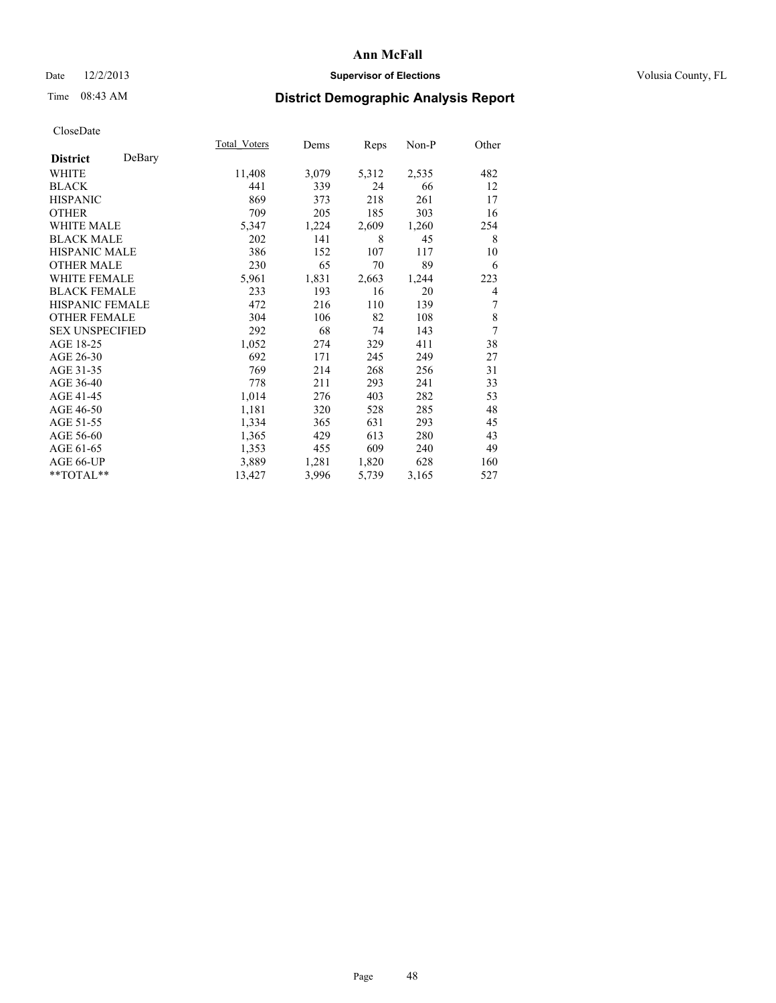## Date  $12/2/2013$  **Supervisor of Elections Supervisor of Elections** Volusia County, FL

# Time 08:43 AM **District Demographic Analysis Report**

|                        |        | Total Voters | Dems  | Reps  | Non-P | Other |
|------------------------|--------|--------------|-------|-------|-------|-------|
| <b>District</b>        | DeBary |              |       |       |       |       |
| WHITE                  |        | 11,408       | 3,079 | 5,312 | 2,535 | 482   |
| <b>BLACK</b>           |        | 441          | 339   | 24    | 66    | 12    |
| <b>HISPANIC</b>        |        | 869          | 373   | 218   | 261   | 17    |
| <b>OTHER</b>           |        | 709          | 205   | 185   | 303   | 16    |
| WHITE MALE             |        | 5,347        | 1,224 | 2,609 | 1,260 | 254   |
| <b>BLACK MALE</b>      |        | 202          | 141   | 8     | 45    | 8     |
| <b>HISPANIC MALE</b>   |        | 386          | 152   | 107   | 117   | 10    |
| <b>OTHER MALE</b>      |        | 230          | 65    | 70    | 89    | 6     |
| <b>WHITE FEMALE</b>    |        | 5,961        | 1,831 | 2,663 | 1,244 | 223   |
| <b>BLACK FEMALE</b>    |        | 233          | 193   | 16    | 20    | 4     |
| <b>HISPANIC FEMALE</b> |        | 472          | 216   | 110   | 139   | 7     |
| <b>OTHER FEMALE</b>    |        | 304          | 106   | 82    | 108   | 8     |
| <b>SEX UNSPECIFIED</b> |        | 292          | 68    | 74    | 143   | 7     |
| AGE 18-25              |        | 1,052        | 274   | 329   | 411   | 38    |
| AGE 26-30              |        | 692          | 171   | 245   | 249   | 27    |
| AGE 31-35              |        | 769          | 214   | 268   | 256   | 31    |
| AGE 36-40              |        | 778          | 211   | 293   | 241   | 33    |
| AGE 41-45              |        | 1,014        | 276   | 403   | 282   | 53    |
| AGE 46-50              |        | 1,181        | 320   | 528   | 285   | 48    |
| AGE 51-55              |        | 1,334        | 365   | 631   | 293   | 45    |
| AGE 56-60              |        | 1,365        | 429   | 613   | 280   | 43    |
| AGE 61-65              |        | 1,353        | 455   | 609   | 240   | 49    |
| AGE 66-UP              |        | 3,889        | 1,281 | 1,820 | 628   | 160   |
| **TOTAL**              |        | 13,427       | 3,996 | 5,739 | 3,165 | 527   |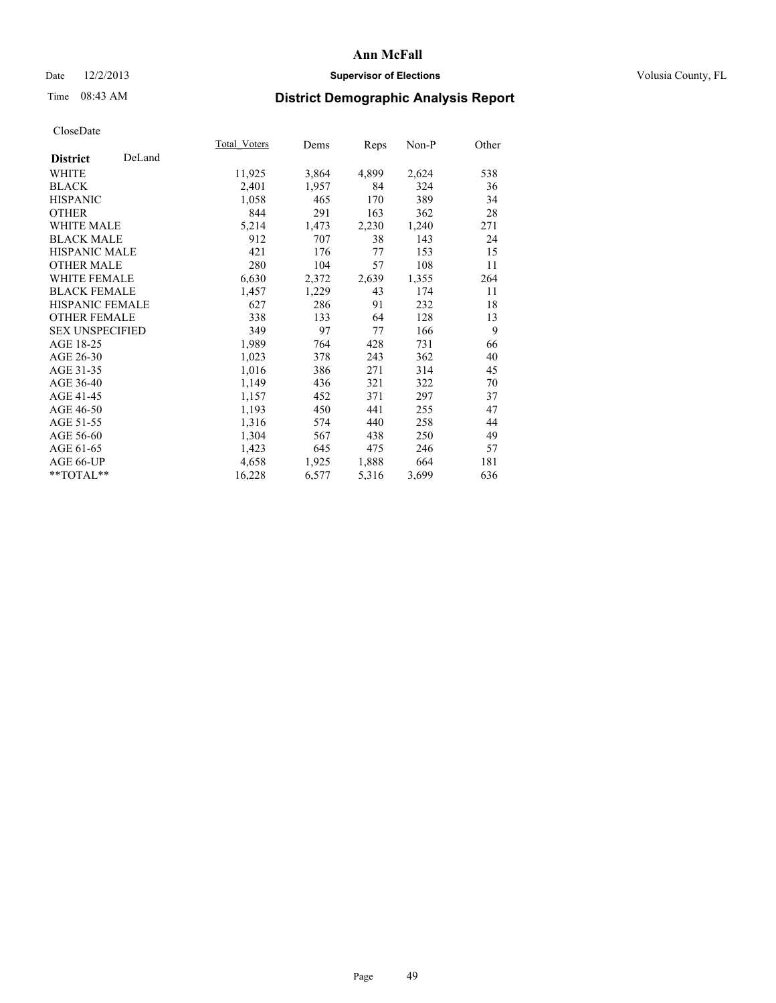# Date  $12/2/2013$  **Supervisor of Elections** Volusia County, FL

# Time 08:43 AM **District Demographic Analysis Report**

|                        |        | Total Voters | Dems  | <b>Reps</b> | Non-P | Other |
|------------------------|--------|--------------|-------|-------------|-------|-------|
| <b>District</b>        | DeLand |              |       |             |       |       |
| <b>WHITE</b>           |        | 11,925       | 3,864 | 4,899       | 2,624 | 538   |
| <b>BLACK</b>           |        | 2,401        | 1,957 | 84          | 324   | 36    |
| <b>HISPANIC</b>        |        | 1,058        | 465   | 170         | 389   | 34    |
| <b>OTHER</b>           |        | 844          | 291   | 163         | 362   | 28    |
| <b>WHITE MALE</b>      |        | 5,214        | 1,473 | 2,230       | 1,240 | 271   |
| <b>BLACK MALE</b>      |        | 912          | 707   | 38          | 143   | 24    |
| HISPANIC MALE          |        | 421          | 176   | 77          | 153   | 15    |
| <b>OTHER MALE</b>      |        | 280          | 104   | 57          | 108   | 11    |
| <b>WHITE FEMALE</b>    |        | 6,630        | 2,372 | 2,639       | 1,355 | 264   |
| <b>BLACK FEMALE</b>    |        | 1,457        | 1,229 | 43          | 174   | 11    |
| <b>HISPANIC FEMALE</b> |        | 627          | 286   | 91          | 232   | 18    |
| <b>OTHER FEMALE</b>    |        | 338          | 133   | 64          | 128   | 13    |
| <b>SEX UNSPECIFIED</b> |        | 349          | 97    | 77          | 166   | 9     |
| AGE 18-25              |        | 1,989        | 764   | 428         | 731   | 66    |
| AGE 26-30              |        | 1,023        | 378   | 243         | 362   | 40    |
| AGE 31-35              |        | 1,016        | 386   | 271         | 314   | 45    |
| AGE 36-40              |        | 1,149        | 436   | 321         | 322   | 70    |
| AGE 41-45              |        | 1,157        | 452   | 371         | 297   | 37    |
| AGE 46-50              |        | 1,193        | 450   | 441         | 255   | 47    |
| AGE 51-55              |        | 1,316        | 574   | 440         | 258   | 44    |
| AGE 56-60              |        | 1,304        | 567   | 438         | 250   | 49    |
| AGE 61-65              |        | 1,423        | 645   | 475         | 246   | 57    |
| AGE 66-UP              |        | 4,658        | 1,925 | 1,888       | 664   | 181   |
| **TOTAL**              |        | 16,228       | 6,577 | 5,316       | 3,699 | 636   |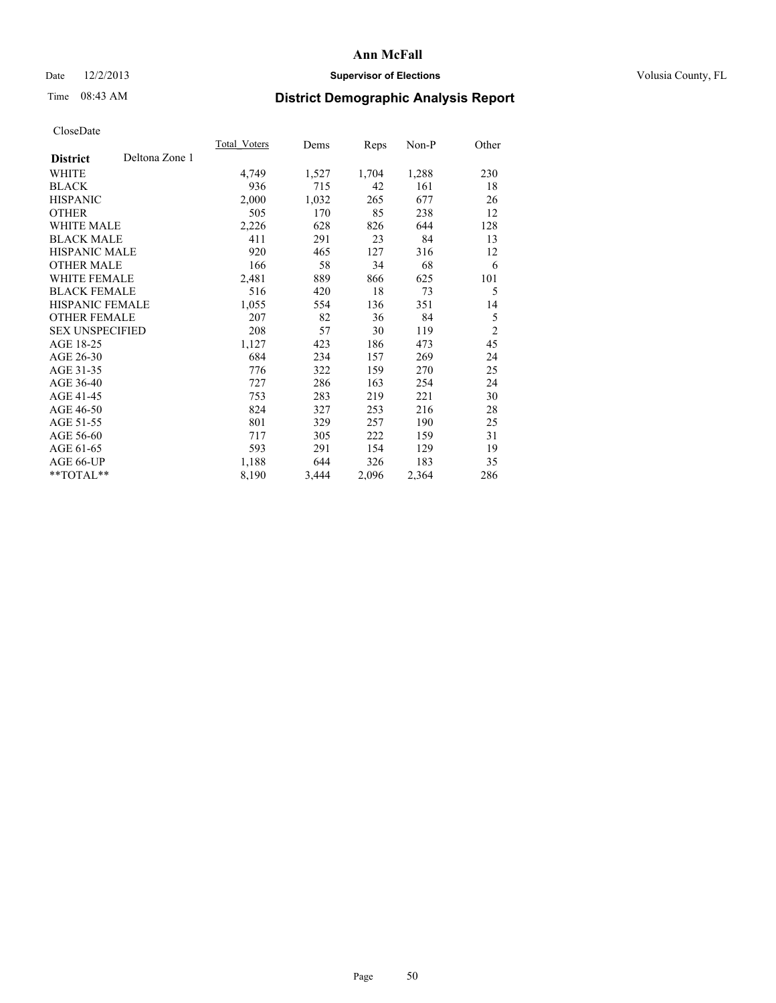## Date  $12/2/2013$  **Supervisor of Elections Supervisor of Elections** Volusia County, FL

# Time 08:43 AM **District Demographic Analysis Report**

|                                   | Total Voters | Dems  | Reps  | Non-P | Other          |
|-----------------------------------|--------------|-------|-------|-------|----------------|
| Deltona Zone 1<br><b>District</b> |              |       |       |       |                |
| WHITE                             | 4,749        | 1,527 | 1,704 | 1,288 | 230            |
| <b>BLACK</b>                      | 936          | 715   | 42    | 161   | 18             |
| <b>HISPANIC</b>                   | 2,000        | 1,032 | 265   | 677   | 26             |
| <b>OTHER</b>                      | 505          | 170   | 85    | 238   | 12             |
| <b>WHITE MALE</b>                 | 2,226        | 628   | 826   | 644   | 128            |
| <b>BLACK MALE</b>                 | 411          | 291   | 23    | 84    | 13             |
| <b>HISPANIC MALE</b>              | 920          | 465   | 127   | 316   | 12             |
| <b>OTHER MALE</b>                 | 166          | 58    | 34    | 68    | 6              |
| <b>WHITE FEMALE</b>               | 2,481        | 889   | 866   | 625   | 101            |
| <b>BLACK FEMALE</b>               | 516          | 420   | 18    | 73    | 5              |
| HISPANIC FEMALE                   | 1,055        | 554   | 136   | 351   | 14             |
| <b>OTHER FEMALE</b>               | 207          | 82    | 36    | 84    | 5              |
| <b>SEX UNSPECIFIED</b>            | 208          | 57    | 30    | 119   | $\overline{2}$ |
| AGE 18-25                         | 1,127        | 423   | 186   | 473   | 45             |
| AGE 26-30                         | 684          | 234   | 157   | 269   | 24             |
| AGE 31-35                         | 776          | 322   | 159   | 270   | 25             |
| AGE 36-40                         | 727          | 286   | 163   | 254   | 24             |
| AGE 41-45                         | 753          | 283   | 219   | 221   | 30             |
| AGE 46-50                         | 824          | 327   | 253   | 216   | 28             |
| AGE 51-55                         | 801          | 329   | 257   | 190   | 25             |
| AGE 56-60                         | 717          | 305   | 222   | 159   | 31             |
| AGE 61-65                         | 593          | 291   | 154   | 129   | 19             |
| AGE 66-UP                         | 1,188        | 644   | 326   | 183   | 35             |
| **TOTAL**                         | 8,190        | 3,444 | 2,096 | 2,364 | 286            |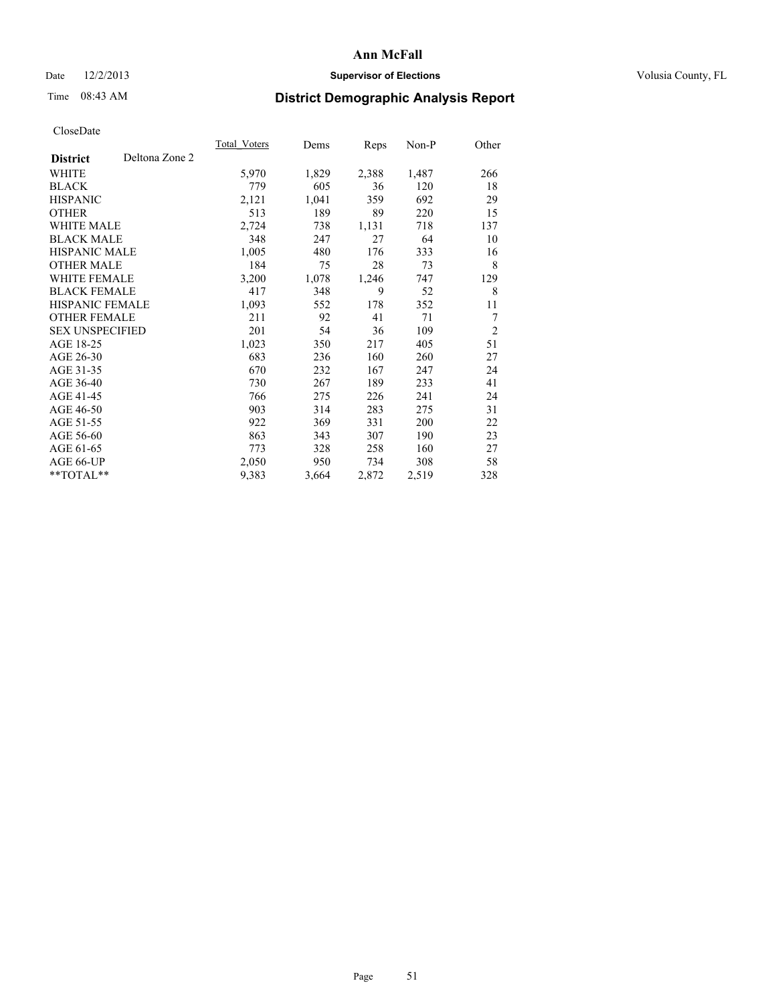# Date  $12/2/2013$  **Supervisor of Elections** Volusia County, FL

# Time 08:43 AM **District Demographic Analysis Report**

|                                   | <b>Total Voters</b> | Dems  | <b>Reps</b> | $Non-P$ | Other          |
|-----------------------------------|---------------------|-------|-------------|---------|----------------|
| Deltona Zone 2<br><b>District</b> |                     |       |             |         |                |
| WHITE                             | 5,970               | 1,829 | 2,388       | 1,487   | 266            |
| <b>BLACK</b>                      | 779                 | 605   | 36          | 120     | 18             |
| <b>HISPANIC</b>                   | 2,121               | 1,041 | 359         | 692     | 29             |
| <b>OTHER</b>                      | 513                 | 189   | 89          | 220     | 15             |
| <b>WHITE MALE</b>                 | 2,724               | 738   | 1,131       | 718     | 137            |
| <b>BLACK MALE</b>                 | 348                 | 247   | 27          | 64      | 10             |
| <b>HISPANIC MALE</b>              | 1,005               | 480   | 176         | 333     | 16             |
| <b>OTHER MALE</b>                 | 184                 | 75    | 28          | 73      | 8              |
| WHITE FEMALE                      | 3,200               | 1,078 | 1,246       | 747     | 129            |
| <b>BLACK FEMALE</b>               | 417                 | 348   | 9           | 52      | 8              |
| HISPANIC FEMALE                   | 1,093               | 552   | 178         | 352     | 11             |
| <b>OTHER FEMALE</b>               | 211                 | 92    | 41          | 71      | 7              |
| <b>SEX UNSPECIFIED</b>            | 201                 | 54    | 36          | 109     | $\overline{2}$ |
| AGE 18-25                         | 1,023               | 350   | 217         | 405     | 51             |
| AGE 26-30                         | 683                 | 236   | 160         | 260     | 27             |
| AGE 31-35                         | 670                 | 232   | 167         | 247     | 24             |
| AGE 36-40                         | 730                 | 267   | 189         | 233     | 41             |
| AGE 41-45                         | 766                 | 275   | 226         | 241     | 24             |
| AGE 46-50                         | 903                 | 314   | 283         | 275     | 31             |
| AGE 51-55                         | 922                 | 369   | 331         | 200     | 22             |
| AGE 56-60                         | 863                 | 343   | 307         | 190     | 23             |
| AGE 61-65                         | 773                 | 328   | 258         | 160     | 27             |
| AGE 66-UP                         | 2,050               | 950   | 734         | 308     | 58             |
| **TOTAL**                         | 9,383               | 3,664 | 2,872       | 2,519   | 328            |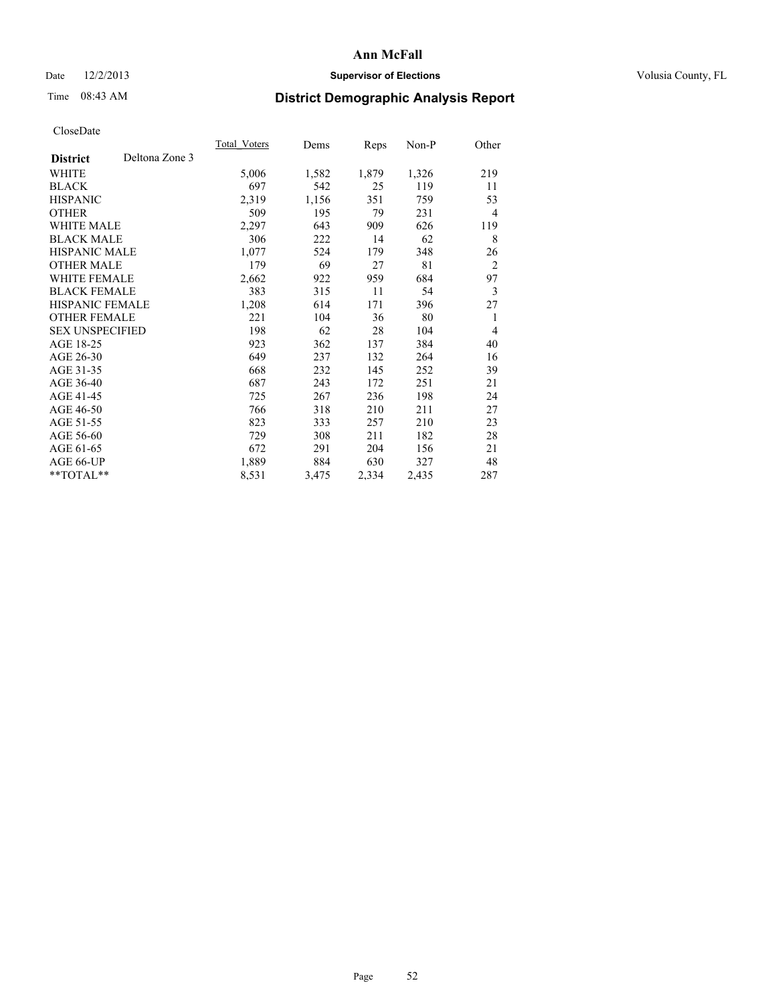## Date  $12/2/2013$  **Supervisor of Elections Supervisor of Elections** Volusia County, FL

# Time 08:43 AM **District Demographic Analysis Report**

|                        |                | Total Voters | Dems  | <b>Reps</b> | Non-P | Other          |
|------------------------|----------------|--------------|-------|-------------|-------|----------------|
| <b>District</b>        | Deltona Zone 3 |              |       |             |       |                |
| WHITE                  |                | 5,006        | 1,582 | 1,879       | 1,326 | 219            |
| <b>BLACK</b>           |                | 697          | 542   | 25          | 119   | 11             |
| <b>HISPANIC</b>        |                | 2,319        | 1,156 | 351         | 759   | 53             |
| <b>OTHER</b>           |                | 509          | 195   | 79          | 231   | $\overline{4}$ |
| WHITE MALE             |                | 2,297        | 643   | 909         | 626   | 119            |
| <b>BLACK MALE</b>      |                | 306          | 222   | 14          | 62    | 8              |
| <b>HISPANIC MALE</b>   |                | 1,077        | 524   | 179         | 348   | 26             |
| <b>OTHER MALE</b>      |                | 179          | 69    | 27          | 81    | $\overline{2}$ |
| WHITE FEMALE           |                | 2,662        | 922   | 959         | 684   | 97             |
| <b>BLACK FEMALE</b>    |                | 383          | 315   | 11          | 54    | 3              |
| <b>HISPANIC FEMALE</b> |                | 1,208        | 614   | 171         | 396   | 27             |
| <b>OTHER FEMALE</b>    |                | 221          | 104   | 36          | 80    | 1              |
| <b>SEX UNSPECIFIED</b> |                | 198          | 62    | 28          | 104   | $\overline{4}$ |
| AGE 18-25              |                | 923          | 362   | 137         | 384   | 40             |
| AGE 26-30              |                | 649          | 237   | 132         | 264   | 16             |
| AGE 31-35              |                | 668          | 232   | 145         | 252   | 39             |
| AGE 36-40              |                | 687          | 243   | 172         | 251   | 21             |
| AGE 41-45              |                | 725          | 267   | 236         | 198   | 24             |
| AGE 46-50              |                | 766          | 318   | 210         | 211   | 27             |
| AGE 51-55              |                | 823          | 333   | 257         | 210   | 23             |
| AGE 56-60              |                | 729          | 308   | 211         | 182   | 28             |
| AGE 61-65              |                | 672          | 291   | 204         | 156   | 21             |
| AGE 66-UP              |                | 1,889        | 884   | 630         | 327   | 48             |
| **TOTAL**              |                | 8,531        | 3,475 | 2,334       | 2,435 | 287            |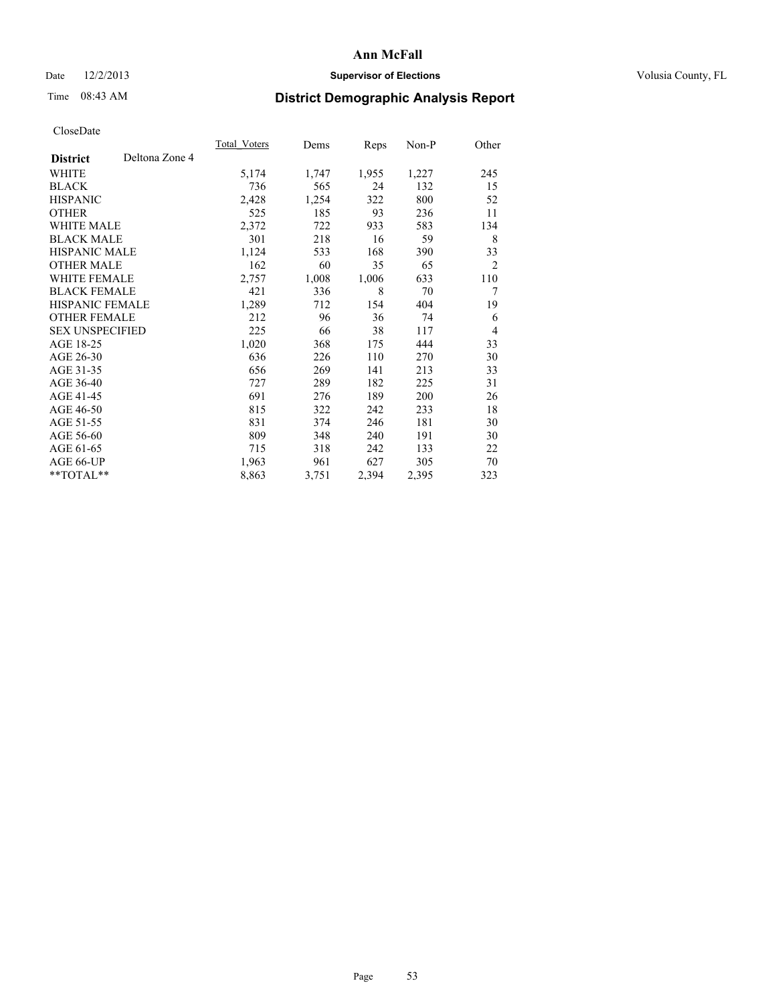# Date  $12/2/2013$  **Supervisor of Elections** Volusia County, FL

# Time 08:43 AM **District Demographic Analysis Report**

|                                   | Total Voters | Dems  | Reps  | Non-P | Other          |
|-----------------------------------|--------------|-------|-------|-------|----------------|
| Deltona Zone 4<br><b>District</b> |              |       |       |       |                |
| WHITE                             | 5,174        | 1,747 | 1,955 | 1,227 | 245            |
| <b>BLACK</b>                      | 736          | 565   | 24    | 132   | 15             |
| <b>HISPANIC</b>                   | 2,428        | 1,254 | 322   | 800   | 52             |
| <b>OTHER</b>                      | 525          | 185   | 93    | 236   | 11             |
| <b>WHITE MALE</b>                 | 2,372        | 722   | 933   | 583   | 134            |
| <b>BLACK MALE</b>                 | 301          | 218   | 16    | 59    | 8              |
| <b>HISPANIC MALE</b>              | 1,124        | 533   | 168   | 390   | 33             |
| <b>OTHER MALE</b>                 | 162          | 60    | 35    | 65    | $\overline{2}$ |
| <b>WHITE FEMALE</b>               | 2,757        | 1,008 | 1,006 | 633   | 110            |
| <b>BLACK FEMALE</b>               | 421          | 336   | 8     | 70    | 7              |
| <b>HISPANIC FEMALE</b>            | 1,289        | 712   | 154   | 404   | 19             |
| <b>OTHER FEMALE</b>               | 212          | 96    | 36    | 74    | 6              |
| <b>SEX UNSPECIFIED</b>            | 225          | 66    | 38    | 117   | $\overline{4}$ |
| AGE 18-25                         | 1,020        | 368   | 175   | 444   | 33             |
| AGE 26-30                         | 636          | 226   | 110   | 270   | 30             |
| AGE 31-35                         | 656          | 269   | 141   | 213   | 33             |
| AGE 36-40                         | 727          | 289   | 182   | 225   | 31             |
| AGE 41-45                         | 691          | 276   | 189   | 200   | 26             |
| AGE 46-50                         | 815          | 322   | 242   | 233   | 18             |
| AGE 51-55                         | 831          | 374   | 246   | 181   | 30             |
| AGE 56-60                         | 809          | 348   | 240   | 191   | 30             |
| AGE 61-65                         | 715          | 318   | 242   | 133   | 22             |
| AGE 66-UP                         | 1,963        | 961   | 627   | 305   | 70             |
| **TOTAL**                         | 8,863        | 3,751 | 2,394 | 2,395 | 323            |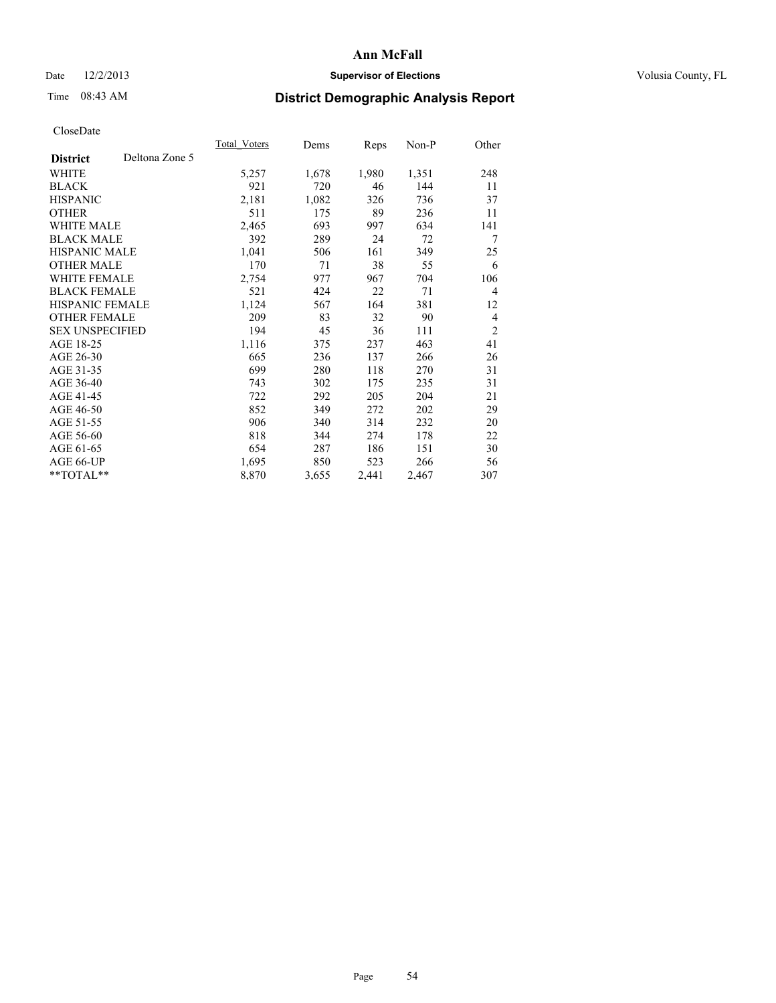# Date  $12/2/2013$  **Supervisor of Elections** Volusia County, FL

# Time 08:43 AM **District Demographic Analysis Report**

|                        |                | Total Voters | Dems  | Reps  | Non-P | Other          |
|------------------------|----------------|--------------|-------|-------|-------|----------------|
| <b>District</b>        | Deltona Zone 5 |              |       |       |       |                |
| WHITE                  |                | 5,257        | 1,678 | 1,980 | 1,351 | 248            |
| <b>BLACK</b>           |                | 921          | 720   | 46    | 144   | 11             |
| <b>HISPANIC</b>        |                | 2,181        | 1,082 | 326   | 736   | 37             |
| <b>OTHER</b>           |                | 511          | 175   | 89    | 236   | 11             |
| <b>WHITE MALE</b>      |                | 2,465        | 693   | 997   | 634   | 141            |
| <b>BLACK MALE</b>      |                | 392          | 289   | 24    | 72    | 7              |
| <b>HISPANIC MALE</b>   |                | 1,041        | 506   | 161   | 349   | 25             |
| <b>OTHER MALE</b>      |                | 170          | 71    | 38    | 55    | 6              |
| <b>WHITE FEMALE</b>    |                | 2,754        | 977   | 967   | 704   | 106            |
| <b>BLACK FEMALE</b>    |                | 521          | 424   | 22    | 71    | $\overline{4}$ |
| <b>HISPANIC FEMALE</b> |                | 1,124        | 567   | 164   | 381   | 12             |
| <b>OTHER FEMALE</b>    |                | 209          | 83    | 32    | 90    | $\overline{4}$ |
| <b>SEX UNSPECIFIED</b> |                | 194          | 45    | 36    | 111   | $\overline{2}$ |
| AGE 18-25              |                | 1,116        | 375   | 237   | 463   | 41             |
| AGE 26-30              |                | 665          | 236   | 137   | 266   | 26             |
| AGE 31-35              |                | 699          | 280   | 118   | 270   | 31             |
| AGE 36-40              |                | 743          | 302   | 175   | 235   | 31             |
| AGE 41-45              |                | 722          | 292   | 205   | 204   | 21             |
| AGE 46-50              |                | 852          | 349   | 272   | 202   | 29             |
| AGE 51-55              |                | 906          | 340   | 314   | 232   | 20             |
| AGE 56-60              |                | 818          | 344   | 274   | 178   | 22             |
| AGE 61-65              |                | 654          | 287   | 186   | 151   | 30             |
| AGE 66-UP              |                | 1,695        | 850   | 523   | 266   | 56             |
| **TOTAL**              |                | 8,870        | 3,655 | 2,441 | 2,467 | 307            |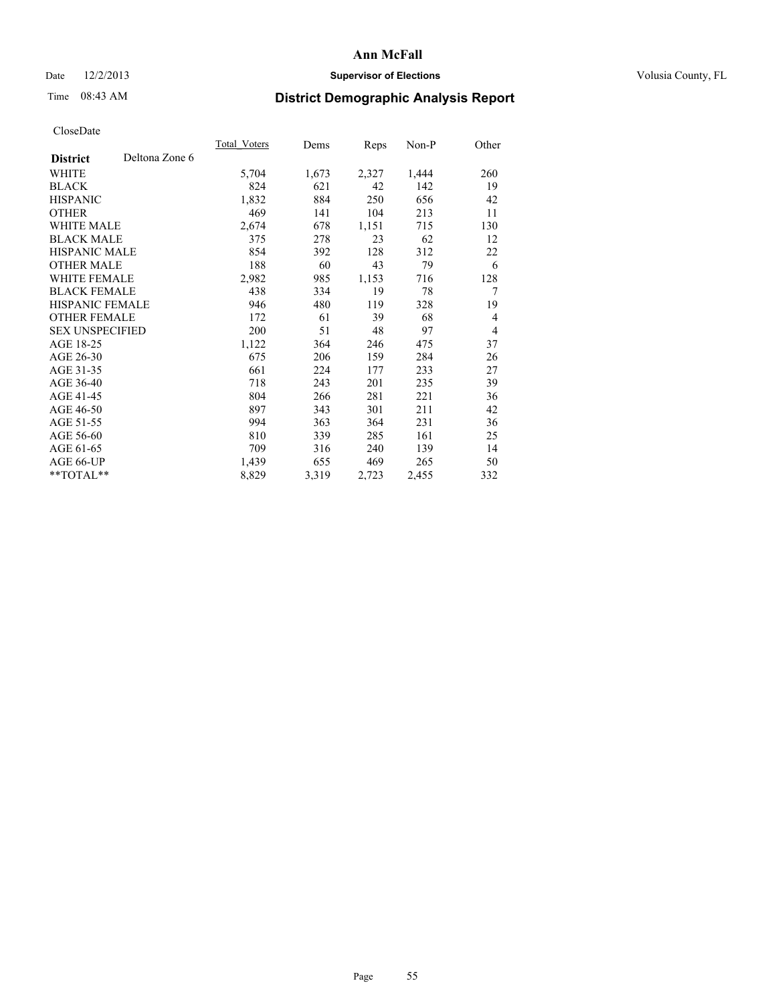# Date  $12/2/2013$  **Supervisor of Elections** Volusia County, FL

# Time 08:43 AM **District Demographic Analysis Report**

|                                   | Total Voters | Dems  | <b>Reps</b> | Non-P | Other |
|-----------------------------------|--------------|-------|-------------|-------|-------|
| Deltona Zone 6<br><b>District</b> |              |       |             |       |       |
| WHITE                             | 5,704        | 1,673 | 2,327       | 1,444 | 260   |
| <b>BLACK</b>                      | 824          | 621   | 42          | 142   | 19    |
| <b>HISPANIC</b>                   | 1,832        | 884   | 250         | 656   | 42    |
| <b>OTHER</b>                      | 469          | 141   | 104         | 213   | 11    |
| <b>WHITE MALE</b>                 | 2,674        | 678   | 1,151       | 715   | 130   |
| <b>BLACK MALE</b>                 | 375          | 278   | 23          | 62    | 12    |
| <b>HISPANIC MALE</b>              | 854          | 392   | 128         | 312   | 22    |
| <b>OTHER MALE</b>                 | 188          | 60    | 43          | 79    | 6     |
| <b>WHITE FEMALE</b>               | 2,982        | 985   | 1,153       | 716   | 128   |
| <b>BLACK FEMALE</b>               | 438          | 334   | 19          | 78    | 7     |
| <b>HISPANIC FEMALE</b>            | 946          | 480   | 119         | 328   | 19    |
| <b>OTHER FEMALE</b>               | 172          | 61    | 39          | 68    | 4     |
| <b>SEX UNSPECIFIED</b>            | 200          | 51    | 48          | 97    | 4     |
| AGE 18-25                         | 1,122        | 364   | 246         | 475   | 37    |
| AGE 26-30                         | 675          | 206   | 159         | 284   | 26    |
| AGE 31-35                         | 661          | 224   | 177         | 233   | 27    |
| AGE 36-40                         | 718          | 243   | 201         | 235   | 39    |
| AGE 41-45                         | 804          | 266   | 281         | 221   | 36    |
| AGE 46-50                         | 897          | 343   | 301         | 211   | 42    |
| AGE 51-55                         | 994          | 363   | 364         | 231   | 36    |
| AGE 56-60                         | 810          | 339   | 285         | 161   | 25    |
| AGE 61-65                         | 709          | 316   | 240         | 139   | 14    |
| AGE 66-UP                         | 1,439        | 655   | 469         | 265   | 50    |
| **TOTAL**                         | 8,829        | 3,319 | 2,723       | 2,455 | 332   |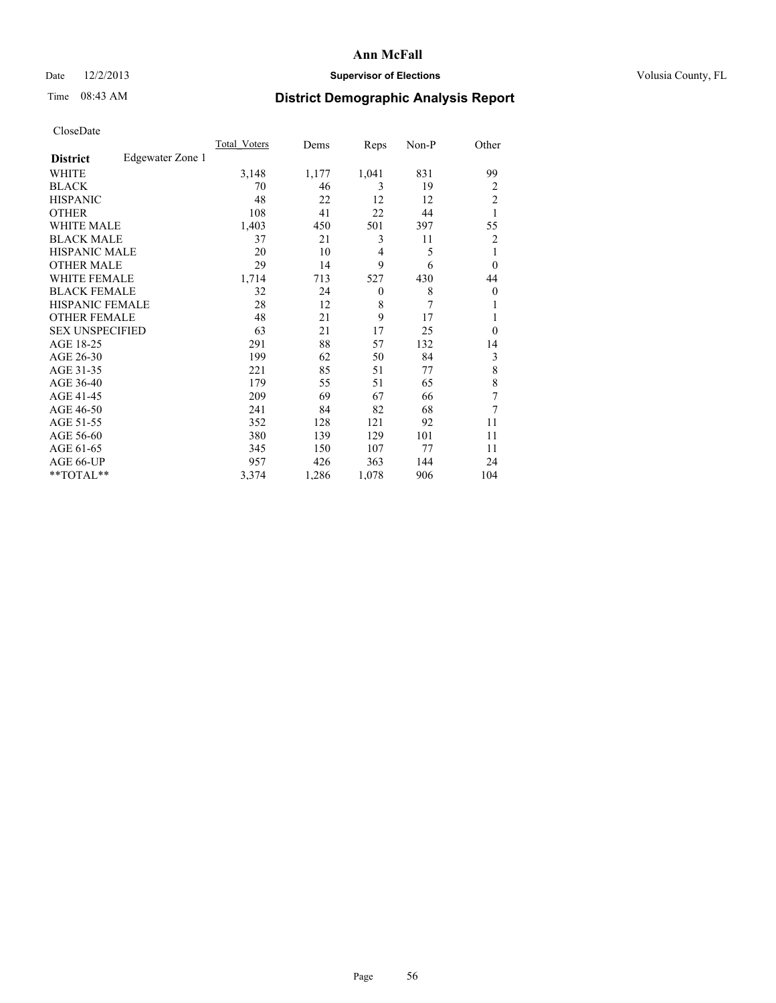# Date  $12/2/2013$  **Supervisor of Elections** Volusia County, FL

# Time 08:43 AM **District Demographic Analysis Report**

|                        |                  | <b>Total Voters</b> | Dems  | Reps     | Non-P | Other          |
|------------------------|------------------|---------------------|-------|----------|-------|----------------|
| <b>District</b>        | Edgewater Zone 1 |                     |       |          |       |                |
| WHITE                  |                  | 3,148               | 1,177 | 1,041    | 831   | 99             |
| <b>BLACK</b>           |                  | 70                  | 46    | 3        | 19    | $\overline{2}$ |
| <b>HISPANIC</b>        |                  | 48                  | 22    | 12       | 12    | $\overline{c}$ |
| <b>OTHER</b>           |                  | 108                 | 41    | 22       | 44    | 1              |
| WHITE MALE             |                  | 1,403               | 450   | 501      | 397   | 55             |
| <b>BLACK MALE</b>      |                  | 37                  | 21    | 3        | 11    | $\overline{2}$ |
| <b>HISPANIC MALE</b>   |                  | 20                  | 10    | 4        | 5     | 1              |
| <b>OTHER MALE</b>      |                  | 29                  | 14    | 9        | 6     | $\Omega$       |
| <b>WHITE FEMALE</b>    |                  | 1,714               | 713   | 527      | 430   | 44             |
| <b>BLACK FEMALE</b>    |                  | 32                  | 24    | $\theta$ | 8     | $\overline{0}$ |
| <b>HISPANIC FEMALE</b> |                  | 28                  | 12    | 8        | 7     |                |
| <b>OTHER FEMALE</b>    |                  | 48                  | 21    | 9        | 17    |                |
| <b>SEX UNSPECIFIED</b> |                  | 63                  | 21    | 17       | 25    | $\theta$       |
| AGE 18-25              |                  | 291                 | 88    | 57       | 132   | 14             |
| AGE 26-30              |                  | 199                 | 62    | 50       | 84    | 3              |
| AGE 31-35              |                  | 221                 | 85    | 51       | 77    | 8              |
| AGE 36-40              |                  | 179                 | 55    | 51       | 65    | 8              |
| AGE 41-45              |                  | 209                 | 69    | 67       | 66    | 7              |
| AGE 46-50              |                  | 241                 | 84    | 82       | 68    | 7              |
| AGE 51-55              |                  | 352                 | 128   | 121      | 92    | 11             |
| AGE 56-60              |                  | 380                 | 139   | 129      | 101   | 11             |
| AGE 61-65              |                  | 345                 | 150   | 107      | 77    | 11             |
| AGE 66-UP              |                  | 957                 | 426   | 363      | 144   | 24             |
| **TOTAL**              |                  | 3,374               | 1,286 | 1,078    | 906   | 104            |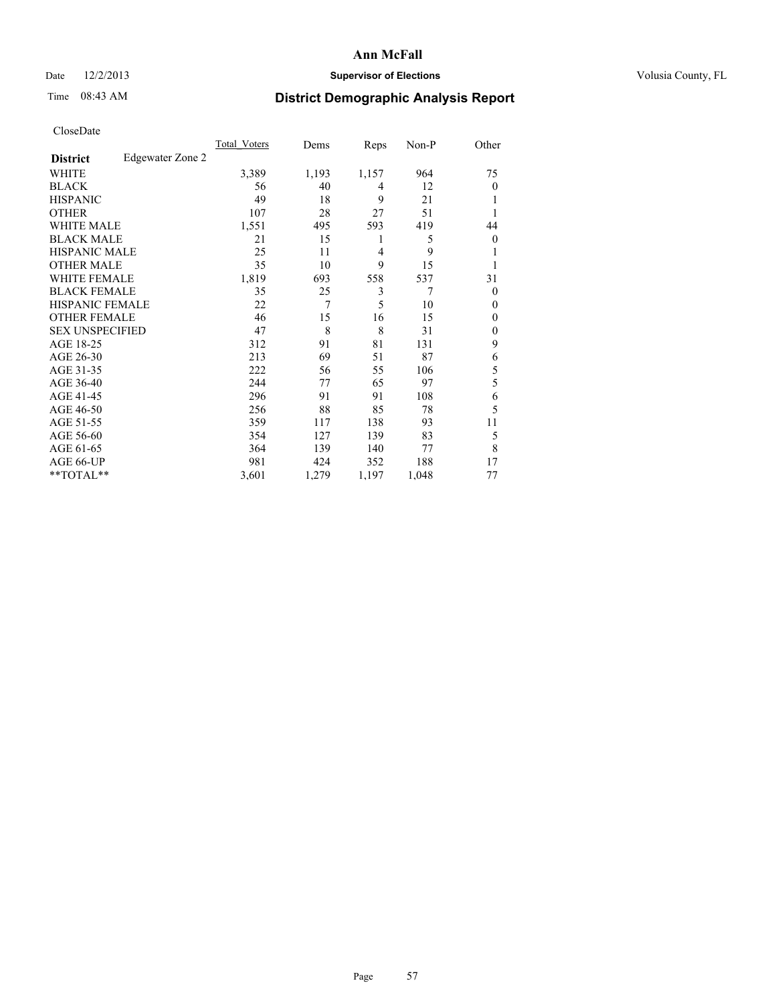# Date  $12/2/2013$  **Supervisor of Elections** Volusia County, FL

# Time 08:43 AM **District Demographic Analysis Report**

|                        |                  | <b>Total Voters</b> | Dems  | Reps           | Non-P | Other          |
|------------------------|------------------|---------------------|-------|----------------|-------|----------------|
| <b>District</b>        | Edgewater Zone 2 |                     |       |                |       |                |
| WHITE                  |                  | 3,389               | 1,193 | 1,157          | 964   | 75             |
| <b>BLACK</b>           |                  | 56                  | 40    | 4              | 12    | $\Omega$       |
| <b>HISPANIC</b>        |                  | 49                  | 18    | 9              | 21    |                |
| <b>OTHER</b>           |                  | 107                 | 28    | 27             | 51    |                |
| WHITE MALE             |                  | 1,551               | 495   | 593            | 419   | 44             |
| <b>BLACK MALE</b>      |                  | 21                  | 15    | 1              | 5     | $\overline{0}$ |
| <b>HISPANIC MALE</b>   |                  | 25                  | 11    | $\overline{4}$ | 9     |                |
| <b>OTHER MALE</b>      |                  | 35                  | 10    | 9              | 15    |                |
| <b>WHITE FEMALE</b>    |                  | 1,819               | 693   | 558            | 537   | 31             |
| <b>BLACK FEMALE</b>    |                  | 35                  | 25    | 3              | 7     | $\overline{0}$ |
| <b>HISPANIC FEMALE</b> |                  | 22                  | 7     | 5              | 10    | $\Omega$       |
| <b>OTHER FEMALE</b>    |                  | 46                  | 15    | 16             | 15    | $\Omega$       |
| <b>SEX UNSPECIFIED</b> |                  | 47                  | 8     | 8              | 31    | $\overline{0}$ |
| AGE 18-25              |                  | 312                 | 91    | 81             | 131   | 9              |
| AGE 26-30              |                  | 213                 | 69    | 51             | 87    | 6              |
| AGE 31-35              |                  | 222                 | 56    | 55             | 106   | 5              |
| AGE 36-40              |                  | 244                 | 77    | 65             | 97    | 5              |
| AGE 41-45              |                  | 296                 | 91    | 91             | 108   | 6              |
| AGE 46-50              |                  | 256                 | 88    | 85             | 78    | 5              |
| AGE 51-55              |                  | 359                 | 117   | 138            | 93    | 11             |
| AGE 56-60              |                  | 354                 | 127   | 139            | 83    | 5              |
| AGE 61-65              |                  | 364                 | 139   | 140            | 77    | 8              |
| AGE 66-UP              |                  | 981                 | 424   | 352            | 188   | 17             |
| **TOTAL**              |                  | 3,601               | 1,279 | 1,197          | 1,048 | 77             |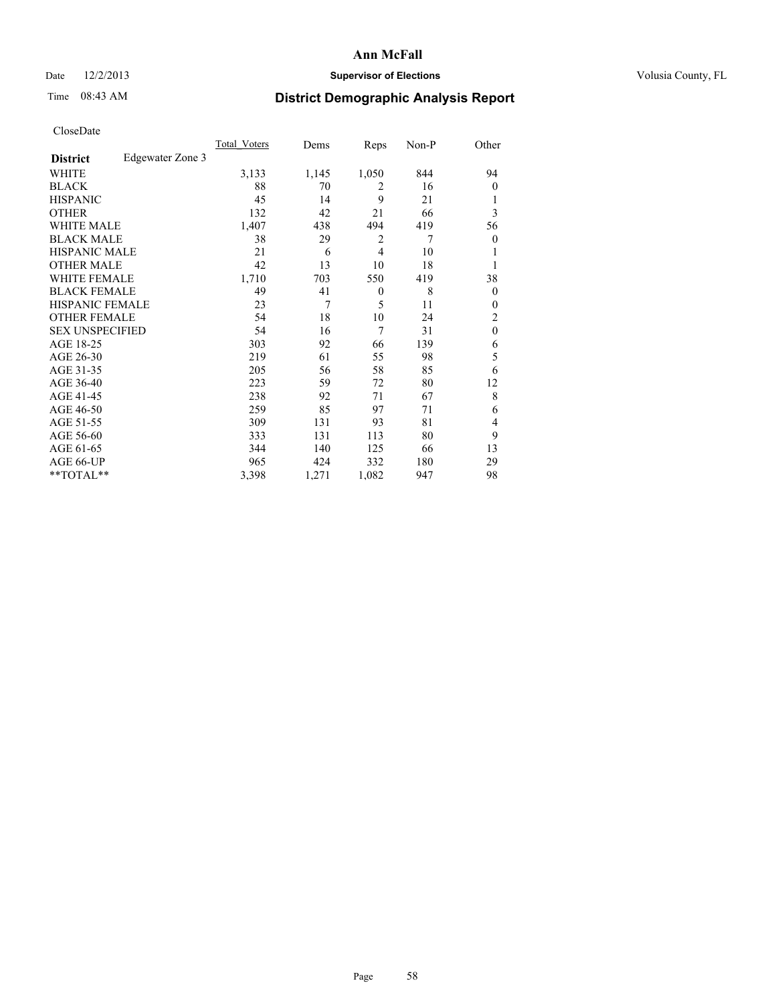# Date  $12/2/2013$  **Supervisor of Elections** Volusia County, FL

# Time 08:43 AM **District Demographic Analysis Report**

|                        |                  | Total Voters | Dems  | Reps           | Non-P | Other          |
|------------------------|------------------|--------------|-------|----------------|-------|----------------|
| <b>District</b>        | Edgewater Zone 3 |              |       |                |       |                |
| WHITE                  |                  | 3,133        | 1,145 | 1,050          | 844   | 94             |
| <b>BLACK</b>           |                  | 88           | 70    | $\overline{2}$ | 16    | $\Omega$       |
| <b>HISPANIC</b>        |                  | 45           | 14    | 9              | 21    | 1              |
| <b>OTHER</b>           |                  | 132          | 42    | 21             | 66    | 3              |
| WHITE MALE             |                  | 1,407        | 438   | 494            | 419   | 56             |
| <b>BLACK MALE</b>      |                  | 38           | 29    | $\overline{2}$ | 7     | $\overline{0}$ |
| <b>HISPANIC MALE</b>   |                  | 21           | 6     | $\overline{4}$ | 10    |                |
| <b>OTHER MALE</b>      |                  | 42           | 13    | 10             | 18    | 1              |
| <b>WHITE FEMALE</b>    |                  | 1,710        | 703   | 550            | 419   | 38             |
| <b>BLACK FEMALE</b>    |                  | 49           | 41    | $\theta$       | 8     | $\overline{0}$ |
| <b>HISPANIC FEMALE</b> |                  | 23           | 7     | 5              | 11    | $\Omega$       |
| <b>OTHER FEMALE</b>    |                  | 54           | 18    | 10             | 24    | 2              |
| <b>SEX UNSPECIFIED</b> |                  | 54           | 16    | $\overline{7}$ | 31    | $\mathbf{0}$   |
| AGE 18-25              |                  | 303          | 92    | 66             | 139   | 6              |
| AGE 26-30              |                  | 219          | 61    | 55             | 98    | 5              |
| AGE 31-35              |                  | 205          | 56    | 58             | 85    | 6              |
| AGE 36-40              |                  | 223          | 59    | 72             | 80    | 12             |
| AGE 41-45              |                  | 238          | 92    | 71             | 67    | 8              |
| AGE 46-50              |                  | 259          | 85    | 97             | 71    | 6              |
| AGE 51-55              |                  | 309          | 131   | 93             | 81    | $\overline{4}$ |
| AGE 56-60              |                  | 333          | 131   | 113            | 80    | 9              |
| AGE 61-65              |                  | 344          | 140   | 125            | 66    | 13             |
| AGE 66-UP              |                  | 965          | 424   | 332            | 180   | 29             |
| **TOTAL**              |                  | 3,398        | 1,271 | 1,082          | 947   | 98             |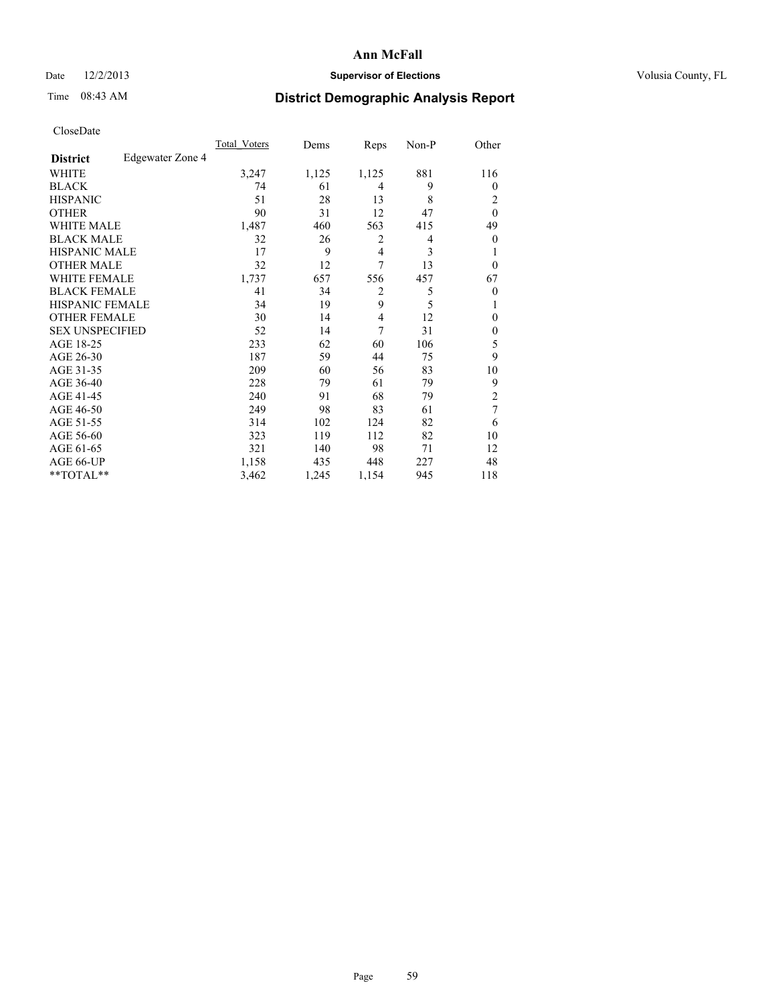# Date  $12/2/2013$  **Supervisor of Elections** Volusia County, FL

# Time 08:43 AM **District Demographic Analysis Report**

|                        |                  | Total Voters | Dems  | Reps           | Non-P | Other            |
|------------------------|------------------|--------------|-------|----------------|-------|------------------|
| <b>District</b>        | Edgewater Zone 4 |              |       |                |       |                  |
| WHITE                  |                  | 3,247        | 1,125 | 1,125          | 881   | 116              |
| <b>BLACK</b>           |                  | 74           | 61    | 4              | 9     | $\theta$         |
| <b>HISPANIC</b>        |                  | 51           | 28    | 13             | 8     | 2                |
| <b>OTHER</b>           |                  | 90           | 31    | 12             | 47    | $\theta$         |
| WHITE MALE             |                  | 1,487        | 460   | 563            | 415   | 49               |
| <b>BLACK MALE</b>      |                  | 32           | 26    | 2              | 4     | $\boldsymbol{0}$ |
| <b>HISPANIC MALE</b>   |                  | 17           | 9     | 4              | 3     | 1                |
| <b>OTHER MALE</b>      |                  | 32           | 12    | 7              | 13    | $\overline{0}$   |
| <b>WHITE FEMALE</b>    |                  | 1,737        | 657   | 556            | 457   | 67               |
| <b>BLACK FEMALE</b>    |                  | 41           | 34    | $\overline{2}$ | 5     | $\theta$         |
| <b>HISPANIC FEMALE</b> |                  | 34           | 19    | 9              | 5     | 1                |
| <b>OTHER FEMALE</b>    |                  | 30           | 14    | 4              | 12    | $\theta$         |
| <b>SEX UNSPECIFIED</b> |                  | 52           | 14    | 7              | 31    | $\mathbf{0}$     |
| AGE 18-25              |                  | 233          | 62    | 60             | 106   | 5                |
| AGE 26-30              |                  | 187          | 59    | 44             | 75    | 9                |
| AGE 31-35              |                  | 209          | 60    | 56             | 83    | 10               |
| AGE 36-40              |                  | 228          | 79    | 61             | 79    | 9                |
| AGE 41-45              |                  | 240          | 91    | 68             | 79    | $\overline{c}$   |
| AGE 46-50              |                  | 249          | 98    | 83             | 61    | 7                |
| AGE 51-55              |                  | 314          | 102   | 124            | 82    | 6                |
| AGE 56-60              |                  | 323          | 119   | 112            | 82    | 10               |
| AGE 61-65              |                  | 321          | 140   | 98             | 71    | 12               |
| AGE 66-UP              |                  | 1,158        | 435   | 448            | 227   | 48               |
| **TOTAL**              |                  | 3,462        | 1,245 | 1,154          | 945   | 118              |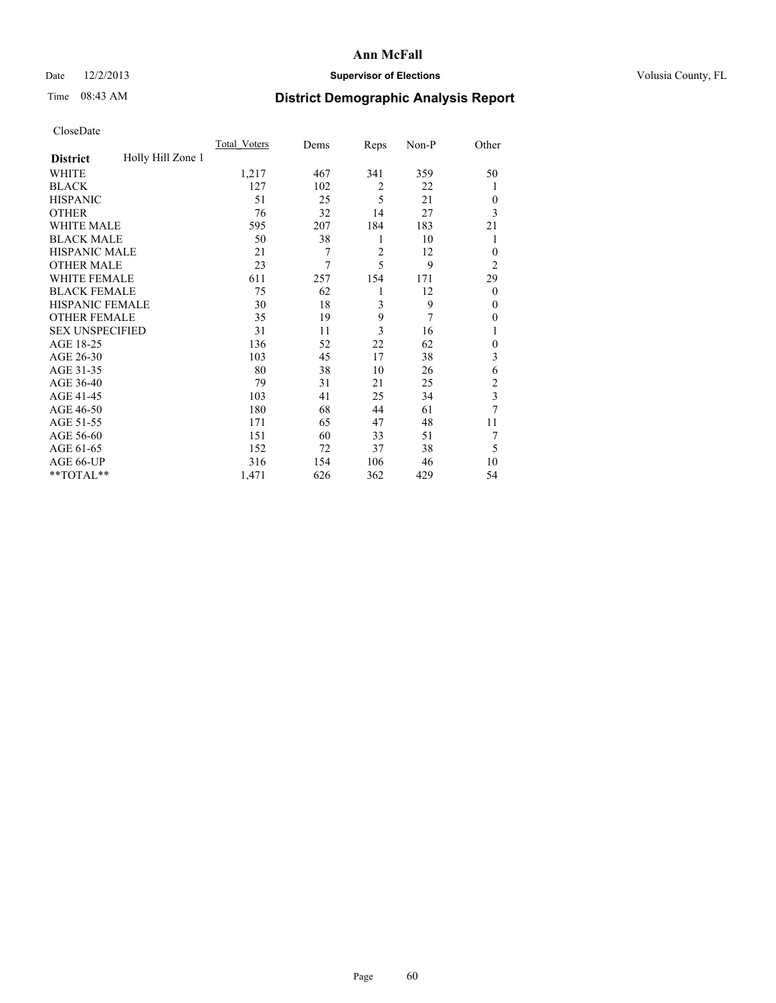## Date  $12/2/2013$  **Supervisor of Elections** Volusia County, FL

# Time 08:43 AM **District Demographic Analysis Report**

| Cioscivate             |                   |              |      |                |       |                |
|------------------------|-------------------|--------------|------|----------------|-------|----------------|
|                        |                   | Total Voters | Dems | Reps           | Non-P | Other          |
| <b>District</b>        | Holly Hill Zone 1 |              |      |                |       |                |
| <b>WHITE</b>           |                   | 1,217        | 467  | 341            | 359   | 50             |
| <b>BLACK</b>           |                   | 127          | 102  | $\overline{2}$ | 22    | 1              |
| <b>HISPANIC</b>        |                   | 51           | 25   | 5              | 21    | $\overline{0}$ |
| <b>OTHER</b>           |                   | 76           | 32   | 14             | 27    | 3              |
| WHITE MALE             |                   | 595          | 207  | 184            | 183   | 21             |
| <b>BLACK MALE</b>      |                   | 50           | 38   | 1              | 10    | 1              |
| <b>HISPANIC MALE</b>   |                   | 21           | 7    | 2              | 12    | $\overline{0}$ |
| <b>OTHER MALE</b>      |                   | 23           | 7    | 5              | 9     | $\overline{2}$ |
| <b>WHITE FEMALE</b>    |                   | 611          | 257  | 154            | 171   | 29             |
| <b>BLACK FEMALE</b>    |                   | 75           | 62   | 1              | 12    | $\theta$       |
| HISPANIC FEMALE        |                   | 30           | 18   | 3              | 9     | $\Omega$       |
| <b>OTHER FEMALE</b>    |                   | 35           | 19   | 9              | 7     | $\theta$       |
| <b>SEX UNSPECIFIED</b> |                   | 31           | 11   | 3              | 16    | 1              |
| AGE 18-25              |                   | 136          | 52   | 22             | 62    | $\theta$       |
| AGE 26-30              |                   | 103          | 45   | 17             | 38    | 3              |
| AGE 31-35              |                   | 80           | 38   | 10             | 26    | 6              |
| AGE 36-40              |                   | 79           | 31   | 21             | 25    | $\overline{c}$ |
| AGE 41-45              |                   | 103          | 41   | 25             | 34    | $\overline{3}$ |
| AGE 46-50              |                   | 180          | 68   | 44             | 61    | 7              |
| AGE 51-55              |                   | 171          | 65   | 47             | 48    | 11             |
| AGE 56-60              |                   | 151          | 60   | 33             | 51    | 7              |
| AGE 61-65              |                   | 152          | 72   | 37             | 38    | 5              |
| AGE 66-UP              |                   | 316          | 154  | 106            | 46    | 10             |
| **TOTAL**              |                   | 1,471        | 626  | 362            | 429   | 54             |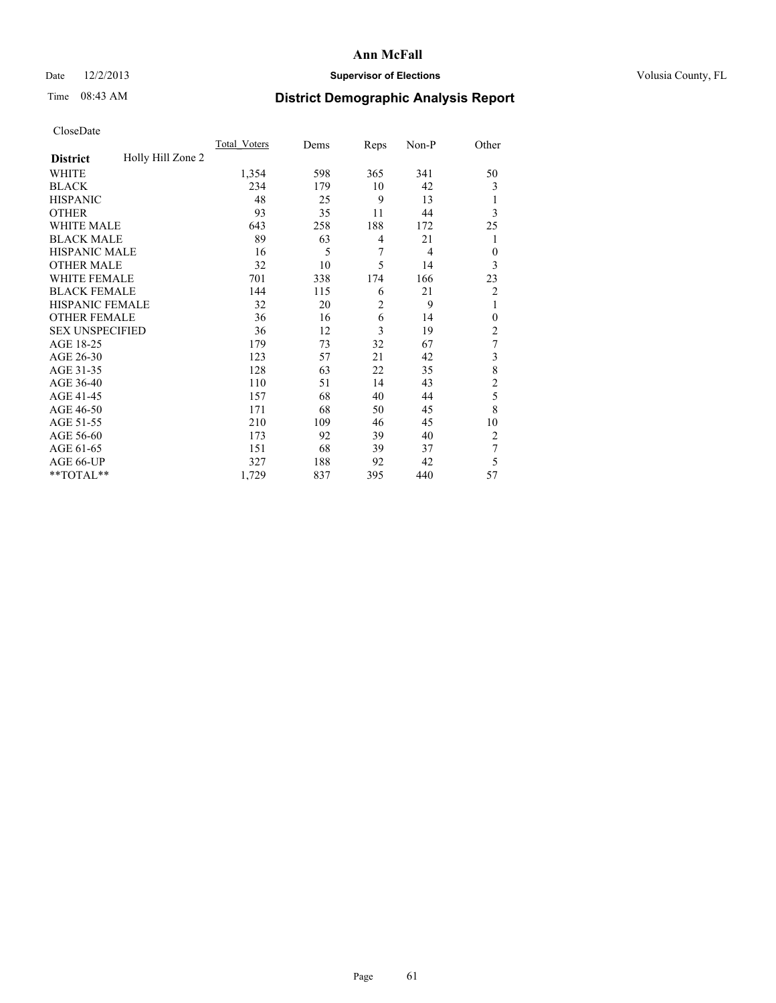# Date  $12/2/2013$  **Supervisor of Elections** Volusia County, FL

# Time 08:43 AM **District Demographic Analysis Report**

|                        |                   | Total Voters | Dems | Reps           | Non-P | Other            |
|------------------------|-------------------|--------------|------|----------------|-------|------------------|
| <b>District</b>        | Holly Hill Zone 2 |              |      |                |       |                  |
| WHITE                  |                   | 1,354        | 598  | 365            | 341   | 50               |
| <b>BLACK</b>           |                   | 234          | 179  | 10             | 42    | 3                |
| <b>HISPANIC</b>        |                   | 48           | 25   | 9              | 13    | 1                |
| <b>OTHER</b>           |                   | 93           | 35   | 11             | 44    | 3                |
| WHITE MALE             |                   | 643          | 258  | 188            | 172   | 25               |
| <b>BLACK MALE</b>      |                   | 89           | 63   | 4              | 21    | 1                |
| <b>HISPANIC MALE</b>   |                   | 16           | 5    | 7              | 4     | $\mathbf{0}$     |
| <b>OTHER MALE</b>      |                   | 32           | 10   | 5              | 14    | 3                |
| WHITE FEMALE           |                   | 701          | 338  | 174            | 166   | 23               |
| <b>BLACK FEMALE</b>    |                   | 144          | 115  | 6              | 21    | $\overline{c}$   |
| <b>HISPANIC FEMALE</b> |                   | 32           | 20   | $\overline{c}$ | 9     | 1                |
| <b>OTHER FEMALE</b>    |                   | 36           | 16   | 6              | 14    | $\theta$         |
| <b>SEX UNSPECIFIED</b> |                   | 36           | 12   | 3              | 19    | $\overline{2}$   |
| AGE 18-25              |                   | 179          | 73   | 32             | 67    | $\boldsymbol{7}$ |
| AGE 26-30              |                   | 123          | 57   | 21             | 42    | 3                |
| AGE 31-35              |                   | 128          | 63   | 22             | 35    | 8                |
| AGE 36-40              |                   | 110          | 51   | 14             | 43    | $\overline{c}$   |
| AGE 41-45              |                   | 157          | 68   | 40             | 44    | 5                |
| AGE 46-50              |                   | 171          | 68   | 50             | 45    | 8                |
| AGE 51-55              |                   | 210          | 109  | 46             | 45    | 10               |
| AGE 56-60              |                   | 173          | 92   | 39             | 40    | $\overline{2}$   |
| AGE 61-65              |                   | 151          | 68   | 39             | 37    | 7                |
| AGE 66-UP              |                   | 327          | 188  | 92             | 42    | 5                |
| **TOTAL**              |                   | 1,729        | 837  | 395            | 440   | 57               |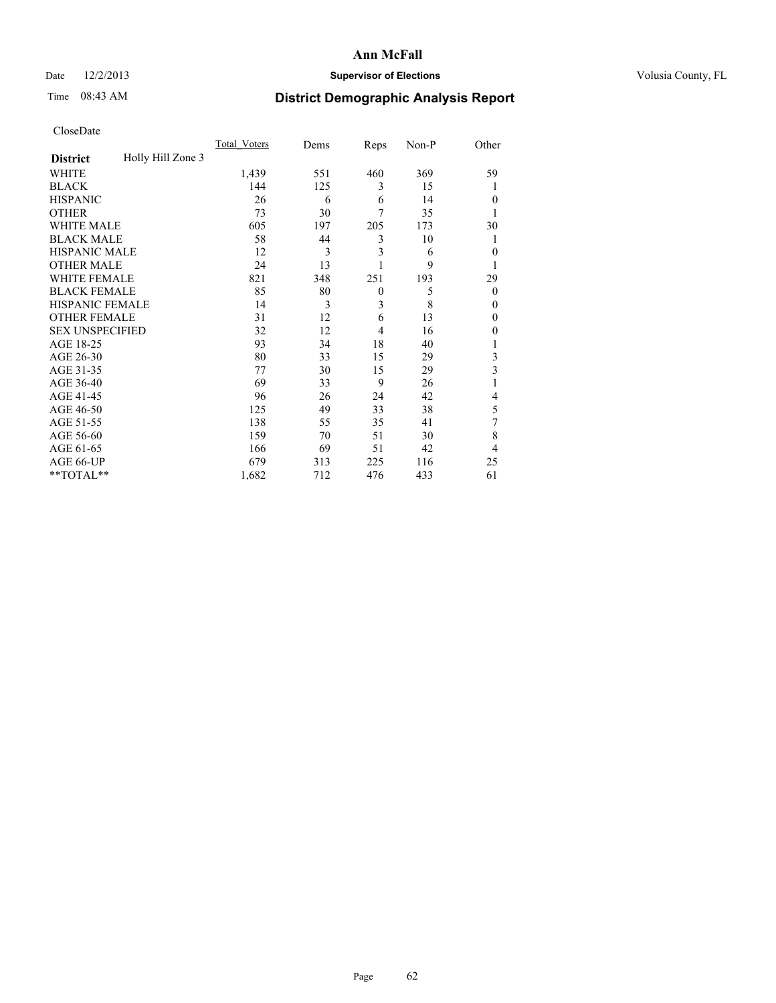# Date  $12/2/2013$  **Supervisor of Elections** Volusia County, FL

# Time 08:43 AM **District Demographic Analysis Report**

|                        |                   | <b>Total Voters</b> | Dems | Reps           | Non-P | Other        |
|------------------------|-------------------|---------------------|------|----------------|-------|--------------|
| <b>District</b>        | Holly Hill Zone 3 |                     |      |                |       |              |
| WHITE                  |                   | 1,439               | 551  | 460            | 369   | 59           |
| <b>BLACK</b>           |                   | 144                 | 125  | 3              | 15    | 1            |
| <b>HISPANIC</b>        |                   | 26                  | 6    | 6              | 14    | $\theta$     |
| <b>OTHER</b>           |                   | 73                  | 30   | $\overline{7}$ | 35    |              |
| WHITE MALE             |                   | 605                 | 197  | 205            | 173   | 30           |
| <b>BLACK MALE</b>      |                   | 58                  | 44   | 3              | 10    | 1            |
| <b>HISPANIC MALE</b>   |                   | 12                  | 3    | 3              | 6     | $\mathbf{0}$ |
| <b>OTHER MALE</b>      |                   | 24                  | 13   |                | 9     | 1            |
| WHITE FEMALE           |                   | 821                 | 348  | 251            | 193   | 29           |
| <b>BLACK FEMALE</b>    |                   | 85                  | 80   | $\overline{0}$ | 5     | $\theta$     |
| <b>HISPANIC FEMALE</b> |                   | 14                  | 3    | 3              | 8     | $\theta$     |
| <b>OTHER FEMALE</b>    |                   | 31                  | 12   | 6              | 13    | $\theta$     |
| <b>SEX UNSPECIFIED</b> |                   | 32                  | 12   | $\overline{4}$ | 16    | $\theta$     |
| AGE 18-25              |                   | 93                  | 34   | 18             | 40    | 1            |
| AGE 26-30              |                   | 80                  | 33   | 15             | 29    | 3            |
| AGE 31-35              |                   | 77                  | 30   | 15             | 29    | 3            |
| AGE 36-40              |                   | 69                  | 33   | 9              | 26    | 1            |
| AGE 41-45              |                   | 96                  | 26   | 24             | 42    | 4            |
| AGE 46-50              |                   | 125                 | 49   | 33             | 38    | 5            |
| AGE 51-55              |                   | 138                 | 55   | 35             | 41    | 7            |
| AGE 56-60              |                   | 159                 | 70   | 51             | 30    | 8            |
| AGE 61-65              |                   | 166                 | 69   | 51             | 42    | 4            |
| AGE 66-UP              |                   | 679                 | 313  | 225            | 116   | 25           |
| **TOTAL**              |                   | 1,682               | 712  | 476            | 433   | 61           |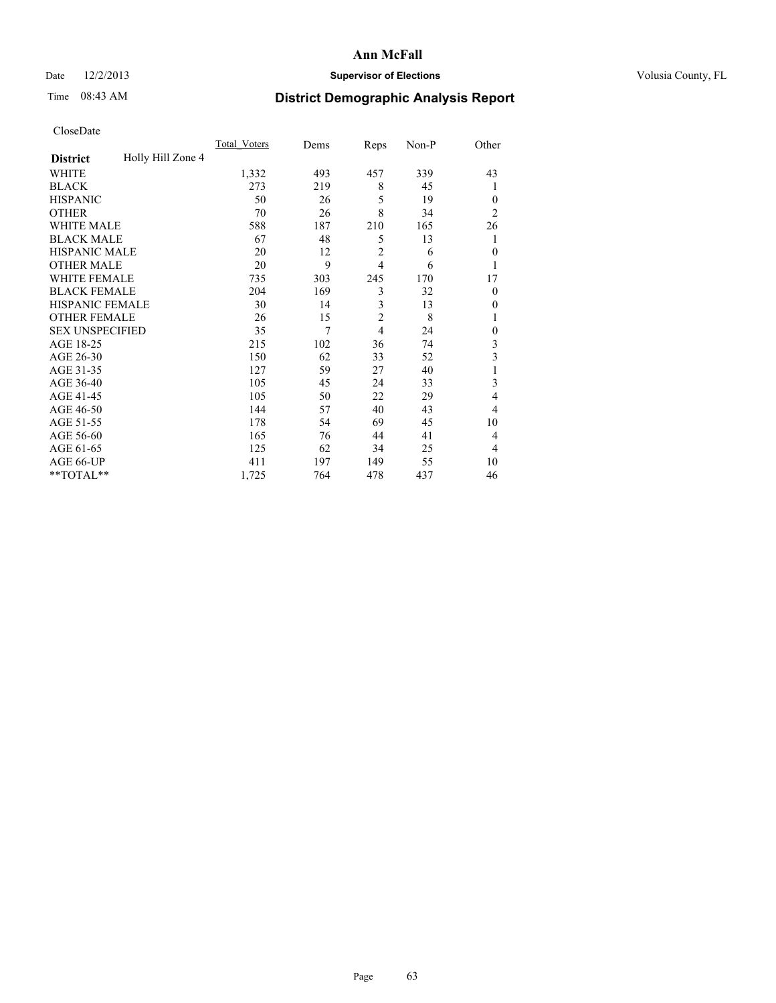# Date  $12/2/2013$  **Supervisor of Elections** Volusia County, FL

# Time 08:43 AM **District Demographic Analysis Report**

|                        |                   | <b>Total Voters</b> | Dems | Reps           | Non-P | Other          |
|------------------------|-------------------|---------------------|------|----------------|-------|----------------|
| <b>District</b>        | Holly Hill Zone 4 |                     |      |                |       |                |
| WHITE                  |                   | 1,332               | 493  | 457            | 339   | 43             |
| <b>BLACK</b>           |                   | 273                 | 219  | 8              | 45    | 1              |
| <b>HISPANIC</b>        |                   | 50                  | 26   | 5              | 19    | $\Omega$       |
| <b>OTHER</b>           |                   | 70                  | 26   | 8              | 34    | $\overline{2}$ |
| WHITE MALE             |                   | 588                 | 187  | 210            | 165   | 26             |
| <b>BLACK MALE</b>      |                   | 67                  | 48   | 5              | 13    | 1              |
| <b>HISPANIC MALE</b>   |                   | 20                  | 12   | $\overline{2}$ | 6     | $\theta$       |
| <b>OTHER MALE</b>      |                   | 20                  | 9    | $\overline{4}$ | 6     | 1              |
| WHITE FEMALE           |                   | 735                 | 303  | 245            | 170   | 17             |
| <b>BLACK FEMALE</b>    |                   | 204                 | 169  | 3              | 32    | $\overline{0}$ |
| <b>HISPANIC FEMALE</b> |                   | 30                  | 14   | 3              | 13    | $\Omega$       |
| <b>OTHER FEMALE</b>    |                   | 26                  | 15   | $\overline{c}$ | 8     |                |
| <b>SEX UNSPECIFIED</b> |                   | 35                  | 7    | $\overline{4}$ | 24    | $\theta$       |
| AGE 18-25              |                   | 215                 | 102  | 36             | 74    | 3              |
| AGE 26-30              |                   | 150                 | 62   | 33             | 52    | 3              |
| AGE 31-35              |                   | 127                 | 59   | 27             | 40    |                |
| AGE 36-40              |                   | 105                 | 45   | 24             | 33    | 3              |
| AGE 41-45              |                   | 105                 | 50   | 22             | 29    | $\overline{4}$ |
| AGE 46-50              |                   | 144                 | 57   | 40             | 43    | $\overline{4}$ |
| AGE 51-55              |                   | 178                 | 54   | 69             | 45    | 10             |
| AGE 56-60              |                   | 165                 | 76   | 44             | 41    | 4              |
| AGE 61-65              |                   | 125                 | 62   | 34             | 25    | $\overline{4}$ |
| AGE 66-UP              |                   | 411                 | 197  | 149            | 55    | 10             |
| **TOTAL**              |                   | 1,725               | 764  | 478            | 437   | 46             |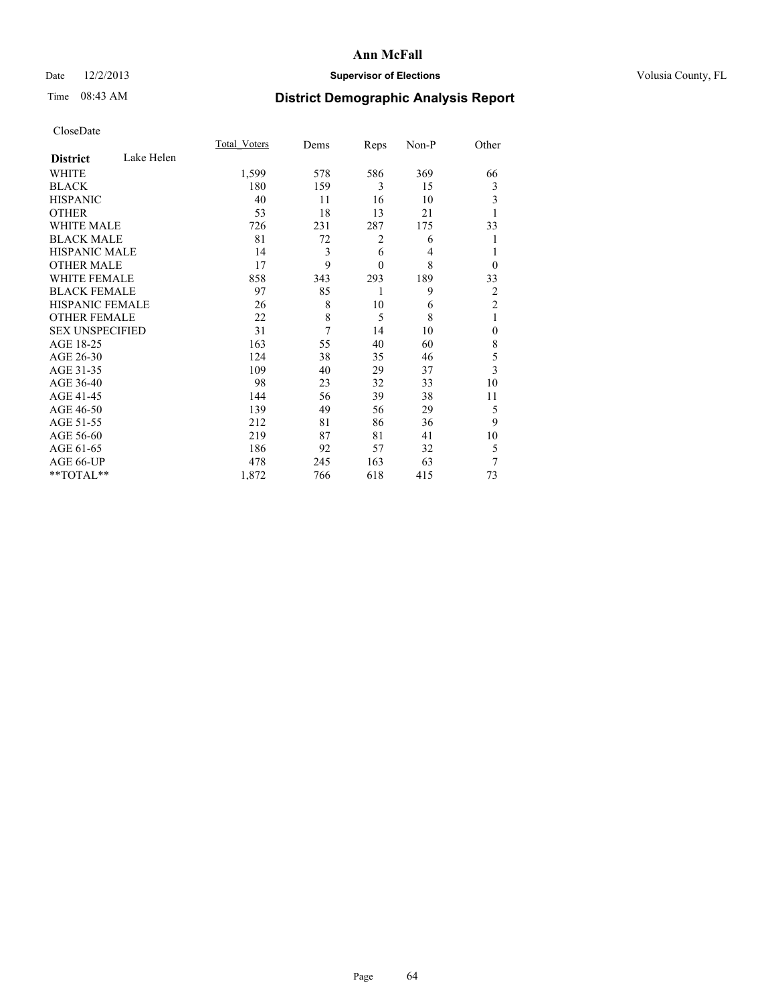# Date  $12/2/2013$  **Supervisor of Elections** Volusia County, FL

# Time 08:43 AM **District Demographic Analysis Report**

|                        |            | Total Voters | Dems | Reps         | Non-P          | Other          |
|------------------------|------------|--------------|------|--------------|----------------|----------------|
| <b>District</b>        | Lake Helen |              |      |              |                |                |
| <b>WHITE</b>           |            | 1,599        | 578  | 586          | 369            | 66             |
| <b>BLACK</b>           |            | 180          | 159  | 3            | 15             | 3              |
| <b>HISPANIC</b>        |            | 40           | 11   | 16           | 10             | 3              |
| <b>OTHER</b>           |            | 53           | 18   | 13           | 21             |                |
| WHITE MALE             |            | 726          | 231  | 287          | 175            | 33             |
| <b>BLACK MALE</b>      |            | 81           | 72   | 2            | 6              |                |
| <b>HISPANIC MALE</b>   |            | 14           | 3    | 6            | $\overline{4}$ |                |
| <b>OTHER MALE</b>      |            | 17           | 9    | $\mathbf{0}$ | 8              | $\overline{0}$ |
| <b>WHITE FEMALE</b>    |            | 858          | 343  | 293          | 189            | 33             |
| <b>BLACK FEMALE</b>    |            | 97           | 85   | 1            | 9              | $\overline{2}$ |
| HISPANIC FEMALE        |            | 26           | 8    | 10           | 6              | $\overline{2}$ |
| <b>OTHER FEMALE</b>    |            | 22           | 8    | 5            | 8              | 1              |
| <b>SEX UNSPECIFIED</b> |            | 31           | 7    | 14           | 10             | $\mathbf{0}$   |
| AGE 18-25              |            | 163          | 55   | 40           | 60             | 8              |
| AGE 26-30              |            | 124          | 38   | 35           | 46             | 5              |
| AGE 31-35              |            | 109          | 40   | 29           | 37             | 3              |
| AGE 36-40              |            | 98           | 23   | 32           | 33             | 10             |
| AGE 41-45              |            | 144          | 56   | 39           | 38             | 11             |
| AGE 46-50              |            | 139          | 49   | 56           | 29             | 5              |
| AGE 51-55              |            | 212          | 81   | 86           | 36             | 9              |
| AGE 56-60              |            | 219          | 87   | 81           | 41             | 10             |
| AGE 61-65              |            | 186          | 92   | 57           | 32             | 5              |
| AGE 66-UP              |            | 478          | 245  | 163          | 63             | 7              |
| **TOTAL**              |            | 1,872        | 766  | 618          | 415            | 73             |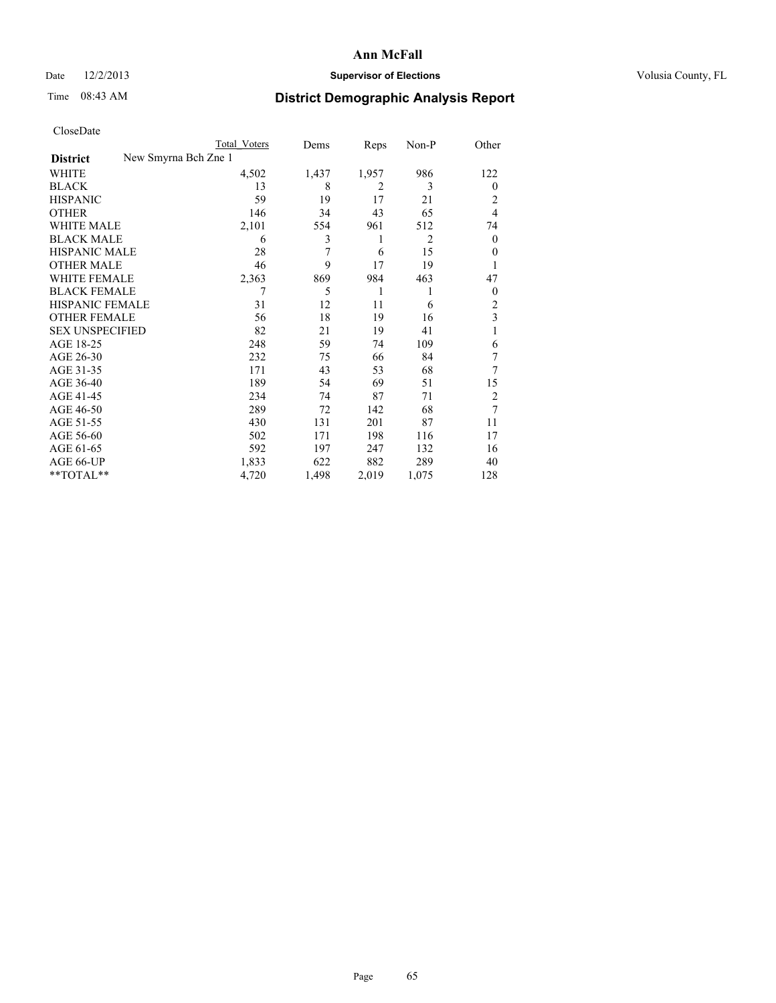# Date  $12/2/2013$  **Supervisor of Elections** Volusia County, FL

# Time 08:43 AM **District Demographic Analysis Report**

|                        | Total Voters         | Dems  | Reps  | Non-P | Other          |
|------------------------|----------------------|-------|-------|-------|----------------|
| <b>District</b>        | New Smyrna Bch Zne 1 |       |       |       |                |
| WHITE                  | 4,502                | 1,437 | 1,957 | 986   | 122            |
| <b>BLACK</b>           | 13                   | 8     | 2     | 3     | $\overline{0}$ |
| <b>HISPANIC</b>        | 59                   | 19    | 17    | 21    | 2              |
| <b>OTHER</b>           | 146                  | 34    | 43    | 65    | 4              |
| WHITE MALE             | 2,101                | 554   | 961   | 512   | 74             |
| <b>BLACK MALE</b>      | 6                    | 3     | 1     | 2     | $\mathbf{0}$   |
| <b>HISPANIC MALE</b>   | 28                   | 7     | 6     | 15    | $\theta$       |
| <b>OTHER MALE</b>      | 46                   | 9     | 17    | 19    | 1              |
| <b>WHITE FEMALE</b>    | 2,363                | 869   | 984   | 463   | 47             |
| <b>BLACK FEMALE</b>    | 7                    | 5     | 1     | 1     | $\overline{0}$ |
| HISPANIC FEMALE        | 31                   | 12    | 11    | 6     | $\overline{2}$ |
| <b>OTHER FEMALE</b>    | 56                   | 18    | 19    | 16    | 3              |
| <b>SEX UNSPECIFIED</b> | 82                   | 21    | 19    | 41    | 1              |
| AGE 18-25              | 248                  | 59    | 74    | 109   | 6              |
| AGE 26-30              | 232                  | 75    | 66    | 84    | 7              |
| AGE 31-35              | 171                  | 43    | 53    | 68    | 7              |
| AGE 36-40              | 189                  | 54    | 69    | 51    | 15             |
| AGE 41-45              | 234                  | 74    | 87    | 71    | 2              |
| AGE 46-50              | 289                  | 72    | 142   | 68    | 7              |
| AGE 51-55              | 430                  | 131   | 201   | 87    | 11             |
| AGE 56-60              | 502                  | 171   | 198   | 116   | 17             |
| AGE 61-65              | 592                  | 197   | 247   | 132   | 16             |
| AGE 66-UP              | 1,833                | 622   | 882   | 289   | 40             |
| **TOTAL**              | 4,720                | 1,498 | 2,019 | 1,075 | 128            |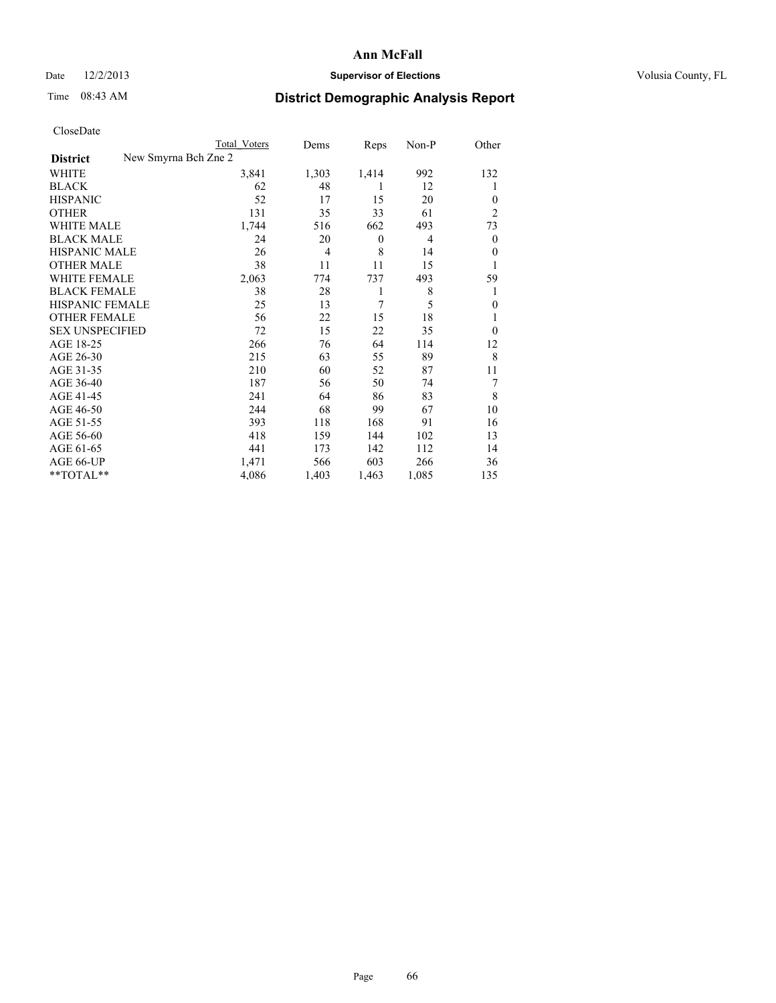## Date  $12/2/2013$  **Supervisor of Elections Supervisor of Elections** Volusia County, FL

# Time 08:43 AM **District Demographic Analysis Report**

|                                         | Total Voters | Dems           | Reps             | Non-P | Other          |
|-----------------------------------------|--------------|----------------|------------------|-------|----------------|
| New Smyrna Bch Zne 2<br><b>District</b> |              |                |                  |       |                |
| WHITE                                   | 3,841        | 1,303          | 1,414            | 992   | 132            |
| <b>BLACK</b>                            | 62           | 48             | 1                | 12    | 1              |
| <b>HISPANIC</b>                         | 52           | 17             | 15               | 20    | $\theta$       |
| <b>OTHER</b>                            | 131          | 35             | 33               | 61    | $\overline{2}$ |
| <b>WHITE MALE</b>                       | 1,744        | 516            | 662              | 493   | 73             |
| <b>BLACK MALE</b>                       | 24           | 20             | $\boldsymbol{0}$ | 4     | $\overline{0}$ |
| <b>HISPANIC MALE</b>                    | 26           | $\overline{4}$ | 8                | 14    | $\theta$       |
| <b>OTHER MALE</b>                       | 38           | 11             | 11               | 15    |                |
| <b>WHITE FEMALE</b>                     | 2,063        | 774            | 737              | 493   | 59             |
| <b>BLACK FEMALE</b>                     | 38           | 28             | 1                | 8     |                |
| <b>HISPANIC FEMALE</b>                  | 25           | 13             | 7                | 5     | $\mathbf{0}$   |
| <b>OTHER FEMALE</b>                     | 56           | 22             | 15               | 18    | 1              |
| <b>SEX UNSPECIFIED</b>                  | 72           | 15             | 22               | 35    | $\theta$       |
| AGE 18-25                               | 266          | 76             | 64               | 114   | 12             |
| AGE 26-30                               | 215          | 63             | 55               | 89    | 8              |
| AGE 31-35                               | 210          | 60             | 52               | 87    | 11             |
| AGE 36-40                               | 187          | 56             | 50               | 74    | 7              |
| AGE 41-45                               | 241          | 64             | 86               | 83    | 8              |
| AGE 46-50                               | 244          | 68             | 99               | 67    | 10             |
| AGE 51-55                               | 393          | 118            | 168              | 91    | 16             |
| AGE 56-60                               | 418          | 159            | 144              | 102   | 13             |
| AGE 61-65                               | 441          | 173            | 142              | 112   | 14             |
| AGE 66-UP                               | 1,471        | 566            | 603              | 266   | 36             |
| **TOTAL**                               | 4,086        | 1,403          | 1,463            | 1,085 | 135            |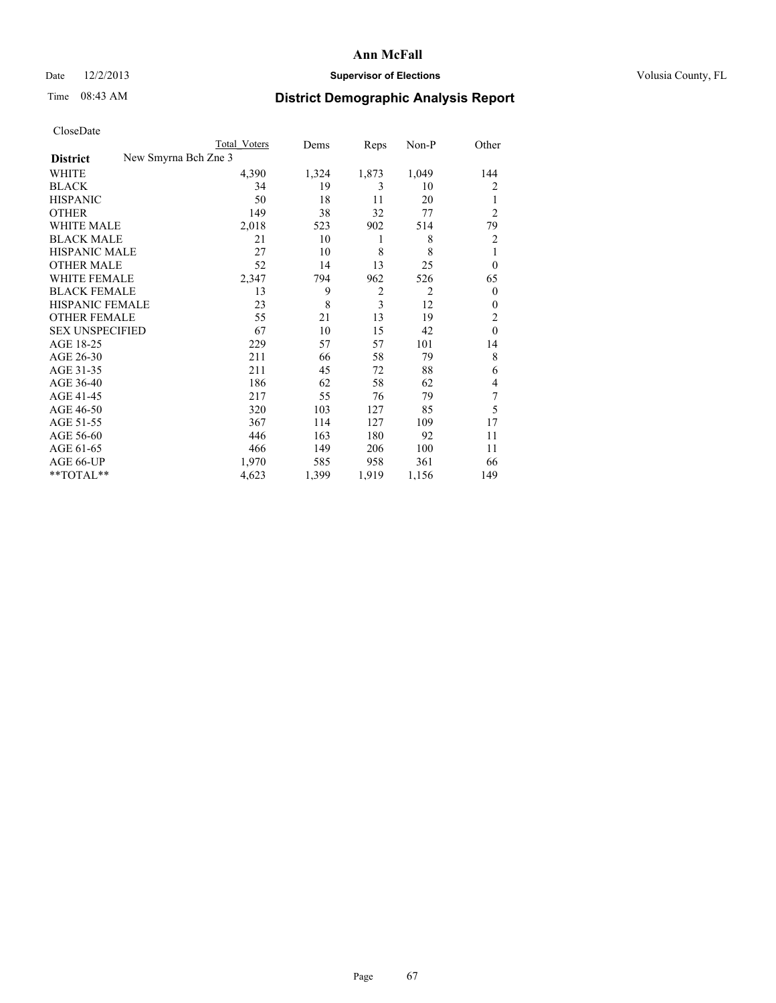# Date  $12/2/2013$  **Supervisor of Elections** Volusia County, FL

# Time 08:43 AM **District Demographic Analysis Report**

|                        | Total Voters         | Dems  | Reps           | Non-P          | Other          |
|------------------------|----------------------|-------|----------------|----------------|----------------|
| <b>District</b>        | New Smyrna Bch Zne 3 |       |                |                |                |
| WHITE                  | 4,390                | 1,324 | 1,873          | 1,049          | 144            |
| <b>BLACK</b>           | 34                   | 19    | 3              | 10             | 2              |
| <b>HISPANIC</b>        | 50                   | 18    | 11             | 20             | 1              |
| <b>OTHER</b>           | 149                  | 38    | 32             | 77             | $\overline{2}$ |
| WHITE MALE             | 2,018                | 523   | 902            | 514            | 79             |
| <b>BLACK MALE</b>      | 21                   | 10    | 1              | 8              | $\overline{2}$ |
| <b>HISPANIC MALE</b>   | 27                   | 10    | 8              | 8              | 1              |
| <b>OTHER MALE</b>      | 52                   | 14    | 13             | 25             | $\overline{0}$ |
| WHITE FEMALE           | 2,347                | 794   | 962            | 526            | 65             |
| <b>BLACK FEMALE</b>    | 13                   | 9     | $\overline{2}$ | $\overline{2}$ | $\overline{0}$ |
| <b>HISPANIC FEMALE</b> | 23                   | 8     | 3              | 12             | $\Omega$       |
| <b>OTHER FEMALE</b>    | 55                   | 21    | 13             | 19             | $\overline{2}$ |
| <b>SEX UNSPECIFIED</b> | 67                   | 10    | 15             | 42             | $\theta$       |
| AGE 18-25              | 229                  | 57    | 57             | 101            | 14             |
| AGE 26-30              | 211                  | 66    | 58             | 79             | 8              |
| AGE 31-35              | 211                  | 45    | 72             | 88             | 6              |
| AGE 36-40              | 186                  | 62    | 58             | 62             | 4              |
| AGE 41-45              | 217                  | 55    | 76             | 79             | 7              |
| AGE 46-50              | 320                  | 103   | 127            | 85             | 5              |
| AGE 51-55              | 367                  | 114   | 127            | 109            | 17             |
| AGE 56-60              | 446                  | 163   | 180            | 92             | 11             |
| AGE 61-65              | 466                  | 149   | 206            | 100            | 11             |
| AGE 66-UP              | 1,970                | 585   | 958            | 361            | 66             |
| **TOTAL**              | 4,623                | 1,399 | 1,919          | 1,156          | 149            |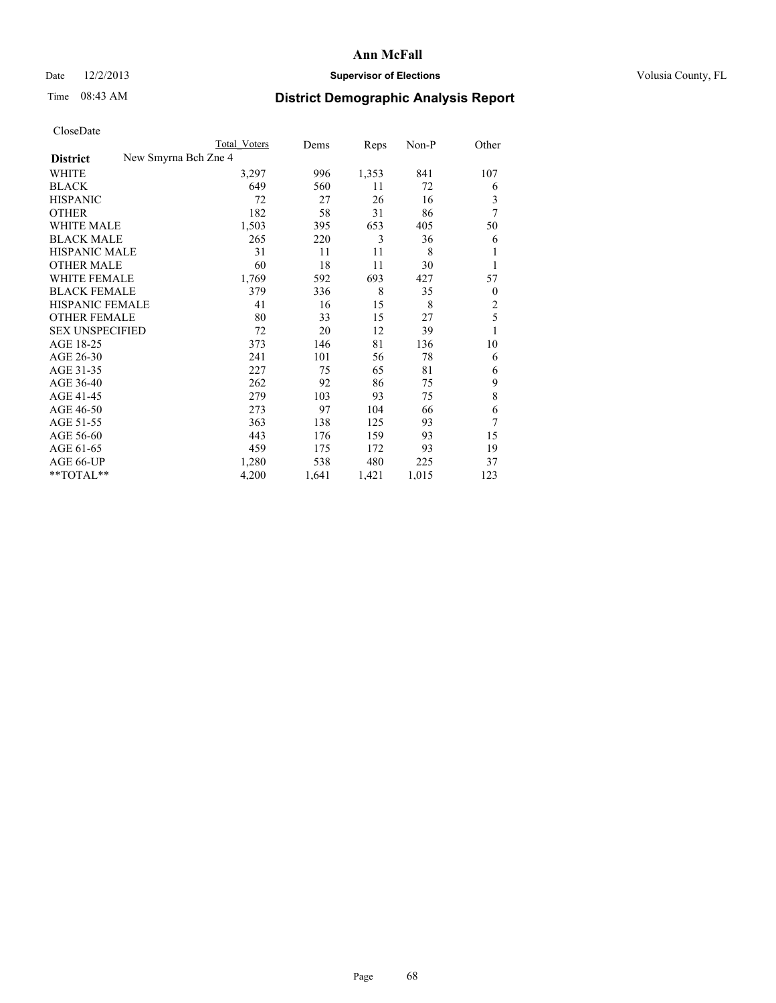# Date  $12/2/2013$  **Supervisor of Elections** Volusia County, FL

# Time 08:43 AM **District Demographic Analysis Report**

|                                         | <b>Total Voters</b> | Dems  | Reps  | Non-P | Other          |
|-----------------------------------------|---------------------|-------|-------|-------|----------------|
| New Smyrna Bch Zne 4<br><b>District</b> |                     |       |       |       |                |
| WHITE                                   | 3,297               | 996   | 1,353 | 841   | 107            |
| <b>BLACK</b>                            | 649                 | 560   | 11    | 72    | 6              |
| <b>HISPANIC</b>                         | 72                  | 27    | 26    | 16    | 3              |
| <b>OTHER</b>                            | 182                 | 58    | 31    | 86    | 7              |
| <b>WHITE MALE</b>                       | 1,503               | 395   | 653   | 405   | 50             |
| <b>BLACK MALE</b>                       | 265                 | 220   | 3     | 36    | 6              |
| <b>HISPANIC MALE</b>                    | 31                  | 11    | 11    | 8     |                |
| <b>OTHER MALE</b>                       | 60                  | 18    | 11    | 30    |                |
| <b>WHITE FEMALE</b>                     | 1,769               | 592   | 693   | 427   | 57             |
| <b>BLACK FEMALE</b>                     | 379                 | 336   | 8     | 35    | $\overline{0}$ |
| <b>HISPANIC FEMALE</b>                  | 41                  | 16    | 15    | 8     | $\overline{c}$ |
| <b>OTHER FEMALE</b>                     | 80                  | 33    | 15    | 27    | 5              |
| <b>SEX UNSPECIFIED</b>                  | 72                  | 20    | 12    | 39    | 1              |
| AGE 18-25                               | 373                 | 146   | 81    | 136   | 10             |
| AGE 26-30                               | 241                 | 101   | 56    | 78    | 6              |
| AGE 31-35                               | 227                 | 75    | 65    | 81    | 6              |
| AGE 36-40                               | 262                 | 92    | 86    | 75    | 9              |
| AGE 41-45                               | 279                 | 103   | 93    | 75    | 8              |
| AGE 46-50                               | 273                 | 97    | 104   | 66    | 6              |
| AGE 51-55                               | 363                 | 138   | 125   | 93    | 7              |
| AGE 56-60                               | 443                 | 176   | 159   | 93    | 15             |
| AGE 61-65                               | 459                 | 175   | 172   | 93    | 19             |
| AGE 66-UP                               | 1,280               | 538   | 480   | 225   | 37             |
| **TOTAL**                               | 4,200               | 1,641 | 1,421 | 1,015 | 123            |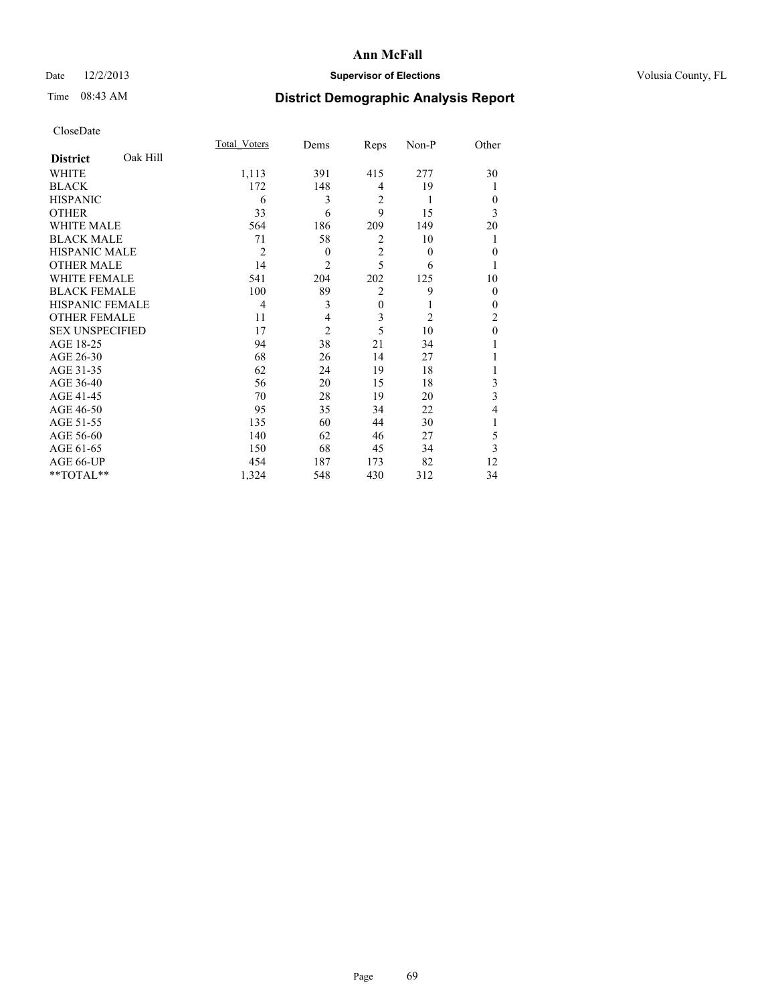## Date  $12/2/2013$  **Supervisor of Elections Supervisor of Elections** Volusia County, FL

# Time 08:43 AM **District Demographic Analysis Report**

|                        |          | Total Voters   | Dems           | Reps           | Non-P          | Other          |
|------------------------|----------|----------------|----------------|----------------|----------------|----------------|
| <b>District</b>        | Oak Hill |                |                |                |                |                |
| WHITE                  |          | 1,113          | 391            | 415            | 277            | 30             |
| <b>BLACK</b>           |          | 172            | 148            | $\overline{4}$ | 19             |                |
| <b>HISPANIC</b>        |          | 6              | 3              | $\overline{2}$ | 1              | $\theta$       |
| <b>OTHER</b>           |          | 33             | 6              | 9              | 15             | 3              |
| WHITE MALE             |          | 564            | 186            | 209            | 149            | 20             |
| <b>BLACK MALE</b>      |          | 71             | 58             | $\overline{2}$ | 10             | 1              |
| <b>HISPANIC MALE</b>   |          | $\overline{2}$ | $\theta$       | $\overline{2}$ | $\theta$       | $\mathbf{0}$   |
| <b>OTHER MALE</b>      |          | 14             | $\overline{c}$ | 5              | 6              | 1              |
| WHITE FEMALE           |          | 541            | 204            | 202            | 125            | 10             |
| <b>BLACK FEMALE</b>    |          | 100            | 89             | $\overline{2}$ | 9              | $\theta$       |
| <b>HISPANIC FEMALE</b> |          | 4              | 3              | $\mathbf{0}$   | 1              | $\theta$       |
| <b>OTHER FEMALE</b>    |          | 11             | 4              | 3              | $\overline{c}$ | $\overline{c}$ |
| <b>SEX UNSPECIFIED</b> |          | 17             | $\overline{2}$ | 5              | 10             | $\mathbf{0}$   |
| AGE 18-25              |          | 94             | 38             | 21             | 34             |                |
| AGE 26-30              |          | 68             | 26             | 14             | 27             |                |
| AGE 31-35              |          | 62             | 24             | 19             | 18             |                |
| AGE 36-40              |          | 56             | 20             | 15             | 18             | 3              |
| AGE 41-45              |          | 70             | 28             | 19             | 20             | 3              |
| AGE 46-50              |          | 95             | 35             | 34             | 22             | 4              |
| AGE 51-55              |          | 135            | 60             | 44             | 30             | 1              |
| AGE 56-60              |          | 140            | 62             | 46             | 27             | 5              |
| AGE 61-65              |          | 150            | 68             | 45             | 34             | 3              |
| AGE 66-UP              |          | 454            | 187            | 173            | 82             | 12             |
| **TOTAL**              |          | 1,324          | 548            | 430            | 312            | 34             |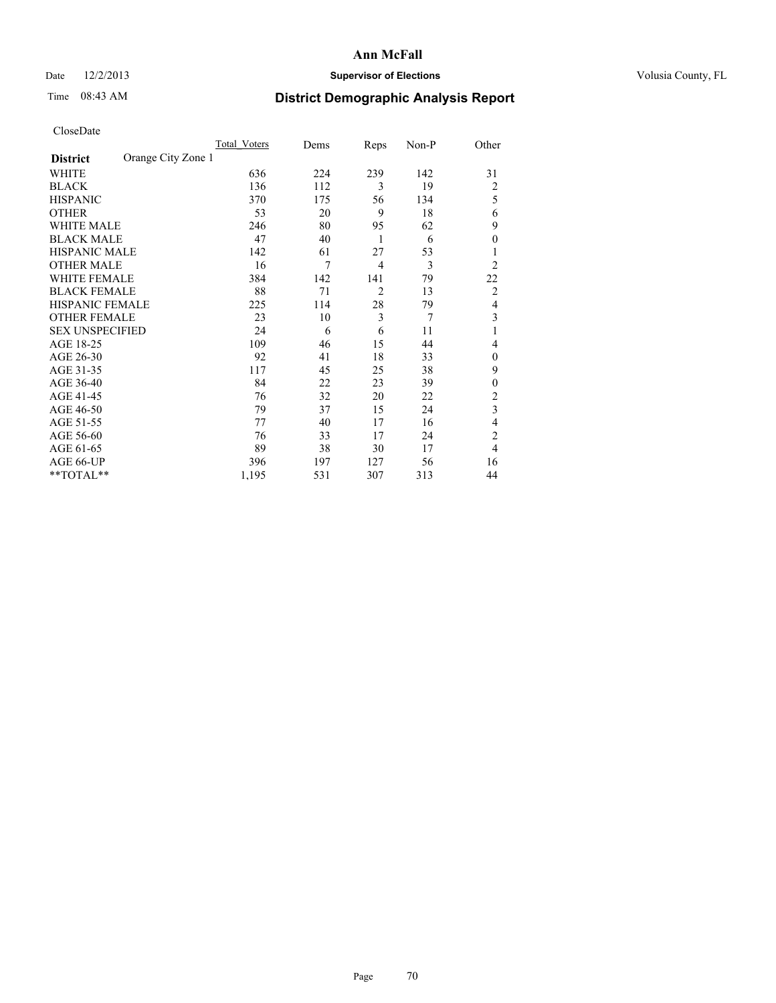# Date  $12/2/2013$  **Supervisor of Elections** Volusia County, FL

# Time 08:43 AM **District Demographic Analysis Report**

|                        |                    | Total Voters | Dems | Reps           | Non-P | Other          |
|------------------------|--------------------|--------------|------|----------------|-------|----------------|
| <b>District</b>        | Orange City Zone 1 |              |      |                |       |                |
| WHITE                  |                    | 636          | 224  | 239            | 142   | 31             |
| <b>BLACK</b>           |                    | 136          | 112  | 3              | 19    | $\overline{2}$ |
| <b>HISPANIC</b>        |                    | 370          | 175  | 56             | 134   | 5              |
| <b>OTHER</b>           |                    | 53           | 20   | 9              | 18    | 6              |
| WHITE MALE             |                    | 246          | 80   | 95             | 62    | 9              |
| <b>BLACK MALE</b>      |                    | 47           | 40   | 1              | 6     | $\overline{0}$ |
| <b>HISPANIC MALE</b>   |                    | 142          | 61   | 27             | 53    |                |
| <b>OTHER MALE</b>      |                    | 16           | 7    | $\overline{4}$ | 3     | $\overline{2}$ |
| WHITE FEMALE           |                    | 384          | 142  | 141            | 79    | 22             |
| <b>BLACK FEMALE</b>    |                    | 88           | 71   | $\overline{2}$ | 13    | $\overline{2}$ |
| <b>HISPANIC FEMALE</b> |                    | 225          | 114  | 28             | 79    | $\overline{4}$ |
| <b>OTHER FEMALE</b>    |                    | 23           | 10   | 3              | 7     | 3              |
| <b>SEX UNSPECIFIED</b> |                    | 24           | 6    | 6              | 11    | 1              |
| AGE 18-25              |                    | 109          | 46   | 15             | 44    | 4              |
| AGE 26-30              |                    | 92           | 41   | 18             | 33    | $\mathbf{0}$   |
| AGE 31-35              |                    | 117          | 45   | 25             | 38    | 9              |
| AGE 36-40              |                    | 84           | 22   | 23             | 39    | $\overline{0}$ |
| AGE 41-45              |                    | 76           | 32   | 20             | 22    | $\overline{2}$ |
| AGE 46-50              |                    | 79           | 37   | 15             | 24    | 3              |
| AGE 51-55              |                    | 77           | 40   | 17             | 16    | $\overline{4}$ |
| AGE 56-60              |                    | 76           | 33   | 17             | 24    | $\overline{c}$ |
| AGE 61-65              |                    | 89           | 38   | 30             | 17    | $\overline{4}$ |
| AGE 66-UP              |                    | 396          | 197  | 127            | 56    | 16             |
| **TOTAL**              |                    | 1,195        | 531  | 307            | 313   | 44             |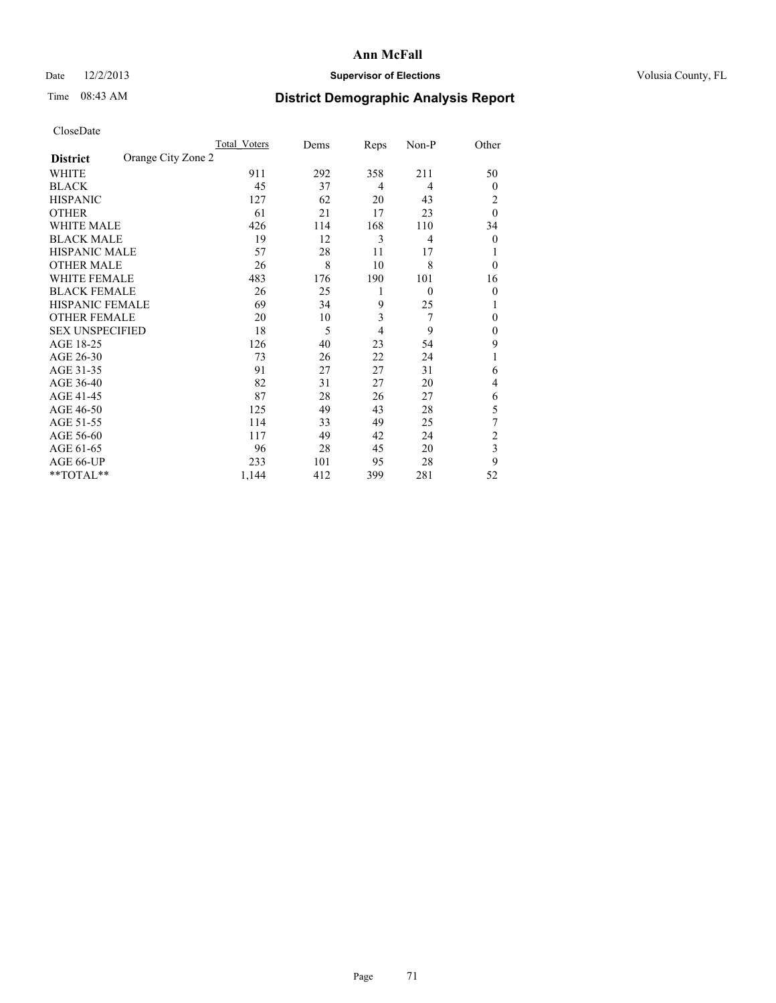# Date  $12/2/2013$  **Supervisor of Elections** Volusia County, FL

# Time 08:43 AM **District Demographic Analysis Report**

|                        |                    | Total Voters | Dems | Reps | Non-P    | Other          |
|------------------------|--------------------|--------------|------|------|----------|----------------|
| <b>District</b>        | Orange City Zone 2 |              |      |      |          |                |
| WHITE                  |                    | 911          | 292  | 358  | 211      | 50             |
| <b>BLACK</b>           |                    | 45           | 37   | 4    | 4        | $\theta$       |
| <b>HISPANIC</b>        |                    | 127          | 62   | 20   | 43       | 2              |
| <b>OTHER</b>           |                    | 61           | 21   | 17   | 23       | $\theta$       |
| WHITE MALE             |                    | 426          | 114  | 168  | 110      | 34             |
| <b>BLACK MALE</b>      |                    | 19           | 12   | 3    | 4        | $\overline{0}$ |
| <b>HISPANIC MALE</b>   |                    | 57           | 28   | 11   | 17       |                |
| <b>OTHER MALE</b>      |                    | 26           | 8    | 10   | 8        | $\mathbf{0}$   |
| <b>WHITE FEMALE</b>    |                    | 483          | 176  | 190  | 101      | 16             |
| <b>BLACK FEMALE</b>    |                    | 26           | 25   | 1    | $\theta$ | $\theta$       |
| <b>HISPANIC FEMALE</b> |                    | 69           | 34   | 9    | 25       | 1              |
| <b>OTHER FEMALE</b>    |                    | 20           | 10   | 3    | 7        | $\theta$       |
| <b>SEX UNSPECIFIED</b> |                    | 18           | 5    | 4    | 9        | $\mathbf{0}$   |
| AGE 18-25              |                    | 126          | 40   | 23   | 54       | 9              |
| AGE 26-30              |                    | 73           | 26   | 22   | 24       | 1              |
| AGE 31-35              |                    | 91           | 27   | 27   | 31       | 6              |
| AGE 36-40              |                    | 82           | 31   | 27   | 20       | 4              |
| AGE 41-45              |                    | 87           | 28   | 26   | 27       | 6              |
| AGE 46-50              |                    | 125          | 49   | 43   | 28       | 5              |
| AGE 51-55              |                    | 114          | 33   | 49   | 25       | 7              |
| AGE 56-60              |                    | 117          | 49   | 42   | 24       | $\overline{c}$ |
| AGE 61-65              |                    | 96           | 28   | 45   | 20       | 3              |
| AGE 66-UP              |                    | 233          | 101  | 95   | 28       | 9              |
| **TOTAL**              |                    | 1,144        | 412  | 399  | 281      | 52             |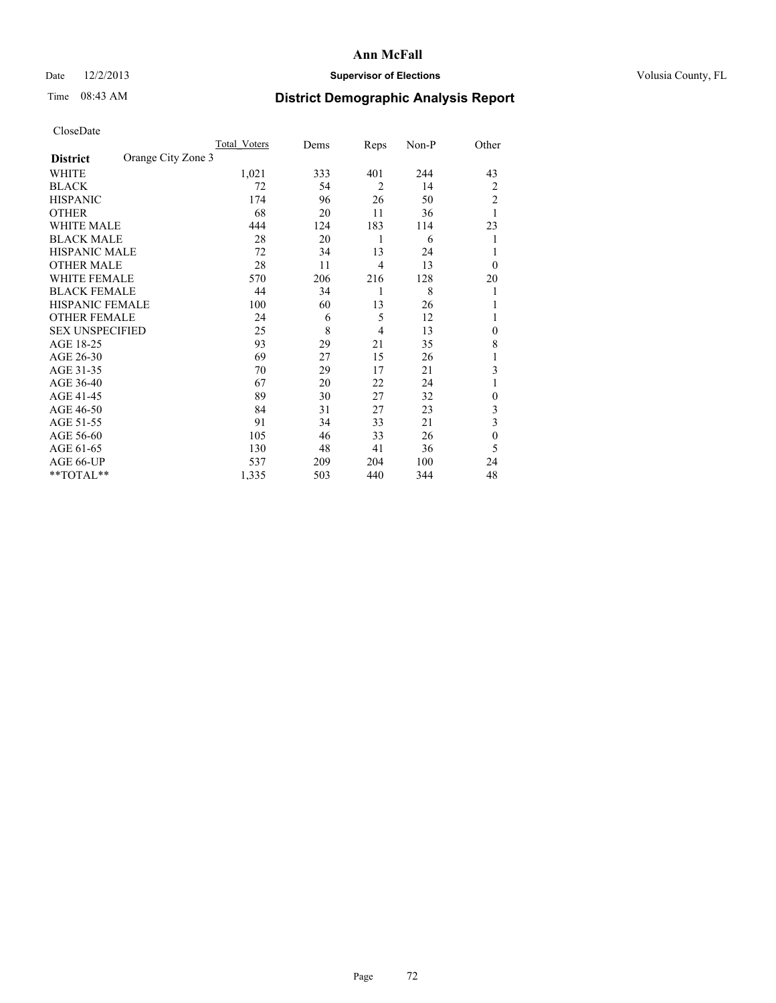# Date  $12/2/2013$  **Supervisor of Elections** Volusia County, FL

# Time 08:43 AM **District Demographic Analysis Report**

|                        |                    | Total Voters | Dems | Reps           | Non-P | Other          |
|------------------------|--------------------|--------------|------|----------------|-------|----------------|
| <b>District</b>        | Orange City Zone 3 |              |      |                |       |                |
| WHITE                  |                    | 1,021        | 333  | 401            | 244   | 43             |
| <b>BLACK</b>           |                    | 72           | 54   | $\overline{2}$ | 14    | $\overline{2}$ |
| <b>HISPANIC</b>        |                    | 174          | 96   | 26             | 50    | 2              |
| <b>OTHER</b>           |                    | 68           | 20   | 11             | 36    |                |
| WHITE MALE             |                    | 444          | 124  | 183            | 114   | 23             |
| <b>BLACK MALE</b>      |                    | 28           | 20   | 1              | 6     | 1              |
| <b>HISPANIC MALE</b>   |                    | 72           | 34   | 13             | 24    |                |
| <b>OTHER MALE</b>      |                    | 28           | 11   | $\overline{4}$ | 13    | $\overline{0}$ |
| WHITE FEMALE           |                    | 570          | 206  | 216            | 128   | 20             |
| <b>BLACK FEMALE</b>    |                    | 44           | 34   | 1              | 8     | 1              |
| <b>HISPANIC FEMALE</b> |                    | 100          | 60   | 13             | 26    |                |
| <b>OTHER FEMALE</b>    |                    | 24           | 6    | 5              | 12    |                |
| <b>SEX UNSPECIFIED</b> |                    | 25           | 8    | $\overline{4}$ | 13    | $\theta$       |
| AGE 18-25              |                    | 93           | 29   | 21             | 35    | 8              |
| AGE 26-30              |                    | 69           | 27   | 15             | 26    | 1              |
| AGE 31-35              |                    | 70           | 29   | 17             | 21    | 3              |
| AGE 36-40              |                    | 67           | 20   | 22             | 24    | 1              |
| AGE 41-45              |                    | 89           | 30   | 27             | 32    | $\theta$       |
| AGE 46-50              |                    | 84           | 31   | 27             | 23    | 3              |
| AGE 51-55              |                    | 91           | 34   | 33             | 21    | 3              |
| AGE 56-60              |                    | 105          | 46   | 33             | 26    | $\theta$       |
| AGE 61-65              |                    | 130          | 48   | 41             | 36    | 5              |
| AGE 66-UP              |                    | 537          | 209  | 204            | 100   | 24             |
| **TOTAL**              |                    | 1,335        | 503  | 440            | 344   | 48             |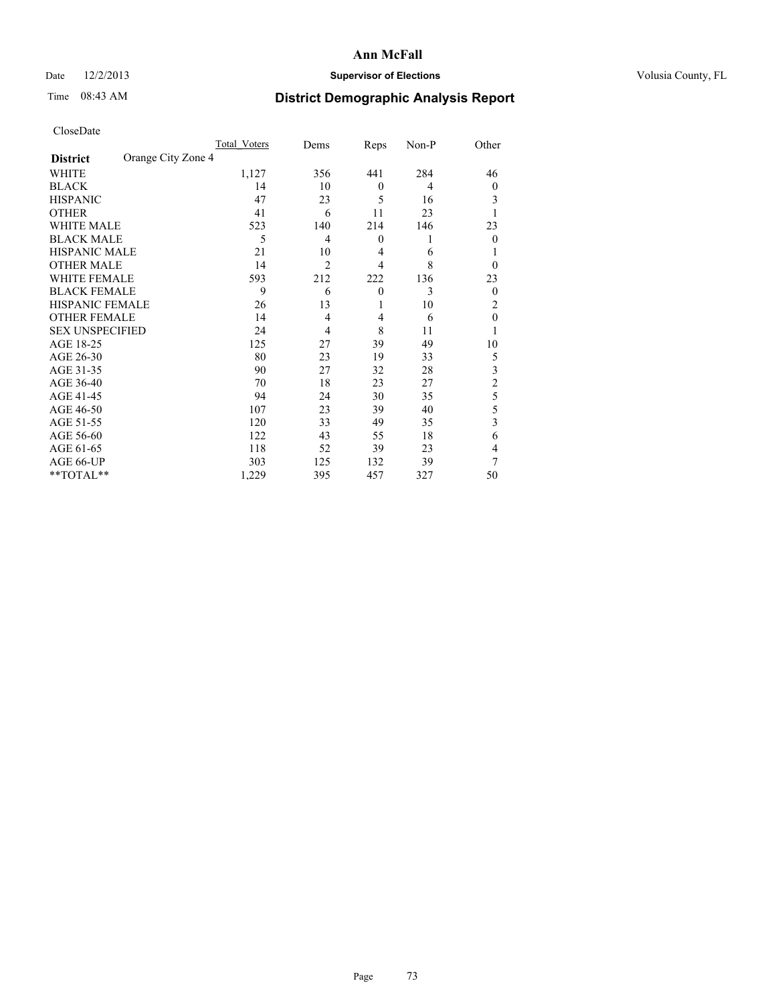## Date  $12/2/2013$  **Supervisor of Elections** Volusia County, FL

# Time 08:43 AM **District Demographic Analysis Report**

|                                       | Total Voters | Dems           | Reps             | Non-P          | Other          |
|---------------------------------------|--------------|----------------|------------------|----------------|----------------|
| Orange City Zone 4<br><b>District</b> |              |                |                  |                |                |
| WHITE                                 | 1,127        | 356            | 441              | 284            | 46             |
| <b>BLACK</b>                          | 14           | 10             | $\theta$         | $\overline{4}$ | $\overline{0}$ |
| <b>HISPANIC</b>                       | 47           | 23             | 5                | 16             | 3              |
| <b>OTHER</b>                          | 41           | 6              | 11               | 23             |                |
| WHITE MALE                            | 523          | 140            | 214              | 146            | 23             |
| <b>BLACK MALE</b>                     | 5            | 4              | $\boldsymbol{0}$ | 1              | $\Omega$       |
| <b>HISPANIC MALE</b>                  | 21           | 10             | $\overline{4}$   | 6              |                |
| <b>OTHER MALE</b>                     | 14           | $\overline{2}$ | $\overline{4}$   | 8              | $\Omega$       |
| <b>WHITE FEMALE</b>                   | 593          | 212            | 222              | 136            | 23             |
| <b>BLACK FEMALE</b>                   | 9            | 6              | $\overline{0}$   | 3              | $\overline{0}$ |
| <b>HISPANIC FEMALE</b>                | 26           | 13             | 1                | 10             | 2              |
| <b>OTHER FEMALE</b>                   | 14           | $\overline{4}$ | $\overline{4}$   | 6              | $\theta$       |
| <b>SEX UNSPECIFIED</b>                | 24           | 4              | 8                | 11             |                |
| AGE 18-25                             | 125          | 27             | 39               | 49             | 10             |
| AGE 26-30                             | 80           | 23             | 19               | 33             | 5              |
| AGE 31-35                             | 90           | 27             | 32               | 28             | 3              |
| AGE 36-40                             | 70           | 18             | 23               | 27             | $\overline{c}$ |
| AGE 41-45                             | 94           | 24             | 30               | 35             | 5              |
| AGE 46-50                             | 107          | 23             | 39               | 40             | 5              |
| AGE 51-55                             | 120          | 33             | 49               | 35             | 3              |
| AGE 56-60                             | 122          | 43             | 55               | 18             | 6              |
| AGE 61-65                             | 118          | 52             | 39               | 23             | 4              |
| AGE 66-UP                             | 303          | 125            | 132              | 39             | 7              |
| **TOTAL**                             | 1,229        | 395            | 457              | 327            | 50             |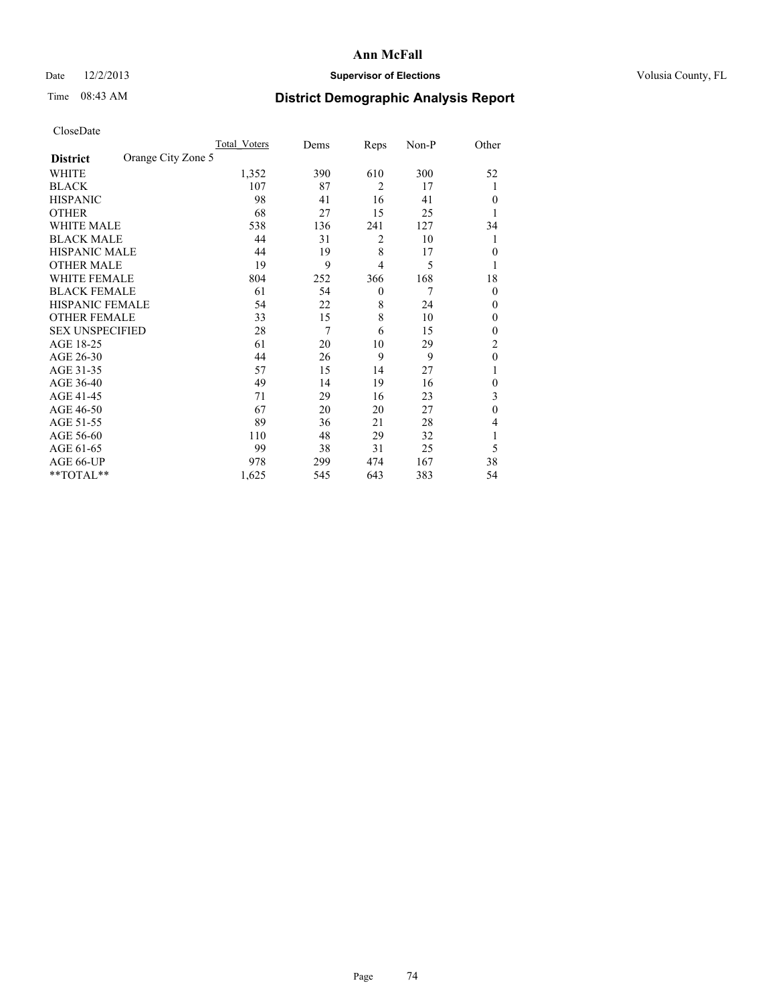## Date  $12/2/2013$  **Supervisor of Elections** Volusia County, FL

# Time 08:43 AM **District Demographic Analysis Report**

|                        |                    | Total Voters | Dems | Reps           | Non-P | Other          |
|------------------------|--------------------|--------------|------|----------------|-------|----------------|
| <b>District</b>        | Orange City Zone 5 |              |      |                |       |                |
| WHITE                  |                    | 1,352        | 390  | 610            | 300   | 52             |
| <b>BLACK</b>           |                    | 107          | 87   | $\overline{2}$ | 17    | 1              |
| <b>HISPANIC</b>        |                    | 98           | 41   | 16             | 41    | $\Omega$       |
| <b>OTHER</b>           |                    | 68           | 27   | 15             | 25    |                |
| WHITE MALE             |                    | 538          | 136  | 241            | 127   | 34             |
| <b>BLACK MALE</b>      |                    | 44           | 31   | 2              | 10    | 1              |
| <b>HISPANIC MALE</b>   |                    | 44           | 19   | 8              | 17    | $\overline{0}$ |
| <b>OTHER MALE</b>      |                    | 19           | 9    | 4              | 5     | 1              |
| WHITE FEMALE           |                    | 804          | 252  | 366            | 168   | 18             |
| <b>BLACK FEMALE</b>    |                    | 61           | 54   | $\theta$       | 7     | $\overline{0}$ |
| <b>HISPANIC FEMALE</b> |                    | 54           | 22   | 8              | 24    | $\Omega$       |
| <b>OTHER FEMALE</b>    |                    | 33           | 15   | 8              | 10    | $\Omega$       |
| <b>SEX UNSPECIFIED</b> |                    | 28           | 7    | 6              | 15    | $\overline{0}$ |
| AGE 18-25              |                    | 61           | 20   | 10             | 29    | $\overline{2}$ |
| AGE 26-30              |                    | 44           | 26   | 9              | 9     | $\mathbf{0}$   |
| AGE 31-35              |                    | 57           | 15   | 14             | 27    |                |
| AGE 36-40              |                    | 49           | 14   | 19             | 16    | $\overline{0}$ |
| AGE 41-45              |                    | 71           | 29   | 16             | 23    | 3              |
| AGE 46-50              |                    | 67           | 20   | 20             | 27    | $\theta$       |
| AGE 51-55              |                    | 89           | 36   | 21             | 28    | $\overline{4}$ |
| AGE 56-60              |                    | 110          | 48   | 29             | 32    |                |
| AGE 61-65              |                    | 99           | 38   | 31             | 25    | 5              |
| AGE 66-UP              |                    | 978          | 299  | 474            | 167   | 38             |
| $*$ TOTAL $*$          |                    | 1,625        | 545  | 643            | 383   | 54             |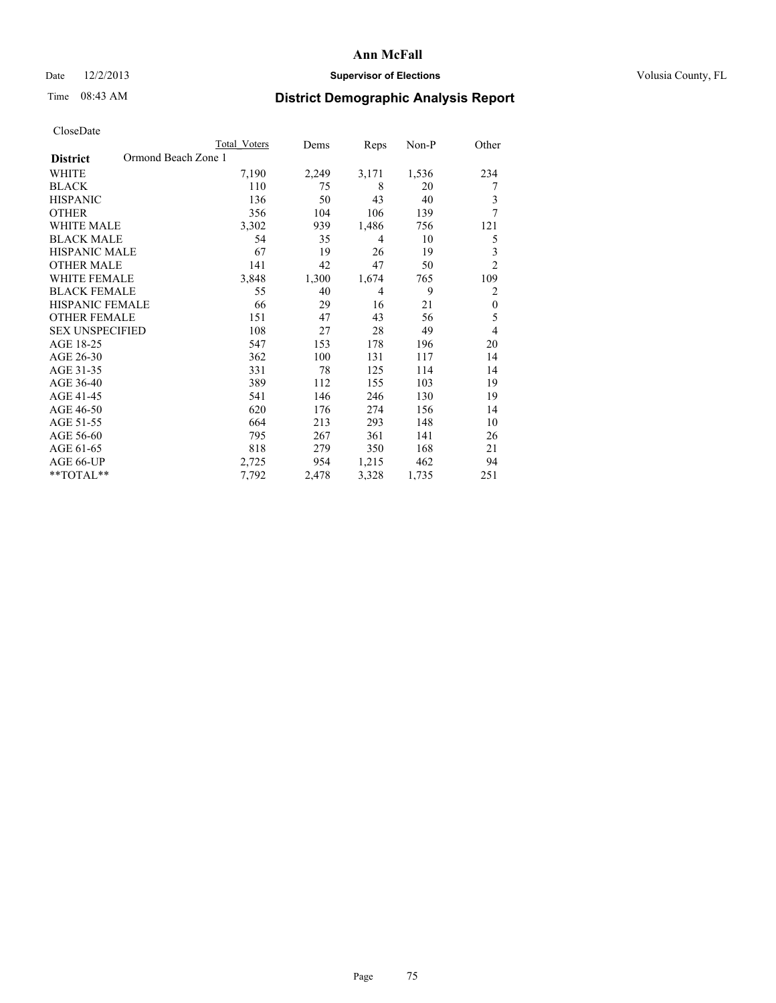## Date  $12/2/2013$  **Supervisor of Elections Supervisor of Elections** Volusia County, FL

## Time 08:43 AM **District Demographic Analysis Report**

|                                        | <b>Total Voters</b> | Dems  | Reps           | Non-P | Other            |
|----------------------------------------|---------------------|-------|----------------|-------|------------------|
| Ormond Beach Zone 1<br><b>District</b> |                     |       |                |       |                  |
| <b>WHITE</b>                           | 7,190               | 2,249 | 3,171          | 1,536 | 234              |
| <b>BLACK</b>                           | 110                 | 75    | 8              | 20    | 7                |
| <b>HISPANIC</b>                        | 136                 | 50    | 43             | 40    | 3                |
| <b>OTHER</b>                           | 356                 | 104   | 106            | 139   | 7                |
| <b>WHITE MALE</b>                      | 3,302               | 939   | 1,486          | 756   | 121              |
| <b>BLACK MALE</b>                      | 54                  | 35    | $\overline{4}$ | 10    | 5                |
| HISPANIC MALE                          | 67                  | 19    | 26             | 19    | 3                |
| <b>OTHER MALE</b>                      | 141                 | 42    | 47             | 50    | $\overline{c}$   |
| <b>WHITE FEMALE</b>                    | 3,848               | 1,300 | 1,674          | 765   | 109              |
| <b>BLACK FEMALE</b>                    | 55                  | 40    | $\overline{4}$ | 9     | $\overline{c}$   |
| <b>HISPANIC FEMALE</b>                 | 66                  | 29    | 16             | 21    | $\boldsymbol{0}$ |
| <b>OTHER FEMALE</b>                    | 151                 | 47    | 43             | 56    | 5                |
| <b>SEX UNSPECIFIED</b>                 | 108                 | 27    | 28             | 49    | 4                |
| AGE 18-25                              | 547                 | 153   | 178            | 196   | 20               |
| AGE 26-30                              | 362                 | 100   | 131            | 117   | 14               |
| AGE 31-35                              | 331                 | 78    | 125            | 114   | 14               |
| AGE 36-40                              | 389                 | 112   | 155            | 103   | 19               |
| AGE 41-45                              | 541                 | 146   | 246            | 130   | 19               |
| AGE 46-50                              | 620                 | 176   | 274            | 156   | 14               |
| AGE 51-55                              | 664                 | 213   | 293            | 148   | 10               |
| AGE 56-60                              | 795                 | 267   | 361            | 141   | 26               |
| AGE 61-65                              | 818                 | 279   | 350            | 168   | 21               |
| AGE 66-UP                              | 2,725               | 954   | 1,215          | 462   | 94               |
| **TOTAL**                              | 7,792               | 2,478 | 3,328          | 1,735 | 251              |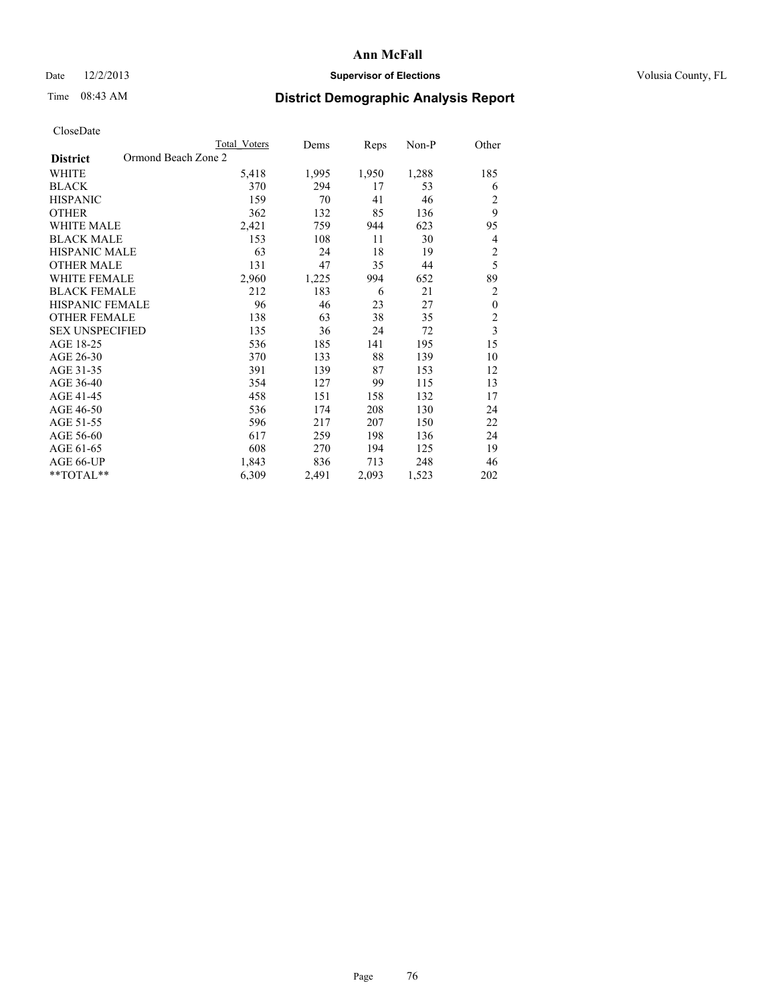## Date  $12/2/2013$  **Supervisor of Elections** Volusia County, FL

# Time 08:43 AM **District Demographic Analysis Report**

|                                        | <b>Total Voters</b> | Dems  | Reps  | Non-P | Other                   |
|----------------------------------------|---------------------|-------|-------|-------|-------------------------|
| Ormond Beach Zone 2<br><b>District</b> |                     |       |       |       |                         |
| <b>WHITE</b>                           | 5,418               | 1,995 | 1,950 | 1,288 | 185                     |
| <b>BLACK</b>                           | 370                 | 294   | 17    | 53    | 6                       |
| <b>HISPANIC</b>                        | 159                 | 70    | 41    | 46    | $\overline{c}$          |
| <b>OTHER</b>                           | 362                 | 132   | 85    | 136   | 9                       |
| WHITE MALE                             | 2,421               | 759   | 944   | 623   | 95                      |
| <b>BLACK MALE</b>                      | 153                 | 108   | 11    | 30    | 4                       |
| HISPANIC MALE                          | 63                  | 24    | 18    | 19    | $\overline{c}$          |
| <b>OTHER MALE</b>                      | 131                 | 47    | 35    | 44    | 5                       |
| WHITE FEMALE                           | 2,960               | 1,225 | 994   | 652   | 89                      |
| <b>BLACK FEMALE</b>                    | 212                 | 183   | 6     | 21    | $\overline{c}$          |
| <b>HISPANIC FEMALE</b>                 | 96                  | 46    | 23    | 27    | $\boldsymbol{0}$        |
| <b>OTHER FEMALE</b>                    | 138                 | 63    | 38    | 35    | $\overline{c}$          |
| <b>SEX UNSPECIFIED</b>                 | 135                 | 36    | 24    | 72    | $\overline{\mathbf{3}}$ |
| AGE 18-25                              | 536                 | 185   | 141   | 195   | 15                      |
| AGE 26-30                              | 370                 | 133   | 88    | 139   | 10                      |
| AGE 31-35                              | 391                 | 139   | 87    | 153   | 12                      |
| AGE 36-40                              | 354                 | 127   | 99    | 115   | 13                      |
| AGE 41-45                              | 458                 | 151   | 158   | 132   | 17                      |
| AGE 46-50                              | 536                 | 174   | 208   | 130   | 24                      |
| AGE 51-55                              | 596                 | 217   | 207   | 150   | 22                      |
| AGE 56-60                              | 617                 | 259   | 198   | 136   | 24                      |
| AGE 61-65                              | 608                 | 270   | 194   | 125   | 19                      |
| AGE 66-UP                              | 1,843               | 836   | 713   | 248   | 46                      |
| **TOTAL**                              | 6,309               | 2,491 | 2,093 | 1,523 | 202                     |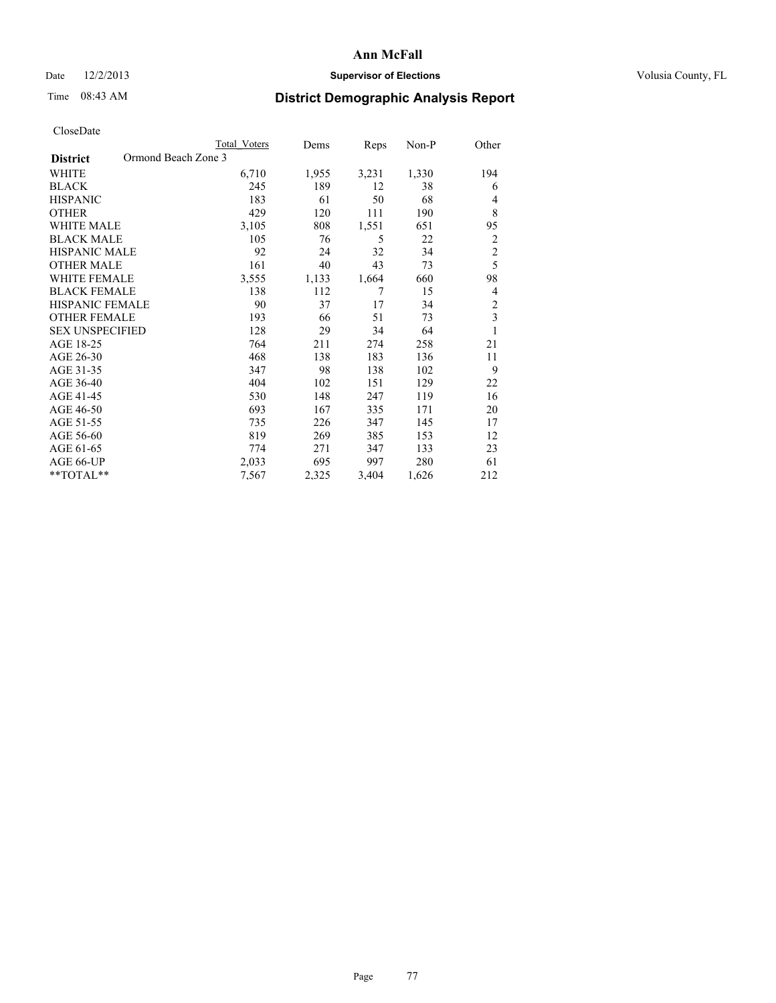## Date  $12/2/2013$  **Supervisor of Elections Supervisor of Elections** Volusia County, FL

# Time 08:43 AM **District Demographic Analysis Report**

|                                        | <b>Total Voters</b> | Dems  | Reps           | Non-P | Other                   |
|----------------------------------------|---------------------|-------|----------------|-------|-------------------------|
| Ormond Beach Zone 3<br><b>District</b> |                     |       |                |       |                         |
| WHITE                                  | 6,710               | 1,955 | 3,231          | 1,330 | 194                     |
| <b>BLACK</b>                           | 245                 | 189   | 12             | 38    | 6                       |
| <b>HISPANIC</b>                        | 183                 | 61    | 50             | 68    | 4                       |
| <b>OTHER</b>                           | 429                 | 120   | 111            | 190   | 8                       |
| WHITE MALE                             | 3,105               | 808   | 1,551          | 651   | 95                      |
| <b>BLACK MALE</b>                      | 105                 | 76    | 5              | 22    | $\overline{c}$          |
| <b>HISPANIC MALE</b>                   | 92                  | 24    | 32             | 34    | $\overline{c}$          |
| <b>OTHER MALE</b>                      | 161                 | 40    | 43             | 73    | 5                       |
| WHITE FEMALE                           | 3,555               | 1,133 | 1,664          | 660   | 98                      |
| <b>BLACK FEMALE</b>                    | 138                 | 112   | $\overline{7}$ | 15    | $\overline{4}$          |
| <b>HISPANIC FEMALE</b>                 | 90                  | 37    | 17             | 34    | $\overline{c}$          |
| <b>OTHER FEMALE</b>                    | 193                 | 66    | 51             | 73    | $\overline{\mathbf{3}}$ |
| <b>SEX UNSPECIFIED</b>                 | 128                 | 29    | 34             | 64    | $\mathbf{1}$            |
| AGE 18-25                              | 764                 | 211   | 274            | 258   | 21                      |
| AGE 26-30                              | 468                 | 138   | 183            | 136   | 11                      |
| AGE 31-35                              | 347                 | 98    | 138            | 102   | 9                       |
| AGE 36-40                              | 404                 | 102   | 151            | 129   | 22                      |
| AGE 41-45                              | 530                 | 148   | 247            | 119   | 16                      |
| AGE 46-50                              | 693                 | 167   | 335            | 171   | 20                      |
| AGE 51-55                              | 735                 | 226   | 347            | 145   | 17                      |
| AGE 56-60                              | 819                 | 269   | 385            | 153   | 12                      |
| AGE 61-65                              | 774                 | 271   | 347            | 133   | 23                      |
| AGE 66-UP                              | 2,033               | 695   | 997            | 280   | 61                      |
| **TOTAL**                              | 7,567               | 2,325 | 3,404          | 1,626 | 212                     |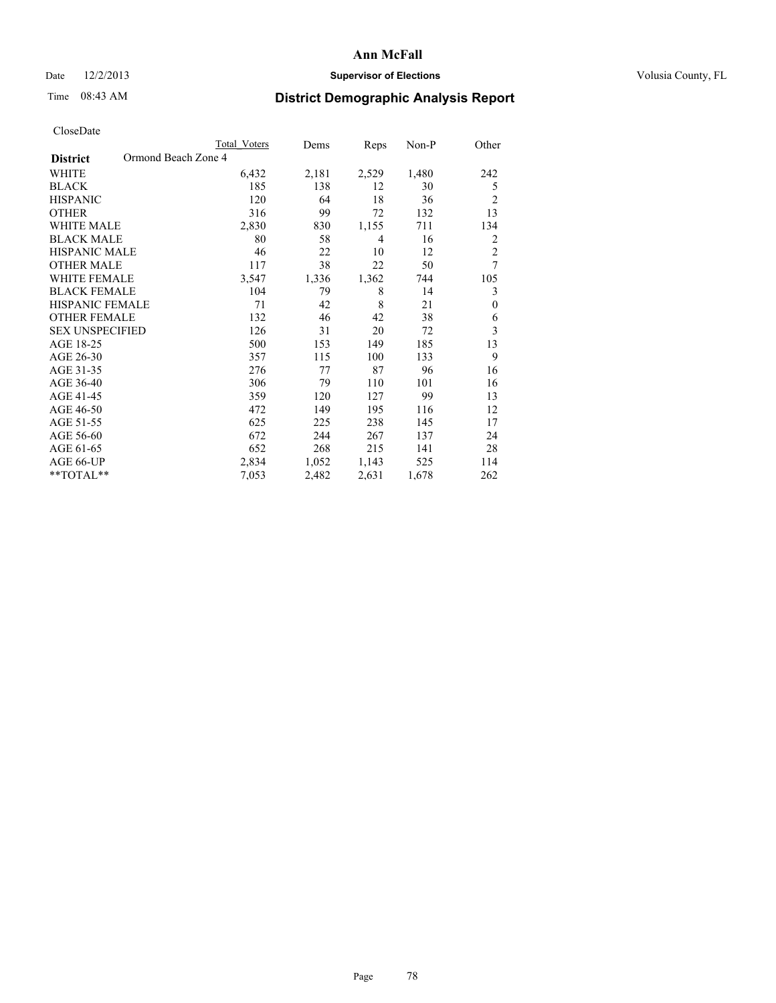## Date  $12/2/2013$  **Supervisor of Elections Supervisor of Elections** Volusia County, FL

# Time 08:43 AM **District Demographic Analysis Report**

|                        | Total Voters        | Dems  | Reps  | Non-P | Other          |
|------------------------|---------------------|-------|-------|-------|----------------|
| <b>District</b>        | Ormond Beach Zone 4 |       |       |       |                |
| WHITE                  | 6,432               | 2,181 | 2,529 | 1,480 | 242            |
| <b>BLACK</b>           | 185                 | 138   | 12    | 30    | 5              |
| <b>HISPANIC</b>        | 120                 | 64    | 18    | 36    | $\overline{2}$ |
| <b>OTHER</b>           | 316                 | 99    | 72    | 132   | 13             |
| <b>WHITE MALE</b>      | 2,830               | 830   | 1,155 | 711   | 134            |
| <b>BLACK MALE</b>      | 80                  | 58    | 4     | 16    | 2              |
| <b>HISPANIC MALE</b>   | 46                  | 22    | 10    | 12    | $\overline{c}$ |
| <b>OTHER MALE</b>      | 117                 | 38    | 22    | 50    | 7              |
| <b>WHITE FEMALE</b>    | 3,547               | 1,336 | 1,362 | 744   | 105            |
| <b>BLACK FEMALE</b>    | 104                 | 79    | 8     | 14    | 3              |
| <b>HISPANIC FEMALE</b> | 71                  | 42    | 8     | 21    | $\theta$       |
| <b>OTHER FEMALE</b>    | 132                 | 46    | 42    | 38    | 6              |
| <b>SEX UNSPECIFIED</b> | 126                 | 31    | 20    | 72    | 3              |
| AGE 18-25              | 500                 | 153   | 149   | 185   | 13             |
| AGE 26-30              | 357                 | 115   | 100   | 133   | 9              |
| AGE 31-35              | 276                 | 77    | 87    | 96    | 16             |
| AGE 36-40              | 306                 | 79    | 110   | 101   | 16             |
| AGE 41-45              | 359                 | 120   | 127   | 99    | 13             |
| AGE 46-50              | 472                 | 149   | 195   | 116   | 12             |
| AGE 51-55              | 625                 | 225   | 238   | 145   | 17             |
| AGE 56-60              | 672                 | 244   | 267   | 137   | 24             |
| AGE 61-65              | 652                 | 268   | 215   | 141   | 28             |
| AGE 66-UP              | 2,834               | 1,052 | 1,143 | 525   | 114            |
| **TOTAL**              | 7,053               | 2,482 | 2,631 | 1,678 | 262            |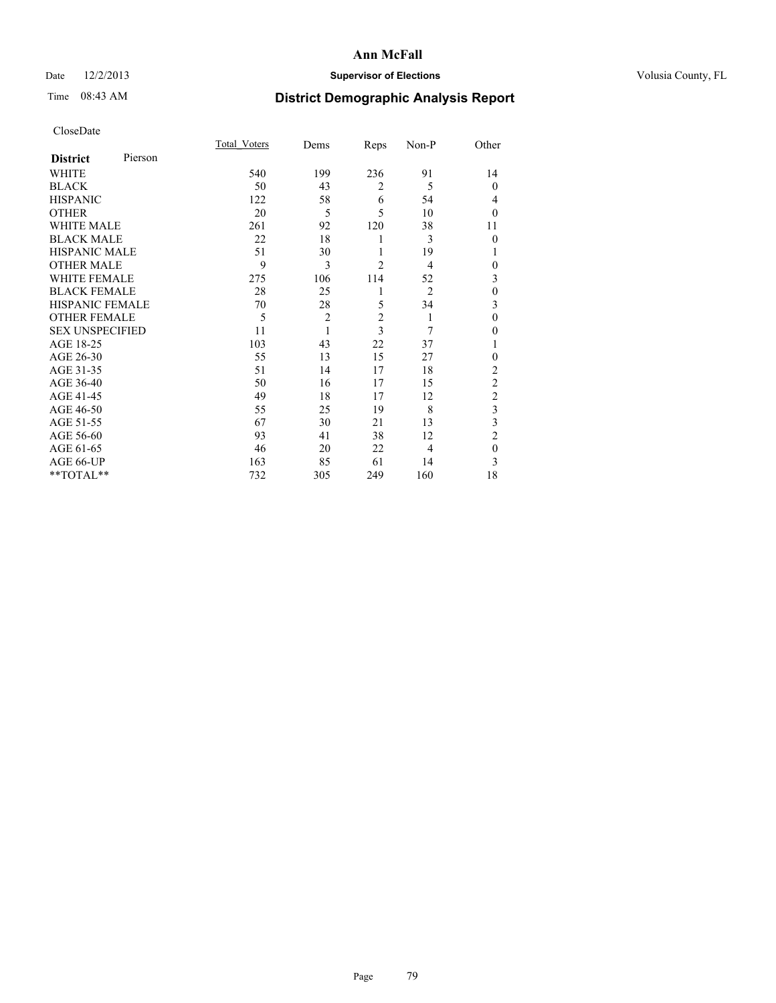## Date  $12/2/2013$  **Supervisor of Elections Supervisor of Elections** Volusia County, FL

# Time 08:43 AM **District Demographic Analysis Report**

|                        |         | <b>Total Voters</b> | Dems           | Reps           | Non-P          | Other          |
|------------------------|---------|---------------------|----------------|----------------|----------------|----------------|
| <b>District</b>        | Pierson |                     |                |                |                |                |
| WHITE                  |         | 540                 | 199            | 236            | 91             | 14             |
| <b>BLACK</b>           |         | 50                  | 43             | $\overline{2}$ | 5              | $\mathbf{0}$   |
| <b>HISPANIC</b>        |         | 122                 | 58             | 6              | 54             | 4              |
| <b>OTHER</b>           |         | 20                  | 5              | 5              | 10             | $\theta$       |
| WHITE MALE             |         | 261                 | 92             | 120            | 38             | 11             |
| <b>BLACK MALE</b>      |         | 22                  | 18             | 1              | 3              | $\mathbf{0}$   |
| <b>HISPANIC MALE</b>   |         | 51                  | 30             | 1              | 19             | 1              |
| <b>OTHER MALE</b>      |         | 9                   | 3              | $\overline{c}$ | $\overline{4}$ | 0              |
| <b>WHITE FEMALE</b>    |         | 275                 | 106            | 114            | 52             | 3              |
| <b>BLACK FEMALE</b>    |         | 28                  | 25             | 1              | $\overline{2}$ | $\mathbf{0}$   |
| <b>HISPANIC FEMALE</b> |         | 70                  | 28             | 5              | 34             | 3              |
| <b>OTHER FEMALE</b>    |         | 5                   | $\overline{c}$ | $\overline{c}$ | 1              | $\theta$       |
| <b>SEX UNSPECIFIED</b> |         | 11                  | 1              | $\overline{3}$ | 7              | $\theta$       |
| AGE 18-25              |         | 103                 | 43             | 22             | 37             |                |
| AGE 26-30              |         | 55                  | 13             | 15             | 27             | $\mathbf{0}$   |
| AGE 31-35              |         | 51                  | 14             | 17             | 18             | $\overline{c}$ |
| AGE 36-40              |         | 50                  | 16             | 17             | 15             | $\overline{c}$ |
| AGE 41-45              |         | 49                  | 18             | 17             | 12             | $\overline{c}$ |
| AGE 46-50              |         | 55                  | 25             | 19             | 8              | 3              |
| AGE 51-55              |         | 67                  | 30             | 21             | 13             | 3              |
| AGE 56-60              |         | 93                  | 41             | 38             | 12             | $\overline{c}$ |
| AGE 61-65              |         | 46                  | 20             | 22             | 4              | $\mathbf{0}$   |
| AGE 66-UP              |         | 163                 | 85             | 61             | 14             | 3              |
| **TOTAL**              |         | 732                 | 305            | 249            | 160            | 18             |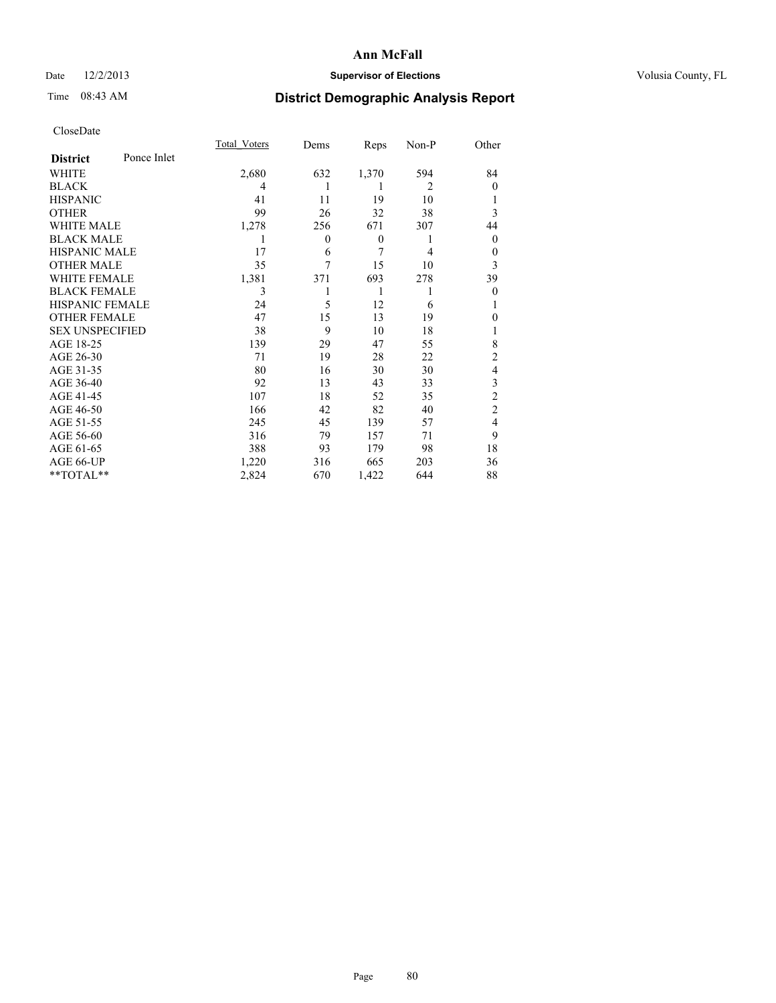## Date  $12/2/2013$  **Supervisor of Elections** Volusia County, FL

# Time 08:43 AM **District Demographic Analysis Report**

|                        |             | <b>Total Voters</b> | Dems           | Reps             | Non-P          | Other          |
|------------------------|-------------|---------------------|----------------|------------------|----------------|----------------|
| <b>District</b>        | Ponce Inlet |                     |                |                  |                |                |
| WHITE                  |             | 2,680               | 632            | 1,370            | 594            | 84             |
| <b>BLACK</b>           |             | 4                   | 1              | 1                | $\overline{2}$ | $\Omega$       |
| <b>HISPANIC</b>        |             | 41                  | 11             | 19               | 10             |                |
| <b>OTHER</b>           |             | 99                  | 26             | 32               | 38             | 3              |
| WHITE MALE             |             | 1,278               | 256            | 671              | 307            | 44             |
| <b>BLACK MALE</b>      |             | 1                   | $\overline{0}$ | $\boldsymbol{0}$ | 1              | $\overline{0}$ |
| <b>HISPANIC MALE</b>   |             | 17                  | 6              | 7                | $\overline{4}$ | $\overline{0}$ |
| <b>OTHER MALE</b>      |             | 35                  | 7              | 15               | 10             | 3              |
| <b>WHITE FEMALE</b>    |             | 1,381               | 371            | 693              | 278            | 39             |
| <b>BLACK FEMALE</b>    |             | 3                   |                | 1                | 1              | $\overline{0}$ |
| <b>HISPANIC FEMALE</b> |             | 24                  | 5              | 12               | 6              |                |
| <b>OTHER FEMALE</b>    |             | 47                  | 15             | 13               | 19             | $\theta$       |
| <b>SEX UNSPECIFIED</b> |             | 38                  | 9              | 10               | 18             |                |
| AGE 18-25              |             | 139                 | 29             | 47               | 55             | 8              |
| AGE 26-30              |             | 71                  | 19             | 28               | 22             | $\overline{2}$ |
| AGE 31-35              |             | 80                  | 16             | 30               | 30             | 4              |
| AGE 36-40              |             | 92                  | 13             | 43               | 33             | 3              |
| AGE 41-45              |             | 107                 | 18             | 52               | 35             | $\overline{c}$ |
| AGE 46-50              |             | 166                 | 42             | 82               | 40             | $\overline{2}$ |
| AGE 51-55              |             | 245                 | 45             | 139              | 57             | $\overline{4}$ |
| AGE 56-60              |             | 316                 | 79             | 157              | 71             | 9              |
| AGE 61-65              |             | 388                 | 93             | 179              | 98             | 18             |
| AGE 66-UP              |             | 1,220               | 316            | 665              | 203            | 36             |
| **TOTAL**              |             | 2,824               | 670            | 1,422            | 644            | 88             |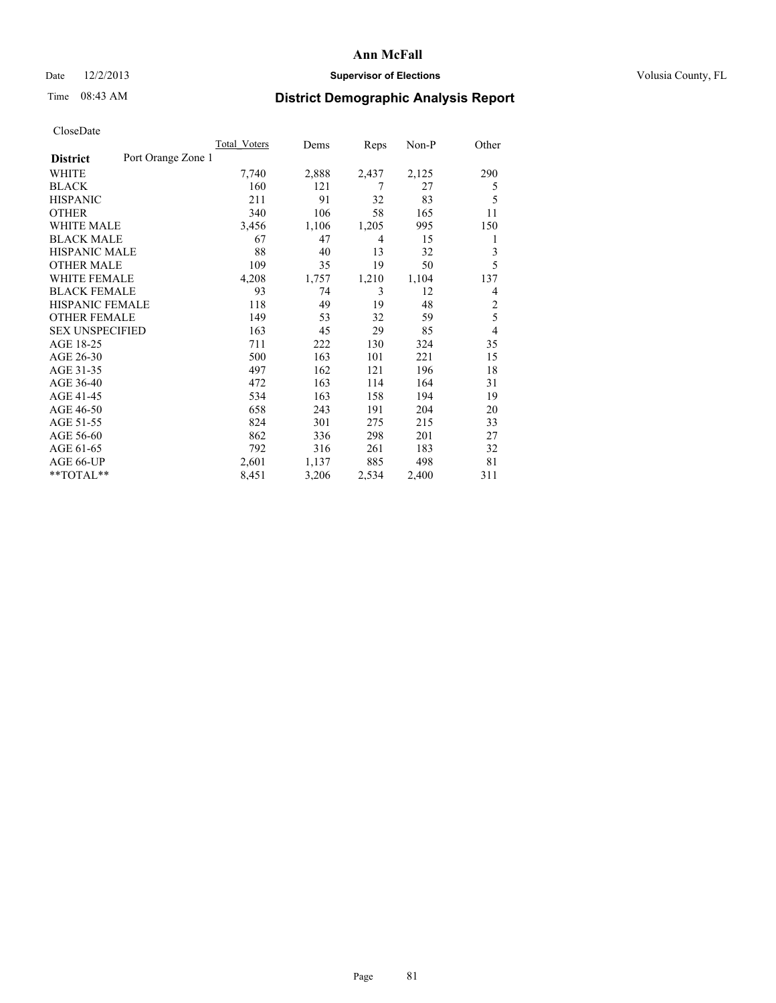## Date  $12/2/2013$  **Supervisor of Elections Supervisor of Elections** Volusia County, FL

# Time 08:43 AM **District Demographic Analysis Report**

|                        |                    | Total Voters | Dems  | Reps  | $Non-P$ | Other          |
|------------------------|--------------------|--------------|-------|-------|---------|----------------|
| <b>District</b>        | Port Orange Zone 1 |              |       |       |         |                |
| WHITE                  |                    | 7,740        | 2,888 | 2,437 | 2,125   | 290            |
| <b>BLACK</b>           |                    | 160          | 121   | 7     | 27      | 5              |
| <b>HISPANIC</b>        |                    | 211          | 91    | 32    | 83      | 5              |
| <b>OTHER</b>           |                    | 340          | 106   | 58    | 165     | 11             |
| WHITE MALE             |                    | 3,456        | 1,106 | 1,205 | 995     | 150            |
| <b>BLACK MALE</b>      |                    | 67           | 47    | 4     | 15      | 1              |
| <b>HISPANIC MALE</b>   |                    | 88           | 40    | 13    | 32      | 3              |
| <b>OTHER MALE</b>      |                    | 109          | 35    | 19    | 50      | 5              |
| WHITE FEMALE           |                    | 4,208        | 1,757 | 1,210 | 1,104   | 137            |
| <b>BLACK FEMALE</b>    |                    | 93           | 74    | 3     | 12      | 4              |
| <b>HISPANIC FEMALE</b> |                    | 118          | 49    | 19    | 48      | $\overline{2}$ |
| <b>OTHER FEMALE</b>    |                    | 149          | 53    | 32    | 59      | 5              |
| <b>SEX UNSPECIFIED</b> |                    | 163          | 45    | 29    | 85      | $\overline{4}$ |
| AGE 18-25              |                    | 711          | 222   | 130   | 324     | 35             |
| AGE 26-30              |                    | 500          | 163   | 101   | 221     | 15             |
| AGE 31-35              |                    | 497          | 162   | 121   | 196     | 18             |
| AGE 36-40              |                    | 472          | 163   | 114   | 164     | 31             |
| AGE 41-45              |                    | 534          | 163   | 158   | 194     | 19             |
| AGE 46-50              |                    | 658          | 243   | 191   | 204     | 20             |
| AGE 51-55              |                    | 824          | 301   | 275   | 215     | 33             |
| AGE 56-60              |                    | 862          | 336   | 298   | 201     | 27             |
| AGE 61-65              |                    | 792          | 316   | 261   | 183     | 32             |
| AGE 66-UP              |                    | 2,601        | 1,137 | 885   | 498     | 81             |
| **TOTAL**              |                    | 8,451        | 3,206 | 2,534 | 2,400   | 311            |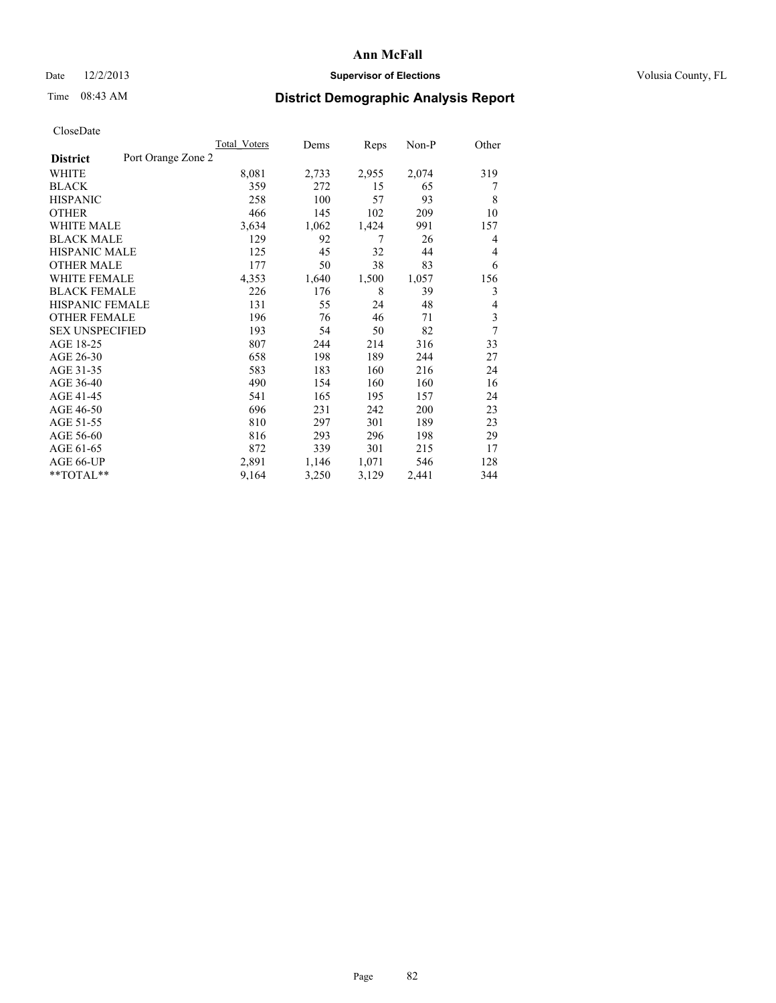## Date  $12/2/2013$  **Supervisor of Elections Supervisor of Elections** Volusia County, FL

# Time 08:43 AM **District Demographic Analysis Report**

|                                       | <b>Total Voters</b> | Dems  | Reps  | Non-P | Other |
|---------------------------------------|---------------------|-------|-------|-------|-------|
| Port Orange Zone 2<br><b>District</b> |                     |       |       |       |       |
| WHITE                                 | 8,081               | 2,733 | 2,955 | 2,074 | 319   |
| <b>BLACK</b>                          | 359                 | 272   | 15    | 65    | 7     |
| <b>HISPANIC</b>                       | 258                 | 100   | 57    | 93    | 8     |
| <b>OTHER</b>                          | 466                 | 145   | 102   | 209   | 10    |
| WHITE MALE                            | 3,634               | 1,062 | 1,424 | 991   | 157   |
| <b>BLACK MALE</b>                     | 129                 | 92    | 7     | 26    | 4     |
| <b>HISPANIC MALE</b>                  | 125                 | 45    | 32    | 44    | 4     |
| <b>OTHER MALE</b>                     | 177                 | 50    | 38    | 83    | 6     |
| WHITE FEMALE                          | 4,353               | 1,640 | 1,500 | 1,057 | 156   |
| <b>BLACK FEMALE</b>                   | 226                 | 176   | 8     | 39    | 3     |
| <b>HISPANIC FEMALE</b>                | 131                 | 55    | 24    | 48    | 4     |
| <b>OTHER FEMALE</b>                   | 196                 | 76    | 46    | 71    | 3     |
| <b>SEX UNSPECIFIED</b>                | 193                 | 54    | 50    | 82    | 7     |
| AGE 18-25                             | 807                 | 244   | 214   | 316   | 33    |
| AGE 26-30                             | 658                 | 198   | 189   | 244   | 27    |
| AGE 31-35                             | 583                 | 183   | 160   | 216   | 24    |
| AGE 36-40                             | 490                 | 154   | 160   | 160   | 16    |
| AGE 41-45                             | 541                 | 165   | 195   | 157   | 24    |
| AGE 46-50                             | 696                 | 231   | 242   | 200   | 23    |
| AGE 51-55                             | 810                 | 297   | 301   | 189   | 23    |
| AGE 56-60                             | 816                 | 293   | 296   | 198   | 29    |
| AGE 61-65                             | 872                 | 339   | 301   | 215   | 17    |
| AGE 66-UP                             | 2,891               | 1,146 | 1,071 | 546   | 128   |
| **TOTAL**                             | 9,164               | 3,250 | 3,129 | 2,441 | 344   |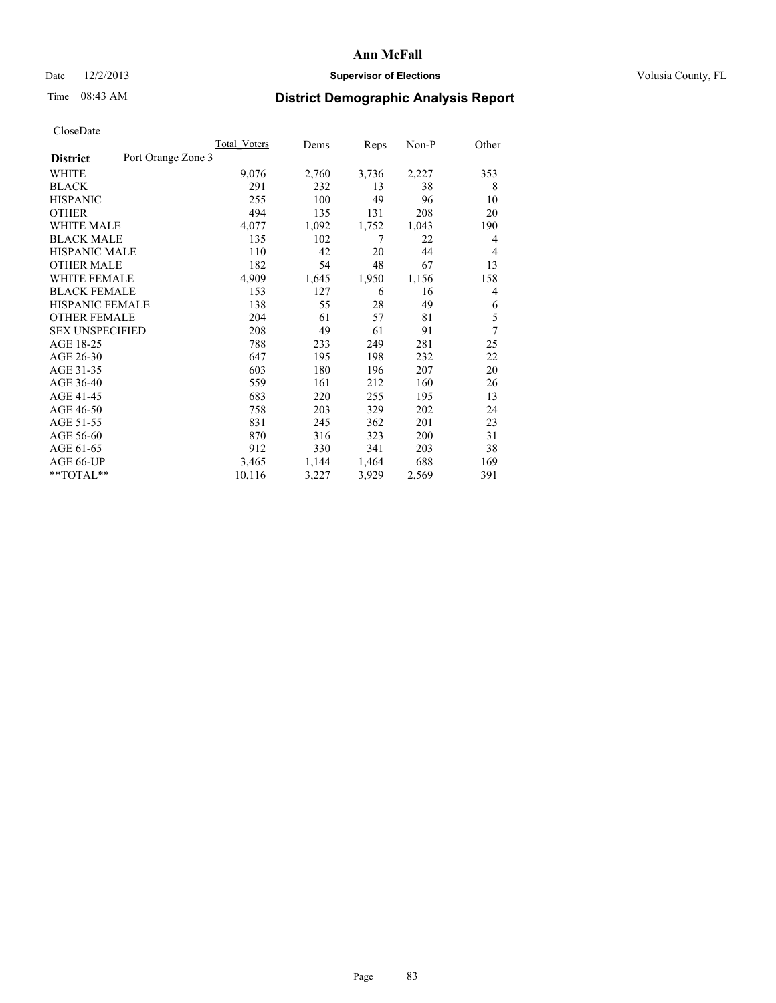## Date  $12/2/2013$  **Supervisor of Elections Supervisor of Elections** Volusia County, FL

## Time 08:43 AM **District Demographic Analysis Report**

|                        |                    | <b>Total Voters</b> | Dems  | Reps  | Non-P | Other  |
|------------------------|--------------------|---------------------|-------|-------|-------|--------|
| <b>District</b>        | Port Orange Zone 3 |                     |       |       |       |        |
| WHITE                  |                    | 9,076               | 2,760 | 3,736 | 2,227 | 353    |
| <b>BLACK</b>           |                    | 291                 | 232   | 13    | 38    | 8      |
| <b>HISPANIC</b>        |                    | 255                 | 100   | 49    | 96    | 10     |
| <b>OTHER</b>           |                    | 494                 | 135   | 131   | 208   | 20     |
| WHITE MALE             |                    | 4,077               | 1,092 | 1,752 | 1,043 | 190    |
| <b>BLACK MALE</b>      |                    | 135                 | 102   | 7     | 22    | 4      |
| <b>HISPANIC MALE</b>   |                    | 110                 | 42    | 20    | 44    | 4      |
| <b>OTHER MALE</b>      |                    | 182                 | 54    | 48    | 67    | 13     |
| <b>WHITE FEMALE</b>    |                    | 4,909               | 1,645 | 1,950 | 1,156 | 158    |
| <b>BLACK FEMALE</b>    |                    | 153                 | 127   | 6     | 16    | 4      |
| <b>HISPANIC FEMALE</b> |                    | 138                 | 55    | 28    | 49    | 6      |
| <b>OTHER FEMALE</b>    |                    | 204                 | 61    | 57    | 81    | 5      |
| <b>SEX UNSPECIFIED</b> |                    | 208                 | 49    | 61    | 91    | $\tau$ |
| AGE 18-25              |                    | 788                 | 233   | 249   | 281   | 25     |
| AGE 26-30              |                    | 647                 | 195   | 198   | 232   | 22     |
| AGE 31-35              |                    | 603                 | 180   | 196   | 207   | 20     |
| AGE 36-40              |                    | 559                 | 161   | 212   | 160   | 26     |
| AGE 41-45              |                    | 683                 | 220   | 255   | 195   | 13     |
| AGE 46-50              |                    | 758                 | 203   | 329   | 202   | 24     |
| AGE 51-55              |                    | 831                 | 245   | 362   | 201   | 23     |
| AGE 56-60              |                    | 870                 | 316   | 323   | 200   | 31     |
| AGE 61-65              |                    | 912                 | 330   | 341   | 203   | 38     |
| AGE 66-UP              |                    | 3,465               | 1,144 | 1,464 | 688   | 169    |
| **TOTAL**              |                    | 10,116              | 3,227 | 3,929 | 2,569 | 391    |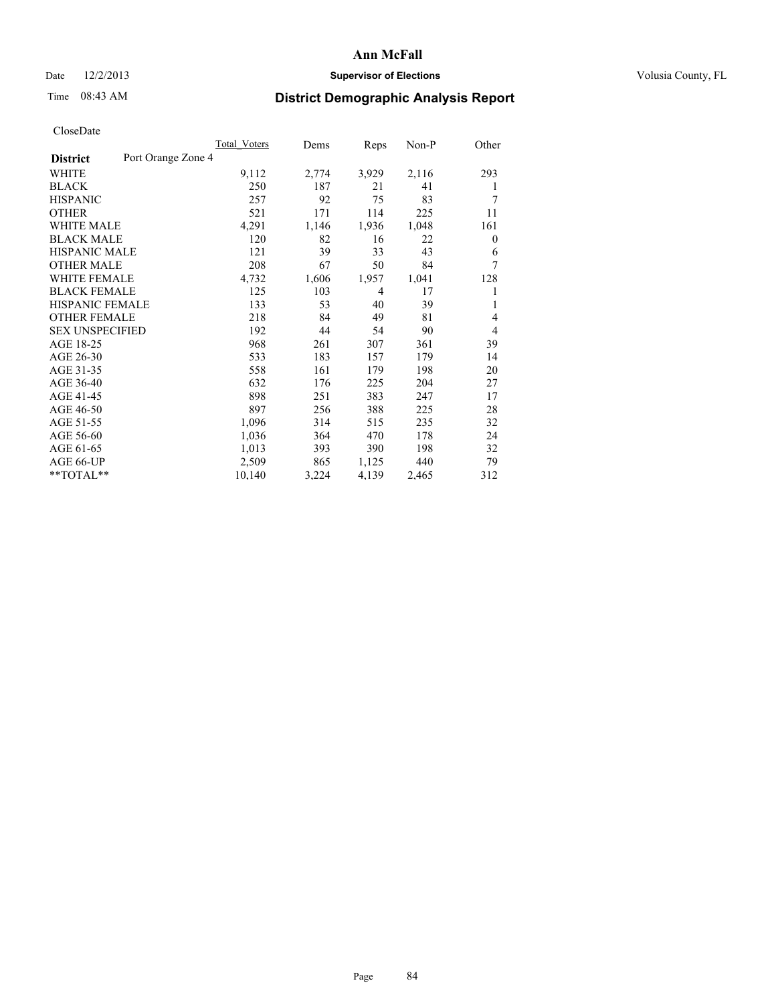## Date  $12/2/2013$  **Supervisor of Elections Supervisor of Elections** Volusia County, FL

# Time 08:43 AM **District Demographic Analysis Report**

|                        | <b>Total Voters</b> | Dems  | Reps  | Non-P | Other          |
|------------------------|---------------------|-------|-------|-------|----------------|
| <b>District</b>        | Port Orange Zone 4  |       |       |       |                |
| WHITE                  | 9,112               | 2,774 | 3,929 | 2,116 | 293            |
| <b>BLACK</b>           | 250                 | 187   | 21    | 41    | 1              |
| <b>HISPANIC</b>        | 257                 | 92    | 75    | 83    | 7              |
| <b>OTHER</b>           | 521                 | 171   | 114   | 225   | 11             |
| <b>WHITE MALE</b>      | 4,291               | 1,146 | 1,936 | 1,048 | 161            |
| <b>BLACK MALE</b>      | 120                 | 82    | 16    | 22    | $\theta$       |
| <b>HISPANIC MALE</b>   | 121                 | 39    | 33    | 43    | 6              |
| <b>OTHER MALE</b>      | 208                 | 67    | 50    | 84    | 7              |
| <b>WHITE FEMALE</b>    | 4,732               | 1,606 | 1,957 | 1,041 | 128            |
| <b>BLACK FEMALE</b>    | 125                 | 103   | 4     | 17    |                |
| HISPANIC FEMALE        | 133                 | 53    | 40    | 39    | 1              |
| <b>OTHER FEMALE</b>    | 218                 | 84    | 49    | 81    | 4              |
| <b>SEX UNSPECIFIED</b> | 192                 | 44    | 54    | 90    | $\overline{4}$ |
| AGE 18-25              | 968                 | 261   | 307   | 361   | 39             |
| AGE 26-30              | 533                 | 183   | 157   | 179   | 14             |
| AGE 31-35              | 558                 | 161   | 179   | 198   | 20             |
| AGE 36-40              | 632                 | 176   | 225   | 204   | 27             |
| AGE 41-45              | 898                 | 251   | 383   | 247   | 17             |
| AGE 46-50              | 897                 | 256   | 388   | 225   | 28             |
| AGE 51-55              | 1,096               | 314   | 515   | 235   | 32             |
| AGE 56-60              | 1,036               | 364   | 470   | 178   | 24             |
| AGE 61-65              | 1,013               | 393   | 390   | 198   | 32             |
| AGE 66-UP              | 2,509               | 865   | 1,125 | 440   | 79             |
| $*$ $TOTAL**$          | 10,140              | 3,224 | 4,139 | 2,465 | 312            |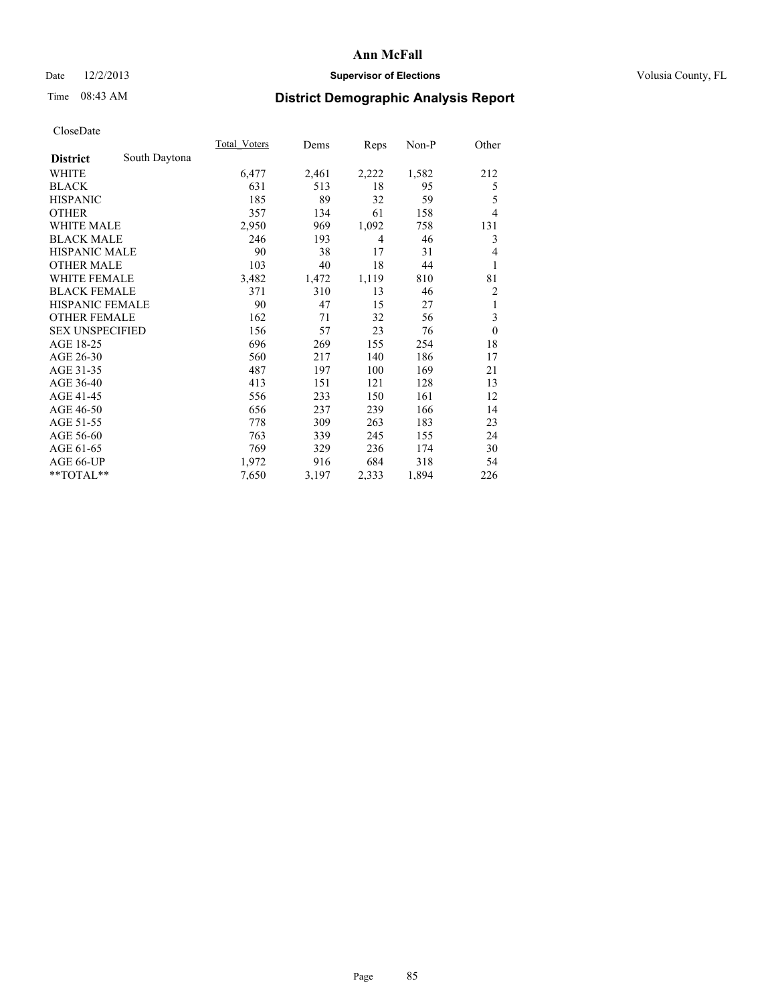## Date  $12/2/2013$  **Supervisor of Elections** Volusia County, FL

# Time 08:43 AM **District Demographic Analysis Report**

|                        |               | Total Voters | Dems  | Reps  | $Non-P$ | Other        |
|------------------------|---------------|--------------|-------|-------|---------|--------------|
| <b>District</b>        | South Daytona |              |       |       |         |              |
| WHITE                  |               | 6,477        | 2,461 | 2,222 | 1,582   | 212          |
| <b>BLACK</b>           |               | 631          | 513   | 18    | 95      | 5            |
| <b>HISPANIC</b>        |               | 185          | 89    | 32    | 59      | 5            |
| <b>OTHER</b>           |               | 357          | 134   | 61    | 158     | 4            |
| WHITE MALE             |               | 2,950        | 969   | 1,092 | 758     | 131          |
| <b>BLACK MALE</b>      |               | 246          | 193   | 4     | 46      | 3            |
| <b>HISPANIC MALE</b>   |               | 90           | 38    | 17    | 31      | 4            |
| <b>OTHER MALE</b>      |               | 103          | 40    | 18    | 44      | 1            |
| <b>WHITE FEMALE</b>    |               | 3,482        | 1,472 | 1,119 | 810     | 81           |
| <b>BLACK FEMALE</b>    |               | 371          | 310   | 13    | 46      | 2            |
| <b>HISPANIC FEMALE</b> |               | 90           | 47    | 15    | 27      | 1            |
| <b>OTHER FEMALE</b>    |               | 162          | 71    | 32    | 56      | 3            |
| <b>SEX UNSPECIFIED</b> |               | 156          | 57    | 23    | 76      | $\mathbf{0}$ |
| AGE 18-25              |               | 696          | 269   | 155   | 254     | 18           |
| AGE 26-30              |               | 560          | 217   | 140   | 186     | 17           |
| AGE 31-35              |               | 487          | 197   | 100   | 169     | 21           |
| AGE 36-40              |               | 413          | 151   | 121   | 128     | 13           |
| AGE 41-45              |               | 556          | 233   | 150   | 161     | 12           |
| AGE 46-50              |               | 656          | 237   | 239   | 166     | 14           |
| AGE 51-55              |               | 778          | 309   | 263   | 183     | 23           |
| AGE 56-60              |               | 763          | 339   | 245   | 155     | 24           |
| AGE 61-65              |               | 769          | 329   | 236   | 174     | 30           |
| AGE 66-UP              |               | 1,972        | 916   | 684   | 318     | 54           |
| **TOTAL**              |               | 7,650        | 3,197 | 2,333 | 1,894   | 226          |